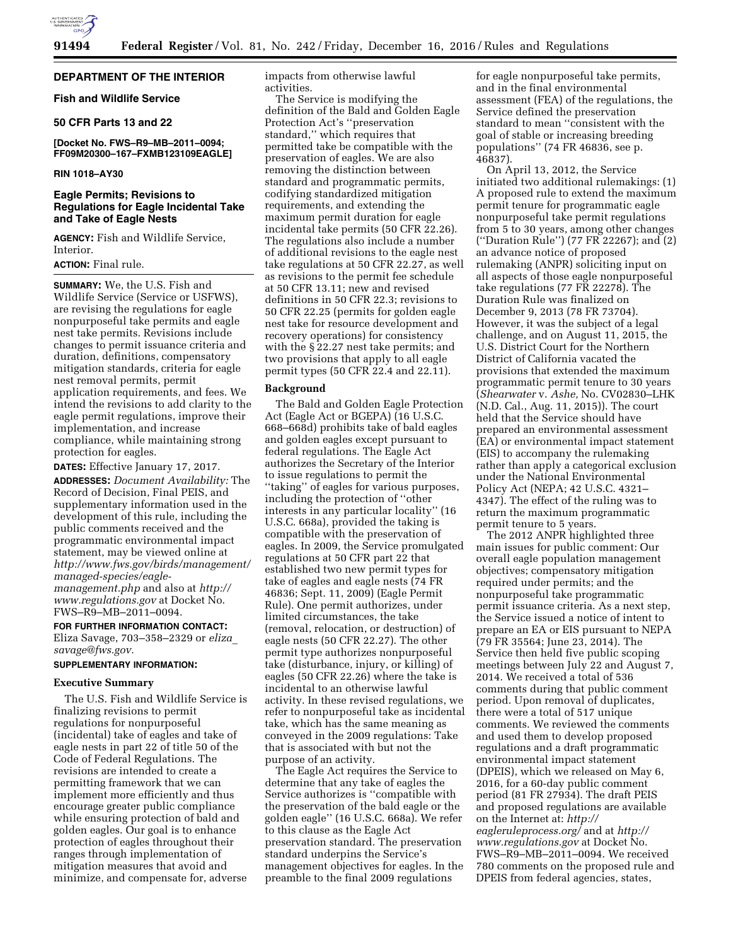

# **DEPARTMENT OF THE INTERIOR**

# **Fish and Wildlife Service**

# **50 CFR Parts 13 and 22**

# **[Docket No. FWS–R9–MB–2011–0094; FF09M20300–167–FXMB123109EAGLE]**

# **RIN 1018–AY30**

# **Eagle Permits; Revisions to Regulations for Eagle Incidental Take and Take of Eagle Nests**

**AGENCY:** Fish and Wildlife Service, Interior.

# **ACTION:** Final rule.

**SUMMARY:** We, the U.S. Fish and Wildlife Service (Service or USFWS), are revising the regulations for eagle nonpurposeful take permits and eagle nest take permits. Revisions include changes to permit issuance criteria and duration, definitions, compensatory mitigation standards, criteria for eagle nest removal permits, permit application requirements, and fees. We intend the revisions to add clarity to the eagle permit regulations, improve their implementation, and increase compliance, while maintaining strong protection for eagles.

**DATES:** Effective January 17, 2017. **ADDRESSES:** *Document Availability:* The Record of Decision, Final PEIS, and supplementary information used in the development of this rule, including the public comments received and the programmatic environmental impact statement, may be viewed online at *[http://www.fws.gov/birds/management/](http://www.fws.gov/birds/management/managed-species/eagle-management.php)  [managed-species/eagle](http://www.fws.gov/birds/management/managed-species/eagle-management.php)[management.php](http://www.fws.gov/birds/management/managed-species/eagle-management.php)* and also at *[http://](http://www.regulations.gov) [www.regulations.gov](http://www.regulations.gov)* at Docket No. FWS–R9–MB–2011–0094.

## **FOR FURTHER INFORMATION CONTACT:**

Eliza Savage, 703–358–2329 or *[eliza](mailto:eliza_savage@fws.gov)*\_ *[savage@fws.gov.](mailto:eliza_savage@fws.gov)* 

# **SUPPLEMENTARY INFORMATION:**

# **Executive Summary**

The U.S. Fish and Wildlife Service is finalizing revisions to permit regulations for nonpurposeful (incidental) take of eagles and take of eagle nests in part 22 of title 50 of the Code of Federal Regulations. The revisions are intended to create a permitting framework that we can implement more efficiently and thus encourage greater public compliance while ensuring protection of bald and golden eagles. Our goal is to enhance protection of eagles throughout their ranges through implementation of mitigation measures that avoid and minimize, and compensate for, adverse

impacts from otherwise lawful activities.

The Service is modifying the definition of the Bald and Golden Eagle Protection Act's ''preservation standard,'' which requires that permitted take be compatible with the preservation of eagles. We are also removing the distinction between standard and programmatic permits, codifying standardized mitigation requirements, and extending the maximum permit duration for eagle incidental take permits (50 CFR 22.26). The regulations also include a number of additional revisions to the eagle nest take regulations at 50 CFR 22.27, as well as revisions to the permit fee schedule at 50 CFR 13.11; new and revised definitions in 50 CFR 22.3; revisions to 50 CFR 22.25 (permits for golden eagle nest take for resource development and recovery operations) for consistency with the § 22.27 nest take permits; and two provisions that apply to all eagle permit types (50 CFR 22.4 and 22.11).

# **Background**

The Bald and Golden Eagle Protection Act (Eagle Act or BGEPA) (16 U.S.C. 668–668d) prohibits take of bald eagles and golden eagles except pursuant to federal regulations. The Eagle Act authorizes the Secretary of the Interior to issue regulations to permit the ''taking'' of eagles for various purposes, including the protection of ''other interests in any particular locality'' (16 U.S.C. 668a), provided the taking is compatible with the preservation of eagles. In 2009, the Service promulgated regulations at 50 CFR part 22 that established two new permit types for take of eagles and eagle nests (74 FR 46836; Sept. 11, 2009) (Eagle Permit Rule). One permit authorizes, under limited circumstances, the take (removal, relocation, or destruction) of eagle nests (50 CFR 22.27). The other permit type authorizes nonpurposeful take (disturbance, injury, or killing) of eagles (50 CFR 22.26) where the take is incidental to an otherwise lawful activity. In these revised regulations, we refer to nonpurposeful take as incidental take, which has the same meaning as conveyed in the 2009 regulations: Take that is associated with but not the purpose of an activity.

The Eagle Act requires the Service to determine that any take of eagles the Service authorizes is ''compatible with the preservation of the bald eagle or the golden eagle'' (16 U.S.C. 668a). We refer to this clause as the Eagle Act preservation standard. The preservation standard underpins the Service's management objectives for eagles. In the preamble to the final 2009 regulations

for eagle nonpurposeful take permits, and in the final environmental assessment (FEA) of the regulations, the Service defined the preservation standard to mean ''consistent with the goal of stable or increasing breeding populations'' (74 FR 46836, see p. 46837).

On April 13, 2012, the Service initiated two additional rulemakings: (1) A proposed rule to extend the maximum permit tenure for programmatic eagle nonpurposeful take permit regulations from 5 to 30 years, among other changes (''Duration Rule'') (77 FR 22267); and (2) an advance notice of proposed rulemaking (ANPR) soliciting input on all aspects of those eagle nonpurposeful take regulations (77 FR 22278). The Duration Rule was finalized on December 9, 2013 (78 FR 73704). However, it was the subject of a legal challenge, and on August 11, 2015, the U.S. District Court for the Northern District of California vacated the provisions that extended the maximum programmatic permit tenure to 30 years (*Shearwater* v. *Ashe,* No. CV02830–LHK (N.D. Cal., Aug. 11, 2015)). The court held that the Service should have prepared an environmental assessment (EA) or environmental impact statement (EIS) to accompany the rulemaking rather than apply a categorical exclusion under the National Environmental Policy Act (NEPA; 42 U.S.C. 4321– 4347). The effect of the ruling was to return the maximum programmatic permit tenure to 5 years.

The 2012 ANPR highlighted three main issues for public comment: Our overall eagle population management objectives; compensatory mitigation required under permits; and the nonpurposeful take programmatic permit issuance criteria. As a next step, the Service issued a notice of intent to prepare an EA or EIS pursuant to NEPA (79 FR 35564; June 23, 2014). The Service then held five public scoping meetings between July 22 and August 7, 2014. We received a total of 536 comments during that public comment period. Upon removal of duplicates, there were a total of 517 unique comments. We reviewed the comments and used them to develop proposed regulations and a draft programmatic environmental impact statement (DPEIS), which we released on May 6, 2016, for a 60-day public comment period (81 FR 27934). The draft PEIS and proposed regulations are available on the Internet at: *[http://](http://eagleruleprocess.org/) [eagleruleprocess.org/](http://eagleruleprocess.org/)* and at *[http://](http://www.regulations.gov) [www.regulations.gov](http://www.regulations.gov)* at Docket No. FWS–R9–MB–2011–0094. We received 780 comments on the proposed rule and DPEIS from federal agencies, states,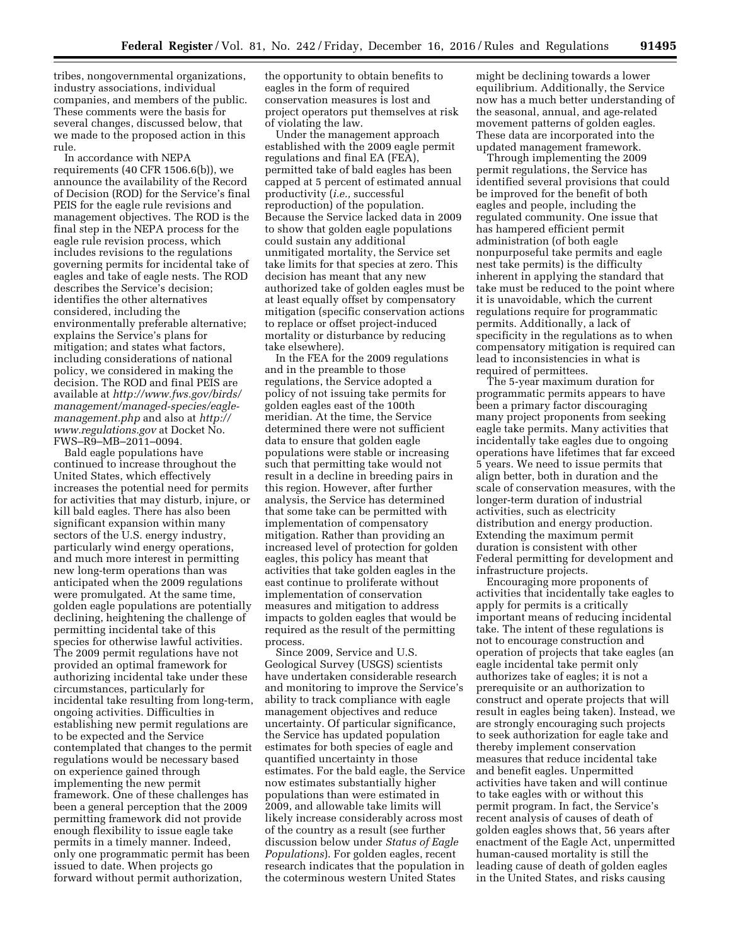tribes, nongovernmental organizations, industry associations, individual companies, and members of the public. These comments were the basis for several changes, discussed below, that we made to the proposed action in this rule.

In accordance with NEPA requirements (40 CFR 1506.6(b)), we announce the availability of the Record of Decision (ROD) for the Service's final PEIS for the eagle rule revisions and management objectives. The ROD is the final step in the NEPA process for the eagle rule revision process, which includes revisions to the regulations governing permits for incidental take of eagles and take of eagle nests. The ROD describes the Service's decision; identifies the other alternatives considered, including the environmentally preferable alternative; explains the Service's plans for mitigation; and states what factors, including considerations of national policy, we considered in making the decision. The ROD and final PEIS are available at *[http://www.fws.gov/birds/](http://www.fws.gov/birds/management/managed-species/eagle-management.php) [management/managed-species/eagle](http://www.fws.gov/birds/management/managed-species/eagle-management.php)[management.php](http://www.fws.gov/birds/management/managed-species/eagle-management.php)* and also at *[http://](http://www.regulations.gov) [www.regulations.gov](http://www.regulations.gov)* at Docket No. FWS–R9–MB–2011–0094.

Bald eagle populations have continued to increase throughout the United States, which effectively increases the potential need for permits for activities that may disturb, injure, or kill bald eagles. There has also been significant expansion within many sectors of the U.S. energy industry, particularly wind energy operations, and much more interest in permitting new long-term operations than was anticipated when the 2009 regulations were promulgated. At the same time, golden eagle populations are potentially declining, heightening the challenge of permitting incidental take of this species for otherwise lawful activities. The 2009 permit regulations have not provided an optimal framework for authorizing incidental take under these circumstances, particularly for incidental take resulting from long-term, ongoing activities. Difficulties in establishing new permit regulations are to be expected and the Service contemplated that changes to the permit regulations would be necessary based on experience gained through implementing the new permit framework. One of these challenges has been a general perception that the 2009 permitting framework did not provide enough flexibility to issue eagle take permits in a timely manner. Indeed, only one programmatic permit has been issued to date. When projects go forward without permit authorization,

the opportunity to obtain benefits to eagles in the form of required conservation measures is lost and project operators put themselves at risk of violating the law.

Under the management approach established with the 2009 eagle permit regulations and final EA (FEA), permitted take of bald eagles has been capped at 5 percent of estimated annual productivity (*i.e.,* successful reproduction) of the population. Because the Service lacked data in 2009 to show that golden eagle populations could sustain any additional unmitigated mortality, the Service set take limits for that species at zero. This decision has meant that any new authorized take of golden eagles must be at least equally offset by compensatory mitigation (specific conservation actions to replace or offset project-induced mortality or disturbance by reducing take elsewhere).

In the FEA for the 2009 regulations and in the preamble to those regulations, the Service adopted a policy of not issuing take permits for golden eagles east of the 100th meridian. At the time, the Service determined there were not sufficient data to ensure that golden eagle populations were stable or increasing such that permitting take would not result in a decline in breeding pairs in this region. However, after further analysis, the Service has determined that some take can be permitted with implementation of compensatory mitigation. Rather than providing an increased level of protection for golden eagles, this policy has meant that activities that take golden eagles in the east continue to proliferate without implementation of conservation measures and mitigation to address impacts to golden eagles that would be required as the result of the permitting process.

Since 2009, Service and U.S. Geological Survey (USGS) scientists have undertaken considerable research and monitoring to improve the Service's ability to track compliance with eagle management objectives and reduce uncertainty. Of particular significance, the Service has updated population estimates for both species of eagle and quantified uncertainty in those estimates. For the bald eagle, the Service now estimates substantially higher populations than were estimated in 2009, and allowable take limits will likely increase considerably across most of the country as a result (see further discussion below under *Status of Eagle Populations*). For golden eagles, recent research indicates that the population in the coterminous western United States

might be declining towards a lower equilibrium. Additionally, the Service now has a much better understanding of the seasonal, annual, and age-related movement patterns of golden eagles. These data are incorporated into the updated management framework.

Through implementing the 2009 permit regulations, the Service has identified several provisions that could be improved for the benefit of both eagles and people, including the regulated community. One issue that has hampered efficient permit administration (of both eagle nonpurposeful take permits and eagle nest take permits) is the difficulty inherent in applying the standard that take must be reduced to the point where it is unavoidable, which the current regulations require for programmatic permits. Additionally, a lack of specificity in the regulations as to when compensatory mitigation is required can lead to inconsistencies in what is required of permittees.

The 5-year maximum duration for programmatic permits appears to have been a primary factor discouraging many project proponents from seeking eagle take permits. Many activities that incidentally take eagles due to ongoing operations have lifetimes that far exceed 5 years. We need to issue permits that align better, both in duration and the scale of conservation measures, with the longer-term duration of industrial activities, such as electricity distribution and energy production. Extending the maximum permit duration is consistent with other Federal permitting for development and infrastructure projects.

Encouraging more proponents of activities that incidentally take eagles to apply for permits is a critically important means of reducing incidental take. The intent of these regulations is not to encourage construction and operation of projects that take eagles (an eagle incidental take permit only authorizes take of eagles; it is not a prerequisite or an authorization to construct and operate projects that will result in eagles being taken). Instead, we are strongly encouraging such projects to seek authorization for eagle take and thereby implement conservation measures that reduce incidental take and benefit eagles. Unpermitted activities have taken and will continue to take eagles with or without this permit program. In fact, the Service's recent analysis of causes of death of golden eagles shows that, 56 years after enactment of the Eagle Act, unpermitted human-caused mortality is still the leading cause of death of golden eagles in the United States, and risks causing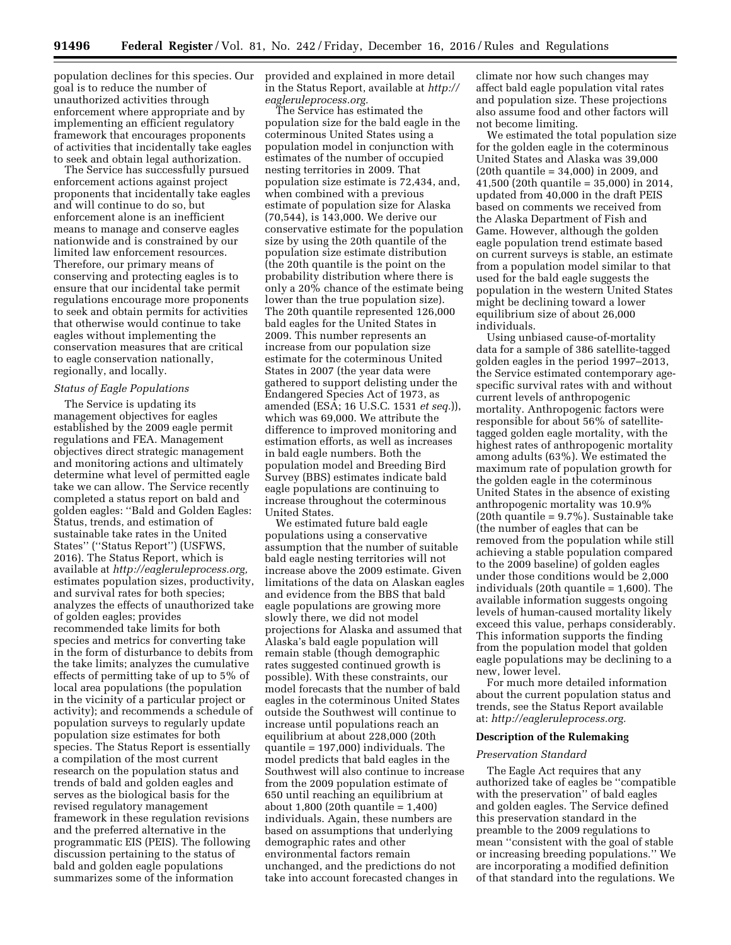population declines for this species. Our provided and explained in more detail goal is to reduce the number of unauthorized activities through enforcement where appropriate and by implementing an efficient regulatory framework that encourages proponents of activities that incidentally take eagles to seek and obtain legal authorization.

The Service has successfully pursued enforcement actions against project proponents that incidentally take eagles and will continue to do so, but enforcement alone is an inefficient means to manage and conserve eagles nationwide and is constrained by our limited law enforcement resources. Therefore, our primary means of conserving and protecting eagles is to ensure that our incidental take permit regulations encourage more proponents to seek and obtain permits for activities that otherwise would continue to take eagles without implementing the conservation measures that are critical to eagle conservation nationally, regionally, and locally.

# *Status of Eagle Populations*

The Service is updating its management objectives for eagles established by the 2009 eagle permit regulations and FEA. Management objectives direct strategic management and monitoring actions and ultimately determine what level of permitted eagle take we can allow. The Service recently completed a status report on bald and golden eagles: ''Bald and Golden Eagles: Status, trends, and estimation of sustainable take rates in the United States'' (''Status Report'') (USFWS, 2016). The Status Report, which is available at *[http://eagleruleprocess.org,](http://eagleruleprocess.org)*  estimates population sizes, productivity, and survival rates for both species; analyzes the effects of unauthorized take of golden eagles; provides recommended take limits for both species and metrics for converting take in the form of disturbance to debits from the take limits; analyzes the cumulative effects of permitting take of up to 5% of local area populations (the population in the vicinity of a particular project or activity); and recommends a schedule of population surveys to regularly update population size estimates for both species. The Status Report is essentially a compilation of the most current research on the population status and trends of bald and golden eagles and serves as the biological basis for the revised regulatory management framework in these regulation revisions and the preferred alternative in the programmatic EIS (PEIS). The following discussion pertaining to the status of bald and golden eagle populations summarizes some of the information

in the Status Report, available at *[http://](http://eagleruleprocess.org)  [eagleruleprocess.org.](http://eagleruleprocess.org)* 

The Service has estimated the population size for the bald eagle in the coterminous United States using a population model in conjunction with estimates of the number of occupied nesting territories in 2009. That population size estimate is 72,434, and, when combined with a previous estimate of population size for Alaska (70,544), is 143,000. We derive our conservative estimate for the population size by using the 20th quantile of the population size estimate distribution (the 20th quantile is the point on the probability distribution where there is only a 20% chance of the estimate being lower than the true population size). The 20th quantile represented 126,000 bald eagles for the United States in 2009. This number represents an increase from our population size estimate for the coterminous United States in 2007 (the year data were gathered to support delisting under the Endangered Species Act of 1973, as amended (ESA; 16 U.S.C. 1531 *et seq.*)), which was 69,000. We attribute the difference to improved monitoring and estimation efforts, as well as increases in bald eagle numbers. Both the population model and Breeding Bird Survey (BBS) estimates indicate bald eagle populations are continuing to increase throughout the coterminous United States.

We estimated future bald eagle populations using a conservative assumption that the number of suitable bald eagle nesting territories will not increase above the 2009 estimate. Given limitations of the data on Alaskan eagles and evidence from the BBS that bald eagle populations are growing more slowly there, we did not model projections for Alaska and assumed that Alaska's bald eagle population will remain stable (though demographic rates suggested continued growth is possible). With these constraints, our model forecasts that the number of bald eagles in the coterminous United States outside the Southwest will continue to increase until populations reach an equilibrium at about 228,000 (20th quantile = 197,000) individuals. The model predicts that bald eagles in the Southwest will also continue to increase from the 2009 population estimate of 650 until reaching an equilibrium at about 1,800 (20th quantile = 1,400) individuals. Again, these numbers are based on assumptions that underlying demographic rates and other environmental factors remain unchanged, and the predictions do not take into account forecasted changes in

climate nor how such changes may affect bald eagle population vital rates and population size. These projections also assume food and other factors will not become limiting.

We estimated the total population size for the golden eagle in the coterminous United States and Alaska was 39,000 (20th quantile = 34,000) in 2009, and 41,500 (20th quantile = 35,000) in 2014, updated from 40,000 in the draft PEIS based on comments we received from the Alaska Department of Fish and Game. However, although the golden eagle population trend estimate based on current surveys is stable, an estimate from a population model similar to that used for the bald eagle suggests the population in the western United States might be declining toward a lower equilibrium size of about 26,000 individuals.

Using unbiased cause-of-mortality data for a sample of 386 satellite-tagged golden eagles in the period 1997–2013, the Service estimated contemporary agespecific survival rates with and without current levels of anthropogenic mortality. Anthropogenic factors were responsible for about 56% of satellitetagged golden eagle mortality, with the highest rates of anthropogenic mortality among adults (63%). We estimated the maximum rate of population growth for the golden eagle in the coterminous United States in the absence of existing anthropogenic mortality was 10.9% (20th quantile = 9.7%). Sustainable take (the number of eagles that can be removed from the population while still achieving a stable population compared to the 2009 baseline) of golden eagles under those conditions would be 2,000 individuals (20th quantile = 1,600). The available information suggests ongoing levels of human-caused mortality likely exceed this value, perhaps considerably. This information supports the finding from the population model that golden eagle populations may be declining to a new, lower level.

For much more detailed information about the current population status and trends, see the Status Report available at: *[http://eagleruleprocess.org.](http://eagleruleprocess.org)* 

# **Description of the Rulemaking**

#### *Preservation Standard*

The Eagle Act requires that any authorized take of eagles be ''compatible with the preservation'' of bald eagles and golden eagles. The Service defined this preservation standard in the preamble to the 2009 regulations to mean ''consistent with the goal of stable or increasing breeding populations.'' We are incorporating a modified definition of that standard into the regulations. We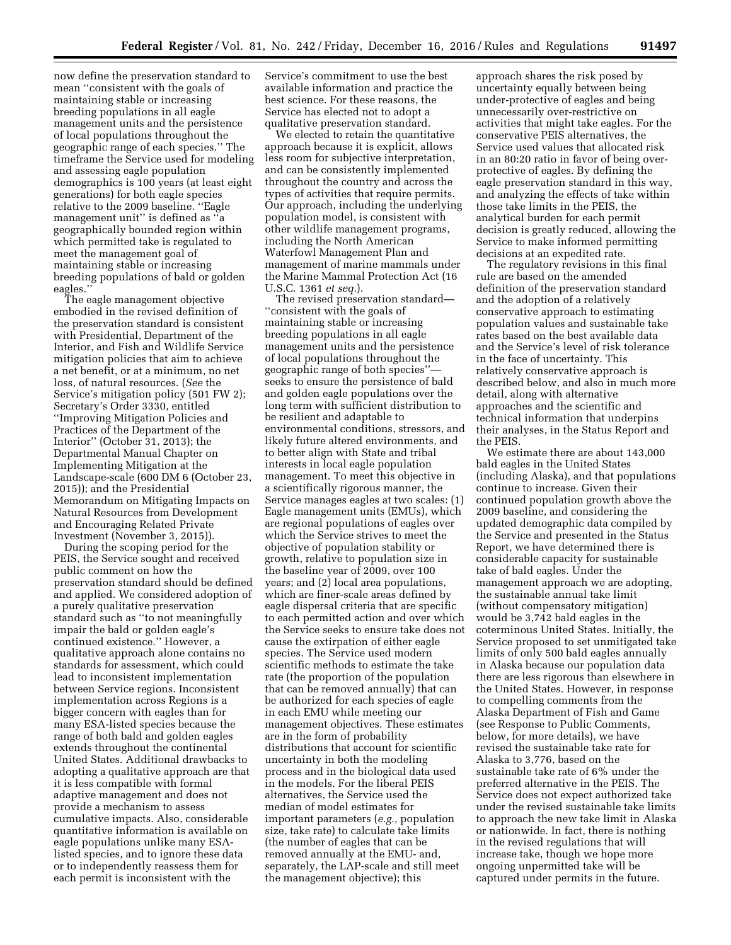now define the preservation standard to mean ''consistent with the goals of maintaining stable or increasing breeding populations in all eagle management units and the persistence of local populations throughout the geographic range of each species.'' The timeframe the Service used for modeling and assessing eagle population demographics is 100 years (at least eight generations) for both eagle species relative to the 2009 baseline. ''Eagle management unit'' is defined as ''a geographically bounded region within which permitted take is regulated to meet the management goal of maintaining stable or increasing breeding populations of bald or golden eagles.''

The eagle management objective embodied in the revised definition of the preservation standard is consistent with Presidential, Department of the Interior, and Fish and Wildlife Service mitigation policies that aim to achieve a net benefit, or at a minimum, no net loss, of natural resources. (*See* the Service's mitigation policy (501 FW 2); Secretary's Order 3330, entitled ''Improving Mitigation Policies and Practices of the Department of the Interior'' (October 31, 2013); the Departmental Manual Chapter on Implementing Mitigation at the Landscape-scale (600 DM 6 (October 23, 2015)); and the Presidential Memorandum on Mitigating Impacts on Natural Resources from Development and Encouraging Related Private Investment (November 3, 2015)).

During the scoping period for the PEIS, the Service sought and received public comment on how the preservation standard should be defined and applied. We considered adoption of a purely qualitative preservation standard such as ''to not meaningfully impair the bald or golden eagle's continued existence.'' However, a qualitative approach alone contains no standards for assessment, which could lead to inconsistent implementation between Service regions. Inconsistent implementation across Regions is a bigger concern with eagles than for many ESA-listed species because the range of both bald and golden eagles extends throughout the continental United States. Additional drawbacks to adopting a qualitative approach are that it is less compatible with formal adaptive management and does not provide a mechanism to assess cumulative impacts. Also, considerable quantitative information is available on eagle populations unlike many ESAlisted species, and to ignore these data or to independently reassess them for each permit is inconsistent with the

Service's commitment to use the best available information and practice the best science. For these reasons, the Service has elected not to adopt a qualitative preservation standard.

We elected to retain the quantitative approach because it is explicit, allows less room for subjective interpretation, and can be consistently implemented throughout the country and across the types of activities that require permits. Our approach, including the underlying population model, is consistent with other wildlife management programs, including the North American Waterfowl Management Plan and management of marine mammals under the Marine Mammal Protection Act (16 U.S.C. 1361 *et seq.*).

The revised preservation standard— ''consistent with the goals of maintaining stable or increasing breeding populations in all eagle management units and the persistence of local populations throughout the geographic range of both species'' seeks to ensure the persistence of bald and golden eagle populations over the long term with sufficient distribution to be resilient and adaptable to environmental conditions, stressors, and likely future altered environments, and to better align with State and tribal interests in local eagle population management. To meet this objective in a scientifically rigorous manner, the Service manages eagles at two scales: (1) Eagle management units (EMUs), which are regional populations of eagles over which the Service strives to meet the objective of population stability or growth, relative to population size in the baseline year of 2009, over 100 years; and (2) local area populations, which are finer-scale areas defined by eagle dispersal criteria that are specific to each permitted action and over which the Service seeks to ensure take does not cause the extirpation of either eagle species. The Service used modern scientific methods to estimate the take rate (the proportion of the population that can be removed annually) that can be authorized for each species of eagle in each EMU while meeting our management objectives. These estimates are in the form of probability distributions that account for scientific uncertainty in both the modeling process and in the biological data used in the models. For the liberal PEIS alternatives, the Service used the median of model estimates for important parameters (*e.g.,* population size, take rate) to calculate take limits (the number of eagles that can be removed annually at the EMU- and, separately, the LAP-scale and still meet the management objective); this

approach shares the risk posed by uncertainty equally between being under-protective of eagles and being unnecessarily over-restrictive on activities that might take eagles. For the conservative PEIS alternatives, the Service used values that allocated risk in an 80:20 ratio in favor of being overprotective of eagles. By defining the eagle preservation standard in this way, and analyzing the effects of take within those take limits in the PEIS, the analytical burden for each permit decision is greatly reduced, allowing the Service to make informed permitting decisions at an expedited rate.

The regulatory revisions in this final rule are based on the amended definition of the preservation standard and the adoption of a relatively conservative approach to estimating population values and sustainable take rates based on the best available data and the Service's level of risk tolerance in the face of uncertainty. This relatively conservative approach is described below, and also in much more detail, along with alternative approaches and the scientific and technical information that underpins their analyses, in the Status Report and the PEIS.

We estimate there are about 143,000 bald eagles in the United States (including Alaska), and that populations continue to increase. Given their continued population growth above the 2009 baseline, and considering the updated demographic data compiled by the Service and presented in the Status Report, we have determined there is considerable capacity for sustainable take of bald eagles. Under the management approach we are adopting, the sustainable annual take limit (without compensatory mitigation) would be 3,742 bald eagles in the coterminous United States. Initially, the Service proposed to set unmitigated take limits of only 500 bald eagles annually in Alaska because our population data there are less rigorous than elsewhere in the United States. However, in response to compelling comments from the Alaska Department of Fish and Game (see Response to Public Comments, below, for more details), we have revised the sustainable take rate for Alaska to 3,776, based on the sustainable take rate of 6% under the preferred alternative in the PEIS. The Service does not expect authorized take under the revised sustainable take limits to approach the new take limit in Alaska or nationwide. In fact, there is nothing in the revised regulations that will increase take, though we hope more ongoing unpermitted take will be captured under permits in the future.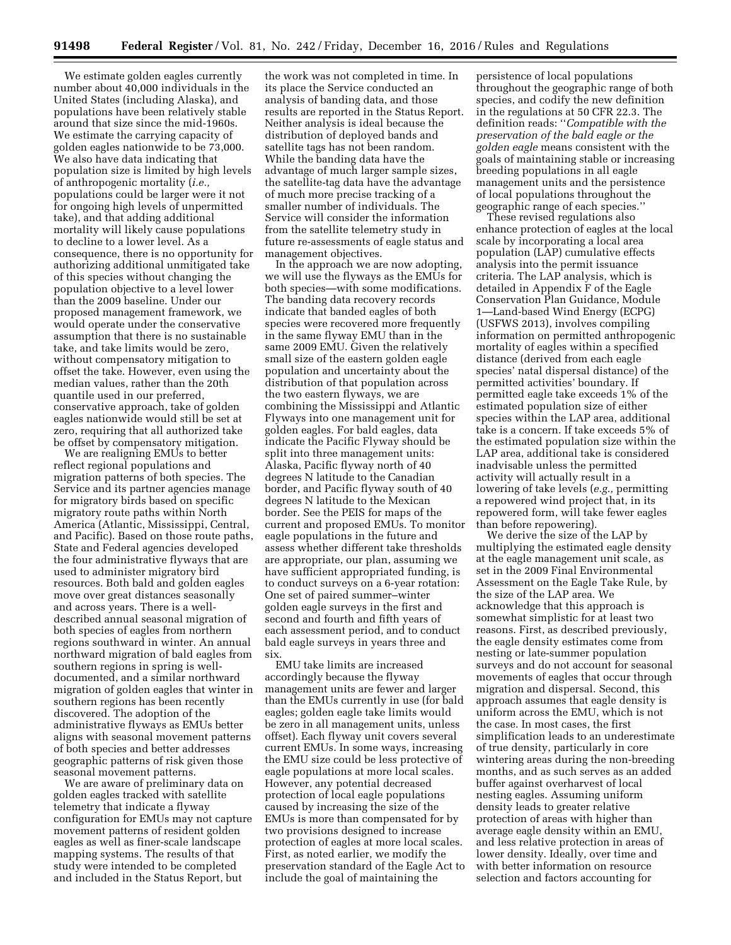We estimate golden eagles currently number about 40,000 individuals in the United States (including Alaska), and populations have been relatively stable around that size since the mid-1960s. We estimate the carrying capacity of golden eagles nationwide to be 73,000. We also have data indicating that population size is limited by high levels of anthropogenic mortality (*i.e.,*  populations could be larger were it not for ongoing high levels of unpermitted take), and that adding additional mortality will likely cause populations to decline to a lower level. As a consequence, there is no opportunity for authorizing additional unmitigated take of this species without changing the population objective to a level lower than the 2009 baseline. Under our proposed management framework, we would operate under the conservative assumption that there is no sustainable take, and take limits would be zero, without compensatory mitigation to offset the take. However, even using the median values, rather than the 20th quantile used in our preferred, conservative approach, take of golden eagles nationwide would still be set at zero, requiring that all authorized take be offset by compensatory mitigation.

We are realigning EMUs to better reflect regional populations and migration patterns of both species. The Service and its partner agencies manage for migratory birds based on specific migratory route paths within North America (Atlantic, Mississippi, Central, and Pacific). Based on those route paths, State and Federal agencies developed the four administrative flyways that are used to administer migratory bird resources. Both bald and golden eagles move over great distances seasonally and across years. There is a welldescribed annual seasonal migration of both species of eagles from northern regions southward in winter. An annual northward migration of bald eagles from southern regions in spring is welldocumented, and a similar northward migration of golden eagles that winter in southern regions has been recently discovered. The adoption of the administrative flyways as EMUs better aligns with seasonal movement patterns of both species and better addresses geographic patterns of risk given those seasonal movement patterns.

We are aware of preliminary data on golden eagles tracked with satellite telemetry that indicate a flyway configuration for EMUs may not capture movement patterns of resident golden eagles as well as finer-scale landscape mapping systems. The results of that study were intended to be completed and included in the Status Report, but

the work was not completed in time. In its place the Service conducted an analysis of banding data, and those results are reported in the Status Report. Neither analysis is ideal because the distribution of deployed bands and satellite tags has not been random. While the banding data have the advantage of much larger sample sizes, the satellite-tag data have the advantage of much more precise tracking of a smaller number of individuals. The Service will consider the information from the satellite telemetry study in future re-assessments of eagle status and management objectives.

In the approach we are now adopting, we will use the flyways as the EMUs for both species—with some modifications. The banding data recovery records indicate that banded eagles of both species were recovered more frequently in the same flyway EMU than in the same 2009 EMU. Given the relatively small size of the eastern golden eagle population and uncertainty about the distribution of that population across the two eastern flyways, we are combining the Mississippi and Atlantic Flyways into one management unit for golden eagles. For bald eagles, data indicate the Pacific Flyway should be split into three management units: Alaska, Pacific flyway north of 40 degrees N latitude to the Canadian border, and Pacific flyway south of 40 degrees N latitude to the Mexican border. See the PEIS for maps of the current and proposed EMUs. To monitor eagle populations in the future and assess whether different take thresholds are appropriate, our plan, assuming we have sufficient appropriated funding, is to conduct surveys on a 6-year rotation: One set of paired summer–winter golden eagle surveys in the first and second and fourth and fifth years of each assessment period, and to conduct bald eagle surveys in years three and six.

EMU take limits are increased accordingly because the flyway management units are fewer and larger than the EMUs currently in use (for bald eagles; golden eagle take limits would be zero in all management units, unless offset). Each flyway unit covers several current EMUs. In some ways, increasing the EMU size could be less protective of eagle populations at more local scales. However, any potential decreased protection of local eagle populations caused by increasing the size of the EMUs is more than compensated for by two provisions designed to increase protection of eagles at more local scales. First, as noted earlier, we modify the preservation standard of the Eagle Act to include the goal of maintaining the

persistence of local populations throughout the geographic range of both species, and codify the new definition in the regulations at 50 CFR 22.3. The definition reads: ''*Compatible with the preservation of the bald eagle or the golden eagle* means consistent with the goals of maintaining stable or increasing breeding populations in all eagle management units and the persistence of local populations throughout the geographic range of each species.''

These revised regulations also enhance protection of eagles at the local scale by incorporating a local area population (LAP) cumulative effects analysis into the permit issuance criteria. The LAP analysis, which is detailed in Appendix F of the Eagle Conservation Plan Guidance, Module 1—Land-based Wind Energy (ECPG) (USFWS 2013), involves compiling information on permitted anthropogenic mortality of eagles within a specified distance (derived from each eagle species' natal dispersal distance) of the permitted activities' boundary. If permitted eagle take exceeds 1% of the estimated population size of either species within the LAP area, additional take is a concern. If take exceeds 5% of the estimated population size within the LAP area, additional take is considered inadvisable unless the permitted activity will actually result in a lowering of take levels (*e.g.,* permitting a repowered wind project that, in its repowered form, will take fewer eagles than before repowering).

We derive the size of the LAP by multiplying the estimated eagle density at the eagle management unit scale, as set in the 2009 Final Environmental Assessment on the Eagle Take Rule, by the size of the LAP area. We acknowledge that this approach is somewhat simplistic for at least two reasons. First, as described previously, the eagle density estimates come from nesting or late-summer population surveys and do not account for seasonal movements of eagles that occur through migration and dispersal. Second, this approach assumes that eagle density is uniform across the EMU, which is not the case. In most cases, the first simplification leads to an underestimate of true density, particularly in core wintering areas during the non-breeding months, and as such serves as an added buffer against overharvest of local nesting eagles. Assuming uniform density leads to greater relative protection of areas with higher than average eagle density within an EMU, and less relative protection in areas of lower density. Ideally, over time and with better information on resource selection and factors accounting for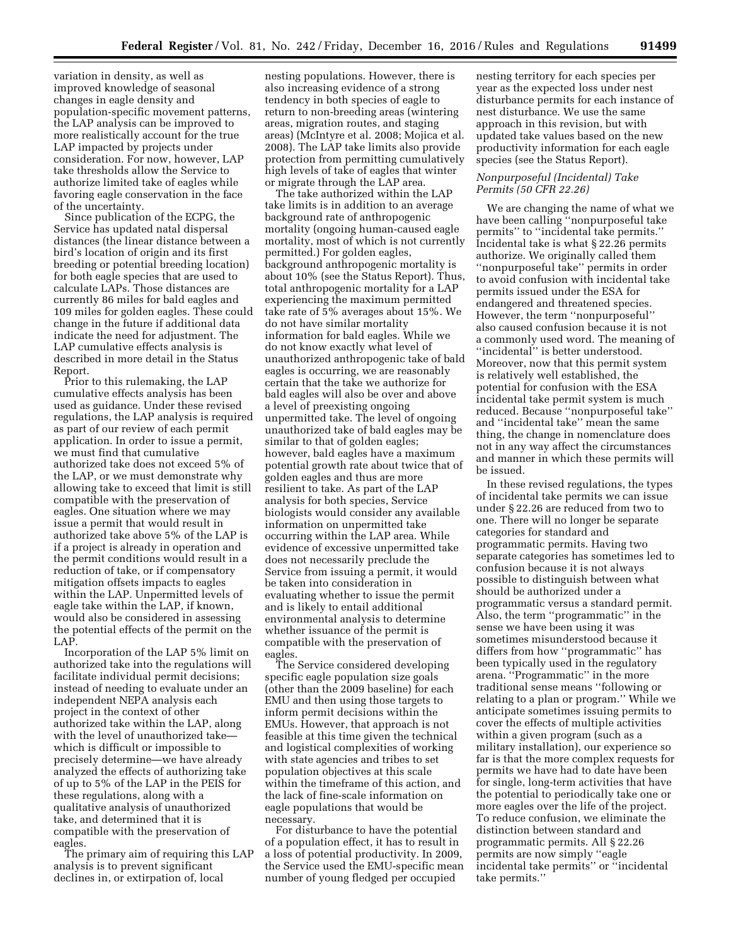variation in density, as well as improved knowledge of seasonal changes in eagle density and population-specific movement patterns, the LAP analysis can be improved to more realistically account for the true LAP impacted by projects under consideration. For now, however, LAP take thresholds allow the Service to authorize limited take of eagles while favoring eagle conservation in the face of the uncertainty.

Since publication of the ECPG, the Service has updated natal dispersal distances (the linear distance between a bird's location of origin and its first breeding or potential breeding location) for both eagle species that are used to calculate LAPs. Those distances are currently 86 miles for bald eagles and 109 miles for golden eagles. These could change in the future if additional data indicate the need for adjustment. The LAP cumulative effects analysis is described in more detail in the Status Report.

Prior to this rulemaking, the LAP cumulative effects analysis has been used as guidance. Under these revised regulations, the LAP analysis is required as part of our review of each permit application. In order to issue a permit, we must find that cumulative authorized take does not exceed 5% of the LAP, or we must demonstrate why allowing take to exceed that limit is still compatible with the preservation of eagles. One situation where we may issue a permit that would result in authorized take above 5% of the LAP is if a project is already in operation and the permit conditions would result in a reduction of take, or if compensatory mitigation offsets impacts to eagles within the LAP. Unpermitted levels of eagle take within the LAP, if known, would also be considered in assessing the potential effects of the permit on the LAP.

Incorporation of the LAP 5% limit on authorized take into the regulations will facilitate individual permit decisions; instead of needing to evaluate under an independent NEPA analysis each project in the context of other authorized take within the LAP, along with the level of unauthorized take which is difficult or impossible to precisely determine—we have already analyzed the effects of authorizing take of up to 5% of the LAP in the PEIS for these regulations, along with a qualitative analysis of unauthorized take, and determined that it is compatible with the preservation of eagles.

The primary aim of requiring this LAP analysis is to prevent significant declines in, or extirpation of, local

nesting populations. However, there is also increasing evidence of a strong tendency in both species of eagle to return to non-breeding areas (wintering areas, migration routes, and staging areas) (McIntyre et al. 2008; Mojica et al. 2008). The LAP take limits also provide protection from permitting cumulatively high levels of take of eagles that winter or migrate through the LAP area.

The take authorized within the LAP take limits is in addition to an average background rate of anthropogenic mortality (ongoing human-caused eagle mortality, most of which is not currently permitted.) For golden eagles, background anthropogenic mortality is about 10% (see the Status Report). Thus, total anthropogenic mortality for a LAP experiencing the maximum permitted take rate of 5% averages about 15%. We do not have similar mortality information for bald eagles. While we do not know exactly what level of unauthorized anthropogenic take of bald eagles is occurring, we are reasonably certain that the take we authorize for bald eagles will also be over and above a level of preexisting ongoing unpermitted take. The level of ongoing unauthorized take of bald eagles may be similar to that of golden eagles; however, bald eagles have a maximum potential growth rate about twice that of golden eagles and thus are more resilient to take. As part of the LAP analysis for both species, Service biologists would consider any available information on unpermitted take occurring within the LAP area. While evidence of excessive unpermitted take does not necessarily preclude the Service from issuing a permit, it would be taken into consideration in evaluating whether to issue the permit and is likely to entail additional environmental analysis to determine whether issuance of the permit is compatible with the preservation of eagles.

The Service considered developing specific eagle population size goals (other than the 2009 baseline) for each EMU and then using those targets to inform permit decisions within the EMUs. However, that approach is not feasible at this time given the technical and logistical complexities of working with state agencies and tribes to set population objectives at this scale within the timeframe of this action, and the lack of fine-scale information on eagle populations that would be necessary.

For disturbance to have the potential of a population effect, it has to result in a loss of potential productivity. In 2009, the Service used the EMU-specific mean number of young fledged per occupied

nesting territory for each species per year as the expected loss under nest disturbance permits for each instance of nest disturbance. We use the same approach in this revision, but with updated take values based on the new productivity information for each eagle species (see the Status Report).

# *Nonpurposeful (Incidental) Take Permits (50 CFR 22.26)*

We are changing the name of what we have been calling ''nonpurposeful take permits'' to ''incidental take permits.'' Incidental take is what § 22.26 permits authorize. We originally called them ''nonpurposeful take'' permits in order to avoid confusion with incidental take permits issued under the ESA for endangered and threatened species. However, the term ''nonpurposeful'' also caused confusion because it is not a commonly used word. The meaning of ''incidental'' is better understood. Moreover, now that this permit system is relatively well established, the potential for confusion with the ESA incidental take permit system is much reduced. Because ''nonpurposeful take'' and ''incidental take'' mean the same thing, the change in nomenclature does not in any way affect the circumstances and manner in which these permits will be issued.

In these revised regulations, the types of incidental take permits we can issue under § 22.26 are reduced from two to one. There will no longer be separate categories for standard and programmatic permits. Having two separate categories has sometimes led to confusion because it is not always possible to distinguish between what should be authorized under a programmatic versus a standard permit. Also, the term ''programmatic'' in the sense we have been using it was sometimes misunderstood because it differs from how ''programmatic'' has been typically used in the regulatory arena. ''Programmatic'' in the more traditional sense means ''following or relating to a plan or program.'' While we anticipate sometimes issuing permits to cover the effects of multiple activities within a given program (such as a military installation), our experience so far is that the more complex requests for permits we have had to date have been for single, long-term activities that have the potential to periodically take one or more eagles over the life of the project. To reduce confusion, we eliminate the distinction between standard and programmatic permits. All § 22.26 permits are now simply ''eagle incidental take permits'' or ''incidental take permits.''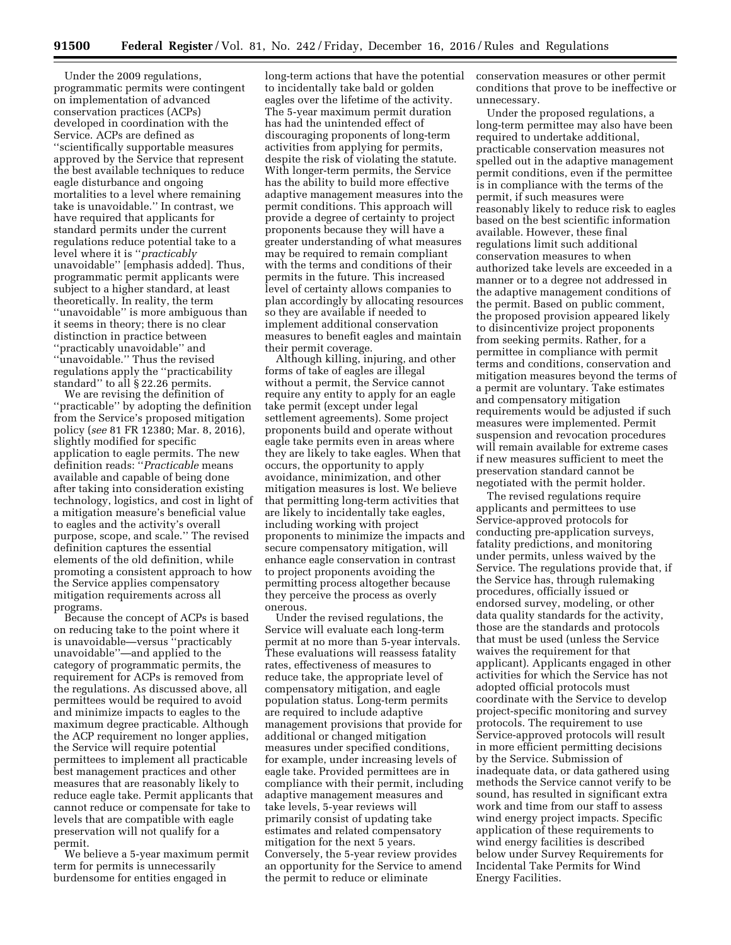Under the 2009 regulations, programmatic permits were contingent on implementation of advanced conservation practices (ACPs) developed in coordination with the Service. ACPs are defined as ''scientifically supportable measures approved by the Service that represent the best available techniques to reduce eagle disturbance and ongoing mortalities to a level where remaining take is unavoidable.'' In contrast, we have required that applicants for standard permits under the current regulations reduce potential take to a level where it is ''*practicably*  unavoidable'' [emphasis added]. Thus, programmatic permit applicants were subject to a higher standard, at least theoretically. In reality, the term ''unavoidable'' is more ambiguous than it seems in theory; there is no clear distinction in practice between ''practicably unavoidable'' and ''unavoidable.'' Thus the revised regulations apply the ''practicability standard'' to all § 22.26 permits.

We are revising the definition of ''practicable'' by adopting the definition from the Service's proposed mitigation policy (*see* 81 FR 12380; Mar. 8, 2016), slightly modified for specific application to eagle permits. The new definition reads: ''*Practicable* means available and capable of being done after taking into consideration existing technology, logistics, and cost in light of a mitigation measure's beneficial value to eagles and the activity's overall purpose, scope, and scale.'' The revised definition captures the essential elements of the old definition, while promoting a consistent approach to how the Service applies compensatory mitigation requirements across all programs.

Because the concept of ACPs is based on reducing take to the point where it is unavoidable—versus ''practicably unavoidable''—and applied to the category of programmatic permits, the requirement for ACPs is removed from the regulations. As discussed above, all permittees would be required to avoid and minimize impacts to eagles to the maximum degree practicable. Although the ACP requirement no longer applies, the Service will require potential permittees to implement all practicable best management practices and other measures that are reasonably likely to reduce eagle take. Permit applicants that cannot reduce or compensate for take to levels that are compatible with eagle preservation will not qualify for a permit.

We believe a 5-year maximum permit term for permits is unnecessarily burdensome for entities engaged in

long-term actions that have the potential to incidentally take bald or golden eagles over the lifetime of the activity. The 5-year maximum permit duration has had the unintended effect of discouraging proponents of long-term activities from applying for permits, despite the risk of violating the statute. With longer-term permits, the Service has the ability to build more effective adaptive management measures into the permit conditions. This approach will provide a degree of certainty to project proponents because they will have a greater understanding of what measures may be required to remain compliant with the terms and conditions of their permits in the future. This increased level of certainty allows companies to plan accordingly by allocating resources so they are available if needed to implement additional conservation measures to benefit eagles and maintain their permit coverage.

Although killing, injuring, and other forms of take of eagles are illegal without a permit, the Service cannot require any entity to apply for an eagle take permit (except under legal settlement agreements). Some project proponents build and operate without eagle take permits even in areas where they are likely to take eagles. When that occurs, the opportunity to apply avoidance, minimization, and other mitigation measures is lost. We believe that permitting long-term activities that are likely to incidentally take eagles, including working with project proponents to minimize the impacts and secure compensatory mitigation, will enhance eagle conservation in contrast to project proponents avoiding the permitting process altogether because they perceive the process as overly onerous.

Under the revised regulations, the Service will evaluate each long-term permit at no more than 5-year intervals. These evaluations will reassess fatality rates, effectiveness of measures to reduce take, the appropriate level of compensatory mitigation, and eagle population status. Long-term permits are required to include adaptive management provisions that provide for additional or changed mitigation measures under specified conditions, for example, under increasing levels of eagle take. Provided permittees are in compliance with their permit, including adaptive management measures and take levels, 5-year reviews will primarily consist of updating take estimates and related compensatory mitigation for the next 5 years. Conversely, the 5-year review provides an opportunity for the Service to amend the permit to reduce or eliminate

conservation measures or other permit conditions that prove to be ineffective or unnecessary.

Under the proposed regulations, a long-term permittee may also have been required to undertake additional, practicable conservation measures not spelled out in the adaptive management permit conditions, even if the permittee is in compliance with the terms of the permit, if such measures were reasonably likely to reduce risk to eagles based on the best scientific information available. However, these final regulations limit such additional conservation measures to when authorized take levels are exceeded in a manner or to a degree not addressed in the adaptive management conditions of the permit. Based on public comment, the proposed provision appeared likely to disincentivize project proponents from seeking permits. Rather, for a permittee in compliance with permit terms and conditions, conservation and mitigation measures beyond the terms of a permit are voluntary. Take estimates and compensatory mitigation requirements would be adjusted if such measures were implemented. Permit suspension and revocation procedures will remain available for extreme cases if new measures sufficient to meet the preservation standard cannot be negotiated with the permit holder.

The revised regulations require applicants and permittees to use Service-approved protocols for conducting pre-application surveys, fatality predictions, and monitoring under permits, unless waived by the Service. The regulations provide that, if the Service has, through rulemaking procedures, officially issued or endorsed survey, modeling, or other data quality standards for the activity, those are the standards and protocols that must be used (unless the Service waives the requirement for that applicant). Applicants engaged in other activities for which the Service has not adopted official protocols must coordinate with the Service to develop project-specific monitoring and survey protocols. The requirement to use Service-approved protocols will result in more efficient permitting decisions by the Service. Submission of inadequate data, or data gathered using methods the Service cannot verify to be sound, has resulted in significant extra work and time from our staff to assess wind energy project impacts. Specific application of these requirements to wind energy facilities is described below under Survey Requirements for Incidental Take Permits for Wind Energy Facilities.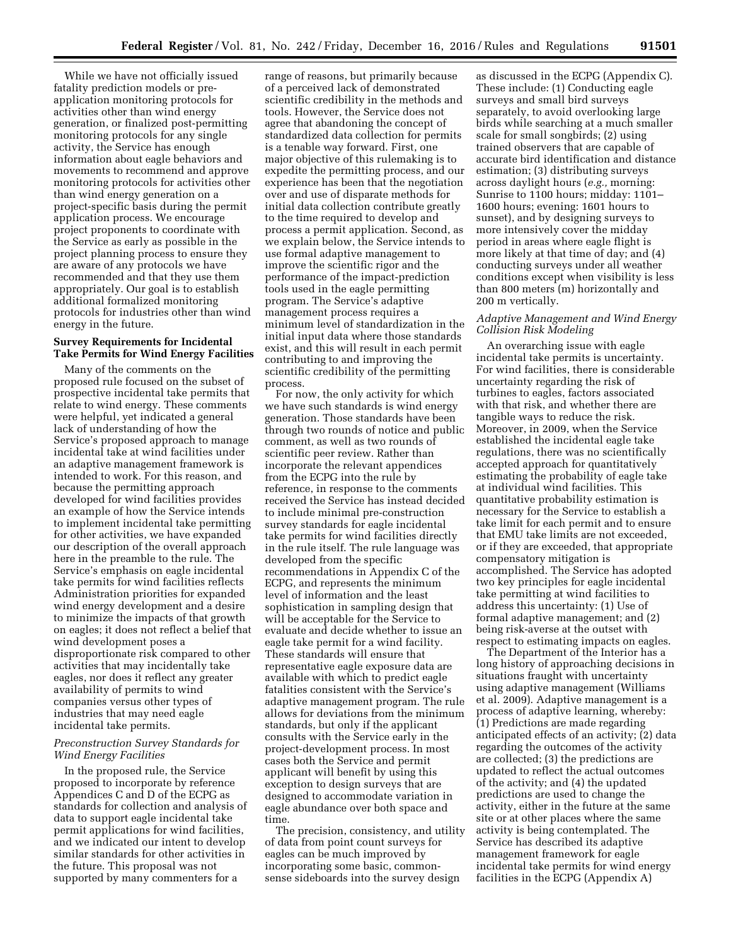While we have not officially issued fatality prediction models or preapplication monitoring protocols for activities other than wind energy generation, or finalized post-permitting monitoring protocols for any single activity, the Service has enough information about eagle behaviors and movements to recommend and approve monitoring protocols for activities other than wind energy generation on a project-specific basis during the permit application process. We encourage project proponents to coordinate with the Service as early as possible in the project planning process to ensure they are aware of any protocols we have recommended and that they use them appropriately. Our goal is to establish additional formalized monitoring protocols for industries other than wind energy in the future.

## **Survey Requirements for Incidental Take Permits for Wind Energy Facilities**

Many of the comments on the proposed rule focused on the subset of prospective incidental take permits that relate to wind energy. These comments were helpful, yet indicated a general lack of understanding of how the Service's proposed approach to manage incidental take at wind facilities under an adaptive management framework is intended to work. For this reason, and because the permitting approach developed for wind facilities provides an example of how the Service intends to implement incidental take permitting for other activities, we have expanded our description of the overall approach here in the preamble to the rule. The Service's emphasis on eagle incidental take permits for wind facilities reflects Administration priorities for expanded wind energy development and a desire to minimize the impacts of that growth on eagles; it does not reflect a belief that wind development poses a disproportionate risk compared to other activities that may incidentally take eagles, nor does it reflect any greater availability of permits to wind companies versus other types of industries that may need eagle incidental take permits.

# *Preconstruction Survey Standards for Wind Energy Facilities*

In the proposed rule, the Service proposed to incorporate by reference Appendices C and D of the ECPG as standards for collection and analysis of data to support eagle incidental take permit applications for wind facilities, and we indicated our intent to develop similar standards for other activities in the future. This proposal was not supported by many commenters for a

range of reasons, but primarily because of a perceived lack of demonstrated scientific credibility in the methods and tools. However, the Service does not agree that abandoning the concept of standardized data collection for permits is a tenable way forward. First, one major objective of this rulemaking is to expedite the permitting process, and our experience has been that the negotiation over and use of disparate methods for initial data collection contribute greatly to the time required to develop and process a permit application. Second, as we explain below, the Service intends to use formal adaptive management to improve the scientific rigor and the performance of the impact-prediction tools used in the eagle permitting program. The Service's adaptive management process requires a minimum level of standardization in the initial input data where those standards exist, and this will result in each permit contributing to and improving the scientific credibility of the permitting process.

For now, the only activity for which we have such standards is wind energy generation. Those standards have been through two rounds of notice and public comment, as well as two rounds of scientific peer review. Rather than incorporate the relevant appendices from the ECPG into the rule by reference, in response to the comments received the Service has instead decided to include minimal pre-construction survey standards for eagle incidental take permits for wind facilities directly in the rule itself. The rule language was developed from the specific recommendations in Appendix C of the ECPG, and represents the minimum level of information and the least sophistication in sampling design that will be acceptable for the Service to evaluate and decide whether to issue an eagle take permit for a wind facility. These standards will ensure that representative eagle exposure data are available with which to predict eagle fatalities consistent with the Service's adaptive management program. The rule allows for deviations from the minimum standards, but only if the applicant consults with the Service early in the project-development process. In most cases both the Service and permit applicant will benefit by using this exception to design surveys that are designed to accommodate variation in eagle abundance over both space and time.

The precision, consistency, and utility of data from point count surveys for eagles can be much improved by incorporating some basic, commonsense sideboards into the survey design

as discussed in the ECPG (Appendix C). These include: (1) Conducting eagle surveys and small bird surveys separately, to avoid overlooking large birds while searching at a much smaller scale for small songbirds; (2) using trained observers that are capable of accurate bird identification and distance estimation; (3) distributing surveys across daylight hours (*e.g.,* morning: Sunrise to 1100 hours; midday: 1101– 1600 hours; evening: 1601 hours to sunset), and by designing surveys to more intensively cover the midday period in areas where eagle flight is more likely at that time of day; and (4) conducting surveys under all weather conditions except when visibility is less than 800 meters (m) horizontally and 200 m vertically.

# *Adaptive Management and Wind Energy Collision Risk Modeling*

An overarching issue with eagle incidental take permits is uncertainty. For wind facilities, there is considerable uncertainty regarding the risk of turbines to eagles, factors associated with that risk, and whether there are tangible ways to reduce the risk. Moreover, in 2009, when the Service established the incidental eagle take regulations, there was no scientifically accepted approach for quantitatively estimating the probability of eagle take at individual wind facilities. This quantitative probability estimation is necessary for the Service to establish a take limit for each permit and to ensure that EMU take limits are not exceeded, or if they are exceeded, that appropriate compensatory mitigation is accomplished. The Service has adopted two key principles for eagle incidental take permitting at wind facilities to address this uncertainty: (1) Use of formal adaptive management; and (2) being risk-averse at the outset with respect to estimating impacts on eagles.

The Department of the Interior has a long history of approaching decisions in situations fraught with uncertainty using adaptive management (Williams et al. 2009). Adaptive management is a process of adaptive learning, whereby: (1) Predictions are made regarding anticipated effects of an activity; (2) data regarding the outcomes of the activity are collected; (3) the predictions are updated to reflect the actual outcomes of the activity; and (4) the updated predictions are used to change the activity, either in the future at the same site or at other places where the same activity is being contemplated. The Service has described its adaptive management framework for eagle incidental take permits for wind energy facilities in the ECPG (Appendix A)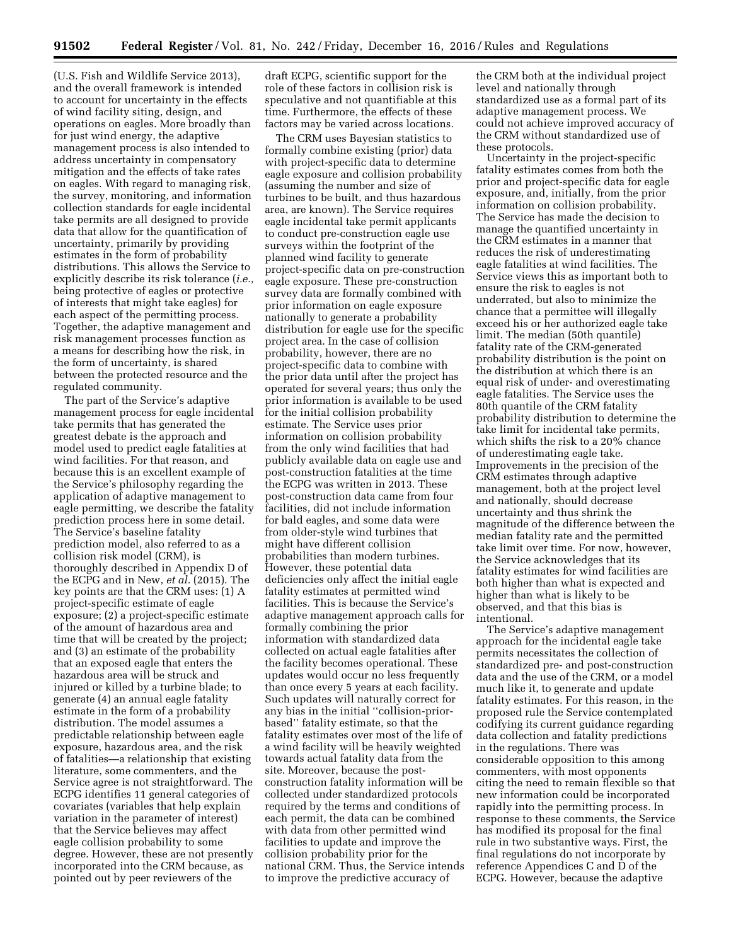(U.S. Fish and Wildlife Service 2013), and the overall framework is intended to account for uncertainty in the effects of wind facility siting, design, and operations on eagles. More broadly than for just wind energy, the adaptive management process is also intended to address uncertainty in compensatory mitigation and the effects of take rates on eagles. With regard to managing risk, the survey, monitoring, and information collection standards for eagle incidental take permits are all designed to provide data that allow for the quantification of uncertainty, primarily by providing estimates in the form of probability distributions. This allows the Service to explicitly describe its risk tolerance (*i.e.,*  being protective of eagles or protective of interests that might take eagles) for each aspect of the permitting process. Together, the adaptive management and risk management processes function as a means for describing how the risk, in the form of uncertainty, is shared between the protected resource and the regulated community.

The part of the Service's adaptive management process for eagle incidental take permits that has generated the greatest debate is the approach and model used to predict eagle fatalities at wind facilities. For that reason, and because this is an excellent example of the Service's philosophy regarding the application of adaptive management to eagle permitting, we describe the fatality prediction process here in some detail. The Service's baseline fatality prediction model, also referred to as a collision risk model (CRM), is thoroughly described in Appendix D of the ECPG and in New, *et al.* (2015). The key points are that the CRM uses: (1) A project-specific estimate of eagle exposure; (2) a project-specific estimate of the amount of hazardous area and time that will be created by the project; and (3) an estimate of the probability that an exposed eagle that enters the hazardous area will be struck and injured or killed by a turbine blade; to generate (4) an annual eagle fatality estimate in the form of a probability distribution. The model assumes a predictable relationship between eagle exposure, hazardous area, and the risk of fatalities—a relationship that existing literature, some commenters, and the Service agree is not straightforward. The ECPG identifies 11 general categories of covariates (variables that help explain variation in the parameter of interest) that the Service believes may affect eagle collision probability to some degree. However, these are not presently incorporated into the CRM because, as pointed out by peer reviewers of the

draft ECPG, scientific support for the role of these factors in collision risk is speculative and not quantifiable at this time. Furthermore, the effects of these factors may be varied across locations.

The CRM uses Bayesian statistics to formally combine existing (prior) data with project-specific data to determine eagle exposure and collision probability (assuming the number and size of turbines to be built, and thus hazardous area, are known). The Service requires eagle incidental take permit applicants to conduct pre-construction eagle use surveys within the footprint of the planned wind facility to generate project-specific data on pre-construction eagle exposure. These pre-construction survey data are formally combined with prior information on eagle exposure nationally to generate a probability distribution for eagle use for the specific project area. In the case of collision probability, however, there are no project-specific data to combine with the prior data until after the project has operated for several years; thus only the prior information is available to be used for the initial collision probability estimate. The Service uses prior information on collision probability from the only wind facilities that had publicly available data on eagle use and post-construction fatalities at the time the ECPG was written in 2013. These post-construction data came from four facilities, did not include information for bald eagles, and some data were from older-style wind turbines that might have different collision probabilities than modern turbines. However, these potential data deficiencies only affect the initial eagle fatality estimates at permitted wind facilities. This is because the Service's adaptive management approach calls for formally combining the prior information with standardized data collected on actual eagle fatalities after the facility becomes operational. These updates would occur no less frequently than once every 5 years at each facility. Such updates will naturally correct for any bias in the initial ''collision-priorbased'' fatality estimate, so that the fatality estimates over most of the life of a wind facility will be heavily weighted towards actual fatality data from the site. Moreover, because the postconstruction fatality information will be collected under standardized protocols required by the terms and conditions of each permit, the data can be combined with data from other permitted wind facilities to update and improve the collision probability prior for the national CRM. Thus, the Service intends to improve the predictive accuracy of

the CRM both at the individual project level and nationally through standardized use as a formal part of its adaptive management process. We could not achieve improved accuracy of the CRM without standardized use of these protocols.

Uncertainty in the project-specific fatality estimates comes from both the prior and project-specific data for eagle exposure, and, initially, from the prior information on collision probability. The Service has made the decision to manage the quantified uncertainty in the CRM estimates in a manner that reduces the risk of underestimating eagle fatalities at wind facilities. The Service views this as important both to ensure the risk to eagles is not underrated, but also to minimize the chance that a permittee will illegally exceed his or her authorized eagle take limit. The median (50th quantile) fatality rate of the CRM-generated probability distribution is the point on the distribution at which there is an equal risk of under- and overestimating eagle fatalities. The Service uses the 80th quantile of the CRM fatality probability distribution to determine the take limit for incidental take permits, which shifts the risk to a 20% chance of underestimating eagle take. Improvements in the precision of the CRM estimates through adaptive management, both at the project level and nationally, should decrease uncertainty and thus shrink the magnitude of the difference between the median fatality rate and the permitted take limit over time. For now, however, the Service acknowledges that its fatality estimates for wind facilities are both higher than what is expected and higher than what is likely to be observed, and that this bias is intentional.

The Service's adaptive management approach for the incidental eagle take permits necessitates the collection of standardized pre- and post-construction data and the use of the CRM, or a model much like it, to generate and update fatality estimates. For this reason, in the proposed rule the Service contemplated codifying its current guidance regarding data collection and fatality predictions in the regulations. There was considerable opposition to this among commenters, with most opponents citing the need to remain flexible so that new information could be incorporated rapidly into the permitting process. In response to these comments, the Service has modified its proposal for the final rule in two substantive ways. First, the final regulations do not incorporate by reference Appendices C and D of the ECPG. However, because the adaptive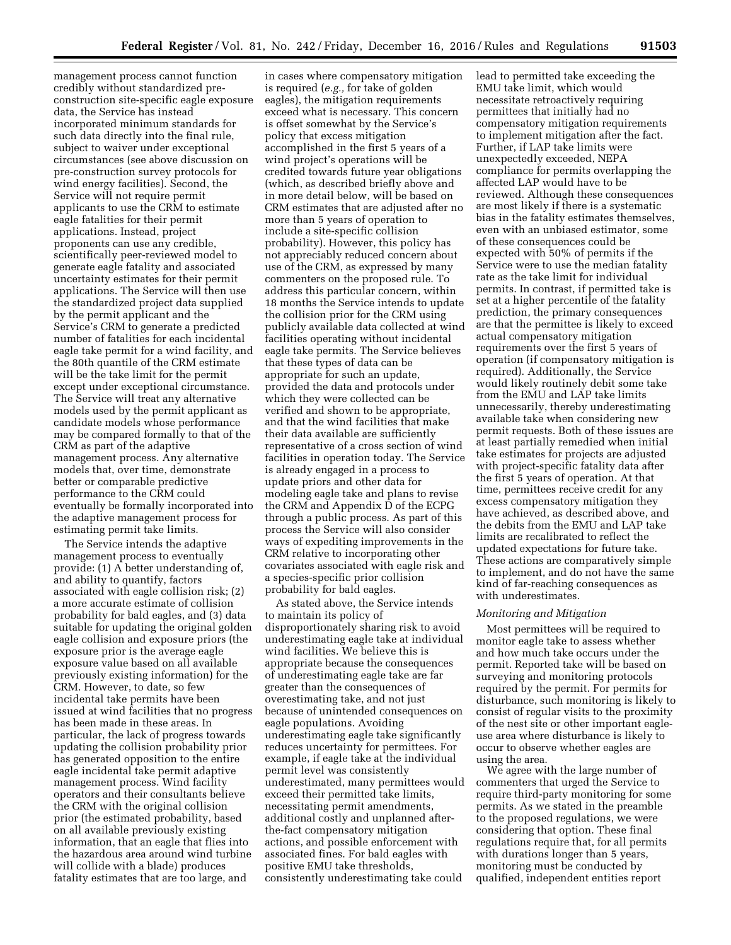management process cannot function credibly without standardized preconstruction site-specific eagle exposure data, the Service has instead incorporated minimum standards for such data directly into the final rule, subject to waiver under exceptional circumstances (see above discussion on pre-construction survey protocols for wind energy facilities). Second, the Service will not require permit applicants to use the CRM to estimate eagle fatalities for their permit applications. Instead, project proponents can use any credible, scientifically peer-reviewed model to generate eagle fatality and associated uncertainty estimates for their permit applications. The Service will then use the standardized project data supplied by the permit applicant and the Service's CRM to generate a predicted number of fatalities for each incidental eagle take permit for a wind facility, and the 80th quantile of the CRM estimate will be the take limit for the permit except under exceptional circumstance. The Service will treat any alternative models used by the permit applicant as candidate models whose performance may be compared formally to that of the CRM as part of the adaptive management process. Any alternative models that, over time, demonstrate better or comparable predictive performance to the CRM could eventually be formally incorporated into the adaptive management process for estimating permit take limits.

The Service intends the adaptive management process to eventually provide: (1) A better understanding of, and ability to quantify, factors associated with eagle collision risk; (2) a more accurate estimate of collision probability for bald eagles, and (3) data suitable for updating the original golden eagle collision and exposure priors (the exposure prior is the average eagle exposure value based on all available previously existing information) for the CRM. However, to date, so few incidental take permits have been issued at wind facilities that no progress has been made in these areas. In particular, the lack of progress towards updating the collision probability prior has generated opposition to the entire eagle incidental take permit adaptive management process. Wind facility operators and their consultants believe the CRM with the original collision prior (the estimated probability, based on all available previously existing information, that an eagle that flies into the hazardous area around wind turbine will collide with a blade) produces fatality estimates that are too large, and

in cases where compensatory mitigation is required (*e.g.,* for take of golden eagles), the mitigation requirements exceed what is necessary. This concern is offset somewhat by the Service's policy that excess mitigation accomplished in the first 5 years of a wind project's operations will be credited towards future year obligations (which, as described briefly above and in more detail below, will be based on CRM estimates that are adjusted after no more than 5 years of operation to include a site-specific collision probability). However, this policy has not appreciably reduced concern about use of the CRM, as expressed by many commenters on the proposed rule. To address this particular concern, within 18 months the Service intends to update the collision prior for the CRM using publicly available data collected at wind facilities operating without incidental eagle take permits. The Service believes that these types of data can be appropriate for such an update, provided the data and protocols under which they were collected can be verified and shown to be appropriate, and that the wind facilities that make their data available are sufficiently representative of a cross section of wind facilities in operation today. The Service is already engaged in a process to update priors and other data for modeling eagle take and plans to revise the CRM and Appendix D of the ECPG through a public process. As part of this process the Service will also consider ways of expediting improvements in the CRM relative to incorporating other covariates associated with eagle risk and a species-specific prior collision probability for bald eagles.

As stated above, the Service intends to maintain its policy of disproportionately sharing risk to avoid underestimating eagle take at individual wind facilities. We believe this is appropriate because the consequences of underestimating eagle take are far greater than the consequences of overestimating take, and not just because of unintended consequences on eagle populations. Avoiding underestimating eagle take significantly reduces uncertainty for permittees. For example, if eagle take at the individual permit level was consistently underestimated, many permittees would exceed their permitted take limits, necessitating permit amendments, additional costly and unplanned afterthe-fact compensatory mitigation actions, and possible enforcement with associated fines. For bald eagles with positive EMU take thresholds, consistently underestimating take could

lead to permitted take exceeding the EMU take limit, which would necessitate retroactively requiring permittees that initially had no compensatory mitigation requirements to implement mitigation after the fact. Further, if LAP take limits were unexpectedly exceeded, NEPA compliance for permits overlapping the affected LAP would have to be reviewed. Although these consequences are most likely if there is a systematic bias in the fatality estimates themselves, even with an unbiased estimator, some of these consequences could be expected with 50% of permits if the Service were to use the median fatality rate as the take limit for individual permits. In contrast, if permitted take is set at a higher percentile of the fatality prediction, the primary consequences are that the permittee is likely to exceed actual compensatory mitigation requirements over the first 5 years of operation (if compensatory mitigation is required). Additionally, the Service would likely routinely debit some take from the EMU and LAP take limits unnecessarily, thereby underestimating available take when considering new permit requests. Both of these issues are at least partially remedied when initial take estimates for projects are adjusted with project-specific fatality data after the first 5 years of operation. At that time, permittees receive credit for any excess compensatory mitigation they have achieved, as described above, and the debits from the EMU and LAP take limits are recalibrated to reflect the updated expectations for future take. These actions are comparatively simple to implement, and do not have the same kind of far-reaching consequences as with underestimates.

#### *Monitoring and Mitigation*

Most permittees will be required to monitor eagle take to assess whether and how much take occurs under the permit. Reported take will be based on surveying and monitoring protocols required by the permit. For permits for disturbance, such monitoring is likely to consist of regular visits to the proximity of the nest site or other important eagleuse area where disturbance is likely to occur to observe whether eagles are using the area.

We agree with the large number of commenters that urged the Service to require third-party monitoring for some permits. As we stated in the preamble to the proposed regulations, we were considering that option. These final regulations require that, for all permits with durations longer than 5 years, monitoring must be conducted by qualified, independent entities report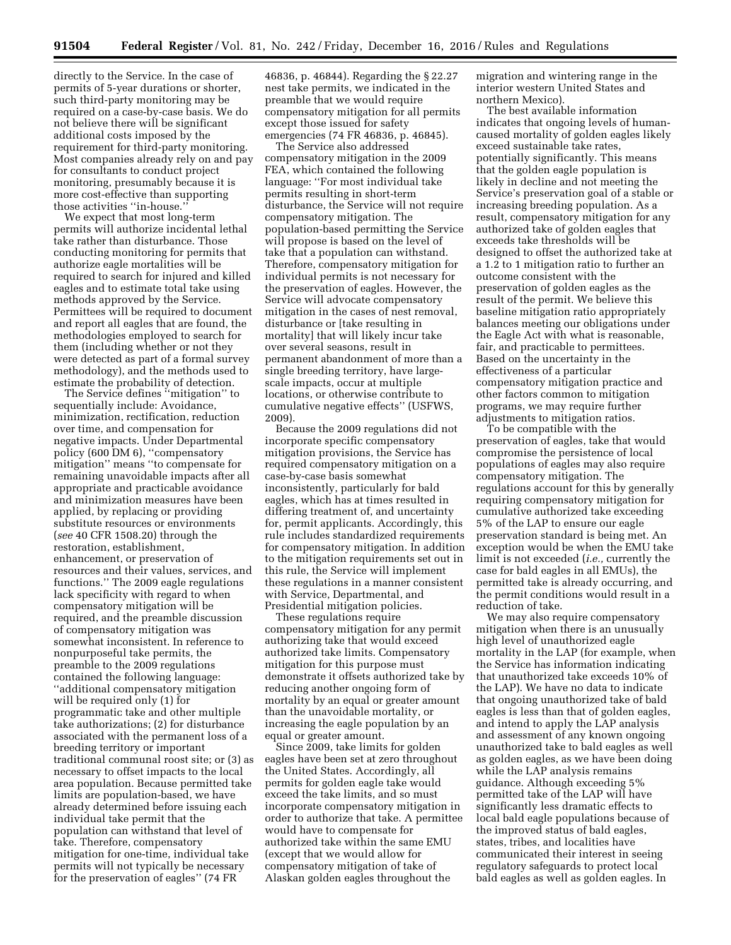directly to the Service. In the case of permits of 5-year durations or shorter, such third-party monitoring may be required on a case-by-case basis. We do not believe there will be significant additional costs imposed by the requirement for third-party monitoring. Most companies already rely on and pay for consultants to conduct project monitoring, presumably because it is more cost-effective than supporting those activities ''in-house.''

We expect that most long-term permits will authorize incidental lethal take rather than disturbance. Those conducting monitoring for permits that authorize eagle mortalities will be required to search for injured and killed eagles and to estimate total take using methods approved by the Service. Permittees will be required to document and report all eagles that are found, the methodologies employed to search for them (including whether or not they were detected as part of a formal survey methodology), and the methods used to estimate the probability of detection.

The Service defines ''mitigation'' to sequentially include: Avoidance, minimization, rectification, reduction over time, and compensation for negative impacts. Under Departmental policy (600 DM 6), ''compensatory mitigation'' means ''to compensate for remaining unavoidable impacts after all appropriate and practicable avoidance and minimization measures have been applied, by replacing or providing substitute resources or environments (*see* 40 CFR 1508.20) through the restoration, establishment, enhancement, or preservation of resources and their values, services, and functions.'' The 2009 eagle regulations lack specificity with regard to when compensatory mitigation will be required, and the preamble discussion of compensatory mitigation was somewhat inconsistent. In reference to nonpurposeful take permits, the preamble to the 2009 regulations contained the following language: ''additional compensatory mitigation will be required only (1) for programmatic take and other multiple take authorizations; (2) for disturbance associated with the permanent loss of a breeding territory or important traditional communal roost site; or (3) as necessary to offset impacts to the local area population. Because permitted take limits are population-based, we have already determined before issuing each individual take permit that the population can withstand that level of take. Therefore, compensatory mitigation for one-time, individual take permits will not typically be necessary for the preservation of eagles'' (74 FR

46836, p. 46844). Regarding the § 22.27 nest take permits, we indicated in the preamble that we would require compensatory mitigation for all permits except those issued for safety emergencies (74 FR 46836, p. 46845).

The Service also addressed compensatory mitigation in the 2009 FEA, which contained the following language: ''For most individual take permits resulting in short-term disturbance, the Service will not require compensatory mitigation. The population-based permitting the Service will propose is based on the level of take that a population can withstand. Therefore, compensatory mitigation for individual permits is not necessary for the preservation of eagles. However, the Service will advocate compensatory mitigation in the cases of nest removal, disturbance or [take resulting in mortality] that will likely incur take over several seasons, result in permanent abandonment of more than a single breeding territory, have largescale impacts, occur at multiple locations, or otherwise contribute to cumulative negative effects'' (USFWS, 2009).

Because the 2009 regulations did not incorporate specific compensatory mitigation provisions, the Service has required compensatory mitigation on a case-by-case basis somewhat inconsistently, particularly for bald eagles, which has at times resulted in differing treatment of, and uncertainty for, permit applicants. Accordingly, this rule includes standardized requirements for compensatory mitigation. In addition to the mitigation requirements set out in this rule, the Service will implement these regulations in a manner consistent with Service, Departmental, and Presidential mitigation policies.

These regulations require compensatory mitigation for any permit authorizing take that would exceed authorized take limits. Compensatory mitigation for this purpose must demonstrate it offsets authorized take by reducing another ongoing form of mortality by an equal or greater amount than the unavoidable mortality, or increasing the eagle population by an equal or greater amount.

Since 2009, take limits for golden eagles have been set at zero throughout the United States. Accordingly, all permits for golden eagle take would exceed the take limits, and so must incorporate compensatory mitigation in order to authorize that take. A permittee would have to compensate for authorized take within the same EMU (except that we would allow for compensatory mitigation of take of Alaskan golden eagles throughout the

migration and wintering range in the interior western United States and northern Mexico).

The best available information indicates that ongoing levels of humancaused mortality of golden eagles likely exceed sustainable take rates, potentially significantly. This means that the golden eagle population is likely in decline and not meeting the Service's preservation goal of a stable or increasing breeding population. As a result, compensatory mitigation for any authorized take of golden eagles that exceeds take thresholds will be designed to offset the authorized take at a 1.2 to 1 mitigation ratio to further an outcome consistent with the preservation of golden eagles as the result of the permit. We believe this baseline mitigation ratio appropriately balances meeting our obligations under the Eagle Act with what is reasonable, fair, and practicable to permittees. Based on the uncertainty in the effectiveness of a particular compensatory mitigation practice and other factors common to mitigation programs, we may require further adjustments to mitigation ratios.

To be compatible with the preservation of eagles, take that would compromise the persistence of local populations of eagles may also require compensatory mitigation. The regulations account for this by generally requiring compensatory mitigation for cumulative authorized take exceeding 5% of the LAP to ensure our eagle preservation standard is being met. An exception would be when the EMU take limit is not exceeded (*i.e.,* currently the case for bald eagles in all EMUs), the permitted take is already occurring, and the permit conditions would result in a reduction of take.

We may also require compensatory mitigation when there is an unusually high level of unauthorized eagle mortality in the LAP (for example, when the Service has information indicating that unauthorized take exceeds 10% of the LAP). We have no data to indicate that ongoing unauthorized take of bald eagles is less than that of golden eagles, and intend to apply the LAP analysis and assessment of any known ongoing unauthorized take to bald eagles as well as golden eagles, as we have been doing while the LAP analysis remains guidance. Although exceeding 5% permitted take of the LAP will have significantly less dramatic effects to local bald eagle populations because of the improved status of bald eagles, states, tribes, and localities have communicated their interest in seeing regulatory safeguards to protect local bald eagles as well as golden eagles. In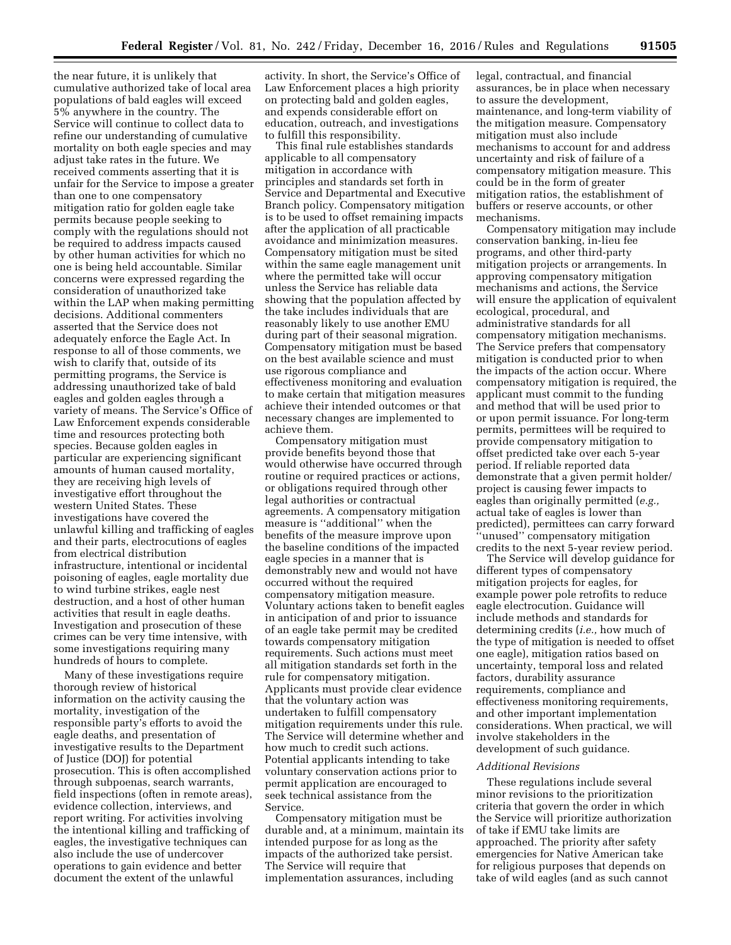the near future, it is unlikely that cumulative authorized take of local area populations of bald eagles will exceed 5% anywhere in the country. The Service will continue to collect data to refine our understanding of cumulative mortality on both eagle species and may adjust take rates in the future. We received comments asserting that it is unfair for the Service to impose a greater than one to one compensatory mitigation ratio for golden eagle take permits because people seeking to comply with the regulations should not be required to address impacts caused by other human activities for which no one is being held accountable. Similar concerns were expressed regarding the consideration of unauthorized take within the LAP when making permitting decisions. Additional commenters asserted that the Service does not adequately enforce the Eagle Act. In response to all of those comments, we wish to clarify that, outside of its permitting programs, the Service is addressing unauthorized take of bald eagles and golden eagles through a variety of means. The Service's Office of Law Enforcement expends considerable time and resources protecting both species. Because golden eagles in particular are experiencing significant amounts of human caused mortality, they are receiving high levels of investigative effort throughout the western United States. These investigations have covered the unlawful killing and trafficking of eagles and their parts, electrocutions of eagles from electrical distribution infrastructure, intentional or incidental poisoning of eagles, eagle mortality due to wind turbine strikes, eagle nest destruction, and a host of other human activities that result in eagle deaths. Investigation and prosecution of these crimes can be very time intensive, with some investigations requiring many hundreds of hours to complete.

Many of these investigations require thorough review of historical information on the activity causing the mortality, investigation of the responsible party's efforts to avoid the eagle deaths, and presentation of investigative results to the Department of Justice (DOJ) for potential prosecution. This is often accomplished through subpoenas, search warrants, field inspections (often in remote areas), evidence collection, interviews, and report writing. For activities involving the intentional killing and trafficking of eagles, the investigative techniques can also include the use of undercover operations to gain evidence and better document the extent of the unlawful

activity. In short, the Service's Office of Law Enforcement places a high priority on protecting bald and golden eagles, and expends considerable effort on education, outreach, and investigations to fulfill this responsibility.

This final rule establishes standards applicable to all compensatory mitigation in accordance with principles and standards set forth in Service and Departmental and Executive Branch policy. Compensatory mitigation is to be used to offset remaining impacts after the application of all practicable avoidance and minimization measures. Compensatory mitigation must be sited within the same eagle management unit where the permitted take will occur unless the Service has reliable data showing that the population affected by the take includes individuals that are reasonably likely to use another EMU during part of their seasonal migration. Compensatory mitigation must be based on the best available science and must use rigorous compliance and effectiveness monitoring and evaluation to make certain that mitigation measures achieve their intended outcomes or that necessary changes are implemented to achieve them.

Compensatory mitigation must provide benefits beyond those that would otherwise have occurred through routine or required practices or actions, or obligations required through other legal authorities or contractual agreements. A compensatory mitigation measure is ''additional'' when the benefits of the measure improve upon the baseline conditions of the impacted eagle species in a manner that is demonstrably new and would not have occurred without the required compensatory mitigation measure. Voluntary actions taken to benefit eagles in anticipation of and prior to issuance of an eagle take permit may be credited towards compensatory mitigation requirements. Such actions must meet all mitigation standards set forth in the rule for compensatory mitigation. Applicants must provide clear evidence that the voluntary action was undertaken to fulfill compensatory mitigation requirements under this rule. The Service will determine whether and how much to credit such actions. Potential applicants intending to take voluntary conservation actions prior to permit application are encouraged to seek technical assistance from the Service.

Compensatory mitigation must be durable and, at a minimum, maintain its intended purpose for as long as the impacts of the authorized take persist. The Service will require that implementation assurances, including

legal, contractual, and financial assurances, be in place when necessary to assure the development, maintenance, and long-term viability of the mitigation measure. Compensatory mitigation must also include mechanisms to account for and address uncertainty and risk of failure of a compensatory mitigation measure. This could be in the form of greater mitigation ratios, the establishment of buffers or reserve accounts, or other mechanisms.

Compensatory mitigation may include conservation banking, in-lieu fee programs, and other third-party mitigation projects or arrangements. In approving compensatory mitigation mechanisms and actions, the Service will ensure the application of equivalent ecological, procedural, and administrative standards for all compensatory mitigation mechanisms. The Service prefers that compensatory mitigation is conducted prior to when the impacts of the action occur. Where compensatory mitigation is required, the applicant must commit to the funding and method that will be used prior to or upon permit issuance. For long-term permits, permittees will be required to provide compensatory mitigation to offset predicted take over each 5-year period. If reliable reported data demonstrate that a given permit holder/ project is causing fewer impacts to eagles than originally permitted (*e.g.,*  actual take of eagles is lower than predicted), permittees can carry forward ''unused'' compensatory mitigation credits to the next 5-year review period.

The Service will develop guidance for different types of compensatory mitigation projects for eagles, for example power pole retrofits to reduce eagle electrocution. Guidance will include methods and standards for determining credits (*i.e.,* how much of the type of mitigation is needed to offset one eagle), mitigation ratios based on uncertainty, temporal loss and related factors, durability assurance requirements, compliance and effectiveness monitoring requirements, and other important implementation considerations. When practical, we will involve stakeholders in the development of such guidance.

## *Additional Revisions*

These regulations include several minor revisions to the prioritization criteria that govern the order in which the Service will prioritize authorization of take if EMU take limits are approached. The priority after safety emergencies for Native American take for religious purposes that depends on take of wild eagles (and as such cannot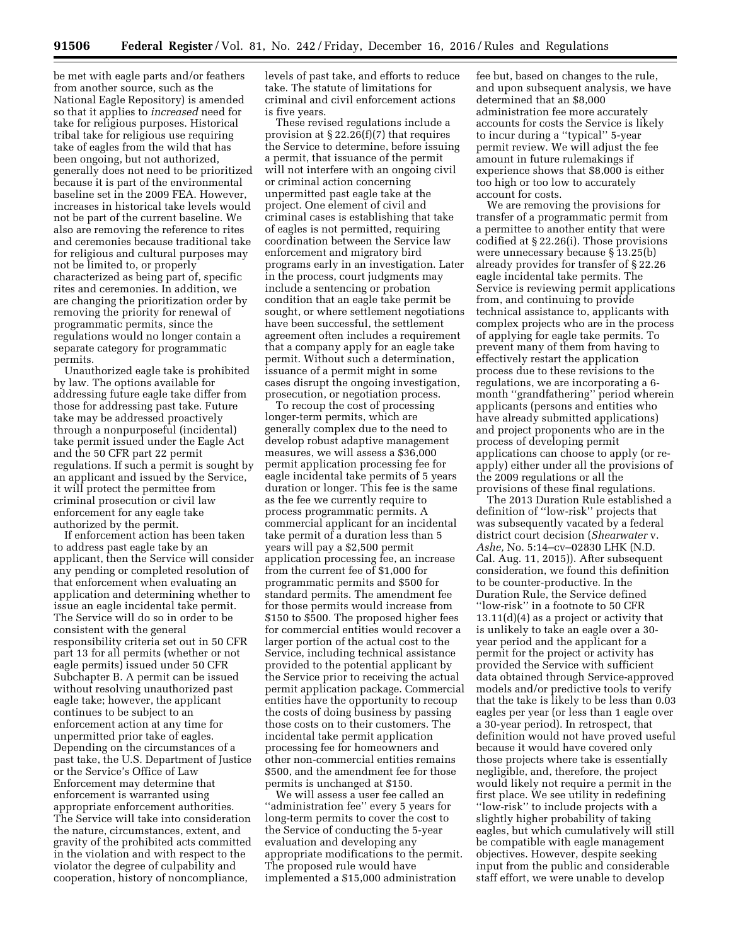be met with eagle parts and/or feathers from another source, such as the National Eagle Repository) is amended so that it applies to *increased* need for take for religious purposes. Historical tribal take for religious use requiring take of eagles from the wild that has been ongoing, but not authorized, generally does not need to be prioritized because it is part of the environmental baseline set in the 2009 FEA. However, increases in historical take levels would not be part of the current baseline. We also are removing the reference to rites and ceremonies because traditional take for religious and cultural purposes may not be limited to, or properly characterized as being part of, specific rites and ceremonies. In addition, we are changing the prioritization order by removing the priority for renewal of programmatic permits, since the regulations would no longer contain a separate category for programmatic permits.

Unauthorized eagle take is prohibited by law. The options available for addressing future eagle take differ from those for addressing past take. Future take may be addressed proactively through a nonpurposeful (incidental) take permit issued under the Eagle Act and the 50 CFR part 22 permit regulations. If such a permit is sought by an applicant and issued by the Service, it will protect the permittee from criminal prosecution or civil law enforcement for any eagle take authorized by the permit.

If enforcement action has been taken to address past eagle take by an applicant, then the Service will consider any pending or completed resolution of that enforcement when evaluating an application and determining whether to issue an eagle incidental take permit. The Service will do so in order to be consistent with the general responsibility criteria set out in 50 CFR part 13 for all permits (whether or not eagle permits) issued under 50 CFR Subchapter B. A permit can be issued without resolving unauthorized past eagle take; however, the applicant continues to be subject to an enforcement action at any time for unpermitted prior take of eagles. Depending on the circumstances of a past take, the U.S. Department of Justice or the Service's Office of Law Enforcement may determine that enforcement is warranted using appropriate enforcement authorities. The Service will take into consideration the nature, circumstances, extent, and gravity of the prohibited acts committed in the violation and with respect to the violator the degree of culpability and cooperation, history of noncompliance,

levels of past take, and efforts to reduce take. The statute of limitations for criminal and civil enforcement actions is five years.

These revised regulations include a provision at § 22.26(f)(7) that requires the Service to determine, before issuing a permit, that issuance of the permit will not interfere with an ongoing civil or criminal action concerning unpermitted past eagle take at the project. One element of civil and criminal cases is establishing that take of eagles is not permitted, requiring coordination between the Service law enforcement and migratory bird programs early in an investigation. Later in the process, court judgments may include a sentencing or probation condition that an eagle take permit be sought, or where settlement negotiations have been successful, the settlement agreement often includes a requirement that a company apply for an eagle take permit. Without such a determination, issuance of a permit might in some cases disrupt the ongoing investigation, prosecution, or negotiation process.

To recoup the cost of processing longer-term permits, which are generally complex due to the need to develop robust adaptive management measures, we will assess a \$36,000 permit application processing fee for eagle incidental take permits of 5 years duration or longer. This fee is the same as the fee we currently require to process programmatic permits. A commercial applicant for an incidental take permit of a duration less than 5 years will pay a \$2,500 permit application processing fee, an increase from the current fee of \$1,000 for programmatic permits and \$500 for standard permits. The amendment fee for those permits would increase from \$150 to \$500. The proposed higher fees for commercial entities would recover a larger portion of the actual cost to the Service, including technical assistance provided to the potential applicant by the Service prior to receiving the actual permit application package. Commercial entities have the opportunity to recoup the costs of doing business by passing those costs on to their customers. The incidental take permit application processing fee for homeowners and other non-commercial entities remains \$500, and the amendment fee for those permits is unchanged at \$150.

We will assess a user fee called an ''administration fee'' every 5 years for long-term permits to cover the cost to the Service of conducting the 5-year evaluation and developing any appropriate modifications to the permit. The proposed rule would have implemented a \$15,000 administration

fee but, based on changes to the rule, and upon subsequent analysis, we have determined that an \$8,000 administration fee more accurately accounts for costs the Service is likely to incur during a ''typical'' 5-year permit review. We will adjust the fee amount in future rulemakings if experience shows that \$8,000 is either too high or too low to accurately account for costs.

We are removing the provisions for transfer of a programmatic permit from a permittee to another entity that were codified at § 22.26(i). Those provisions were unnecessary because § 13.25(b) already provides for transfer of § 22.26 eagle incidental take permits. The Service is reviewing permit applications from, and continuing to provide technical assistance to, applicants with complex projects who are in the process of applying for eagle take permits. To prevent many of them from having to effectively restart the application process due to these revisions to the regulations, we are incorporating a 6 month ''grandfathering'' period wherein applicants (persons and entities who have already submitted applications) and project proponents who are in the process of developing permit applications can choose to apply (or reapply) either under all the provisions of the 2009 regulations or all the provisions of these final regulations.

The 2013 Duration Rule established a definition of ''low-risk'' projects that was subsequently vacated by a federal district court decision (*Shearwater* v. *Ashe,* No. 5:14–cv–02830 LHK (N.D. Cal. Aug. 11, 2015)). After subsequent consideration, we found this definition to be counter-productive. In the Duration Rule, the Service defined ''low-risk'' in a footnote to 50 CFR 13.11(d)(4) as a project or activity that is unlikely to take an eagle over a 30 year period and the applicant for a permit for the project or activity has provided the Service with sufficient data obtained through Service-approved models and/or predictive tools to verify that the take is likely to be less than 0.03 eagles per year (or less than 1 eagle over a 30-year period). In retrospect, that definition would not have proved useful because it would have covered only those projects where take is essentially negligible, and, therefore, the project would likely not require a permit in the first place. We see utility in redefining ''low-risk'' to include projects with a slightly higher probability of taking eagles, but which cumulatively will still be compatible with eagle management objectives. However, despite seeking input from the public and considerable staff effort, we were unable to develop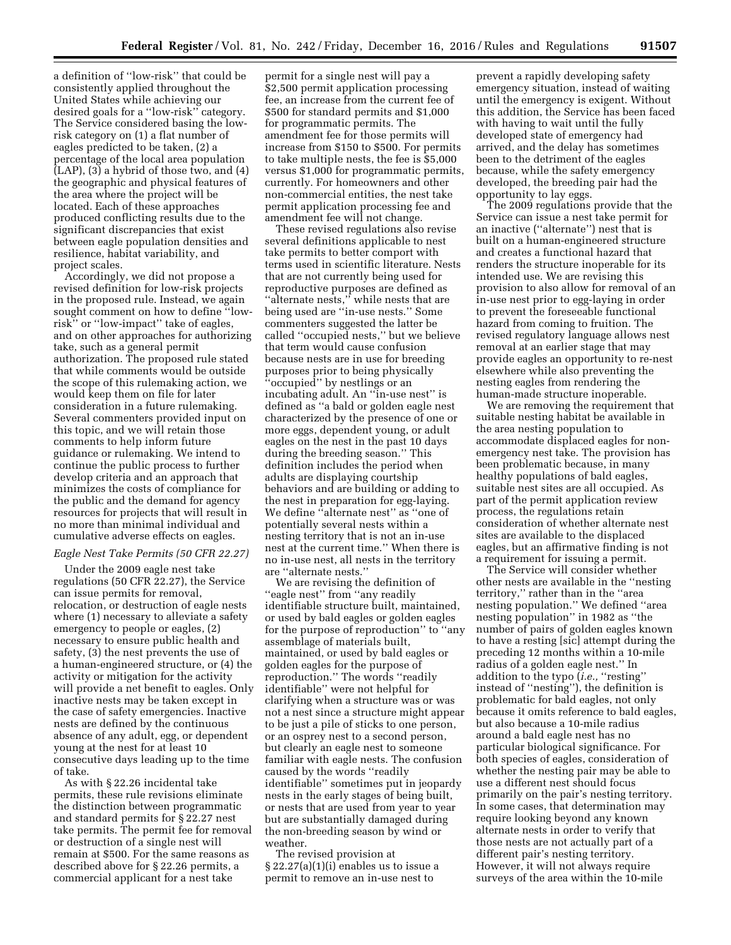a definition of ''low-risk'' that could be consistently applied throughout the United States while achieving our desired goals for a ''low-risk'' category. The Service considered basing the lowrisk category on (1) a flat number of eagles predicted to be taken, (2) a percentage of the local area population (LAP), (3) a hybrid of those two, and (4) the geographic and physical features of the area where the project will be located. Each of these approaches produced conflicting results due to the significant discrepancies that exist between eagle population densities and resilience, habitat variability, and project scales.

Accordingly, we did not propose a revised definition for low-risk projects in the proposed rule. Instead, we again sought comment on how to define ''lowrisk'' or ''low-impact'' take of eagles, and on other approaches for authorizing take, such as a general permit authorization. The proposed rule stated that while comments would be outside the scope of this rulemaking action, we would keep them on file for later consideration in a future rulemaking. Several commenters provided input on this topic, and we will retain those comments to help inform future guidance or rulemaking. We intend to continue the public process to further develop criteria and an approach that minimizes the costs of compliance for the public and the demand for agency resources for projects that will result in no more than minimal individual and cumulative adverse effects on eagles.

## *Eagle Nest Take Permits (50 CFR 22.27)*

Under the 2009 eagle nest take regulations (50 CFR 22.27), the Service can issue permits for removal, relocation, or destruction of eagle nests where (1) necessary to alleviate a safety emergency to people or eagles, (2) necessary to ensure public health and safety, (3) the nest prevents the use of a human-engineered structure, or (4) the activity or mitigation for the activity will provide a net benefit to eagles. Only inactive nests may be taken except in the case of safety emergencies. Inactive nests are defined by the continuous absence of any adult, egg, or dependent young at the nest for at least 10 consecutive days leading up to the time of take.

As with § 22.26 incidental take permits, these rule revisions eliminate the distinction between programmatic and standard permits for § 22.27 nest take permits. The permit fee for removal or destruction of a single nest will remain at \$500. For the same reasons as described above for § 22.26 permits, a commercial applicant for a nest take

permit for a single nest will pay a \$2,500 permit application processing fee, an increase from the current fee of \$500 for standard permits and \$1,000 for programmatic permits. The amendment fee for those permits will increase from \$150 to \$500. For permits to take multiple nests, the fee is \$5,000 versus \$1,000 for programmatic permits, currently. For homeowners and other non-commercial entities, the nest take permit application processing fee and amendment fee will not change.

These revised regulations also revise several definitions applicable to nest take permits to better comport with terms used in scientific literature. Nests that are not currently being used for reproductive purposes are defined as ''alternate nests,'' while nests that are being used are ''in-use nests.'' Some commenters suggested the latter be called ''occupied nests,'' but we believe that term would cause confusion because nests are in use for breeding purposes prior to being physically ''occupied'' by nestlings or an incubating adult. An ''in-use nest'' is defined as ''a bald or golden eagle nest characterized by the presence of one or more eggs, dependent young, or adult eagles on the nest in the past 10 days during the breeding season.'' This definition includes the period when adults are displaying courtship behaviors and are building or adding to the nest in preparation for egg-laying. We define ''alternate nest'' as ''one of potentially several nests within a nesting territory that is not an in-use nest at the current time.'' When there is no in-use nest, all nests in the territory are ''alternate nests.''

We are revising the definition of ''eagle nest'' from ''any readily identifiable structure built, maintained, or used by bald eagles or golden eagles for the purpose of reproduction'' to ''any assemblage of materials built, maintained, or used by bald eagles or golden eagles for the purpose of reproduction.'' The words ''readily identifiable'' were not helpful for clarifying when a structure was or was not a nest since a structure might appear to be just a pile of sticks to one person, or an osprey nest to a second person, but clearly an eagle nest to someone familiar with eagle nests. The confusion caused by the words ''readily identifiable'' sometimes put in jeopardy nests in the early stages of being built, or nests that are used from year to year but are substantially damaged during the non-breeding season by wind or weather.

The revised provision at § 22.27(a)(1)(i) enables us to issue a permit to remove an in-use nest to

prevent a rapidly developing safety emergency situation, instead of waiting until the emergency is exigent. Without this addition, the Service has been faced with having to wait until the fully developed state of emergency had arrived, and the delay has sometimes been to the detriment of the eagles because, while the safety emergency developed, the breeding pair had the opportunity to lay eggs.

The 2009 regulations provide that the Service can issue a nest take permit for an inactive (''alternate'') nest that is built on a human-engineered structure and creates a functional hazard that renders the structure inoperable for its intended use. We are revising this provision to also allow for removal of an in-use nest prior to egg-laying in order to prevent the foreseeable functional hazard from coming to fruition. The revised regulatory language allows nest removal at an earlier stage that may provide eagles an opportunity to re-nest elsewhere while also preventing the nesting eagles from rendering the human-made structure inoperable.

We are removing the requirement that suitable nesting habitat be available in the area nesting population to accommodate displaced eagles for nonemergency nest take. The provision has been problematic because, in many healthy populations of bald eagles, suitable nest sites are all occupied. As part of the permit application review process, the regulations retain consideration of whether alternate nest sites are available to the displaced eagles, but an affirmative finding is not a requirement for issuing a permit.

The Service will consider whether other nests are available in the ''nesting territory,'' rather than in the ''area nesting population.'' We defined ''area nesting population'' in 1982 as ''the number of pairs of golden eagles known to have a resting [sic] attempt during the preceding 12 months within a 10-mile radius of a golden eagle nest.'' In addition to the typo (*i.e.,* ''resting'' instead of ''nesting''), the definition is problematic for bald eagles, not only because it omits reference to bald eagles, but also because a 10-mile radius around a bald eagle nest has no particular biological significance. For both species of eagles, consideration of whether the nesting pair may be able to use a different nest should focus primarily on the pair's nesting territory. In some cases, that determination may require looking beyond any known alternate nests in order to verify that those nests are not actually part of a different pair's nesting territory. However, it will not always require surveys of the area within the 10-mile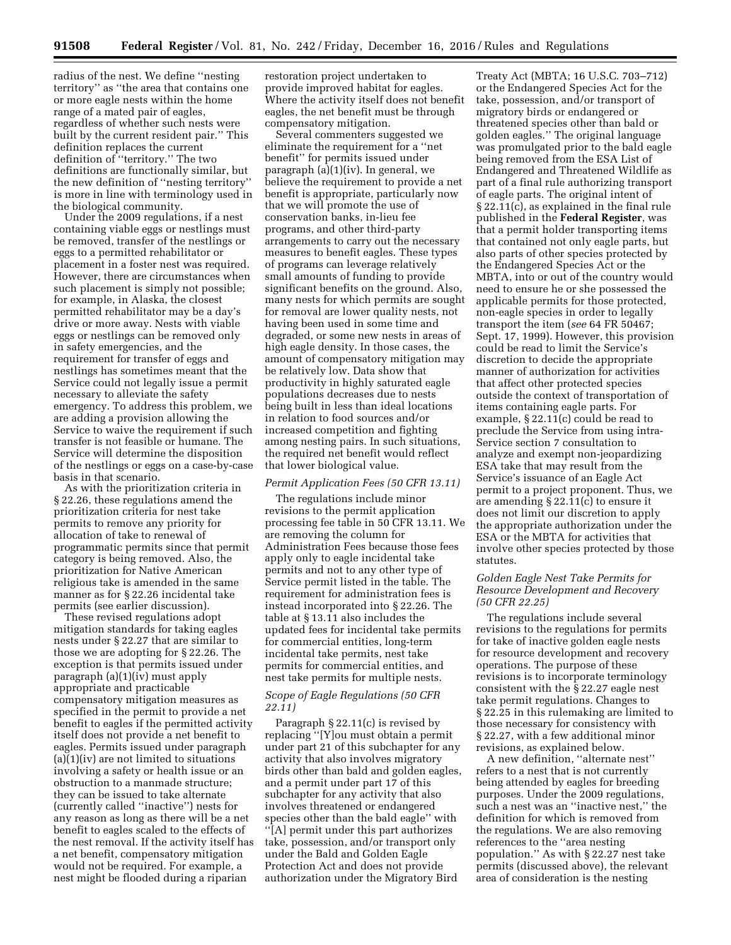radius of the nest. We define ''nesting territory'' as ''the area that contains one or more eagle nests within the home range of a mated pair of eagles, regardless of whether such nests were built by the current resident pair.'' This definition replaces the current definition of ''territory.'' The two definitions are functionally similar, but the new definition of ''nesting territory'' is more in line with terminology used in the biological community.

Under the 2009 regulations, if a nest containing viable eggs or nestlings must be removed, transfer of the nestlings or eggs to a permitted rehabilitator or placement in a foster nest was required. However, there are circumstances when such placement is simply not possible; for example, in Alaska, the closest permitted rehabilitator may be a day's drive or more away. Nests with viable eggs or nestlings can be removed only in safety emergencies, and the requirement for transfer of eggs and nestlings has sometimes meant that the Service could not legally issue a permit necessary to alleviate the safety emergency. To address this problem, we are adding a provision allowing the Service to waive the requirement if such transfer is not feasible or humane. The Service will determine the disposition of the nestlings or eggs on a case-by-case basis in that scenario.

As with the prioritization criteria in § 22.26, these regulations amend the prioritization criteria for nest take permits to remove any priority for allocation of take to renewal of programmatic permits since that permit category is being removed. Also, the prioritization for Native American religious take is amended in the same manner as for § 22.26 incidental take permits (see earlier discussion).

These revised regulations adopt mitigation standards for taking eagles nests under § 22.27 that are similar to those we are adopting for § 22.26. The exception is that permits issued under paragraph (a)(1)(iv) must apply appropriate and practicable compensatory mitigation measures as specified in the permit to provide a net benefit to eagles if the permitted activity itself does not provide a net benefit to eagles. Permits issued under paragraph  $(a)(1)(iv)$  are not limited to situations involving a safety or health issue or an obstruction to a manmade structure; they can be issued to take alternate (currently called ''inactive'') nests for any reason as long as there will be a net benefit to eagles scaled to the effects of the nest removal. If the activity itself has a net benefit, compensatory mitigation would not be required. For example, a nest might be flooded during a riparian

restoration project undertaken to provide improved habitat for eagles. Where the activity itself does not benefit eagles, the net benefit must be through compensatory mitigation.

Several commenters suggested we eliminate the requirement for a ''net benefit'' for permits issued under paragraph (a)(1)(iv). In general, we believe the requirement to provide a net benefit is appropriate, particularly now that we will promote the use of conservation banks, in-lieu fee programs, and other third-party arrangements to carry out the necessary measures to benefit eagles. These types of programs can leverage relatively small amounts of funding to provide significant benefits on the ground. Also, many nests for which permits are sought for removal are lower quality nests, not having been used in some time and degraded, or some new nests in areas of high eagle density. In those cases, the amount of compensatory mitigation may be relatively low. Data show that productivity in highly saturated eagle populations decreases due to nests being built in less than ideal locations in relation to food sources and/or increased competition and fighting among nesting pairs. In such situations, the required net benefit would reflect that lower biological value.

## *Permit Application Fees (50 CFR 13.11)*

The regulations include minor revisions to the permit application processing fee table in 50 CFR 13.11. We are removing the column for Administration Fees because those fees apply only to eagle incidental take permits and not to any other type of Service permit listed in the table. The requirement for administration fees is instead incorporated into § 22.26. The table at § 13.11 also includes the updated fees for incidental take permits for commercial entities, long-term incidental take permits, nest take permits for commercial entities, and nest take permits for multiple nests.

## *Scope of Eagle Regulations (50 CFR 22.11)*

Paragraph § 22.11(c) is revised by replacing ''[Y]ou must obtain a permit under part 21 of this subchapter for any activity that also involves migratory birds other than bald and golden eagles, and a permit under part 17 of this subchapter for any activity that also involves threatened or endangered species other than the bald eagle'' with ''[A] permit under this part authorizes take, possession, and/or transport only under the Bald and Golden Eagle Protection Act and does not provide authorization under the Migratory Bird

Treaty Act (MBTA; 16 U.S.C. 703–712) or the Endangered Species Act for the take, possession, and/or transport of migratory birds or endangered or threatened species other than bald or golden eagles.'' The original language was promulgated prior to the bald eagle being removed from the ESA List of Endangered and Threatened Wildlife as part of a final rule authorizing transport of eagle parts. The original intent of § 22.11(c), as explained in the final rule published in the **Federal Register**, was that a permit holder transporting items that contained not only eagle parts, but also parts of other species protected by the Endangered Species Act or the MBTA, into or out of the country would need to ensure he or she possessed the applicable permits for those protected, non-eagle species in order to legally transport the item (*see* 64 FR 50467; Sept. 17, 1999). However, this provision could be read to limit the Service's discretion to decide the appropriate manner of authorization for activities that affect other protected species outside the context of transportation of items containing eagle parts. For example, § 22.11(c) could be read to preclude the Service from using intra-Service section 7 consultation to analyze and exempt non-jeopardizing ESA take that may result from the Service's issuance of an Eagle Act permit to a project proponent. Thus, we are amending  $\S 22.11(c)$  to ensure it does not limit our discretion to apply the appropriate authorization under the ESA or the MBTA for activities that involve other species protected by those statutes.

# *Golden Eagle Nest Take Permits for Resource Development and Recovery (50 CFR 22.25)*

The regulations include several revisions to the regulations for permits for take of inactive golden eagle nests for resource development and recovery operations. The purpose of these revisions is to incorporate terminology consistent with the § 22.27 eagle nest take permit regulations. Changes to § 22.25 in this rulemaking are limited to those necessary for consistency with § 22.27, with a few additional minor revisions, as explained below.

A new definition, ''alternate nest'' refers to a nest that is not currently being attended by eagles for breeding purposes. Under the 2009 regulations, such a nest was an ''inactive nest,'' the definition for which is removed from the regulations. We are also removing references to the ''area nesting population.'' As with § 22.27 nest take permits (discussed above), the relevant area of consideration is the nesting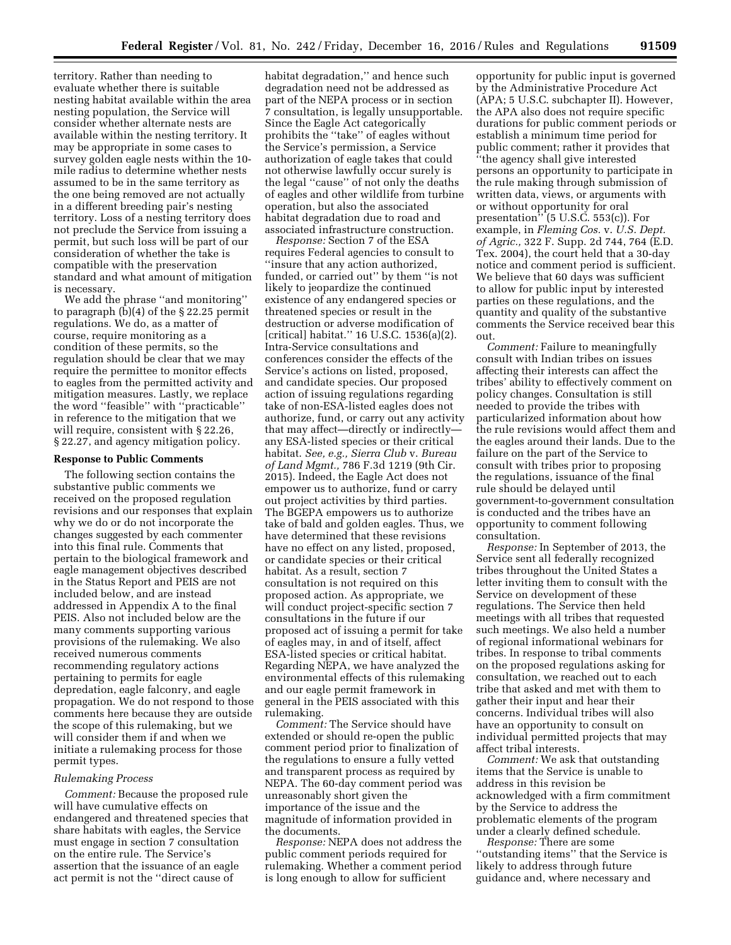territory. Rather than needing to evaluate whether there is suitable nesting habitat available within the area nesting population, the Service will consider whether alternate nests are available within the nesting territory. It may be appropriate in some cases to survey golden eagle nests within the 10 mile radius to determine whether nests assumed to be in the same territory as the one being removed are not actually in a different breeding pair's nesting territory. Loss of a nesting territory does not preclude the Service from issuing a permit, but such loss will be part of our consideration of whether the take is compatible with the preservation standard and what amount of mitigation is necessary.

We add the phrase ''and monitoring'' to paragraph (b)(4) of the § 22.25 permit regulations. We do, as a matter of course, require monitoring as a condition of these permits, so the regulation should be clear that we may require the permittee to monitor effects to eagles from the permitted activity and mitigation measures. Lastly, we replace the word ''feasible'' with ''practicable'' in reference to the mitigation that we will require, consistent with § 22.26, § 22.27, and agency mitigation policy.

## **Response to Public Comments**

The following section contains the substantive public comments we received on the proposed regulation revisions and our responses that explain why we do or do not incorporate the changes suggested by each commenter into this final rule. Comments that pertain to the biological framework and eagle management objectives described in the Status Report and PEIS are not included below, and are instead addressed in Appendix A to the final PEIS. Also not included below are the many comments supporting various provisions of the rulemaking. We also received numerous comments recommending regulatory actions pertaining to permits for eagle depredation, eagle falconry, and eagle propagation. We do not respond to those comments here because they are outside the scope of this rulemaking, but we will consider them if and when we initiate a rulemaking process for those permit types.

## *Rulemaking Process*

*Comment:* Because the proposed rule will have cumulative effects on endangered and threatened species that share habitats with eagles, the Service must engage in section 7 consultation on the entire rule. The Service's assertion that the issuance of an eagle act permit is not the ''direct cause of

habitat degradation,'' and hence such degradation need not be addressed as part of the NEPA process or in section 7 consultation, is legally unsupportable. Since the Eagle Act categorically prohibits the ''take'' of eagles without the Service's permission, a Service authorization of eagle takes that could not otherwise lawfully occur surely is the legal ''cause'' of not only the deaths of eagles and other wildlife from turbine operation, but also the associated habitat degradation due to road and associated infrastructure construction.

*Response:* Section 7 of the ESA requires Federal agencies to consult to ''insure that any action authorized, funded, or carried out'' by them ''is not likely to jeopardize the continued existence of any endangered species or threatened species or result in the destruction or adverse modification of [critical] habitat.'' 16 U.S.C. 1536(a)(2). Intra-Service consultations and conferences consider the effects of the Service's actions on listed, proposed, and candidate species. Our proposed action of issuing regulations regarding take of non-ESA-listed eagles does not authorize, fund, or carry out any activity that may affect—directly or indirectly any ESA-listed species or their critical habitat. *See, e.g., Sierra Club* v. *Bureau of Land Mgmt.,* 786 F.3d 1219 (9th Cir. 2015). Indeed, the Eagle Act does not empower us to authorize, fund or carry out project activities by third parties. The BGEPA empowers us to authorize take of bald and golden eagles. Thus, we have determined that these revisions have no effect on any listed, proposed, or candidate species or their critical habitat. As a result, section 7 consultation is not required on this proposed action. As appropriate, we will conduct project-specific section 7 consultations in the future if our proposed act of issuing a permit for take of eagles may, in and of itself, affect ESA-listed species or critical habitat. Regarding NEPA, we have analyzed the environmental effects of this rulemaking and our eagle permit framework in general in the PEIS associated with this rulemaking.

*Comment:* The Service should have extended or should re-open the public comment period prior to finalization of the regulations to ensure a fully vetted and transparent process as required by NEPA. The 60-day comment period was unreasonably short given the importance of the issue and the magnitude of information provided in the documents.

*Response:* NEPA does not address the public comment periods required for rulemaking. Whether a comment period is long enough to allow for sufficient

opportunity for public input is governed by the Administrative Procedure Act (APA; 5 U.S.C. subchapter II). However, the APA also does not require specific durations for public comment periods or establish a minimum time period for public comment; rather it provides that ''the agency shall give interested persons an opportunity to participate in the rule making through submission of written data, views, or arguments with or without opportunity for oral presentation $\frac{1}{10}$  (5 U.S.C. 553(c)). For example, in *Fleming Cos.* v. *U.S. Dept. of Agric.,* 322 F. Supp. 2d 744, 764 (E.D. Tex. 2004), the court held that a 30-day notice and comment period is sufficient. We believe that 60 days was sufficient to allow for public input by interested parties on these regulations, and the quantity and quality of the substantive comments the Service received bear this out.

*Comment:* Failure to meaningfully consult with Indian tribes on issues affecting their interests can affect the tribes' ability to effectively comment on policy changes. Consultation is still needed to provide the tribes with particularized information about how the rule revisions would affect them and the eagles around their lands. Due to the failure on the part of the Service to consult with tribes prior to proposing the regulations, issuance of the final rule should be delayed until government-to-government consultation is conducted and the tribes have an opportunity to comment following consultation.

*Response:* In September of 2013, the Service sent all federally recognized tribes throughout the United States a letter inviting them to consult with the Service on development of these regulations. The Service then held meetings with all tribes that requested such meetings. We also held a number of regional informational webinars for tribes. In response to tribal comments on the proposed regulations asking for consultation, we reached out to each tribe that asked and met with them to gather their input and hear their concerns. Individual tribes will also have an opportunity to consult on individual permitted projects that may affect tribal interests.

*Comment:* We ask that outstanding items that the Service is unable to address in this revision be acknowledged with a firm commitment by the Service to address the problematic elements of the program under a clearly defined schedule. *Response:* There are some

''outstanding items'' that the Service is likely to address through future guidance and, where necessary and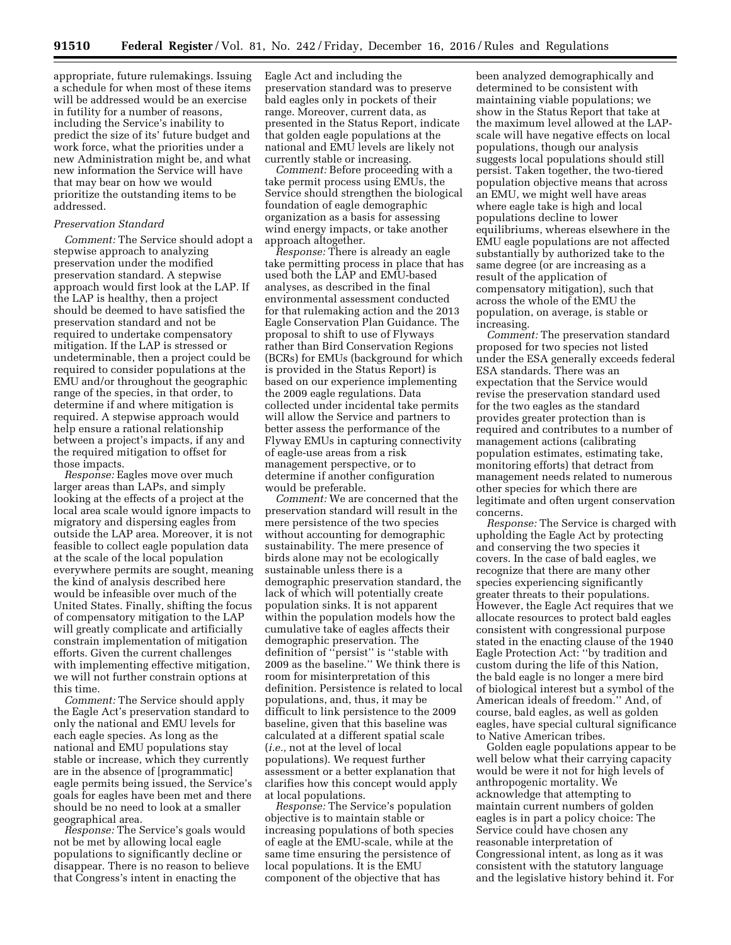appropriate, future rulemakings. Issuing a schedule for when most of these items will be addressed would be an exercise in futility for a number of reasons, including the Service's inability to predict the size of its' future budget and work force, what the priorities under a new Administration might be, and what new information the Service will have that may bear on how we would prioritize the outstanding items to be addressed.

## *Preservation Standard*

*Comment:* The Service should adopt a stepwise approach to analyzing preservation under the modified preservation standard. A stepwise approach would first look at the LAP. If the LAP is healthy, then a project should be deemed to have satisfied the preservation standard and not be required to undertake compensatory mitigation. If the LAP is stressed or undeterminable, then a project could be required to consider populations at the EMU and/or throughout the geographic range of the species, in that order, to determine if and where mitigation is required. A stepwise approach would help ensure a rational relationship between a project's impacts, if any and the required mitigation to offset for those impacts.

*Response:* Eagles move over much larger areas than LAPs, and simply looking at the effects of a project at the local area scale would ignore impacts to migratory and dispersing eagles from outside the LAP area. Moreover, it is not feasible to collect eagle population data at the scale of the local population everywhere permits are sought, meaning the kind of analysis described here would be infeasible over much of the United States. Finally, shifting the focus of compensatory mitigation to the LAP will greatly complicate and artificially constrain implementation of mitigation efforts. Given the current challenges with implementing effective mitigation, we will not further constrain options at this time.

*Comment:* The Service should apply the Eagle Act's preservation standard to only the national and EMU levels for each eagle species. As long as the national and EMU populations stay stable or increase, which they currently are in the absence of [programmatic] eagle permits being issued, the Service's goals for eagles have been met and there should be no need to look at a smaller geographical area.

*Response:* The Service's goals would not be met by allowing local eagle populations to significantly decline or disappear. There is no reason to believe that Congress's intent in enacting the

Eagle Act and including the preservation standard was to preserve bald eagles only in pockets of their range. Moreover, current data, as presented in the Status Report, indicate that golden eagle populations at the national and EMU levels are likely not currently stable or increasing.

*Comment:* Before proceeding with a take permit process using EMUs, the Service should strengthen the biological foundation of eagle demographic organization as a basis for assessing wind energy impacts, or take another approach altogether.

*Response:* There is already an eagle take permitting process in place that has used both the LAP and EMU-based analyses, as described in the final environmental assessment conducted for that rulemaking action and the 2013 Eagle Conservation Plan Guidance. The proposal to shift to use of Flyways rather than Bird Conservation Regions (BCRs) for EMUs (background for which is provided in the Status Report) is based on our experience implementing the 2009 eagle regulations. Data collected under incidental take permits will allow the Service and partners to better assess the performance of the Flyway EMUs in capturing connectivity of eagle-use areas from a risk management perspective, or to determine if another configuration would be preferable.

*Comment:* We are concerned that the preservation standard will result in the mere persistence of the two species without accounting for demographic sustainability. The mere presence of birds alone may not be ecologically sustainable unless there is a demographic preservation standard, the lack of which will potentially create population sinks. It is not apparent within the population models how the cumulative take of eagles affects their demographic preservation. The definition of ''persist'' is ''stable with 2009 as the baseline.'' We think there is room for misinterpretation of this definition. Persistence is related to local populations, and, thus, it may be difficult to link persistence to the 2009 baseline, given that this baseline was calculated at a different spatial scale (*i.e.,* not at the level of local populations). We request further assessment or a better explanation that clarifies how this concept would apply at local populations.

*Response:* The Service's population objective is to maintain stable or increasing populations of both species of eagle at the EMU-scale, while at the same time ensuring the persistence of local populations. It is the EMU component of the objective that has

been analyzed demographically and determined to be consistent with maintaining viable populations; we show in the Status Report that take at the maximum level allowed at the LAPscale will have negative effects on local populations, though our analysis suggests local populations should still persist. Taken together, the two-tiered population objective means that across an EMU, we might well have areas where eagle take is high and local populations decline to lower equilibriums, whereas elsewhere in the EMU eagle populations are not affected substantially by authorized take to the same degree (or are increasing as a result of the application of compensatory mitigation), such that across the whole of the EMU the population, on average, is stable or increasing.

*Comment:* The preservation standard proposed for two species not listed under the ESA generally exceeds federal ESA standards. There was an expectation that the Service would revise the preservation standard used for the two eagles as the standard provides greater protection than is required and contributes to a number of management actions (calibrating population estimates, estimating take, monitoring efforts) that detract from management needs related to numerous other species for which there are legitimate and often urgent conservation concerns.

*Response:* The Service is charged with upholding the Eagle Act by protecting and conserving the two species it covers. In the case of bald eagles, we recognize that there are many other species experiencing significantly greater threats to their populations. However, the Eagle Act requires that we allocate resources to protect bald eagles consistent with congressional purpose stated in the enacting clause of the 1940 Eagle Protection Act: ''by tradition and custom during the life of this Nation, the bald eagle is no longer a mere bird of biological interest but a symbol of the American ideals of freedom.'' And, of course, bald eagles, as well as golden eagles, have special cultural significance to Native American tribes.

Golden eagle populations appear to be well below what their carrying capacity would be were it not for high levels of anthropogenic mortality. We acknowledge that attempting to maintain current numbers of golden eagles is in part a policy choice: The Service could have chosen any reasonable interpretation of Congressional intent, as long as it was consistent with the statutory language and the legislative history behind it. For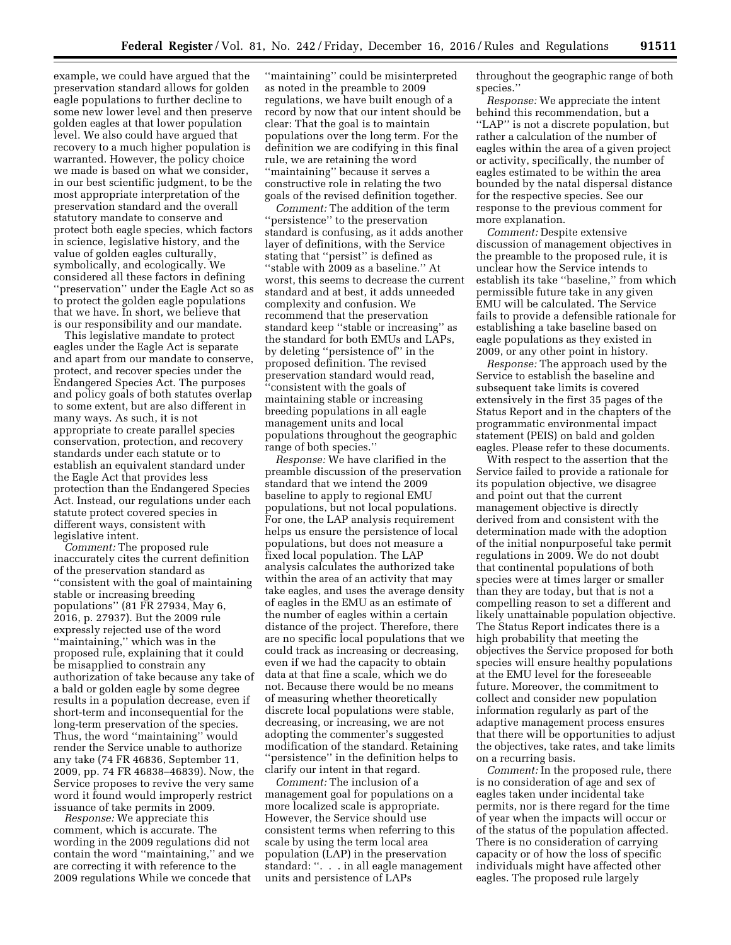example, we could have argued that the preservation standard allows for golden eagle populations to further decline to some new lower level and then preserve golden eagles at that lower population level. We also could have argued that recovery to a much higher population is warranted. However, the policy choice we made is based on what we consider, in our best scientific judgment, to be the most appropriate interpretation of the preservation standard and the overall statutory mandate to conserve and protect both eagle species, which factors in science, legislative history, and the value of golden eagles culturally, symbolically, and ecologically. We considered all these factors in defining ''preservation'' under the Eagle Act so as to protect the golden eagle populations that we have. In short, we believe that is our responsibility and our mandate.

This legislative mandate to protect eagles under the Eagle Act is separate and apart from our mandate to conserve, protect, and recover species under the Endangered Species Act. The purposes and policy goals of both statutes overlap to some extent, but are also different in many ways. As such, it is not appropriate to create parallel species conservation, protection, and recovery standards under each statute or to establish an equivalent standard under the Eagle Act that provides less protection than the Endangered Species Act. Instead, our regulations under each statute protect covered species in different ways, consistent with legislative intent.

*Comment:* The proposed rule inaccurately cites the current definition of the preservation standard as ''consistent with the goal of maintaining stable or increasing breeding populations'' (81 FR 27934, May 6, 2016, p. 27937). But the 2009 rule expressly rejected use of the word ''maintaining,'' which was in the proposed rule, explaining that it could be misapplied to constrain any authorization of take because any take of a bald or golden eagle by some degree results in a population decrease, even if short-term and inconsequential for the long-term preservation of the species. Thus, the word ''maintaining'' would render the Service unable to authorize any take (74 FR 46836, September 11, 2009, pp. 74 FR 46838–46839). Now, the Service proposes to revive the very same word it found would improperly restrict issuance of take permits in 2009.

*Response:* We appreciate this comment, which is accurate. The wording in the 2009 regulations did not contain the word ''maintaining,'' and we are correcting it with reference to the 2009 regulations While we concede that

''maintaining'' could be misinterpreted as noted in the preamble to 2009 regulations, we have built enough of a record by now that our intent should be clear: That the goal is to maintain populations over the long term. For the definition we are codifying in this final rule, we are retaining the word ''maintaining'' because it serves a constructive role in relating the two goals of the revised definition together.

*Comment:* The addition of the term ''persistence'' to the preservation standard is confusing, as it adds another layer of definitions, with the Service stating that ''persist'' is defined as ''stable with 2009 as a baseline.'' At worst, this seems to decrease the current standard and at best, it adds unneeded complexity and confusion. We recommend that the preservation standard keep ''stable or increasing'' as the standard for both EMUs and LAPs, by deleting ''persistence of'' in the proposed definition. The revised preservation standard would read, 'consistent with the goals of maintaining stable or increasing breeding populations in all eagle management units and local populations throughout the geographic range of both species.''

*Response:* We have clarified in the preamble discussion of the preservation standard that we intend the 2009 baseline to apply to regional EMU populations, but not local populations. For one, the LAP analysis requirement helps us ensure the persistence of local populations, but does not measure a fixed local population. The LAP analysis calculates the authorized take within the area of an activity that may take eagles, and uses the average density of eagles in the EMU as an estimate of the number of eagles within a certain distance of the project. Therefore, there are no specific local populations that we could track as increasing or decreasing, even if we had the capacity to obtain data at that fine a scale, which we do not. Because there would be no means of measuring whether theoretically discrete local populations were stable, decreasing, or increasing, we are not adopting the commenter's suggested modification of the standard. Retaining ''persistence'' in the definition helps to clarify our intent in that regard.

*Comment:* The inclusion of a management goal for populations on a more localized scale is appropriate. However, the Service should use consistent terms when referring to this scale by using the term local area population (LAP) in the preservation standard: ''. . . in all eagle management units and persistence of LAPs

throughout the geographic range of both species.''

*Response:* We appreciate the intent behind this recommendation, but a ''LAP'' is not a discrete population, but rather a calculation of the number of eagles within the area of a given project or activity, specifically, the number of eagles estimated to be within the area bounded by the natal dispersal distance for the respective species. See our response to the previous comment for more explanation.

*Comment:* Despite extensive discussion of management objectives in the preamble to the proposed rule, it is unclear how the Service intends to establish its take ''baseline,'' from which permissible future take in any given EMU will be calculated. The Service fails to provide a defensible rationale for establishing a take baseline based on eagle populations as they existed in 2009, or any other point in history.

*Response:* The approach used by the Service to establish the baseline and subsequent take limits is covered extensively in the first 35 pages of the Status Report and in the chapters of the programmatic environmental impact statement (PEIS) on bald and golden eagles. Please refer to these documents.

With respect to the assertion that the Service failed to provide a rationale for its population objective, we disagree and point out that the current management objective is directly derived from and consistent with the determination made with the adoption of the initial nonpurposeful take permit regulations in 2009. We do not doubt that continental populations of both species were at times larger or smaller than they are today, but that is not a compelling reason to set a different and likely unattainable population objective. The Status Report indicates there is a high probability that meeting the objectives the Service proposed for both species will ensure healthy populations at the EMU level for the foreseeable future. Moreover, the commitment to collect and consider new population information regularly as part of the adaptive management process ensures that there will be opportunities to adjust the objectives, take rates, and take limits on a recurring basis.

*Comment:* In the proposed rule, there is no consideration of age and sex of eagles taken under incidental take permits, nor is there regard for the time of year when the impacts will occur or of the status of the population affected. There is no consideration of carrying capacity or of how the loss of specific individuals might have affected other eagles. The proposed rule largely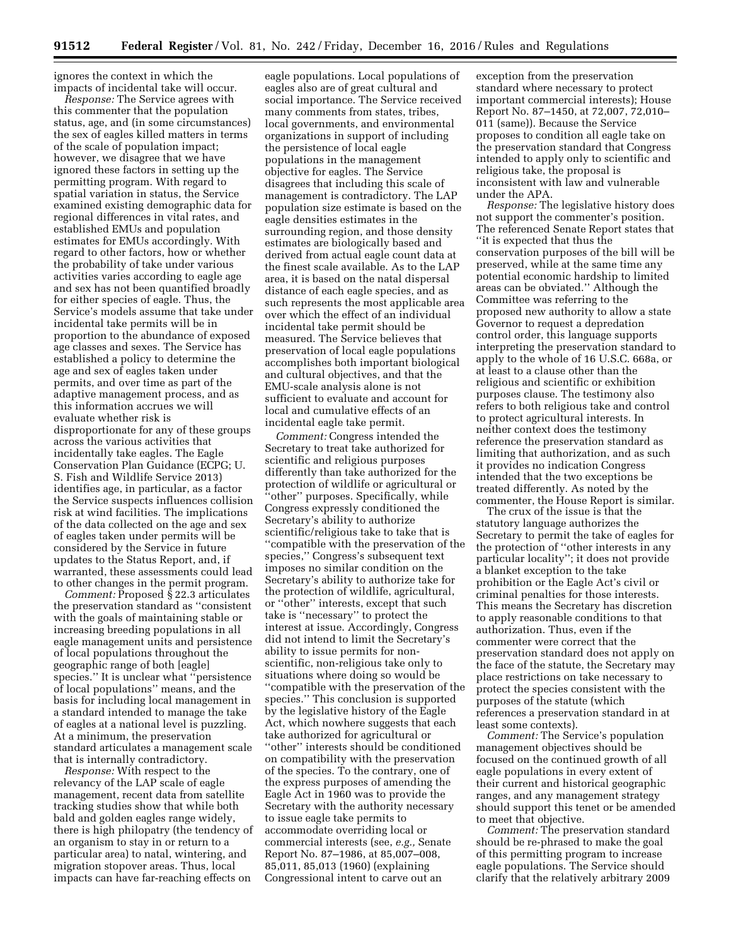ignores the context in which the impacts of incidental take will occur.

*Response:* The Service agrees with this commenter that the population status, age, and (in some circumstances) the sex of eagles killed matters in terms of the scale of population impact; however, we disagree that we have ignored these factors in setting up the permitting program. With regard to spatial variation in status, the Service examined existing demographic data for regional differences in vital rates, and established EMUs and population estimates for EMUs accordingly. With regard to other factors, how or whether the probability of take under various activities varies according to eagle age and sex has not been quantified broadly for either species of eagle. Thus, the Service's models assume that take under incidental take permits will be in proportion to the abundance of exposed age classes and sexes. The Service has established a policy to determine the age and sex of eagles taken under permits, and over time as part of the adaptive management process, and as this information accrues we will evaluate whether risk is disproportionate for any of these groups across the various activities that incidentally take eagles. The Eagle Conservation Plan Guidance (ECPG; U. S. Fish and Wildlife Service 2013) identifies age, in particular, as a factor the Service suspects influences collision risk at wind facilities. The implications of the data collected on the age and sex of eagles taken under permits will be considered by the Service in future updates to the Status Report, and, if warranted, these assessments could lead to other changes in the permit program.

*Comment:* Proposed § 22.3 articulates the preservation standard as ''consistent with the goals of maintaining stable or increasing breeding populations in all eagle management units and persistence of local populations throughout the geographic range of both [eagle] species.'' It is unclear what ''persistence of local populations'' means, and the basis for including local management in a standard intended to manage the take of eagles at a national level is puzzling. At a minimum, the preservation standard articulates a management scale that is internally contradictory.

*Response:* With respect to the relevancy of the LAP scale of eagle management, recent data from satellite tracking studies show that while both bald and golden eagles range widely, there is high philopatry (the tendency of an organism to stay in or return to a particular area) to natal, wintering, and migration stopover areas. Thus, local impacts can have far-reaching effects on

eagle populations. Local populations of eagles also are of great cultural and social importance. The Service received many comments from states, tribes, local governments, and environmental organizations in support of including the persistence of local eagle populations in the management objective for eagles. The Service disagrees that including this scale of management is contradictory. The LAP population size estimate is based on the eagle densities estimates in the surrounding region, and those density estimates are biologically based and derived from actual eagle count data at the finest scale available. As to the LAP area, it is based on the natal dispersal distance of each eagle species, and as such represents the most applicable area over which the effect of an individual incidental take permit should be measured. The Service believes that preservation of local eagle populations accomplishes both important biological and cultural objectives, and that the EMU-scale analysis alone is not sufficient to evaluate and account for local and cumulative effects of an incidental eagle take permit.

*Comment:* Congress intended the Secretary to treat take authorized for scientific and religious purposes differently than take authorized for the protection of wildlife or agricultural or ''other'' purposes. Specifically, while Congress expressly conditioned the Secretary's ability to authorize scientific/religious take to take that is ''compatible with the preservation of the species,'' Congress's subsequent text imposes no similar condition on the Secretary's ability to authorize take for the protection of wildlife, agricultural, or ''other'' interests, except that such take is ''necessary'' to protect the interest at issue. Accordingly, Congress did not intend to limit the Secretary's ability to issue permits for nonscientific, non-religious take only to situations where doing so would be ''compatible with the preservation of the species.'' This conclusion is supported by the legislative history of the Eagle Act, which nowhere suggests that each take authorized for agricultural or ''other'' interests should be conditioned on compatibility with the preservation of the species. To the contrary, one of the express purposes of amending the Eagle Act in 1960 was to provide the Secretary with the authority necessary to issue eagle take permits to accommodate overriding local or commercial interests (see, *e.g.,* Senate Report No. 87–1986, at 85,007–008, 85,011, 85,013 (1960) (explaining Congressional intent to carve out an

exception from the preservation standard where necessary to protect important commercial interests); House Report No. 87–1450, at 72,007, 72,010– 011 (same)). Because the Service proposes to condition all eagle take on the preservation standard that Congress intended to apply only to scientific and religious take, the proposal is inconsistent with law and vulnerable under the APA.

*Response:* The legislative history does not support the commenter's position. The referenced Senate Report states that ''it is expected that thus the conservation purposes of the bill will be preserved, while at the same time any potential economic hardship to limited areas can be obviated.'' Although the Committee was referring to the proposed new authority to allow a state Governor to request a depredation control order, this language supports interpreting the preservation standard to apply to the whole of 16 U.S.C. 668a, or at least to a clause other than the religious and scientific or exhibition purposes clause. The testimony also refers to both religious take and control to protect agricultural interests. In neither context does the testimony reference the preservation standard as limiting that authorization, and as such it provides no indication Congress intended that the two exceptions be treated differently. As noted by the commenter, the House Report is similar.

The crux of the issue is that the statutory language authorizes the Secretary to permit the take of eagles for the protection of ''other interests in any particular locality''; it does not provide a blanket exception to the take prohibition or the Eagle Act's civil or criminal penalties for those interests. This means the Secretary has discretion to apply reasonable conditions to that authorization. Thus, even if the commenter were correct that the preservation standard does not apply on the face of the statute, the Secretary may place restrictions on take necessary to protect the species consistent with the purposes of the statute (which references a preservation standard in at least some contexts).

*Comment:* The Service's population management objectives should be focused on the continued growth of all eagle populations in every extent of their current and historical geographic ranges, and any management strategy should support this tenet or be amended to meet that objective.

*Comment:* The preservation standard should be re-phrased to make the goal of this permitting program to increase eagle populations. The Service should clarify that the relatively arbitrary 2009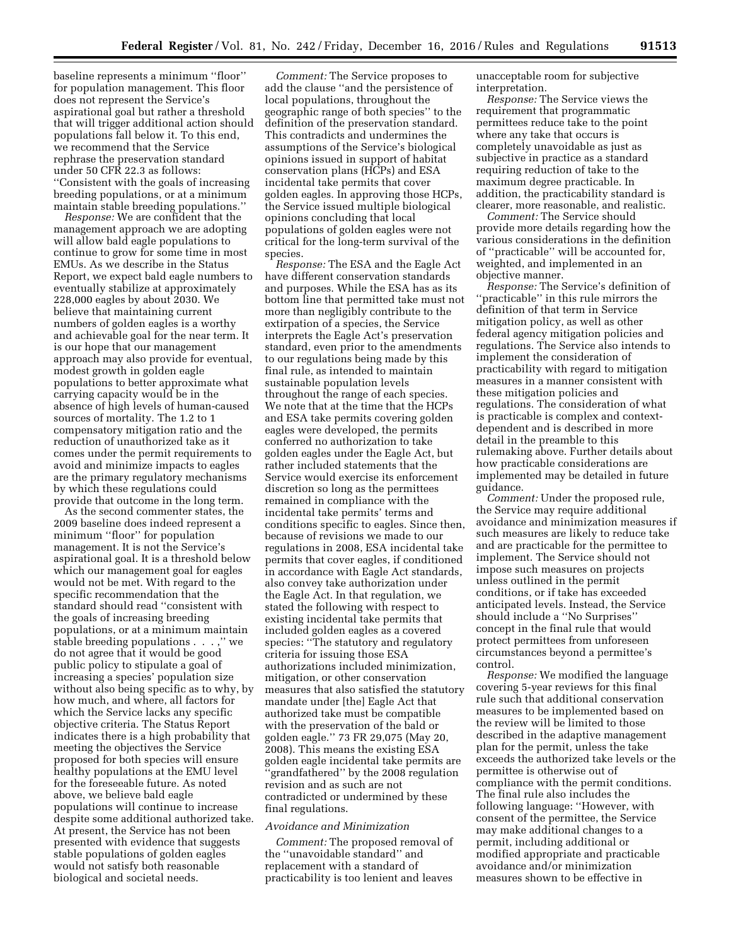baseline represents a minimum ''floor'' for population management. This floor does not represent the Service's aspirational goal but rather a threshold that will trigger additional action should populations fall below it. To this end, we recommend that the Service rephrase the preservation standard under 50 CFR 22.3 as follows: ''Consistent with the goals of increasing breeding populations, or at a minimum maintain stable breeding populations.''

*Response:* We are confident that the management approach we are adopting will allow bald eagle populations to continue to grow for some time in most EMUs. As we describe in the Status Report, we expect bald eagle numbers to eventually stabilize at approximately 228,000 eagles by about 2030. We believe that maintaining current numbers of golden eagles is a worthy and achievable goal for the near term. It is our hope that our management approach may also provide for eventual, modest growth in golden eagle populations to better approximate what carrying capacity would be in the absence of high levels of human-caused sources of mortality. The 1.2 to 1 compensatory mitigation ratio and the reduction of unauthorized take as it comes under the permit requirements to avoid and minimize impacts to eagles are the primary regulatory mechanisms by which these regulations could provide that outcome in the long term.

As the second commenter states, the 2009 baseline does indeed represent a minimum ''floor'' for population management. It is not the Service's aspirational goal. It is a threshold below which our management goal for eagles would not be met. With regard to the specific recommendation that the standard should read ''consistent with the goals of increasing breeding populations, or at a minimum maintain stable breeding populations . . . ,'' we do not agree that it would be good public policy to stipulate a goal of increasing a species' population size without also being specific as to why, by how much, and where, all factors for which the Service lacks any specific objective criteria. The Status Report indicates there is a high probability that meeting the objectives the Service proposed for both species will ensure healthy populations at the EMU level for the foreseeable future. As noted above, we believe bald eagle populations will continue to increase despite some additional authorized take. At present, the Service has not been presented with evidence that suggests stable populations of golden eagles would not satisfy both reasonable biological and societal needs.

*Comment:* The Service proposes to add the clause ''and the persistence of local populations, throughout the geographic range of both species'' to the definition of the preservation standard. This contradicts and undermines the assumptions of the Service's biological opinions issued in support of habitat conservation plans (HCPs) and ESA incidental take permits that cover golden eagles. In approving those HCPs, the Service issued multiple biological opinions concluding that local populations of golden eagles were not critical for the long-term survival of the species.

*Response:* The ESA and the Eagle Act have different conservation standards and purposes. While the ESA has as its bottom line that permitted take must not more than negligibly contribute to the extirpation of a species, the Service interprets the Eagle Act's preservation standard, even prior to the amendments to our regulations being made by this final rule, as intended to maintain sustainable population levels throughout the range of each species. We note that at the time that the HCPs and ESA take permits covering golden eagles were developed, the permits conferred no authorization to take golden eagles under the Eagle Act, but rather included statements that the Service would exercise its enforcement discretion so long as the permittees remained in compliance with the incidental take permits' terms and conditions specific to eagles. Since then, because of revisions we made to our regulations in 2008, ESA incidental take permits that cover eagles, if conditioned in accordance with Eagle Act standards, also convey take authorization under the Eagle Act. In that regulation, we stated the following with respect to existing incidental take permits that included golden eagles as a covered species: ''The statutory and regulatory criteria for issuing those ESA authorizations included minimization, mitigation, or other conservation measures that also satisfied the statutory mandate under [the] Eagle Act that authorized take must be compatible with the preservation of the bald or golden eagle.'' 73 FR 29,075 (May 20, 2008). This means the existing ESA golden eagle incidental take permits are  $\epsilon$ 'grandfat $\check{\rm{hered}}$ '' by the 2008 regulation revision and as such are not contradicted or undermined by these final regulations.

#### *Avoidance and Minimization*

*Comment:* The proposed removal of the ''unavoidable standard'' and replacement with a standard of practicability is too lenient and leaves

unacceptable room for subjective interpretation.

*Response:* The Service views the requirement that programmatic permittees reduce take to the point where any take that occurs is completely unavoidable as just as subjective in practice as a standard requiring reduction of take to the maximum degree practicable. In addition, the practicability standard is clearer, more reasonable, and realistic.

*Comment:* The Service should provide more details regarding how the various considerations in the definition of ''practicable'' will be accounted for, weighted, and implemented in an objective manner.

*Response:* The Service's definition of ''practicable'' in this rule mirrors the definition of that term in Service mitigation policy, as well as other federal agency mitigation policies and regulations. The Service also intends to implement the consideration of practicability with regard to mitigation measures in a manner consistent with these mitigation policies and regulations. The consideration of what is practicable is complex and contextdependent and is described in more detail in the preamble to this rulemaking above. Further details about how practicable considerations are implemented may be detailed in future guidance.

*Comment:* Under the proposed rule, the Service may require additional avoidance and minimization measures if such measures are likely to reduce take and are practicable for the permittee to implement. The Service should not impose such measures on projects unless outlined in the permit conditions, or if take has exceeded anticipated levels. Instead, the Service should include a ''No Surprises'' concept in the final rule that would protect permittees from unforeseen circumstances beyond a permittee's control.

*Response:* We modified the language covering 5-year reviews for this final rule such that additional conservation measures to be implemented based on the review will be limited to those described in the adaptive management plan for the permit, unless the take exceeds the authorized take levels or the permittee is otherwise out of compliance with the permit conditions. The final rule also includes the following language: ''However, with consent of the permittee, the Service may make additional changes to a permit, including additional or modified appropriate and practicable avoidance and/or minimization measures shown to be effective in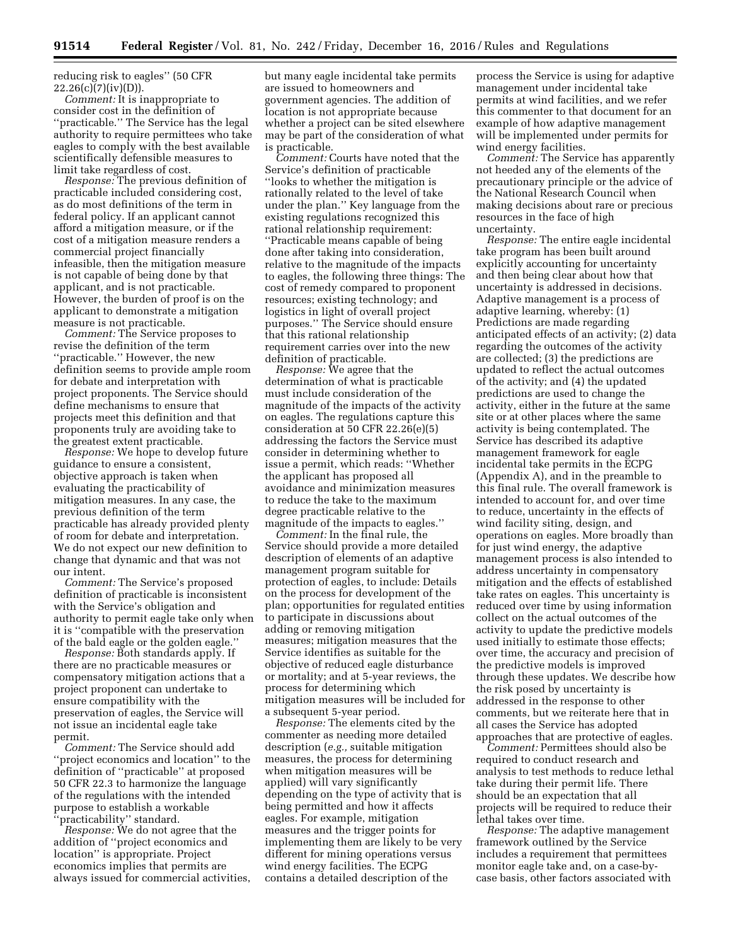reducing risk to eagles'' (50 CFR  $22.26(c)(7)(iv)(D)).$ 

*Comment:* It is inappropriate to consider cost in the definition of ''practicable.'' The Service has the legal authority to require permittees who take eagles to comply with the best available scientifically defensible measures to limit take regardless of cost.

*Response:* The previous definition of practicable included considering cost, as do most definitions of the term in federal policy. If an applicant cannot afford a mitigation measure, or if the cost of a mitigation measure renders a commercial project financially infeasible, then the mitigation measure is not capable of being done by that applicant, and is not practicable. However, the burden of proof is on the applicant to demonstrate a mitigation measure is not practicable.

*Comment:* The Service proposes to revise the definition of the term ''practicable.'' However, the new definition seems to provide ample room for debate and interpretation with project proponents. The Service should define mechanisms to ensure that projects meet this definition and that proponents truly are avoiding take to the greatest extent practicable.

*Response:* We hope to develop future guidance to ensure a consistent, objective approach is taken when evaluating the practicability of mitigation measures. In any case, the previous definition of the term practicable has already provided plenty of room for debate and interpretation. We do not expect our new definition to change that dynamic and that was not our intent.

*Comment:* The Service's proposed definition of practicable is inconsistent with the Service's obligation and authority to permit eagle take only when it is ''compatible with the preservation of the bald eagle or the golden eagle.''

*Response:* Both standards apply. If there are no practicable measures or compensatory mitigation actions that a project proponent can undertake to ensure compatibility with the preservation of eagles, the Service will not issue an incidental eagle take permit.

*Comment:* The Service should add ''project economics and location'' to the definition of ''practicable'' at proposed 50 CFR 22.3 to harmonize the language of the regulations with the intended purpose to establish a workable 'practicability" standard.

*Response:* We do not agree that the addition of ''project economics and location'' is appropriate. Project economics implies that permits are always issued for commercial activities,

but many eagle incidental take permits are issued to homeowners and government agencies. The addition of location is not appropriate because whether a project can be sited elsewhere may be part of the consideration of what is practicable.

*Comment:* Courts have noted that the Service's definition of practicable ''looks to whether the mitigation is rationally related to the level of take under the plan.'' Key language from the existing regulations recognized this rational relationship requirement: ''Practicable means capable of being done after taking into consideration, relative to the magnitude of the impacts to eagles, the following three things: The cost of remedy compared to proponent resources; existing technology; and logistics in light of overall project purposes.'' The Service should ensure that this rational relationship requirement carries over into the new definition of practicable.

*Response:* We agree that the determination of what is practicable must include consideration of the magnitude of the impacts of the activity on eagles. The regulations capture this consideration at 50 CFR 22.26(e)(5) addressing the factors the Service must consider in determining whether to issue a permit, which reads: ''Whether the applicant has proposed all avoidance and minimization measures to reduce the take to the maximum degree practicable relative to the magnitude of the impacts to eagles.''

*Comment:* In the final rule, the Service should provide a more detailed description of elements of an adaptive management program suitable for protection of eagles, to include: Details on the process for development of the plan; opportunities for regulated entities to participate in discussions about adding or removing mitigation measures; mitigation measures that the Service identifies as suitable for the objective of reduced eagle disturbance or mortality; and at 5-year reviews, the process for determining which mitigation measures will be included for a subsequent 5-year period.

*Response:* The elements cited by the commenter as needing more detailed description (*e.g.,* suitable mitigation measures, the process for determining when mitigation measures will be applied) will vary significantly depending on the type of activity that is being permitted and how it affects eagles. For example, mitigation measures and the trigger points for implementing them are likely to be very different for mining operations versus wind energy facilities. The ECPG contains a detailed description of the

process the Service is using for adaptive management under incidental take permits at wind facilities, and we refer this commenter to that document for an example of how adaptive management will be implemented under permits for wind energy facilities.

*Comment:* The Service has apparently not heeded any of the elements of the precautionary principle or the advice of the National Research Council when making decisions about rare or precious resources in the face of high uncertainty.

*Response:* The entire eagle incidental take program has been built around explicitly accounting for uncertainty and then being clear about how that uncertainty is addressed in decisions. Adaptive management is a process of adaptive learning, whereby: (1) Predictions are made regarding anticipated effects of an activity; (2) data regarding the outcomes of the activity are collected; (3) the predictions are updated to reflect the actual outcomes of the activity; and (4) the updated predictions are used to change the activity, either in the future at the same site or at other places where the same activity is being contemplated. The Service has described its adaptive management framework for eagle incidental take permits in the ECPG (Appendix A), and in the preamble to this final rule. The overall framework is intended to account for, and over time to reduce, uncertainty in the effects of wind facility siting, design, and operations on eagles. More broadly than for just wind energy, the adaptive management process is also intended to address uncertainty in compensatory mitigation and the effects of established take rates on eagles. This uncertainty is reduced over time by using information collect on the actual outcomes of the activity to update the predictive models used initially to estimate those effects; over time, the accuracy and precision of the predictive models is improved through these updates. We describe how the risk posed by uncertainty is addressed in the response to other comments, but we reiterate here that in all cases the Service has adopted approaches that are protective of eagles.

*Comment:* Permittees should also be required to conduct research and analysis to test methods to reduce lethal take during their permit life. There should be an expectation that all projects will be required to reduce their lethal takes over time.

*Response:* The adaptive management framework outlined by the Service includes a requirement that permittees monitor eagle take and, on a case-bycase basis, other factors associated with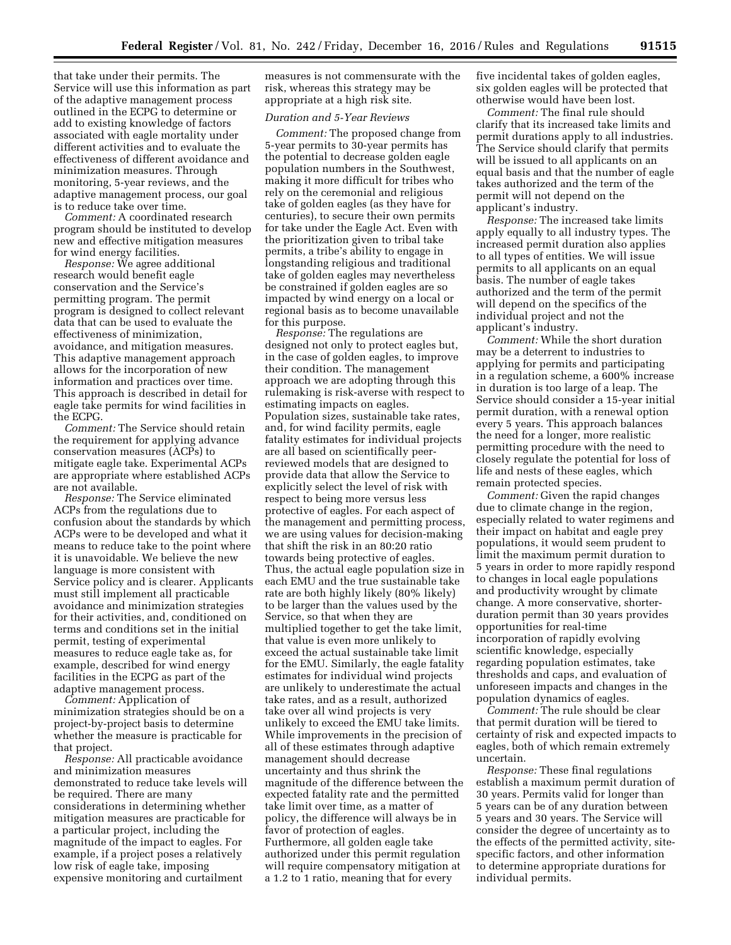that take under their permits. The Service will use this information as part of the adaptive management process outlined in the ECPG to determine or add to existing knowledge of factors associated with eagle mortality under different activities and to evaluate the effectiveness of different avoidance and minimization measures. Through monitoring, 5-year reviews, and the adaptive management process, our goal is to reduce take over time.

*Comment:* A coordinated research program should be instituted to develop new and effective mitigation measures for wind energy facilities.

*Response:* We agree additional research would benefit eagle conservation and the Service's permitting program. The permit program is designed to collect relevant data that can be used to evaluate the effectiveness of minimization, avoidance, and mitigation measures. This adaptive management approach allows for the incorporation of new information and practices over time. This approach is described in detail for eagle take permits for wind facilities in the ECPG.

*Comment:* The Service should retain the requirement for applying advance conservation measures (ACPs) to mitigate eagle take. Experimental ACPs are appropriate where established ACPs are not available.

*Response:* The Service eliminated ACPs from the regulations due to confusion about the standards by which ACPs were to be developed and what it means to reduce take to the point where it is unavoidable. We believe the new language is more consistent with Service policy and is clearer. Applicants must still implement all practicable avoidance and minimization strategies for their activities, and, conditioned on terms and conditions set in the initial permit, testing of experimental measures to reduce eagle take as, for example, described for wind energy facilities in the ECPG as part of the adaptive management process.

*Comment:* Application of minimization strategies should be on a project-by-project basis to determine whether the measure is practicable for that project.

*Response:* All practicable avoidance and minimization measures demonstrated to reduce take levels will be required. There are many considerations in determining whether mitigation measures are practicable for a particular project, including the magnitude of the impact to eagles. For example, if a project poses a relatively low risk of eagle take, imposing expensive monitoring and curtailment

measures is not commensurate with the risk, whereas this strategy may be appropriate at a high risk site.

# *Duration and 5-Year Reviews*

*Comment:* The proposed change from 5-year permits to 30-year permits has the potential to decrease golden eagle population numbers in the Southwest, making it more difficult for tribes who rely on the ceremonial and religious take of golden eagles (as they have for centuries), to secure their own permits for take under the Eagle Act. Even with the prioritization given to tribal take permits, a tribe's ability to engage in longstanding religious and traditional take of golden eagles may nevertheless be constrained if golden eagles are so impacted by wind energy on a local or regional basis as to become unavailable for this purpose.

*Response:* The regulations are designed not only to protect eagles but, in the case of golden eagles, to improve their condition. The management approach we are adopting through this rulemaking is risk-averse with respect to estimating impacts on eagles. Population sizes, sustainable take rates, and, for wind facility permits, eagle fatality estimates for individual projects are all based on scientifically peerreviewed models that are designed to provide data that allow the Service to explicitly select the level of risk with respect to being more versus less protective of eagles. For each aspect of the management and permitting process, we are using values for decision-making that shift the risk in an 80:20 ratio towards being protective of eagles. Thus, the actual eagle population size in each EMU and the true sustainable take rate are both highly likely (80% likely) to be larger than the values used by the Service, so that when they are multiplied together to get the take limit, that value is even more unlikely to exceed the actual sustainable take limit for the EMU. Similarly, the eagle fatality estimates for individual wind projects are unlikely to underestimate the actual take rates, and as a result, authorized take over all wind projects is very unlikely to exceed the EMU take limits. While improvements in the precision of all of these estimates through adaptive management should decrease uncertainty and thus shrink the magnitude of the difference between the expected fatality rate and the permitted take limit over time, as a matter of policy, the difference will always be in favor of protection of eagles. Furthermore, all golden eagle take authorized under this permit regulation will require compensatory mitigation at a 1.2 to 1 ratio, meaning that for every

five incidental takes of golden eagles, six golden eagles will be protected that otherwise would have been lost.

*Comment:* The final rule should clarify that its increased take limits and permit durations apply to all industries. The Service should clarify that permits will be issued to all applicants on an equal basis and that the number of eagle takes authorized and the term of the permit will not depend on the applicant's industry.

*Response:* The increased take limits apply equally to all industry types. The increased permit duration also applies to all types of entities. We will issue permits to all applicants on an equal basis. The number of eagle takes authorized and the term of the permit will depend on the specifics of the individual project and not the applicant's industry.

*Comment:* While the short duration may be a deterrent to industries to applying for permits and participating in a regulation scheme, a 600% increase in duration is too large of a leap. The Service should consider a 15-year initial permit duration, with a renewal option every 5 years. This approach balances the need for a longer, more realistic permitting procedure with the need to closely regulate the potential for loss of life and nests of these eagles, which remain protected species.

*Comment:* Given the rapid changes due to climate change in the region, especially related to water regimens and their impact on habitat and eagle prey populations, it would seem prudent to limit the maximum permit duration to 5 years in order to more rapidly respond to changes in local eagle populations and productivity wrought by climate change. A more conservative, shorterduration permit than 30 years provides opportunities for real-time incorporation of rapidly evolving scientific knowledge, especially regarding population estimates, take thresholds and caps, and evaluation of unforeseen impacts and changes in the population dynamics of eagles.

*Comment:* The rule should be clear that permit duration will be tiered to certainty of risk and expected impacts to eagles, both of which remain extremely uncertain.

*Response:* These final regulations establish a maximum permit duration of 30 years. Permits valid for longer than 5 years can be of any duration between 5 years and 30 years. The Service will consider the degree of uncertainty as to the effects of the permitted activity, sitespecific factors, and other information to determine appropriate durations for individual permits.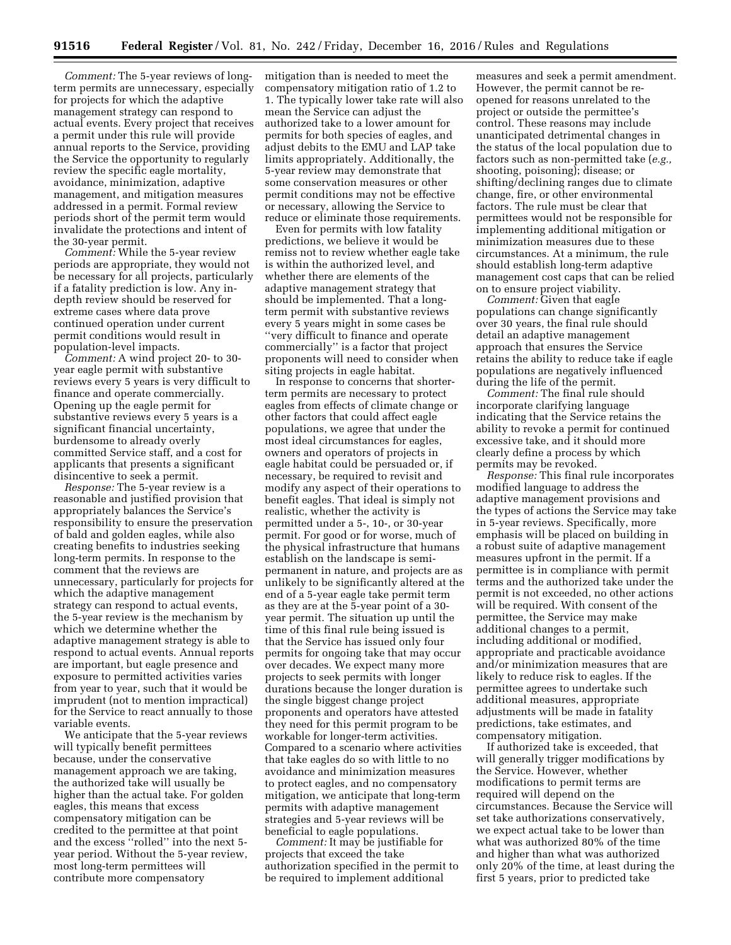*Comment:* The 5-year reviews of longterm permits are unnecessary, especially for projects for which the adaptive management strategy can respond to actual events. Every project that receives a permit under this rule will provide annual reports to the Service, providing the Service the opportunity to regularly review the specific eagle mortality, avoidance, minimization, adaptive management, and mitigation measures addressed in a permit. Formal review periods short of the permit term would invalidate the protections and intent of the 30-year permit.

*Comment:* While the 5-year review periods are appropriate, they would not be necessary for all projects, particularly if a fatality prediction is low. Any indepth review should be reserved for extreme cases where data prove continued operation under current permit conditions would result in population-level impacts.

*Comment:* A wind project 20- to 30 year eagle permit with substantive reviews every 5 years is very difficult to finance and operate commercially. Opening up the eagle permit for substantive reviews every 5 years is a significant financial uncertainty, burdensome to already overly committed Service staff, and a cost for applicants that presents a significant disincentive to seek a permit.

*Response:* The 5-year review is a reasonable and justified provision that appropriately balances the Service's responsibility to ensure the preservation of bald and golden eagles, while also creating benefits to industries seeking long-term permits. In response to the comment that the reviews are unnecessary, particularly for projects for which the adaptive management strategy can respond to actual events, the 5-year review is the mechanism by which we determine whether the adaptive management strategy is able to respond to actual events. Annual reports are important, but eagle presence and exposure to permitted activities varies from year to year, such that it would be imprudent (not to mention impractical) for the Service to react annually to those variable events.

We anticipate that the 5-year reviews will typically benefit permittees because, under the conservative management approach we are taking, the authorized take will usually be higher than the actual take. For golden eagles, this means that excess compensatory mitigation can be credited to the permittee at that point and the excess ''rolled'' into the next 5 year period. Without the 5-year review, most long-term permittees will contribute more compensatory

mitigation than is needed to meet the compensatory mitigation ratio of 1.2 to 1. The typically lower take rate will also mean the Service can adjust the authorized take to a lower amount for permits for both species of eagles, and adjust debits to the EMU and LAP take limits appropriately. Additionally, the 5-year review may demonstrate that some conservation measures or other permit conditions may not be effective or necessary, allowing the Service to reduce or eliminate those requirements.

Even for permits with low fatality predictions, we believe it would be remiss not to review whether eagle take is within the authorized level, and whether there are elements of the adaptive management strategy that should be implemented. That a longterm permit with substantive reviews every 5 years might in some cases be ''very difficult to finance and operate commercially'' is a factor that project proponents will need to consider when siting projects in eagle habitat.

In response to concerns that shorterterm permits are necessary to protect eagles from effects of climate change or other factors that could affect eagle populations, we agree that under the most ideal circumstances for eagles, owners and operators of projects in eagle habitat could be persuaded or, if necessary, be required to revisit and modify any aspect of their operations to benefit eagles. That ideal is simply not realistic, whether the activity is permitted under a 5-, 10-, or 30-year permit. For good or for worse, much of the physical infrastructure that humans establish on the landscape is semipermanent in nature, and projects are as unlikely to be significantly altered at the end of a 5-year eagle take permit term as they are at the 5-year point of a 30 year permit. The situation up until the time of this final rule being issued is that the Service has issued only four permits for ongoing take that may occur over decades. We expect many more projects to seek permits with longer durations because the longer duration is the single biggest change project proponents and operators have attested they need for this permit program to be workable for longer-term activities. Compared to a scenario where activities that take eagles do so with little to no avoidance and minimization measures to protect eagles, and no compensatory mitigation, we anticipate that long-term permits with adaptive management strategies and 5-year reviews will be beneficial to eagle populations.

*Comment:* It may be justifiable for projects that exceed the take authorization specified in the permit to be required to implement additional

measures and seek a permit amendment. However, the permit cannot be reopened for reasons unrelated to the project or outside the permittee's control. These reasons may include unanticipated detrimental changes in the status of the local population due to factors such as non-permitted take (*e.g.,*  shooting, poisoning); disease; or shifting/declining ranges due to climate change, fire, or other environmental factors. The rule must be clear that permittees would not be responsible for implementing additional mitigation or minimization measures due to these circumstances. At a minimum, the rule should establish long-term adaptive management cost caps that can be relied on to ensure project viability.

*Comment:* Given that eagle populations can change significantly over 30 years, the final rule should detail an adaptive management approach that ensures the Service retains the ability to reduce take if eagle populations are negatively influenced during the life of the permit.

*Comment:* The final rule should incorporate clarifying language indicating that the Service retains the ability to revoke a permit for continued excessive take, and it should more clearly define a process by which permits may be revoked.

*Response:* This final rule incorporates modified language to address the adaptive management provisions and the types of actions the Service may take in 5-year reviews. Specifically, more emphasis will be placed on building in a robust suite of adaptive management measures upfront in the permit. If a permittee is in compliance with permit terms and the authorized take under the permit is not exceeded, no other actions will be required. With consent of the permittee, the Service may make additional changes to a permit, including additional or modified, appropriate and practicable avoidance and/or minimization measures that are likely to reduce risk to eagles. If the permittee agrees to undertake such additional measures, appropriate adjustments will be made in fatality predictions, take estimates, and compensatory mitigation.

If authorized take is exceeded, that will generally trigger modifications by the Service. However, whether modifications to permit terms are required will depend on the circumstances. Because the Service will set take authorizations conservatively, we expect actual take to be lower than what was authorized 80% of the time and higher than what was authorized only 20% of the time, at least during the first 5 years, prior to predicted take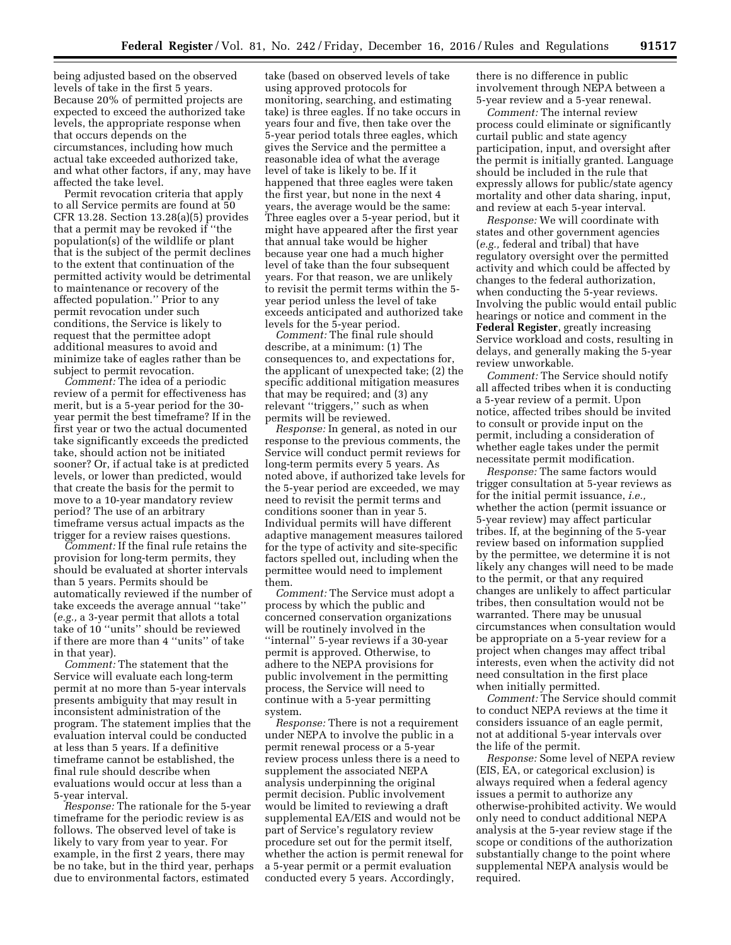being adjusted based on the observed levels of take in the first 5 years. Because 20% of permitted projects are expected to exceed the authorized take levels, the appropriate response when that occurs depends on the circumstances, including how much actual take exceeded authorized take, and what other factors, if any, may have affected the take level.

Permit revocation criteria that apply to all Service permits are found at 50 CFR 13.28. Section 13.28(a)(5) provides that a permit may be revoked if ''the population(s) of the wildlife or plant that is the subject of the permit declines to the extent that continuation of the permitted activity would be detrimental to maintenance or recovery of the affected population.'' Prior to any permit revocation under such conditions, the Service is likely to request that the permittee adopt additional measures to avoid and minimize take of eagles rather than be subject to permit revocation.

*Comment:* The idea of a periodic review of a permit for effectiveness has merit, but is a 5-year period for the 30 year permit the best timeframe? If in the first year or two the actual documented take significantly exceeds the predicted take, should action not be initiated sooner? Or, if actual take is at predicted levels, or lower than predicted, would that create the basis for the permit to move to a 10-year mandatory review period? The use of an arbitrary timeframe versus actual impacts as the trigger for a review raises questions.

*Comment:* If the final rule retains the provision for long-term permits, they should be evaluated at shorter intervals than 5 years. Permits should be automatically reviewed if the number of take exceeds the average annual ''take'' (*e.g.,* a 3-year permit that allots a total take of 10 ''units'' should be reviewed if there are more than 4 ''units'' of take in that year).

*Comment:* The statement that the Service will evaluate each long-term permit at no more than 5-year intervals presents ambiguity that may result in inconsistent administration of the program. The statement implies that the evaluation interval could be conducted at less than 5 years. If a definitive timeframe cannot be established, the final rule should describe when evaluations would occur at less than a 5-year interval.

*Response:* The rationale for the 5-year timeframe for the periodic review is as follows. The observed level of take is likely to vary from year to year. For example, in the first 2 years, there may be no take, but in the third year, perhaps due to environmental factors, estimated

take (based on observed levels of take using approved protocols for monitoring, searching, and estimating take) is three eagles. If no take occurs in years four and five, then take over the 5-year period totals three eagles, which gives the Service and the permittee a reasonable idea of what the average level of take is likely to be. If it happened that three eagles were taken the first year, but none in the next 4 years, the average would be the same: Three eagles over a 5-year period, but it might have appeared after the first year that annual take would be higher because year one had a much higher level of take than the four subsequent years. For that reason, we are unlikely to revisit the permit terms within the 5 year period unless the level of take exceeds anticipated and authorized take levels for the 5-year period.

*Comment:* The final rule should describe, at a minimum: (1) The consequences to, and expectations for, the applicant of unexpected take; (2) the specific additional mitigation measures that may be required; and (3) any relevant ''triggers,'' such as when permits will be reviewed.

*Response:* In general, as noted in our response to the previous comments, the Service will conduct permit reviews for long-term permits every 5 years. As noted above, if authorized take levels for the 5-year period are exceeded, we may need to revisit the permit terms and conditions sooner than in year 5. Individual permits will have different adaptive management measures tailored for the type of activity and site-specific factors spelled out, including when the permittee would need to implement them.

*Comment:* The Service must adopt a process by which the public and concerned conservation organizations will be routinely involved in the ''internal'' 5-year reviews if a 30-year permit is approved. Otherwise, to adhere to the NEPA provisions for public involvement in the permitting process, the Service will need to continue with a 5-year permitting system.

*Response:* There is not a requirement under NEPA to involve the public in a permit renewal process or a 5-year review process unless there is a need to supplement the associated NEPA analysis underpinning the original permit decision. Public involvement would be limited to reviewing a draft supplemental EA/EIS and would not be part of Service's regulatory review procedure set out for the permit itself, whether the action is permit renewal for a 5-year permit or a permit evaluation conducted every 5 years. Accordingly,

there is no difference in public involvement through NEPA between a 5-year review and a 5-year renewal.

*Comment:* The internal review process could eliminate or significantly curtail public and state agency participation, input, and oversight after the permit is initially granted. Language should be included in the rule that expressly allows for public/state agency mortality and other data sharing, input, and review at each 5-year interval.

*Response:* We will coordinate with states and other government agencies (*e.g.,* federal and tribal) that have regulatory oversight over the permitted activity and which could be affected by changes to the federal authorization, when conducting the 5-year reviews. Involving the public would entail public hearings or notice and comment in the **Federal Register**, greatly increasing Service workload and costs, resulting in delays, and generally making the 5-year review unworkable.

*Comment:* The Service should notify all affected tribes when it is conducting a 5-year review of a permit. Upon notice, affected tribes should be invited to consult or provide input on the permit, including a consideration of whether eagle takes under the permit necessitate permit modification.

*Response:* The same factors would trigger consultation at 5-year reviews as for the initial permit issuance, *i.e.,*  whether the action (permit issuance or 5-year review) may affect particular tribes. If, at the beginning of the 5-year review based on information supplied by the permittee, we determine it is not likely any changes will need to be made to the permit, or that any required changes are unlikely to affect particular tribes, then consultation would not be warranted. There may be unusual circumstances when consultation would be appropriate on a 5-year review for a project when changes may affect tribal interests, even when the activity did not need consultation in the first place when initially permitted.

*Comment:* The Service should commit to conduct NEPA reviews at the time it considers issuance of an eagle permit, not at additional 5-year intervals over the life of the permit.

*Response:* Some level of NEPA review (EIS, EA, or categorical exclusion) is always required when a federal agency issues a permit to authorize any otherwise-prohibited activity. We would only need to conduct additional NEPA analysis at the 5-year review stage if the scope or conditions of the authorization substantially change to the point where supplemental NEPA analysis would be required.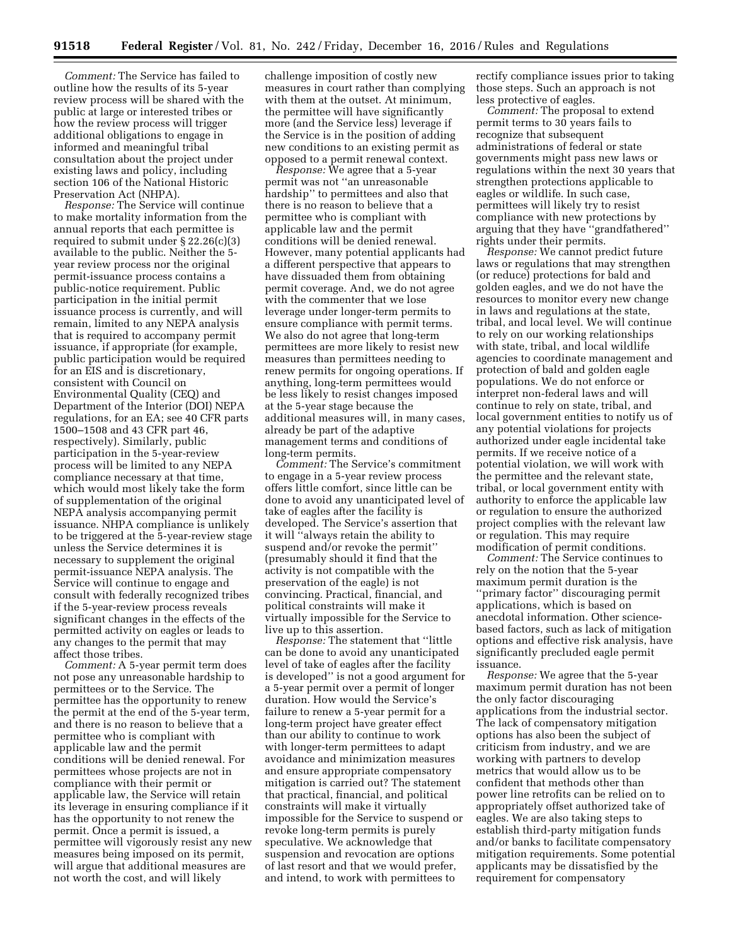*Comment:* The Service has failed to outline how the results of its 5-year review process will be shared with the public at large or interested tribes or how the review process will trigger additional obligations to engage in informed and meaningful tribal consultation about the project under existing laws and policy, including section 106 of the National Historic Preservation Act (NHPA).

*Response:* The Service will continue to make mortality information from the annual reports that each permittee is required to submit under § 22.26(c)(3) available to the public. Neither the 5 year review process nor the original permit-issuance process contains a public-notice requirement. Public participation in the initial permit issuance process is currently, and will remain, limited to any NEPA analysis that is required to accompany permit issuance, if appropriate (for example, public participation would be required for an EIS and is discretionary, consistent with Council on Environmental Quality (CEQ) and Department of the Interior (DOI) NEPA regulations, for an EA; see 40 CFR parts 1500–1508 and 43 CFR part 46, respectively). Similarly, public participation in the 5-year-review process will be limited to any NEPA compliance necessary at that time, which would most likely take the form of supplementation of the original NEPA analysis accompanying permit issuance. NHPA compliance is unlikely to be triggered at the 5-year-review stage unless the Service determines it is necessary to supplement the original permit-issuance NEPA analysis. The Service will continue to engage and consult with federally recognized tribes if the 5-year-review process reveals significant changes in the effects of the permitted activity on eagles or leads to any changes to the permit that may affect those tribes.

*Comment:* A 5-year permit term does not pose any unreasonable hardship to permittees or to the Service. The permittee has the opportunity to renew the permit at the end of the 5-year term, and there is no reason to believe that a permittee who is compliant with applicable law and the permit conditions will be denied renewal. For permittees whose projects are not in compliance with their permit or applicable law, the Service will retain its leverage in ensuring compliance if it has the opportunity to not renew the permit. Once a permit is issued, a permittee will vigorously resist any new measures being imposed on its permit, will argue that additional measures are not worth the cost, and will likely

challenge imposition of costly new measures in court rather than complying with them at the outset. At minimum, the permittee will have significantly more (and the Service less) leverage if the Service is in the position of adding new conditions to an existing permit as opposed to a permit renewal context.

*Response:* We agree that a 5-year permit was not ''an unreasonable hardship'' to permittees and also that there is no reason to believe that a permittee who is compliant with applicable law and the permit conditions will be denied renewal. However, many potential applicants had a different perspective that appears to have dissuaded them from obtaining permit coverage. And, we do not agree with the commenter that we lose leverage under longer-term permits to ensure compliance with permit terms. We also do not agree that long-term permittees are more likely to resist new measures than permittees needing to renew permits for ongoing operations. If anything, long-term permittees would be less likely to resist changes imposed at the 5-year stage because the additional measures will, in many cases, already be part of the adaptive management terms and conditions of long-term permits.

*Comment:* The Service's commitment to engage in a 5-year review process offers little comfort, since little can be done to avoid any unanticipated level of take of eagles after the facility is developed. The Service's assertion that it will ''always retain the ability to suspend and/or revoke the permit'' (presumably should it find that the activity is not compatible with the preservation of the eagle) is not convincing. Practical, financial, and political constraints will make it virtually impossible for the Service to live up to this assertion.

*Response:* The statement that ''little can be done to avoid any unanticipated level of take of eagles after the facility is developed'' is not a good argument for a 5-year permit over a permit of longer duration. How would the Service's failure to renew a 5-year permit for a long-term project have greater effect than our ability to continue to work with longer-term permittees to adapt avoidance and minimization measures and ensure appropriate compensatory mitigation is carried out? The statement that practical, financial, and political constraints will make it virtually impossible for the Service to suspend or revoke long-term permits is purely speculative. We acknowledge that suspension and revocation are options of last resort and that we would prefer, and intend, to work with permittees to

rectify compliance issues prior to taking those steps. Such an approach is not less protective of eagles.

*Comment:* The proposal to extend permit terms to 30 years fails to recognize that subsequent administrations of federal or state governments might pass new laws or regulations within the next 30 years that strengthen protections applicable to eagles or wildlife. In such case, permittees will likely try to resist compliance with new protections by arguing that they have ''grandfathered'' rights under their permits.

*Response:* We cannot predict future laws or regulations that may strengthen (or reduce) protections for bald and golden eagles, and we do not have the resources to monitor every new change in laws and regulations at the state, tribal, and local level. We will continue to rely on our working relationships with state, tribal, and local wildlife agencies to coordinate management and protection of bald and golden eagle populations. We do not enforce or interpret non-federal laws and will continue to rely on state, tribal, and local government entities to notify us of any potential violations for projects authorized under eagle incidental take permits. If we receive notice of a potential violation, we will work with the permittee and the relevant state, tribal, or local government entity with authority to enforce the applicable law or regulation to ensure the authorized project complies with the relevant law or regulation. This may require modification of permit conditions.

*Comment:* The Service continues to rely on the notion that the 5-year maximum permit duration is the ''primary factor'' discouraging permit applications, which is based on anecdotal information. Other sciencebased factors, such as lack of mitigation options and effective risk analysis, have significantly precluded eagle permit issuance.

*Response:* We agree that the 5-year maximum permit duration has not been the only factor discouraging applications from the industrial sector. The lack of compensatory mitigation options has also been the subject of criticism from industry, and we are working with partners to develop metrics that would allow us to be confident that methods other than power line retrofits can be relied on to appropriately offset authorized take of eagles. We are also taking steps to establish third-party mitigation funds and/or banks to facilitate compensatory mitigation requirements. Some potential applicants may be dissatisfied by the requirement for compensatory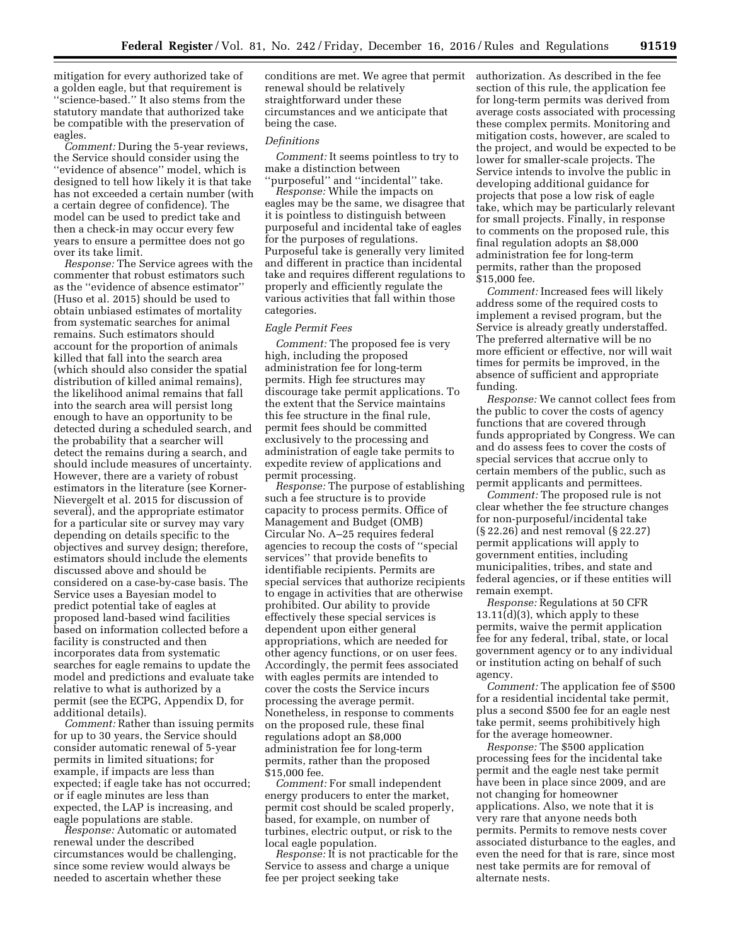mitigation for every authorized take of a golden eagle, but that requirement is ''science-based.'' It also stems from the statutory mandate that authorized take be compatible with the preservation of eagles.

*Comment:* During the 5-year reviews, the Service should consider using the ''evidence of absence'' model, which is designed to tell how likely it is that take has not exceeded a certain number (with a certain degree of confidence). The model can be used to predict take and then a check-in may occur every few years to ensure a permittee does not go over its take limit.

*Response:* The Service agrees with the commenter that robust estimators such as the ''evidence of absence estimator'' (Huso et al. 2015) should be used to obtain unbiased estimates of mortality from systematic searches for animal remains. Such estimators should account for the proportion of animals killed that fall into the search area (which should also consider the spatial distribution of killed animal remains), the likelihood animal remains that fall into the search area will persist long enough to have an opportunity to be detected during a scheduled search, and the probability that a searcher will detect the remains during a search, and should include measures of uncertainty. However, there are a variety of robust estimators in the literature (see Korner-Nievergelt et al. 2015 for discussion of several), and the appropriate estimator for a particular site or survey may vary depending on details specific to the objectives and survey design; therefore, estimators should include the elements discussed above and should be considered on a case-by-case basis. The Service uses a Bayesian model to predict potential take of eagles at proposed land-based wind facilities based on information collected before a facility is constructed and then incorporates data from systematic searches for eagle remains to update the model and predictions and evaluate take relative to what is authorized by a permit (see the ECPG, Appendix D, for additional details).

*Comment:* Rather than issuing permits for up to 30 years, the Service should consider automatic renewal of 5-year permits in limited situations; for example, if impacts are less than expected; if eagle take has not occurred; or if eagle minutes are less than expected, the LAP is increasing, and eagle populations are stable.

*Response:* Automatic or automated renewal under the described circumstances would be challenging, since some review would always be needed to ascertain whether these

conditions are met. We agree that permit renewal should be relatively straightforward under these circumstances and we anticipate that being the case.

## *Definitions*

*Comment:* It seems pointless to try to make a distinction between 'purposeful'' and "incidental" take.

*Response:* While the impacts on eagles may be the same, we disagree that it is pointless to distinguish between purposeful and incidental take of eagles for the purposes of regulations. Purposeful take is generally very limited and different in practice than incidental take and requires different regulations to properly and efficiently regulate the various activities that fall within those categories.

# *Eagle Permit Fees*

*Comment:* The proposed fee is very high, including the proposed administration fee for long-term permits. High fee structures may discourage take permit applications. To the extent that the Service maintains this fee structure in the final rule, permit fees should be committed exclusively to the processing and administration of eagle take permits to expedite review of applications and permit processing.

*Response:* The purpose of establishing such a fee structure is to provide capacity to process permits. Office of Management and Budget (OMB) Circular No. A–25 requires federal agencies to recoup the costs of ''special services'' that provide benefits to identifiable recipients. Permits are special services that authorize recipients to engage in activities that are otherwise prohibited. Our ability to provide effectively these special services is dependent upon either general appropriations, which are needed for other agency functions, or on user fees. Accordingly, the permit fees associated with eagles permits are intended to cover the costs the Service incurs processing the average permit. Nonetheless, in response to comments on the proposed rule, these final regulations adopt an \$8,000 administration fee for long-term permits, rather than the proposed \$15,000 fee.

*Comment:* For small independent energy producers to enter the market, permit cost should be scaled properly, based, for example, on number of turbines, electric output, or risk to the local eagle population.

*Response:* It is not practicable for the Service to assess and charge a unique fee per project seeking take

authorization. As described in the fee section of this rule, the application fee for long-term permits was derived from average costs associated with processing these complex permits. Monitoring and mitigation costs, however, are scaled to the project, and would be expected to be lower for smaller-scale projects. The Service intends to involve the public in developing additional guidance for projects that pose a low risk of eagle take, which may be particularly relevant for small projects. Finally, in response to comments on the proposed rule, this final regulation adopts an \$8,000 administration fee for long-term permits, rather than the proposed \$15,000 fee.

*Comment:* Increased fees will likely address some of the required costs to implement a revised program, but the Service is already greatly understaffed. The preferred alternative will be no more efficient or effective, nor will wait times for permits be improved, in the absence of sufficient and appropriate funding.

*Response:* We cannot collect fees from the public to cover the costs of agency functions that are covered through funds appropriated by Congress. We can and do assess fees to cover the costs of special services that accrue only to certain members of the public, such as permit applicants and permittees.

*Comment:* The proposed rule is not clear whether the fee structure changes for non-purposeful/incidental take (§ 22.26) and nest removal (§ 22.27) permit applications will apply to government entities, including municipalities, tribes, and state and federal agencies, or if these entities will remain exempt.

*Response:* Regulations at 50 CFR 13.11(d)(3), which apply to these permits, waive the permit application fee for any federal, tribal, state, or local government agency or to any individual or institution acting on behalf of such agency.

*Comment:* The application fee of \$500 for a residential incidental take permit, plus a second \$500 fee for an eagle nest take permit, seems prohibitively high for the average homeowner.

*Response:* The \$500 application processing fees for the incidental take permit and the eagle nest take permit have been in place since 2009, and are not changing for homeowner applications. Also, we note that it is very rare that anyone needs both permits. Permits to remove nests cover associated disturbance to the eagles, and even the need for that is rare, since most nest take permits are for removal of alternate nests.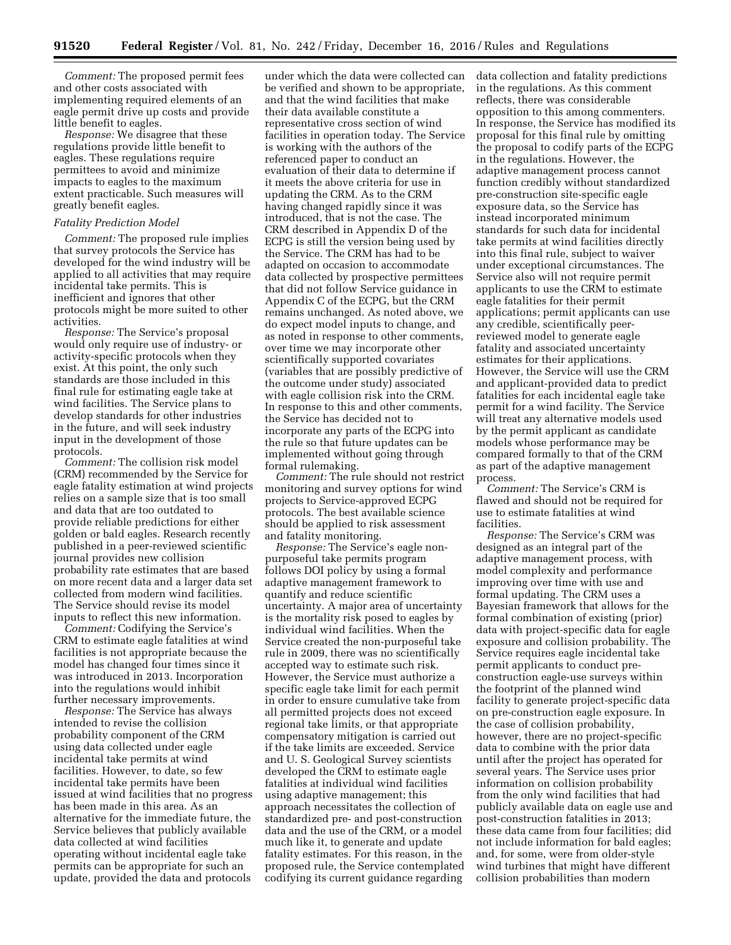*Comment:* The proposed permit fees and other costs associated with implementing required elements of an eagle permit drive up costs and provide little benefit to eagles.

*Response:* We disagree that these regulations provide little benefit to eagles. These regulations require permittees to avoid and minimize impacts to eagles to the maximum extent practicable. Such measures will greatly benefit eagles.

## *Fatality Prediction Model*

*Comment:* The proposed rule implies that survey protocols the Service has developed for the wind industry will be applied to all activities that may require incidental take permits. This is inefficient and ignores that other protocols might be more suited to other activities.

*Response:* The Service's proposal would only require use of industry- or activity-specific protocols when they exist. At this point, the only such standards are those included in this final rule for estimating eagle take at wind facilities. The Service plans to develop standards for other industries in the future, and will seek industry input in the development of those protocols.

*Comment:* The collision risk model (CRM) recommended by the Service for eagle fatality estimation at wind projects relies on a sample size that is too small and data that are too outdated to provide reliable predictions for either golden or bald eagles. Research recently published in a peer-reviewed scientific journal provides new collision probability rate estimates that are based on more recent data and a larger data set collected from modern wind facilities. The Service should revise its model inputs to reflect this new information.

*Comment:* Codifying the Service's CRM to estimate eagle fatalities at wind facilities is not appropriate because the model has changed four times since it was introduced in 2013. Incorporation into the regulations would inhibit further necessary improvements.

*Response:* The Service has always intended to revise the collision probability component of the CRM using data collected under eagle incidental take permits at wind facilities. However, to date, so few incidental take permits have been issued at wind facilities that no progress has been made in this area. As an alternative for the immediate future, the Service believes that publicly available data collected at wind facilities operating without incidental eagle take permits can be appropriate for such an update, provided the data and protocols

under which the data were collected can be verified and shown to be appropriate, and that the wind facilities that make their data available constitute a representative cross section of wind facilities in operation today. The Service is working with the authors of the referenced paper to conduct an evaluation of their data to determine if it meets the above criteria for use in updating the CRM. As to the CRM having changed rapidly since it was introduced, that is not the case. The CRM described in Appendix D of the ECPG is still the version being used by the Service. The CRM has had to be adapted on occasion to accommodate data collected by prospective permittees that did not follow Service guidance in Appendix C of the ECPG, but the CRM remains unchanged. As noted above, we do expect model inputs to change, and as noted in response to other comments, over time we may incorporate other scientifically supported covariates (variables that are possibly predictive of the outcome under study) associated with eagle collision risk into the CRM. In response to this and other comments, the Service has decided not to incorporate any parts of the ECPG into the rule so that future updates can be implemented without going through formal rulemaking.

*Comment:* The rule should not restrict monitoring and survey options for wind projects to Service-approved ECPG protocols. The best available science should be applied to risk assessment and fatality monitoring.

*Response:* The Service's eagle nonpurposeful take permits program follows DOI policy by using a formal adaptive management framework to quantify and reduce scientific uncertainty. A major area of uncertainty is the mortality risk posed to eagles by individual wind facilities. When the Service created the non-purposeful take rule in 2009, there was no scientifically accepted way to estimate such risk. However, the Service must authorize a specific eagle take limit for each permit in order to ensure cumulative take from all permitted projects does not exceed regional take limits, or that appropriate compensatory mitigation is carried out if the take limits are exceeded. Service and U. S. Geological Survey scientists developed the CRM to estimate eagle fatalities at individual wind facilities using adaptive management; this approach necessitates the collection of standardized pre- and post-construction data and the use of the CRM, or a model much like it, to generate and update fatality estimates. For this reason, in the proposed rule, the Service contemplated codifying its current guidance regarding

data collection and fatality predictions in the regulations. As this comment reflects, there was considerable opposition to this among commenters. In response, the Service has modified its proposal for this final rule by omitting the proposal to codify parts of the ECPG in the regulations. However, the adaptive management process cannot function credibly without standardized pre-construction site-specific eagle exposure data, so the Service has instead incorporated minimum standards for such data for incidental take permits at wind facilities directly into this final rule, subject to waiver under exceptional circumstances. The Service also will not require permit applicants to use the CRM to estimate eagle fatalities for their permit applications; permit applicants can use any credible, scientifically peerreviewed model to generate eagle fatality and associated uncertainty estimates for their applications. However, the Service will use the CRM and applicant-provided data to predict fatalities for each incidental eagle take permit for a wind facility. The Service will treat any alternative models used by the permit applicant as candidate models whose performance may be compared formally to that of the CRM as part of the adaptive management process.

*Comment:* The Service's CRM is flawed and should not be required for use to estimate fatalities at wind facilities.

*Response:* The Service's CRM was designed as an integral part of the adaptive management process, with model complexity and performance improving over time with use and formal updating. The CRM uses a Bayesian framework that allows for the formal combination of existing (prior) data with project-specific data for eagle exposure and collision probability. The Service requires eagle incidental take permit applicants to conduct preconstruction eagle-use surveys within the footprint of the planned wind facility to generate project-specific data on pre-construction eagle exposure. In the case of collision probability, however, there are no project-specific data to combine with the prior data until after the project has operated for several years. The Service uses prior information on collision probability from the only wind facilities that had publicly available data on eagle use and post-construction fatalities in 2013; these data came from four facilities; did not include information for bald eagles; and, for some, were from older-style wind turbines that might have different collision probabilities than modern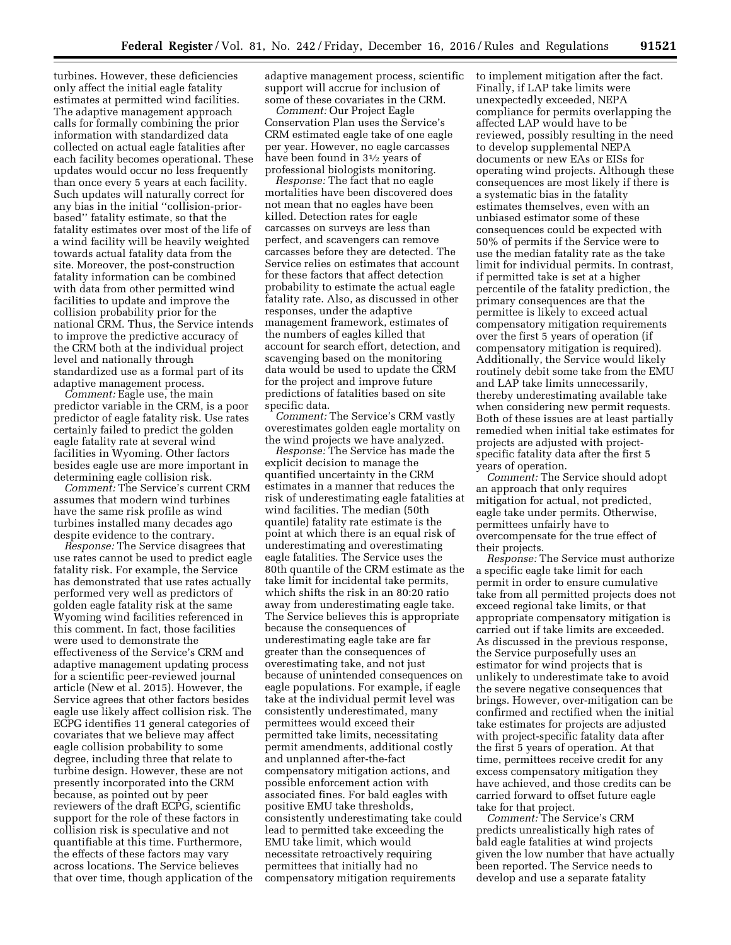turbines. However, these deficiencies only affect the initial eagle fatality estimates at permitted wind facilities. The adaptive management approach calls for formally combining the prior information with standardized data collected on actual eagle fatalities after each facility becomes operational. These updates would occur no less frequently than once every 5 years at each facility. Such updates will naturally correct for any bias in the initial ''collision-priorbased'' fatality estimate, so that the fatality estimates over most of the life of a wind facility will be heavily weighted towards actual fatality data from the site. Moreover, the post-construction fatality information can be combined with data from other permitted wind facilities to update and improve the collision probability prior for the national CRM. Thus, the Service intends to improve the predictive accuracy of the CRM both at the individual project level and nationally through standardized use as a formal part of its adaptive management process.

*Comment:* Eagle use, the main predictor variable in the CRM, is a poor predictor of eagle fatality risk. Use rates certainly failed to predict the golden eagle fatality rate at several wind facilities in Wyoming. Other factors besides eagle use are more important in determining eagle collision risk.

*Comment:* The Service's current CRM assumes that modern wind turbines have the same risk profile as wind turbines installed many decades ago despite evidence to the contrary.

*Response:* The Service disagrees that use rates cannot be used to predict eagle fatality risk. For example, the Service has demonstrated that use rates actually performed very well as predictors of golden eagle fatality risk at the same Wyoming wind facilities referenced in this comment. In fact, those facilities were used to demonstrate the effectiveness of the Service's CRM and adaptive management updating process for a scientific peer-reviewed journal article (New et al. 2015). However, the Service agrees that other factors besides eagle use likely affect collision risk. The ECPG identifies 11 general categories of covariates that we believe may affect eagle collision probability to some degree, including three that relate to turbine design. However, these are not presently incorporated into the CRM because, as pointed out by peer reviewers of the draft ECPG, scientific support for the role of these factors in collision risk is speculative and not quantifiable at this time. Furthermore, the effects of these factors may vary across locations. The Service believes that over time, though application of the adaptive management process, scientific support will accrue for inclusion of some of these covariates in the CRM.

*Comment:* Our Project Eagle Conservation Plan uses the Service's CRM estimated eagle take of one eagle per year. However, no eagle carcasses have been found in  $3\frac{1}{2}$  years of professional biologists monitoring.

*Response:* The fact that no eagle mortalities have been discovered does not mean that no eagles have been killed. Detection rates for eagle carcasses on surveys are less than perfect, and scavengers can remove carcasses before they are detected. The Service relies on estimates that account for these factors that affect detection probability to estimate the actual eagle fatality rate. Also, as discussed in other responses, under the adaptive management framework, estimates of the numbers of eagles killed that account for search effort, detection, and scavenging based on the monitoring data would be used to update the CRM for the project and improve future predictions of fatalities based on site specific data.

*Comment:* The Service's CRM vastly overestimates golden eagle mortality on the wind projects we have analyzed.

*Response:* The Service has made the explicit decision to manage the quantified uncertainty in the CRM estimates in a manner that reduces the risk of underestimating eagle fatalities at wind facilities. The median (50th quantile) fatality rate estimate is the point at which there is an equal risk of underestimating and overestimating eagle fatalities. The Service uses the 80th quantile of the CRM estimate as the take limit for incidental take permits, which shifts the risk in an 80:20 ratio away from underestimating eagle take. The Service believes this is appropriate because the consequences of underestimating eagle take are far greater than the consequences of overestimating take, and not just because of unintended consequences on eagle populations. For example, if eagle take at the individual permit level was consistently underestimated, many permittees would exceed their permitted take limits, necessitating permit amendments, additional costly and unplanned after-the-fact compensatory mitigation actions, and possible enforcement action with associated fines. For bald eagles with positive EMU take thresholds, consistently underestimating take could lead to permitted take exceeding the EMU take limit, which would necessitate retroactively requiring permittees that initially had no compensatory mitigation requirements

to implement mitigation after the fact. Finally, if LAP take limits were unexpectedly exceeded, NEPA compliance for permits overlapping the affected LAP would have to be reviewed, possibly resulting in the need to develop supplemental NEPA documents or new EAs or EISs for operating wind projects. Although these consequences are most likely if there is a systematic bias in the fatality estimates themselves, even with an unbiased estimator some of these consequences could be expected with 50% of permits if the Service were to use the median fatality rate as the take limit for individual permits. In contrast, if permitted take is set at a higher percentile of the fatality prediction, the primary consequences are that the permittee is likely to exceed actual compensatory mitigation requirements over the first 5 years of operation (if compensatory mitigation is required). Additionally, the Service would likely routinely debit some take from the EMU and LAP take limits unnecessarily, thereby underestimating available take when considering new permit requests. Both of these issues are at least partially remedied when initial take estimates for projects are adjusted with projectspecific fatality data after the first 5 years of operation.

*Comment:* The Service should adopt an approach that only requires mitigation for actual, not predicted, eagle take under permits. Otherwise, permittees unfairly have to overcompensate for the true effect of their projects.

*Response:* The Service must authorize a specific eagle take limit for each permit in order to ensure cumulative take from all permitted projects does not exceed regional take limits, or that appropriate compensatory mitigation is carried out if take limits are exceeded. As discussed in the previous response, the Service purposefully uses an estimator for wind projects that is unlikely to underestimate take to avoid the severe negative consequences that brings. However, over-mitigation can be confirmed and rectified when the initial take estimates for projects are adjusted with project-specific fatality data after the first 5 years of operation. At that time, permittees receive credit for any excess compensatory mitigation they have achieved, and those credits can be carried forward to offset future eagle take for that project.

*Comment:* The Service's CRM predicts unrealistically high rates of bald eagle fatalities at wind projects given the low number that have actually been reported. The Service needs to develop and use a separate fatality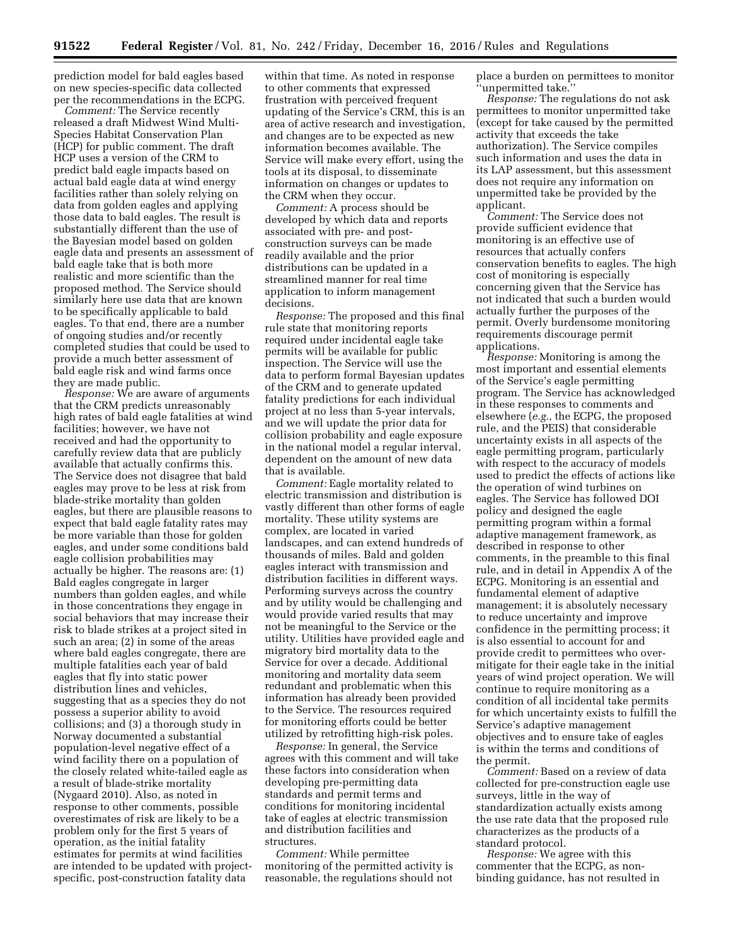prediction model for bald eagles based on new species-specific data collected per the recommendations in the ECPG.

*Comment:* The Service recently released a draft Midwest Wind Multi-Species Habitat Conservation Plan (HCP) for public comment. The draft HCP uses a version of the CRM to predict bald eagle impacts based on actual bald eagle data at wind energy facilities rather than solely relying on data from golden eagles and applying those data to bald eagles. The result is substantially different than the use of the Bayesian model based on golden eagle data and presents an assessment of bald eagle take that is both more realistic and more scientific than the proposed method. The Service should similarly here use data that are known to be specifically applicable to bald eagles. To that end, there are a number of ongoing studies and/or recently completed studies that could be used to provide a much better assessment of bald eagle risk and wind farms once they are made public.

*Response:* We are aware of arguments that the CRM predicts unreasonably high rates of bald eagle fatalities at wind facilities; however, we have not received and had the opportunity to carefully review data that are publicly available that actually confirms this. The Service does not disagree that bald eagles may prove to be less at risk from blade-strike mortality than golden eagles, but there are plausible reasons to expect that bald eagle fatality rates may be more variable than those for golden eagles, and under some conditions bald eagle collision probabilities may actually be higher. The reasons are: (1) Bald eagles congregate in larger numbers than golden eagles, and while in those concentrations they engage in social behaviors that may increase their risk to blade strikes at a project sited in such an area; (2) in some of the areas where bald eagles congregate, there are multiple fatalities each year of bald eagles that fly into static power distribution lines and vehicles, suggesting that as a species they do not possess a superior ability to avoid collisions; and (3) a thorough study in Norway documented a substantial population-level negative effect of a wind facility there on a population of the closely related white-tailed eagle as a result of blade-strike mortality (Nygaard 2010). Also, as noted in response to other comments, possible overestimates of risk are likely to be a problem only for the first 5 years of operation, as the initial fatality estimates for permits at wind facilities are intended to be updated with projectspecific, post-construction fatality data

within that time. As noted in response to other comments that expressed frustration with perceived frequent updating of the Service's CRM, this is an area of active research and investigation, and changes are to be expected as new information becomes available. The Service will make every effort, using the tools at its disposal, to disseminate information on changes or updates to the CRM when they occur.

*Comment:* A process should be developed by which data and reports associated with pre- and postconstruction surveys can be made readily available and the prior distributions can be updated in a streamlined manner for real time application to inform management decisions.

*Response:* The proposed and this final rule state that monitoring reports required under incidental eagle take permits will be available for public inspection. The Service will use the data to perform formal Bayesian updates of the CRM and to generate updated fatality predictions for each individual project at no less than 5-year intervals, and we will update the prior data for collision probability and eagle exposure in the national model a regular interval, dependent on the amount of new data that is available.

*Comment:* Eagle mortality related to electric transmission and distribution is vastly different than other forms of eagle mortality. These utility systems are complex, are located in varied landscapes, and can extend hundreds of thousands of miles. Bald and golden eagles interact with transmission and distribution facilities in different ways. Performing surveys across the country and by utility would be challenging and would provide varied results that may not be meaningful to the Service or the utility. Utilities have provided eagle and migratory bird mortality data to the Service for over a decade. Additional monitoring and mortality data seem redundant and problematic when this information has already been provided to the Service. The resources required for monitoring efforts could be better utilized by retrofitting high-risk poles.

*Response:* In general, the Service agrees with this comment and will take these factors into consideration when developing pre-permitting data standards and permit terms and conditions for monitoring incidental take of eagles at electric transmission and distribution facilities and structures.

*Comment:* While permittee monitoring of the permitted activity is reasonable, the regulations should not

place a burden on permittees to monitor 'unpermitted take.'

*Response:* The regulations do not ask permittees to monitor unpermitted take (except for take caused by the permitted activity that exceeds the take authorization). The Service compiles such information and uses the data in its LAP assessment, but this assessment does not require any information on unpermitted take be provided by the applicant.

*Comment:* The Service does not provide sufficient evidence that monitoring is an effective use of resources that actually confers conservation benefits to eagles. The high cost of monitoring is especially concerning given that the Service has not indicated that such a burden would actually further the purposes of the permit. Overly burdensome monitoring requirements discourage permit applications.

*Response:* Monitoring is among the most important and essential elements of the Service's eagle permitting program. The Service has acknowledged in these responses to comments and elsewhere (*e.g.,* the ECPG, the proposed rule, and the PEIS) that considerable uncertainty exists in all aspects of the eagle permitting program, particularly with respect to the accuracy of models used to predict the effects of actions like the operation of wind turbines on eagles. The Service has followed DOI policy and designed the eagle permitting program within a formal adaptive management framework, as described in response to other comments, in the preamble to this final rule, and in detail in Appendix A of the ECPG. Monitoring is an essential and fundamental element of adaptive management; it is absolutely necessary to reduce uncertainty and improve confidence in the permitting process; it is also essential to account for and provide credit to permittees who overmitigate for their eagle take in the initial years of wind project operation. We will continue to require monitoring as a condition of all incidental take permits for which uncertainty exists to fulfill the Service's adaptive management objectives and to ensure take of eagles is within the terms and conditions of the permit.

*Comment:* Based on a review of data collected for pre-construction eagle use surveys, little in the way of standardization actually exists among the use rate data that the proposed rule characterizes as the products of a standard protocol.

*Response:* We agree with this commenter that the ECPG, as nonbinding guidance, has not resulted in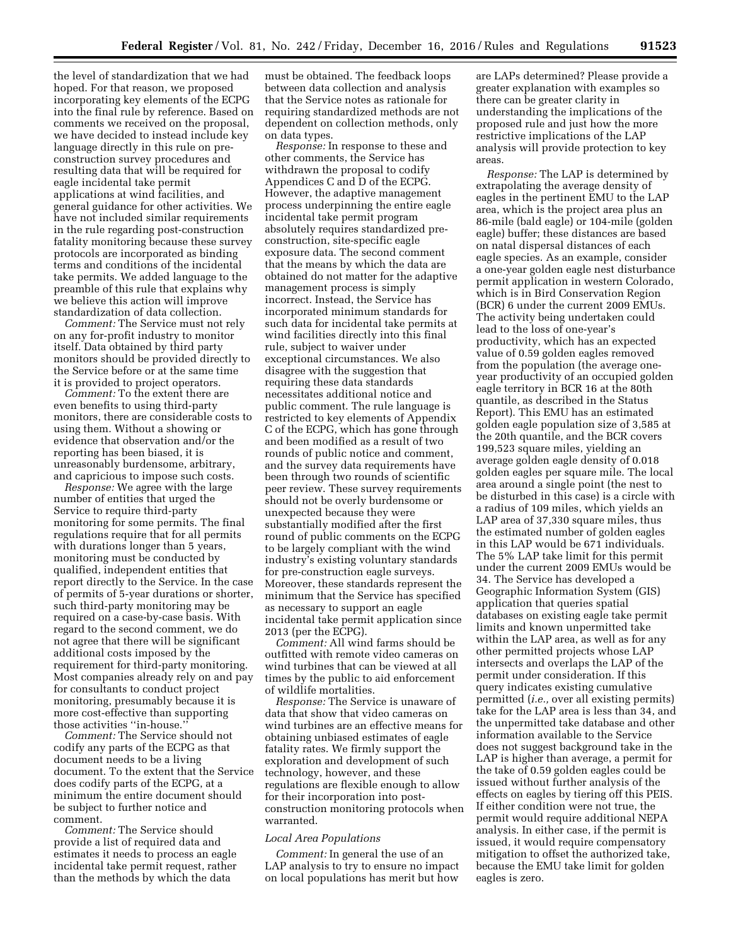the level of standardization that we had hoped. For that reason, we proposed incorporating key elements of the ECPG into the final rule by reference. Based on comments we received on the proposal, we have decided to instead include key language directly in this rule on preconstruction survey procedures and resulting data that will be required for eagle incidental take permit applications at wind facilities, and general guidance for other activities. We have not included similar requirements in the rule regarding post-construction fatality monitoring because these survey protocols are incorporated as binding terms and conditions of the incidental take permits. We added language to the preamble of this rule that explains why we believe this action will improve standardization of data collection.

*Comment:* The Service must not rely on any for-profit industry to monitor itself. Data obtained by third party monitors should be provided directly to the Service before or at the same time it is provided to project operators.

*Comment:* To the extent there are even benefits to using third-party monitors, there are considerable costs to using them. Without a showing or evidence that observation and/or the reporting has been biased, it is unreasonably burdensome, arbitrary, and capricious to impose such costs.

*Response:* We agree with the large number of entities that urged the Service to require third-party monitoring for some permits. The final regulations require that for all permits with durations longer than 5 years, monitoring must be conducted by qualified, independent entities that report directly to the Service. In the case of permits of 5-year durations or shorter, such third-party monitoring may be required on a case-by-case basis. With regard to the second comment, we do not agree that there will be significant additional costs imposed by the requirement for third-party monitoring. Most companies already rely on and pay for consultants to conduct project monitoring, presumably because it is more cost-effective than supporting those activities ''in-house.''

*Comment:* The Service should not codify any parts of the ECPG as that document needs to be a living document. To the extent that the Service does codify parts of the ECPG, at a minimum the entire document should be subject to further notice and comment.

*Comment:* The Service should provide a list of required data and estimates it needs to process an eagle incidental take permit request, rather than the methods by which the data

must be obtained. The feedback loops between data collection and analysis that the Service notes as rationale for requiring standardized methods are not dependent on collection methods, only on data types.

*Response:* In response to these and other comments, the Service has withdrawn the proposal to codify Appendices C and D of the ECPG. However, the adaptive management process underpinning the entire eagle incidental take permit program absolutely requires standardized preconstruction, site-specific eagle exposure data. The second comment that the means by which the data are obtained do not matter for the adaptive management process is simply incorrect. Instead, the Service has incorporated minimum standards for such data for incidental take permits at wind facilities directly into this final rule, subject to waiver under exceptional circumstances. We also disagree with the suggestion that requiring these data standards necessitates additional notice and public comment. The rule language is restricted to key elements of Appendix C of the ECPG, which has gone through and been modified as a result of two rounds of public notice and comment, and the survey data requirements have been through two rounds of scientific peer review. These survey requirements should not be overly burdensome or unexpected because they were substantially modified after the first round of public comments on the ECPG to be largely compliant with the wind industry's existing voluntary standards for pre-construction eagle surveys. Moreover, these standards represent the minimum that the Service has specified as necessary to support an eagle incidental take permit application since 2013 (per the ECPG).

*Comment:* All wind farms should be outfitted with remote video cameras on wind turbines that can be viewed at all times by the public to aid enforcement of wildlife mortalities.

*Response:* The Service is unaware of data that show that video cameras on wind turbines are an effective means for obtaining unbiased estimates of eagle fatality rates. We firmly support the exploration and development of such technology, however, and these regulations are flexible enough to allow for their incorporation into postconstruction monitoring protocols when warranted.

# *Local Area Populations*

*Comment:* In general the use of an LAP analysis to try to ensure no impact on local populations has merit but how

are LAPs determined? Please provide a greater explanation with examples so there can be greater clarity in understanding the implications of the proposed rule and just how the more restrictive implications of the LAP analysis will provide protection to key areas.

*Response:* The LAP is determined by extrapolating the average density of eagles in the pertinent EMU to the LAP area, which is the project area plus an 86-mile (bald eagle) or 104-mile (golden eagle) buffer; these distances are based on natal dispersal distances of each eagle species. As an example, consider a one-year golden eagle nest disturbance permit application in western Colorado, which is in Bird Conservation Region (BCR) 6 under the current 2009 EMUs. The activity being undertaken could lead to the loss of one-year's productivity, which has an expected value of 0.59 golden eagles removed from the population (the average oneyear productivity of an occupied golden eagle territory in BCR 16 at the 80th quantile, as described in the Status Report). This EMU has an estimated golden eagle population size of 3,585 at the 20th quantile, and the BCR covers 199,523 square miles, yielding an average golden eagle density of 0.018 golden eagles per square mile. The local area around a single point (the nest to be disturbed in this case) is a circle with a radius of 109 miles, which yields an LAP area of 37,330 square miles, thus the estimated number of golden eagles in this LAP would be 671 individuals. The 5% LAP take limit for this permit under the current 2009 EMUs would be 34. The Service has developed a Geographic Information System (GIS) application that queries spatial databases on existing eagle take permit limits and known unpermitted take within the LAP area, as well as for any other permitted projects whose LAP intersects and overlaps the LAP of the permit under consideration. If this query indicates existing cumulative permitted (*i.e.,* over all existing permits) take for the LAP area is less than 34, and the unpermitted take database and other information available to the Service does not suggest background take in the LAP is higher than average, a permit for the take of 0.59 golden eagles could be issued without further analysis of the effects on eagles by tiering off this PEIS. If either condition were not true, the permit would require additional NEPA analysis. In either case, if the permit is issued, it would require compensatory mitigation to offset the authorized take, because the EMU take limit for golden eagles is zero.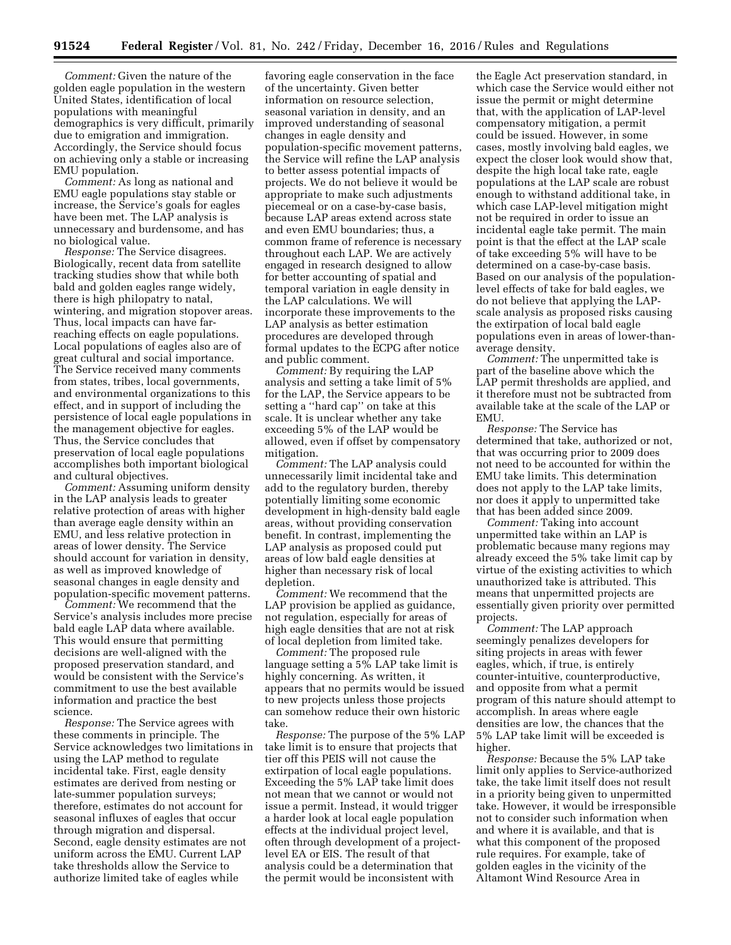*Comment:* Given the nature of the golden eagle population in the western United States, identification of local populations with meaningful demographics is very difficult, primarily due to emigration and immigration. Accordingly, the Service should focus on achieving only a stable or increasing EMU population.

*Comment:* As long as national and EMU eagle populations stay stable or increase, the Service's goals for eagles have been met. The LAP analysis is unnecessary and burdensome, and has no biological value.

*Response:* The Service disagrees. Biologically, recent data from satellite tracking studies show that while both bald and golden eagles range widely, there is high philopatry to natal, wintering, and migration stopover areas. Thus, local impacts can have farreaching effects on eagle populations. Local populations of eagles also are of great cultural and social importance. The Service received many comments from states, tribes, local governments, and environmental organizations to this effect, and in support of including the persistence of local eagle populations in the management objective for eagles. Thus, the Service concludes that preservation of local eagle populations accomplishes both important biological and cultural objectives.

*Comment:* Assuming uniform density in the LAP analysis leads to greater relative protection of areas with higher than average eagle density within an EMU, and less relative protection in areas of lower density. The Service should account for variation in density, as well as improved knowledge of seasonal changes in eagle density and population-specific movement patterns.

*Comment:* We recommend that the Service's analysis includes more precise bald eagle LAP data where available. This would ensure that permitting decisions are well-aligned with the proposed preservation standard, and would be consistent with the Service's commitment to use the best available information and practice the best science.

*Response:* The Service agrees with these comments in principle. The Service acknowledges two limitations in using the LAP method to regulate incidental take. First, eagle density estimates are derived from nesting or late-summer population surveys; therefore, estimates do not account for seasonal influxes of eagles that occur through migration and dispersal. Second, eagle density estimates are not uniform across the EMU. Current LAP take thresholds allow the Service to authorize limited take of eagles while

favoring eagle conservation in the face of the uncertainty. Given better information on resource selection, seasonal variation in density, and an improved understanding of seasonal changes in eagle density and population-specific movement patterns, the Service will refine the LAP analysis to better assess potential impacts of projects. We do not believe it would be appropriate to make such adjustments piecemeal or on a case-by-case basis, because LAP areas extend across state and even EMU boundaries; thus, a common frame of reference is necessary throughout each LAP. We are actively engaged in research designed to allow for better accounting of spatial and temporal variation in eagle density in the LAP calculations. We will incorporate these improvements to the LAP analysis as better estimation procedures are developed through formal updates to the ECPG after notice and public comment.

*Comment:* By requiring the LAP analysis and setting a take limit of 5% for the LAP, the Service appears to be setting a ''hard cap'' on take at this scale. It is unclear whether any take exceeding 5% of the LAP would be allowed, even if offset by compensatory mitigation.

*Comment:* The LAP analysis could unnecessarily limit incidental take and add to the regulatory burden, thereby potentially limiting some economic development in high-density bald eagle areas, without providing conservation benefit. In contrast, implementing the LAP analysis as proposed could put areas of low bald eagle densities at higher than necessary risk of local depletion.

*Comment:* We recommend that the LAP provision be applied as guidance, not regulation, especially for areas of high eagle densities that are not at risk of local depletion from limited take.

*Comment:* The proposed rule language setting a 5% LAP take limit is highly concerning. As written, it appears that no permits would be issued to new projects unless those projects can somehow reduce their own historic take.

*Response:* The purpose of the 5% LAP take limit is to ensure that projects that tier off this PEIS will not cause the extirpation of local eagle populations. Exceeding the 5% LAP take limit does not mean that we cannot or would not issue a permit. Instead, it would trigger a harder look at local eagle population effects at the individual project level, often through development of a projectlevel EA or EIS. The result of that analysis could be a determination that the permit would be inconsistent with

the Eagle Act preservation standard, in which case the Service would either not issue the permit or might determine that, with the application of LAP-level compensatory mitigation, a permit could be issued. However, in some cases, mostly involving bald eagles, we expect the closer look would show that, despite the high local take rate, eagle populations at the LAP scale are robust enough to withstand additional take, in which case LAP-level mitigation might not be required in order to issue an incidental eagle take permit. The main point is that the effect at the LAP scale of take exceeding 5% will have to be determined on a case-by-case basis. Based on our analysis of the populationlevel effects of take for bald eagles, we do not believe that applying the LAPscale analysis as proposed risks causing the extirpation of local bald eagle populations even in areas of lower-thanaverage density.

*Comment:* The unpermitted take is part of the baseline above which the LAP permit thresholds are applied, and it therefore must not be subtracted from available take at the scale of the LAP or EMU.

*Response:* The Service has determined that take, authorized or not, that was occurring prior to 2009 does not need to be accounted for within the EMU take limits. This determination does not apply to the LAP take limits, nor does it apply to unpermitted take that has been added since 2009.

*Comment:* Taking into account unpermitted take within an LAP is problematic because many regions may already exceed the 5% take limit cap by virtue of the existing activities to which unauthorized take is attributed. This means that unpermitted projects are essentially given priority over permitted projects.

*Comment:* The LAP approach seemingly penalizes developers for siting projects in areas with fewer eagles, which, if true, is entirely counter-intuitive, counterproductive, and opposite from what a permit program of this nature should attempt to accomplish. In areas where eagle densities are low, the chances that the 5% LAP take limit will be exceeded is higher.

*Response:* Because the 5% LAP take limit only applies to Service-authorized take, the take limit itself does not result in a priority being given to unpermitted take. However, it would be irresponsible not to consider such information when and where it is available, and that is what this component of the proposed rule requires. For example, take of golden eagles in the vicinity of the Altamont Wind Resource Area in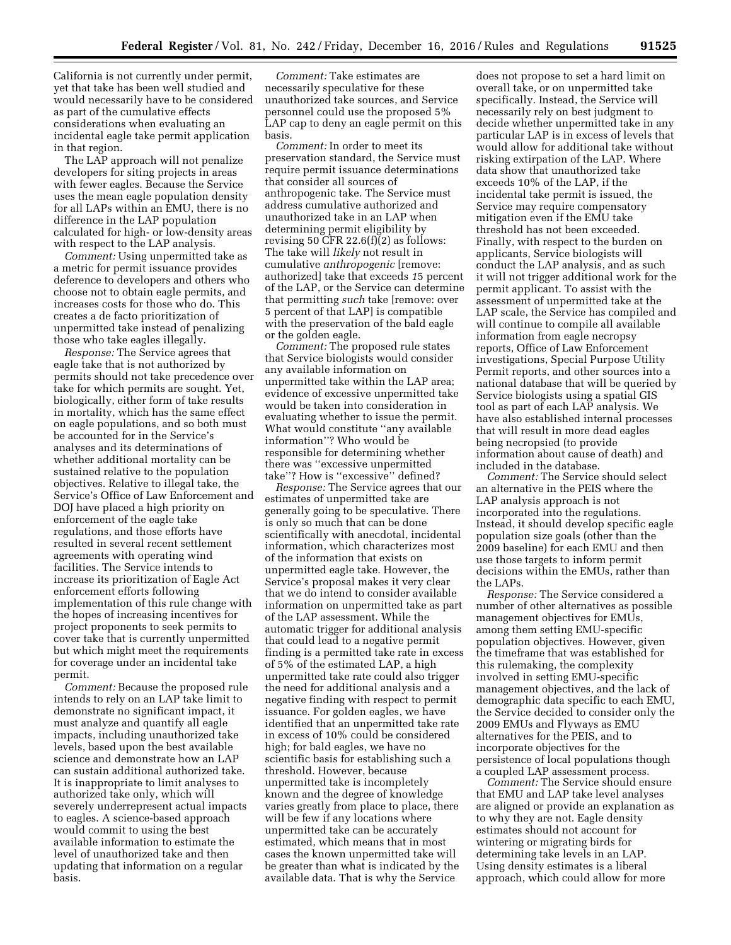California is not currently under permit, yet that take has been well studied and would necessarily have to be considered as part of the cumulative effects considerations when evaluating an incidental eagle take permit application in that region.

The LAP approach will not penalize developers for siting projects in areas with fewer eagles. Because the Service uses the mean eagle population density for all LAPs within an EMU, there is no difference in the LAP population calculated for high- or low-density areas with respect to the LAP analysis.

*Comment:* Using unpermitted take as a metric for permit issuance provides deference to developers and others who choose not to obtain eagle permits, and increases costs for those who do. This creates a de facto prioritization of unpermitted take instead of penalizing those who take eagles illegally.

*Response:* The Service agrees that eagle take that is not authorized by permits should not take precedence over take for which permits are sought. Yet, biologically, either form of take results in mortality, which has the same effect on eagle populations, and so both must be accounted for in the Service's analyses and its determinations of whether additional mortality can be sustained relative to the population objectives. Relative to illegal take, the Service's Office of Law Enforcement and DOJ have placed a high priority on enforcement of the eagle take regulations, and those efforts have resulted in several recent settlement agreements with operating wind facilities. The Service intends to increase its prioritization of Eagle Act enforcement efforts following implementation of this rule change with the hopes of increasing incentives for project proponents to seek permits to cover take that is currently unpermitted but which might meet the requirements for coverage under an incidental take permit.

*Comment:* Because the proposed rule intends to rely on an LAP take limit to demonstrate no significant impact, it must analyze and quantify all eagle impacts, including unauthorized take levels, based upon the best available science and demonstrate how an LAP can sustain additional authorized take. It is inappropriate to limit analyses to authorized take only, which will severely underrepresent actual impacts to eagles. A science-based approach would commit to using the best available information to estimate the level of unauthorized take and then updating that information on a regular basis.

*Comment:* Take estimates are necessarily speculative for these unauthorized take sources, and Service personnel could use the proposed 5% LAP cap to deny an eagle permit on this basis.

*Comment:* In order to meet its preservation standard, the Service must require permit issuance determinations that consider all sources of anthropogenic take. The Service must address cumulative authorized and unauthorized take in an LAP when determining permit eligibility by revising 50 CFR  $22.6(f)(2)$  as follows: The take will *likely* not result in cumulative *anthropogenic* [remove: authorized] take that exceeds *1*5 percent of the LAP, or the Service can determine that permitting *such* take [remove: over 5 percent of that LAP] is compatible with the preservation of the bald eagle or the golden eagle.

*Comment:* The proposed rule states that Service biologists would consider any available information on unpermitted take within the LAP area; evidence of excessive unpermitted take would be taken into consideration in evaluating whether to issue the permit. What would constitute ''any available information''? Who would be responsible for determining whether there was ''excessive unpermitted take''? How is ''excessive'' defined?

*Response:* The Service agrees that our estimates of unpermitted take are generally going to be speculative. There is only so much that can be done scientifically with anecdotal, incidental information, which characterizes most of the information that exists on unpermitted eagle take. However, the Service's proposal makes it very clear that we do intend to consider available information on unpermitted take as part of the LAP assessment. While the automatic trigger for additional analysis that could lead to a negative permit finding is a permitted take rate in excess of 5% of the estimated LAP, a high unpermitted take rate could also trigger the need for additional analysis and a negative finding with respect to permit issuance. For golden eagles, we have identified that an unpermitted take rate in excess of 10% could be considered high; for bald eagles, we have no scientific basis for establishing such a threshold. However, because unpermitted take is incompletely known and the degree of knowledge varies greatly from place to place, there will be few if any locations where unpermitted take can be accurately estimated, which means that in most cases the known unpermitted take will be greater than what is indicated by the available data. That is why the Service

does not propose to set a hard limit on overall take, or on unpermitted take specifically. Instead, the Service will necessarily rely on best judgment to decide whether unpermitted take in any particular LAP is in excess of levels that would allow for additional take without risking extirpation of the LAP. Where data show that unauthorized take exceeds 10% of the LAP, if the incidental take permit is issued, the Service may require compensatory mitigation even if the EMU take threshold has not been exceeded. Finally, with respect to the burden on applicants, Service biologists will conduct the LAP analysis, and as such it will not trigger additional work for the permit applicant. To assist with the assessment of unpermitted take at the LAP scale, the Service has compiled and will continue to compile all available information from eagle necropsy reports, Office of Law Enforcement investigations, Special Purpose Utility Permit reports, and other sources into a national database that will be queried by Service biologists using a spatial GIS tool as part of each LAP analysis. We have also established internal processes that will result in more dead eagles being necropsied (to provide information about cause of death) and included in the database.

*Comment:* The Service should select an alternative in the PEIS where the LAP analysis approach is not incorporated into the regulations. Instead, it should develop specific eagle population size goals (other than the 2009 baseline) for each EMU and then use those targets to inform permit decisions within the EMUs, rather than the LAPs.

*Response:* The Service considered a number of other alternatives as possible management objectives for EMUs, among them setting EMU-specific population objectives. However, given the timeframe that was established for this rulemaking, the complexity involved in setting EMU-specific management objectives, and the lack of demographic data specific to each EMU, the Service decided to consider only the 2009 EMUs and Flyways as EMU alternatives for the PEIS, and to incorporate objectives for the persistence of local populations though a coupled LAP assessment process.

*Comment:* The Service should ensure that EMU and LAP take level analyses are aligned or provide an explanation as to why they are not. Eagle density estimates should not account for wintering or migrating birds for determining take levels in an LAP. Using density estimates is a liberal approach, which could allow for more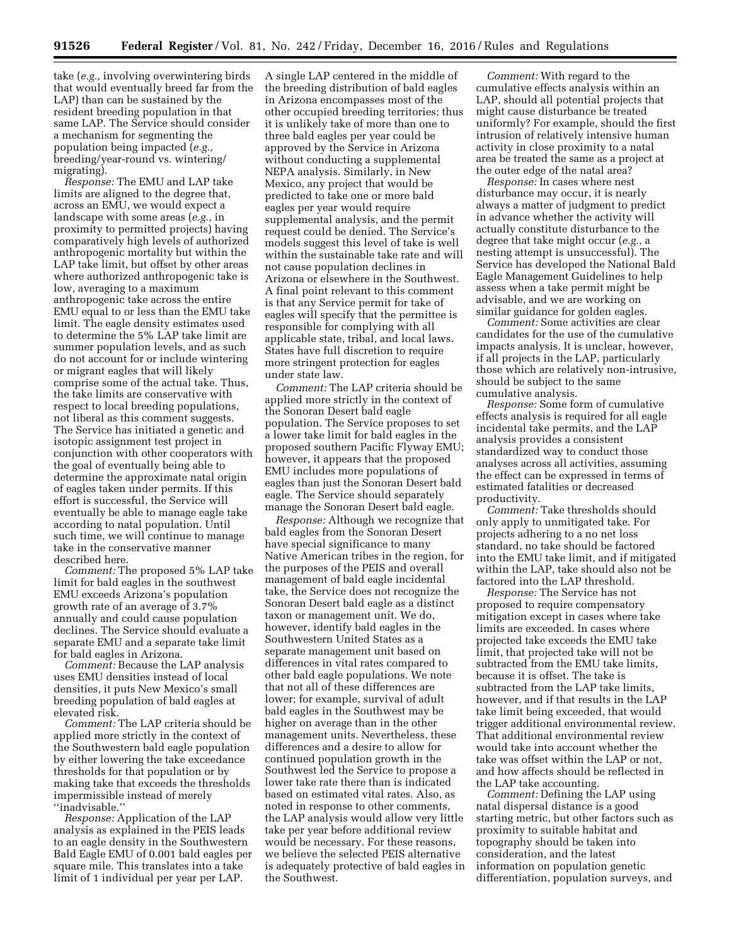take (*e.g.,* involving overwintering birds that would eventually breed far from the LAP) than can be sustained by the resident breeding population in that same LAP. The Service should consider a mechanism for segmenting the population being impacted (*e.g.,*  breeding/year-round vs. wintering/ migrating).

*Response:* The EMU and LAP take limits are aligned to the degree that, across an EMU, we would expect a landscape with some areas (*e.g.,* in proximity to permitted projects) having comparatively high levels of authorized anthropogenic mortality but within the LAP take limit, but offset by other areas where authorized anthropogenic take is low, averaging to a maximum anthropogenic take across the entire EMU equal to or less than the EMU take limit. The eagle density estimates used to determine the 5% LAP take limit are summer population levels, and as such do not account for or include wintering or migrant eagles that will likely comprise some of the actual take. Thus, the take limits are conservative with respect to local breeding populations, not liberal as this comment suggests. The Service has initiated a genetic and isotopic assignment test project in conjunction with other cooperators with the goal of eventually being able to determine the approximate natal origin of eagles taken under permits. If this effort is successful, the Service will eventually be able to manage eagle take according to natal population. Until such time, we will continue to manage take in the conservative manner described here.

*Comment:* The proposed 5% LAP take limit for bald eagles in the southwest EMU exceeds Arizona's population growth rate of an average of 3.7% annually and could cause population declines. The Service should evaluate a separate EMU and a separate take limit for bald eagles in Arizona.

*Comment:* Because the LAP analysis uses EMU densities instead of local densities, it puts New Mexico's small breeding population of bald eagles at elevated risk.

*Comment:* The LAP criteria should be applied more strictly in the context of the Southwestern bald eagle population by either lowering the take exceedance thresholds for that population or by making take that exceeds the thresholds impermissible instead of merely ''inadvisable.''

*Response:* Application of the LAP analysis as explained in the PEIS leads to an eagle density in the Southwestern Bald Eagle EMU of 0.001 bald eagles per square mile. This translates into a take limit of 1 individual per year per LAP.

A single LAP centered in the middle of the breeding distribution of bald eagles in Arizona encompasses most of the other occupied breeding territories; thus it is unlikely take of more than one to three bald eagles per year could be approved by the Service in Arizona without conducting a supplemental NEPA analysis. Similarly, in New Mexico, any project that would be predicted to take one or more bald eagles per year would require supplemental analysis, and the permit request could be denied. The Service's models suggest this level of take is well within the sustainable take rate and will not cause population declines in Arizona or elsewhere in the Southwest. A final point relevant to this comment is that any Service permit for take of eagles will specify that the permittee is responsible for complying with all applicable state, tribal, and local laws. States have full discretion to require more stringent protection for eagles under state law.

*Comment:* The LAP criteria should be applied more strictly in the context of the Sonoran Desert bald eagle population. The Service proposes to set a lower take limit for bald eagles in the proposed southern Pacific Flyway EMU; however, it appears that the proposed EMU includes more populations of eagles than just the Sonoran Desert bald eagle. The Service should separately manage the Sonoran Desert bald eagle.

*Response:* Although we recognize that bald eagles from the Sonoran Desert have special significance to many Native American tribes in the region, for the purposes of the PEIS and overall management of bald eagle incidental take, the Service does not recognize the Sonoran Desert bald eagle as a distinct taxon or management unit. We do, however, identify bald eagles in the Southwestern United States as a separate management unit based on differences in vital rates compared to other bald eagle populations. We note that not all of these differences are lower; for example, survival of adult bald eagles in the Southwest may be higher on average than in the other management units. Nevertheless, these differences and a desire to allow for continued population growth in the Southwest led the Service to propose a lower take rate there than is indicated based on estimated vital rates. Also, as noted in response to other comments, the LAP analysis would allow very little take per year before additional review would be necessary. For these reasons, we believe the selected PEIS alternative is adequately protective of bald eagles in the Southwest.

*Comment:* With regard to the cumulative effects analysis within an LAP, should all potential projects that might cause disturbance be treated uniformly? For example, should the first intrusion of relatively intensive human activity in close proximity to a natal area be treated the same as a project at the outer edge of the natal area?

*Response:* In cases where nest disturbance may occur, it is nearly always a matter of judgment to predict in advance whether the activity will actually constitute disturbance to the degree that take might occur (*e.g.,* a nesting attempt is unsuccessful). The Service has developed the National Bald Eagle Management Guidelines to help assess when a take permit might be advisable, and we are working on similar guidance for golden eagles.

*Comment:* Some activities are clear candidates for the use of the cumulative impacts analysis. It is unclear, however, if all projects in the LAP, particularly those which are relatively non-intrusive, should be subject to the same cumulative analysis.

*Response:* Some form of cumulative effects analysis is required for all eagle incidental take permits, and the LAP analysis provides a consistent standardized way to conduct those analyses across all activities, assuming the effect can be expressed in terms of estimated fatalities or decreased productivity.

*Comment:* Take thresholds should only apply to unmitigated take. For projects adhering to a no net loss standard, no take should be factored into the EMU take limit, and if mitigated within the LAP, take should also not be factored into the LAP threshold.

*Response:* The Service has not proposed to require compensatory mitigation except in cases where take limits are exceeded. In cases where projected take exceeds the EMU take limit, that projected take will not be subtracted from the EMU take limits, because it is offset. The take is subtracted from the LAP take limits, however, and if that results in the LAP take limit being exceeded, that would trigger additional environmental review. That additional environmental review would take into account whether the take was offset within the LAP or not, and how affects should be reflected in the LAP take accounting.

*Comment:* Defining the LAP using natal dispersal distance is a good starting metric, but other factors such as proximity to suitable habitat and topography should be taken into consideration, and the latest information on population genetic differentiation, population surveys, and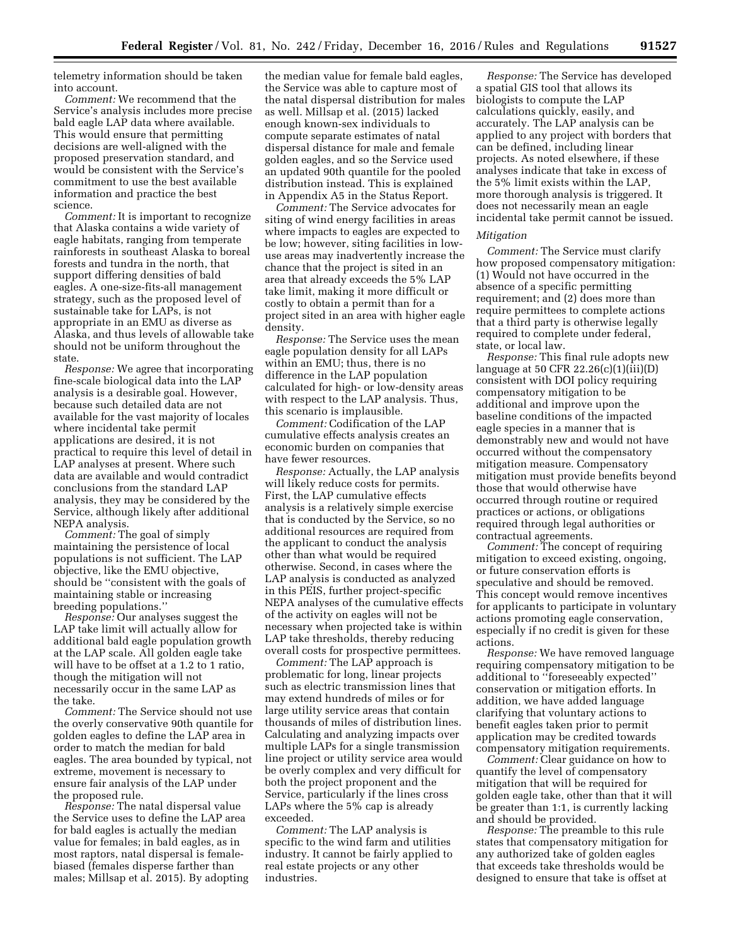telemetry information should be taken into account.

*Comment:* We recommend that the Service's analysis includes more precise bald eagle LAP data where available. This would ensure that permitting decisions are well-aligned with the proposed preservation standard, and would be consistent with the Service's commitment to use the best available information and practice the best science.

*Comment:* It is important to recognize that Alaska contains a wide variety of eagle habitats, ranging from temperate rainforests in southeast Alaska to boreal forests and tundra in the north, that support differing densities of bald eagles. A one-size-fits-all management strategy, such as the proposed level of sustainable take for LAPs, is not appropriate in an EMU as diverse as Alaska, and thus levels of allowable take should not be uniform throughout the state.

*Response:* We agree that incorporating fine-scale biological data into the LAP analysis is a desirable goal. However, because such detailed data are not available for the vast majority of locales where incidental take permit applications are desired, it is not practical to require this level of detail in LAP analyses at present. Where such data are available and would contradict conclusions from the standard LAP analysis, they may be considered by the Service, although likely after additional NEPA analysis.

*Comment:* The goal of simply maintaining the persistence of local populations is not sufficient. The LAP objective, like the EMU objective, should be ''consistent with the goals of maintaining stable or increasing breeding populations.''

*Response:* Our analyses suggest the LAP take limit will actually allow for additional bald eagle population growth at the LAP scale. All golden eagle take will have to be offset at a 1.2 to 1 ratio, though the mitigation will not necessarily occur in the same LAP as the take.

*Comment:* The Service should not use the overly conservative 90th quantile for golden eagles to define the LAP area in order to match the median for bald eagles. The area bounded by typical, not extreme, movement is necessary to ensure fair analysis of the LAP under the proposed rule.

*Response:* The natal dispersal value the Service uses to define the LAP area for bald eagles is actually the median value for females; in bald eagles, as in most raptors, natal dispersal is femalebiased (females disperse farther than males; Millsap et al. 2015). By adopting

the median value for female bald eagles, the Service was able to capture most of the natal dispersal distribution for males as well. Millsap et al. (2015) lacked enough known-sex individuals to compute separate estimates of natal dispersal distance for male and female golden eagles, and so the Service used an updated 90th quantile for the pooled distribution instead. This is explained in Appendix A5 in the Status Report.

*Comment:* The Service advocates for siting of wind energy facilities in areas where impacts to eagles are expected to be low; however, siting facilities in lowuse areas may inadvertently increase the chance that the project is sited in an area that already exceeds the 5% LAP take limit, making it more difficult or costly to obtain a permit than for a project sited in an area with higher eagle density.

*Response:* The Service uses the mean eagle population density for all LAPs within an EMU; thus, there is no difference in the LAP population calculated for high- or low-density areas with respect to the LAP analysis. Thus, this scenario is implausible.

*Comment:* Codification of the LAP cumulative effects analysis creates an economic burden on companies that have fewer resources.

*Response:* Actually, the LAP analysis will likely reduce costs for permits. First, the LAP cumulative effects analysis is a relatively simple exercise that is conducted by the Service, so no additional resources are required from the applicant to conduct the analysis other than what would be required otherwise. Second, in cases where the LAP analysis is conducted as analyzed in this PEIS, further project-specific NEPA analyses of the cumulative effects of the activity on eagles will not be necessary when projected take is within LAP take thresholds, thereby reducing overall costs for prospective permittees.

*Comment:* The LAP approach is problematic for long, linear projects such as electric transmission lines that may extend hundreds of miles or for large utility service areas that contain thousands of miles of distribution lines. Calculating and analyzing impacts over multiple LAPs for a single transmission line project or utility service area would be overly complex and very difficult for both the project proponent and the Service, particularly if the lines cross LAPs where the 5% cap is already exceeded.

*Comment:* The LAP analysis is specific to the wind farm and utilities industry. It cannot be fairly applied to real estate projects or any other industries.

*Response:* The Service has developed a spatial GIS tool that allows its biologists to compute the LAP calculations quickly, easily, and accurately. The LAP analysis can be applied to any project with borders that can be defined, including linear projects. As noted elsewhere, if these analyses indicate that take in excess of the 5% limit exists within the LAP, more thorough analysis is triggered. It does not necessarily mean an eagle incidental take permit cannot be issued.

### *Mitigation*

*Comment:* The Service must clarify how proposed compensatory mitigation: (1) Would not have occurred in the absence of a specific permitting requirement; and (2) does more than require permittees to complete actions that a third party is otherwise legally required to complete under federal, state, or local law.

*Response:* This final rule adopts new language at 50 CFR 22.26(c)(1)(iii)(D) consistent with DOI policy requiring compensatory mitigation to be additional and improve upon the baseline conditions of the impacted eagle species in a manner that is demonstrably new and would not have occurred without the compensatory mitigation measure. Compensatory mitigation must provide benefits beyond those that would otherwise have occurred through routine or required practices or actions, or obligations required through legal authorities or contractual agreements.

*Comment:* The concept of requiring mitigation to exceed existing, ongoing, or future conservation efforts is speculative and should be removed. This concept would remove incentives for applicants to participate in voluntary actions promoting eagle conservation, especially if no credit is given for these actions.

*Response:* We have removed language requiring compensatory mitigation to be additional to ''foreseeably expected'' conservation or mitigation efforts. In addition, we have added language clarifying that voluntary actions to benefit eagles taken prior to permit application may be credited towards compensatory mitigation requirements.

*Comment:* Clear guidance on how to quantify the level of compensatory mitigation that will be required for golden eagle take, other than that it will be greater than 1:1, is currently lacking and should be provided.

*Response:* The preamble to this rule states that compensatory mitigation for any authorized take of golden eagles that exceeds take thresholds would be designed to ensure that take is offset at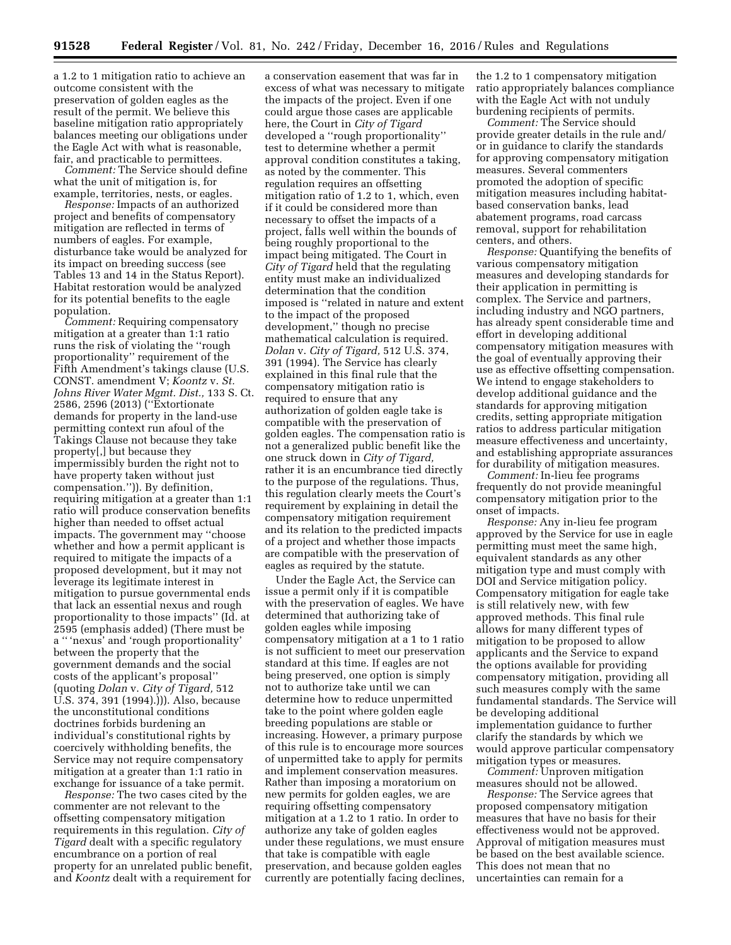a 1.2 to 1 mitigation ratio to achieve an outcome consistent with the preservation of golden eagles as the result of the permit. We believe this baseline mitigation ratio appropriately balances meeting our obligations under the Eagle Act with what is reasonable, fair, and practicable to permittees.

*Comment:* The Service should define what the unit of mitigation is, for example, territories, nests, or eagles.

*Response:* Impacts of an authorized project and benefits of compensatory mitigation are reflected in terms of numbers of eagles. For example, disturbance take would be analyzed for its impact on breeding success (see Tables 13 and 14 in the Status Report). Habitat restoration would be analyzed for its potential benefits to the eagle population.

*Comment:* Requiring compensatory mitigation at a greater than 1:1 ratio runs the risk of violating the ''rough proportionality'' requirement of the Fifth Amendment's takings clause (U.S. CONST. amendment V; *Koontz* v. *St. Johns River Water Mgmt. Dist.,* 133 S. Ct. 2586, 2596 (2013) (''Extortionate demands for property in the land-use permitting context run afoul of the Takings Clause not because they take property[,] but because they impermissibly burden the right not to have property taken without just compensation.'')). By definition, requiring mitigation at a greater than 1:1 ratio will produce conservation benefits higher than needed to offset actual impacts. The government may ''choose whether and how a permit applicant is required to mitigate the impacts of a proposed development, but it may not leverage its legitimate interest in mitigation to pursue governmental ends that lack an essential nexus and rough proportionality to those impacts'' (Id. at 2595 (emphasis added) (There must be a '' 'nexus' and 'rough proportionality' between the property that the government demands and the social costs of the applicant's proposal'' (quoting *Dolan* v. *City of Tigard,* 512 U.S. 374, 391 (1994).))). Also, because the unconstitutional conditions doctrines forbids burdening an individual's constitutional rights by coercively withholding benefits, the Service may not require compensatory mitigation at a greater than 1:1 ratio in exchange for issuance of a take permit.

*Response:* The two cases cited by the commenter are not relevant to the offsetting compensatory mitigation requirements in this regulation. *City of Tigard* dealt with a specific regulatory encumbrance on a portion of real property for an unrelated public benefit, and *Koontz* dealt with a requirement for

a conservation easement that was far in excess of what was necessary to mitigate the impacts of the project. Even if one could argue those cases are applicable here, the Court in *City of Tigard*  developed a ''rough proportionality'' test to determine whether a permit approval condition constitutes a taking, as noted by the commenter. This regulation requires an offsetting mitigation ratio of 1.2 to 1, which, even if it could be considered more than necessary to offset the impacts of a project, falls well within the bounds of being roughly proportional to the impact being mitigated. The Court in *City of Tigard* held that the regulating entity must make an individualized determination that the condition imposed is ''related in nature and extent to the impact of the proposed development,'' though no precise mathematical calculation is required. *Dolan* v. *City of Tigard,* 512 U.S. 374, 391 (1994). The Service has clearly explained in this final rule that the compensatory mitigation ratio is required to ensure that any authorization of golden eagle take is compatible with the preservation of golden eagles. The compensation ratio is not a generalized public benefit like the one struck down in *City of Tigard,*  rather it is an encumbrance tied directly to the purpose of the regulations. Thus, this regulation clearly meets the Court's requirement by explaining in detail the compensatory mitigation requirement and its relation to the predicted impacts of a project and whether those impacts are compatible with the preservation of eagles as required by the statute.

Under the Eagle Act, the Service can issue a permit only if it is compatible with the preservation of eagles. We have determined that authorizing take of golden eagles while imposing compensatory mitigation at a 1 to 1 ratio is not sufficient to meet our preservation standard at this time. If eagles are not being preserved, one option is simply not to authorize take until we can determine how to reduce unpermitted take to the point where golden eagle breeding populations are stable or increasing. However, a primary purpose of this rule is to encourage more sources of unpermitted take to apply for permits and implement conservation measures. Rather than imposing a moratorium on new permits for golden eagles, we are requiring offsetting compensatory mitigation at a 1.2 to 1 ratio. In order to authorize any take of golden eagles under these regulations, we must ensure that take is compatible with eagle preservation, and because golden eagles currently are potentially facing declines,

the 1.2 to 1 compensatory mitigation ratio appropriately balances compliance with the Eagle Act with not unduly burdening recipients of permits.

*Comment:* The Service should provide greater details in the rule and/ or in guidance to clarify the standards for approving compensatory mitigation measures. Several commenters promoted the adoption of specific mitigation measures including habitatbased conservation banks, lead abatement programs, road carcass removal, support for rehabilitation centers, and others.

*Response:* Quantifying the benefits of various compensatory mitigation measures and developing standards for their application in permitting is complex. The Service and partners, including industry and NGO partners, has already spent considerable time and effort in developing additional compensatory mitigation measures with the goal of eventually approving their use as effective offsetting compensation. We intend to engage stakeholders to develop additional guidance and the standards for approving mitigation credits, setting appropriate mitigation ratios to address particular mitigation measure effectiveness and uncertainty, and establishing appropriate assurances for durability of mitigation measures.

*Comment:* In-lieu fee programs frequently do not provide meaningful compensatory mitigation prior to the onset of impacts.

*Response:* Any in-lieu fee program approved by the Service for use in eagle permitting must meet the same high, equivalent standards as any other mitigation type and must comply with DOI and Service mitigation policy. Compensatory mitigation for eagle take is still relatively new, with few approved methods. This final rule allows for many different types of mitigation to be proposed to allow applicants and the Service to expand the options available for providing compensatory mitigation, providing all such measures comply with the same fundamental standards. The Service will be developing additional implementation guidance to further clarify the standards by which we would approve particular compensatory mitigation types or measures.

*Comment:* Unproven mitigation measures should not be allowed.

*Response:* The Service agrees that proposed compensatory mitigation measures that have no basis for their effectiveness would not be approved. Approval of mitigation measures must be based on the best available science. This does not mean that no uncertainties can remain for a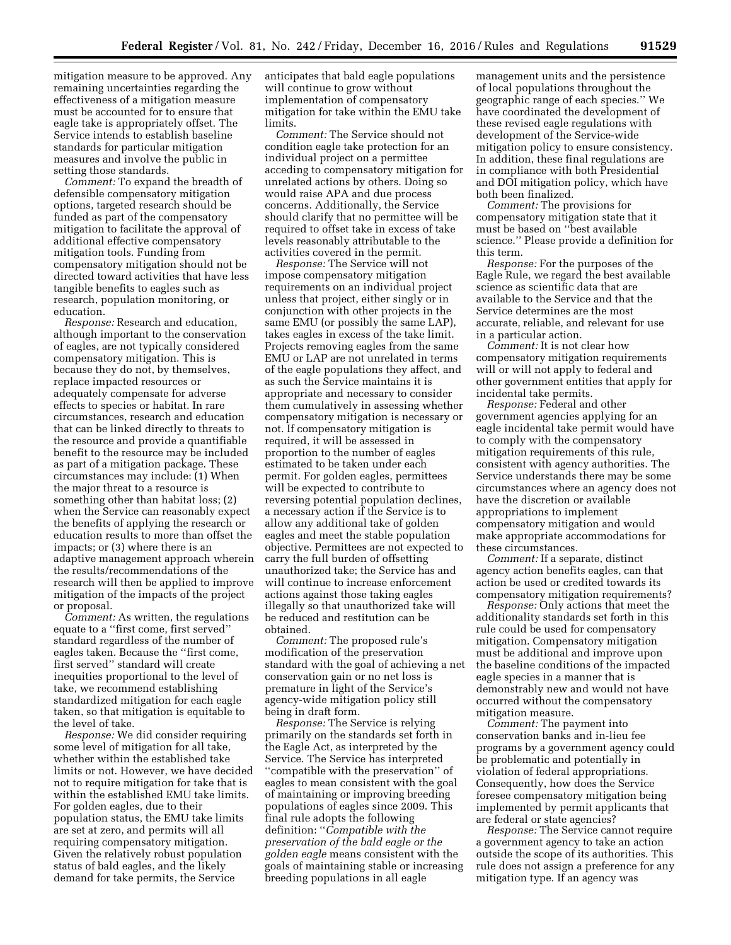mitigation measure to be approved. Any remaining uncertainties regarding the effectiveness of a mitigation measure must be accounted for to ensure that eagle take is appropriately offset. The Service intends to establish baseline standards for particular mitigation measures and involve the public in setting those standards.

*Comment:* To expand the breadth of defensible compensatory mitigation options, targeted research should be funded as part of the compensatory mitigation to facilitate the approval of additional effective compensatory mitigation tools. Funding from compensatory mitigation should not be directed toward activities that have less tangible benefits to eagles such as research, population monitoring, or education.

*Response:* Research and education, although important to the conservation of eagles, are not typically considered compensatory mitigation. This is because they do not, by themselves, replace impacted resources or adequately compensate for adverse effects to species or habitat. In rare circumstances, research and education that can be linked directly to threats to the resource and provide a quantifiable benefit to the resource may be included as part of a mitigation package. These circumstances may include: (1) When the major threat to a resource is something other than habitat loss; (2) when the Service can reasonably expect the benefits of applying the research or education results to more than offset the impacts; or (3) where there is an adaptive management approach wherein the results/recommendations of the research will then be applied to improve mitigation of the impacts of the project or proposal.

*Comment:* As written, the regulations equate to a ''first come, first served'' standard regardless of the number of eagles taken. Because the ''first come, first served'' standard will create inequities proportional to the level of take, we recommend establishing standardized mitigation for each eagle taken, so that mitigation is equitable to the level of take.

*Response:* We did consider requiring some level of mitigation for all take, whether within the established take limits or not. However, we have decided not to require mitigation for take that is within the established EMU take limits. For golden eagles, due to their population status, the EMU take limits are set at zero, and permits will all requiring compensatory mitigation. Given the relatively robust population status of bald eagles, and the likely demand for take permits, the Service

anticipates that bald eagle populations will continue to grow without implementation of compensatory mitigation for take within the EMU take limits.

*Comment:* The Service should not condition eagle take protection for an individual project on a permittee acceding to compensatory mitigation for unrelated actions by others. Doing so would raise APA and due process concerns. Additionally, the Service should clarify that no permittee will be required to offset take in excess of take levels reasonably attributable to the activities covered in the permit.

*Response:* The Service will not impose compensatory mitigation requirements on an individual project unless that project, either singly or in conjunction with other projects in the same EMU (or possibly the same LAP), takes eagles in excess of the take limit. Projects removing eagles from the same EMU or LAP are not unrelated in terms of the eagle populations they affect, and as such the Service maintains it is appropriate and necessary to consider them cumulatively in assessing whether compensatory mitigation is necessary or not. If compensatory mitigation is required, it will be assessed in proportion to the number of eagles estimated to be taken under each permit. For golden eagles, permittees will be expected to contribute to reversing potential population declines, a necessary action if the Service is to allow any additional take of golden eagles and meet the stable population objective. Permittees are not expected to carry the full burden of offsetting unauthorized take; the Service has and will continue to increase enforcement actions against those taking eagles illegally so that unauthorized take will be reduced and restitution can be obtained.

*Comment:* The proposed rule's modification of the preservation standard with the goal of achieving a net conservation gain or no net loss is premature in light of the Service's agency-wide mitigation policy still being in draft form.

*Response:* The Service is relying primarily on the standards set forth in the Eagle Act, as interpreted by the Service. The Service has interpreted ''compatible with the preservation'' of eagles to mean consistent with the goal of maintaining or improving breeding populations of eagles since 2009. This final rule adopts the following definition: ''*Compatible with the preservation of the bald eagle or the golden eagle* means consistent with the goals of maintaining stable or increasing breeding populations in all eagle

management units and the persistence of local populations throughout the geographic range of each species.'' We have coordinated the development of these revised eagle regulations with development of the Service-wide mitigation policy to ensure consistency. In addition, these final regulations are in compliance with both Presidential and DOI mitigation policy, which have both been finalized.

*Comment:* The provisions for compensatory mitigation state that it must be based on ''best available science.'' Please provide a definition for this term.

*Response:* For the purposes of the Eagle Rule, we regard the best available science as scientific data that are available to the Service and that the Service determines are the most accurate, reliable, and relevant for use in a particular action.

*Comment:* It is not clear how compensatory mitigation requirements will or will not apply to federal and other government entities that apply for incidental take permits.

*Response:* Federal and other government agencies applying for an eagle incidental take permit would have to comply with the compensatory mitigation requirements of this rule, consistent with agency authorities. The Service understands there may be some circumstances where an agency does not have the discretion or available appropriations to implement compensatory mitigation and would make appropriate accommodations for these circumstances.

*Comment:* If a separate, distinct agency action benefits eagles, can that action be used or credited towards its compensatory mitigation requirements?

*Response:* Only actions that meet the additionality standards set forth in this rule could be used for compensatory mitigation. Compensatory mitigation must be additional and improve upon the baseline conditions of the impacted eagle species in a manner that is demonstrably new and would not have occurred without the compensatory mitigation measure.

*Comment:* The payment into conservation banks and in-lieu fee programs by a government agency could be problematic and potentially in violation of federal appropriations. Consequently, how does the Service foresee compensatory mitigation being implemented by permit applicants that are federal or state agencies?

*Response:* The Service cannot require a government agency to take an action outside the scope of its authorities. This rule does not assign a preference for any mitigation type. If an agency was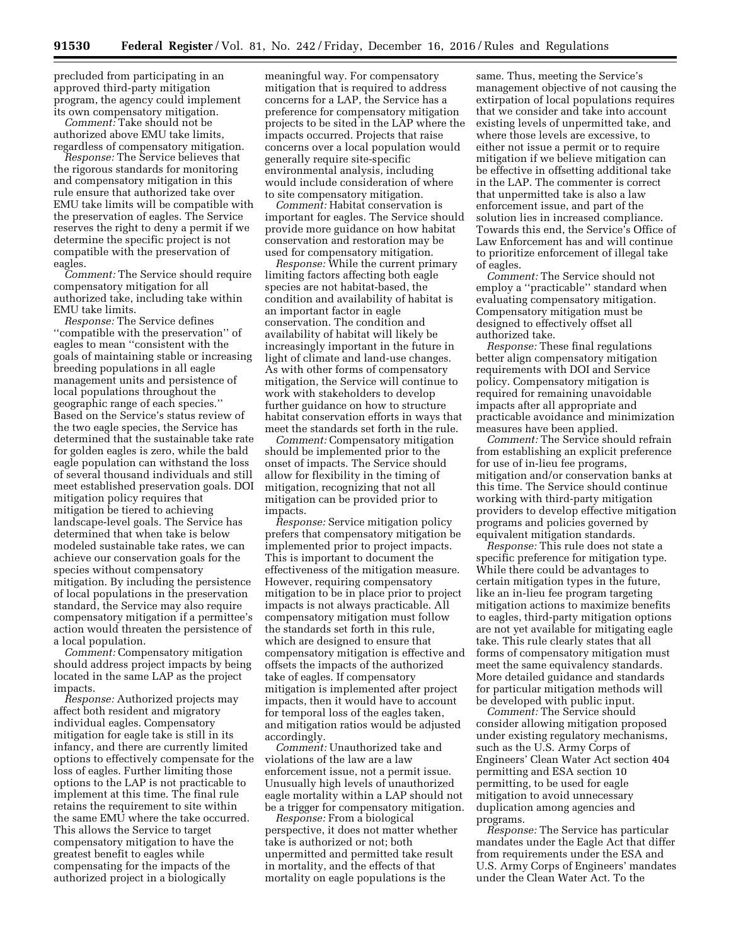precluded from participating in an approved third-party mitigation program, the agency could implement its own compensatory mitigation.

*Comment:* Take should not be authorized above EMU take limits, regardless of compensatory mitigation.

*Response:* The Service believes that the rigorous standards for monitoring and compensatory mitigation in this rule ensure that authorized take over EMU take limits will be compatible with the preservation of eagles. The Service reserves the right to deny a permit if we determine the specific project is not compatible with the preservation of eagles.

*Comment:* The Service should require compensatory mitigation for all authorized take, including take within EMU take limits.

*Response:* The Service defines ''compatible with the preservation'' of eagles to mean ''consistent with the goals of maintaining stable or increasing breeding populations in all eagle management units and persistence of local populations throughout the geographic range of each species.'' Based on the Service's status review of the two eagle species, the Service has determined that the sustainable take rate for golden eagles is zero, while the bald eagle population can withstand the loss of several thousand individuals and still meet established preservation goals. DOI mitigation policy requires that mitigation be tiered to achieving landscape-level goals. The Service has determined that when take is below modeled sustainable take rates, we can achieve our conservation goals for the species without compensatory mitigation. By including the persistence of local populations in the preservation standard, the Service may also require compensatory mitigation if a permittee's action would threaten the persistence of a local population.

*Comment:* Compensatory mitigation should address project impacts by being located in the same LAP as the project impacts.

*Response:* Authorized projects may affect both resident and migratory individual eagles. Compensatory mitigation for eagle take is still in its infancy, and there are currently limited options to effectively compensate for the loss of eagles. Further limiting those options to the LAP is not practicable to implement at this time. The final rule retains the requirement to site within the same EMU where the take occurred. This allows the Service to target compensatory mitigation to have the greatest benefit to eagles while compensating for the impacts of the authorized project in a biologically

meaningful way. For compensatory mitigation that is required to address concerns for a LAP, the Service has a preference for compensatory mitigation projects to be sited in the LAP where the impacts occurred. Projects that raise concerns over a local population would generally require site-specific environmental analysis, including would include consideration of where to site compensatory mitigation.

*Comment:* Habitat conservation is important for eagles. The Service should provide more guidance on how habitat conservation and restoration may be used for compensatory mitigation.

*Response:* While the current primary limiting factors affecting both eagle species are not habitat-based, the condition and availability of habitat is an important factor in eagle conservation. The condition and availability of habitat will likely be increasingly important in the future in light of climate and land-use changes. As with other forms of compensatory mitigation, the Service will continue to work with stakeholders to develop further guidance on how to structure habitat conservation efforts in ways that meet the standards set forth in the rule.

*Comment:* Compensatory mitigation should be implemented prior to the onset of impacts. The Service should allow for flexibility in the timing of mitigation, recognizing that not all mitigation can be provided prior to impacts.

*Response:* Service mitigation policy prefers that compensatory mitigation be implemented prior to project impacts. This is important to document the effectiveness of the mitigation measure. However, requiring compensatory mitigation to be in place prior to project impacts is not always practicable. All compensatory mitigation must follow the standards set forth in this rule, which are designed to ensure that compensatory mitigation is effective and offsets the impacts of the authorized take of eagles. If compensatory mitigation is implemented after project impacts, then it would have to account for temporal loss of the eagles taken, and mitigation ratios would be adjusted accordingly.

*Comment:* Unauthorized take and violations of the law are a law enforcement issue, not a permit issue. Unusually high levels of unauthorized eagle mortality within a LAP should not be a trigger for compensatory mitigation.

*Response:* From a biological perspective, it does not matter whether take is authorized or not; both unpermitted and permitted take result in mortality, and the effects of that mortality on eagle populations is the

same. Thus, meeting the Service's management objective of not causing the extirpation of local populations requires that we consider and take into account existing levels of unpermitted take, and where those levels are excessive, to either not issue a permit or to require mitigation if we believe mitigation can be effective in offsetting additional take in the LAP. The commenter is correct that unpermitted take is also a law enforcement issue, and part of the solution lies in increased compliance. Towards this end, the Service's Office of Law Enforcement has and will continue to prioritize enforcement of illegal take of eagles.

*Comment:* The Service should not employ a ''practicable'' standard when evaluating compensatory mitigation. Compensatory mitigation must be designed to effectively offset all authorized take.

*Response:* These final regulations better align compensatory mitigation requirements with DOI and Service policy. Compensatory mitigation is required for remaining unavoidable impacts after all appropriate and practicable avoidance and minimization measures have been applied.

*Comment:* The Service should refrain from establishing an explicit preference for use of in-lieu fee programs, mitigation and/or conservation banks at this time. The Service should continue working with third-party mitigation providers to develop effective mitigation programs and policies governed by equivalent mitigation standards.

*Response:* This rule does not state a specific preference for mitigation type. While there could be advantages to certain mitigation types in the future, like an in-lieu fee program targeting mitigation actions to maximize benefits to eagles, third-party mitigation options are not yet available for mitigating eagle take. This rule clearly states that all forms of compensatory mitigation must meet the same equivalency standards. More detailed guidance and standards for particular mitigation methods will be developed with public input.

*Comment:* The Service should consider allowing mitigation proposed under existing regulatory mechanisms, such as the U.S. Army Corps of Engineers' Clean Water Act section 404 permitting and ESA section 10 permitting, to be used for eagle mitigation to avoid unnecessary duplication among agencies and programs.

*Response:* The Service has particular mandates under the Eagle Act that differ from requirements under the ESA and U.S. Army Corps of Engineers' mandates under the Clean Water Act. To the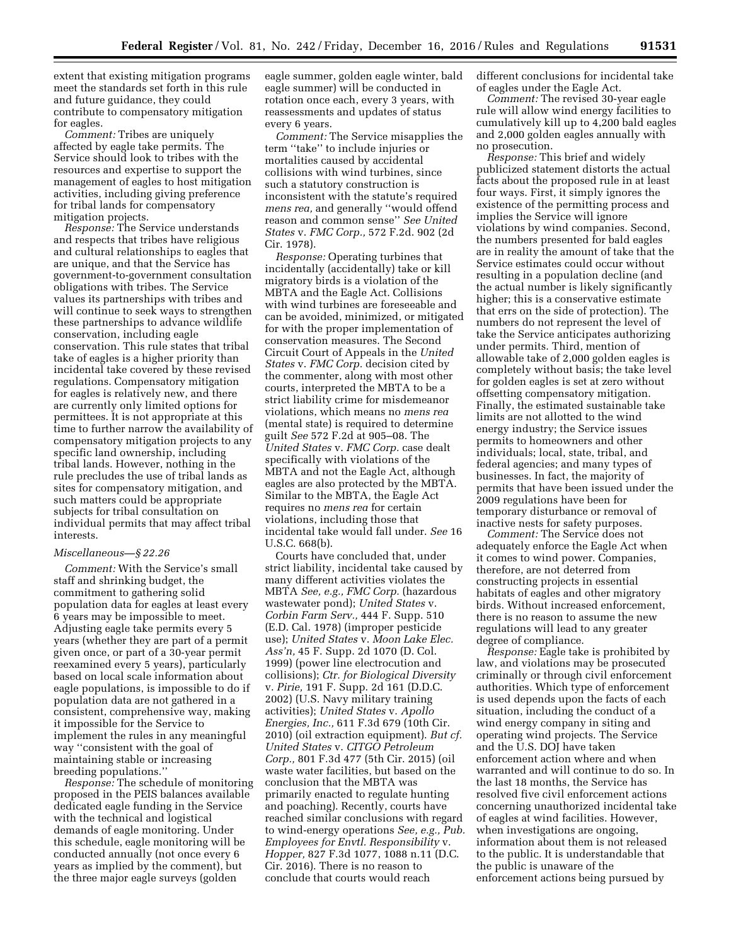extent that existing mitigation programs meet the standards set forth in this rule and future guidance, they could contribute to compensatory mitigation for eagles.

*Comment:* Tribes are uniquely affected by eagle take permits. The Service should look to tribes with the resources and expertise to support the management of eagles to host mitigation activities, including giving preference for tribal lands for compensatory mitigation projects.

*Response:* The Service understands and respects that tribes have religious and cultural relationships to eagles that are unique, and that the Service has government-to-government consultation obligations with tribes. The Service values its partnerships with tribes and will continue to seek ways to strengthen these partnerships to advance wildlife conservation, including eagle conservation. This rule states that tribal take of eagles is a higher priority than incidental take covered by these revised regulations. Compensatory mitigation for eagles is relatively new, and there are currently only limited options for permittees. It is not appropriate at this time to further narrow the availability of compensatory mitigation projects to any specific land ownership, including tribal lands. However, nothing in the rule precludes the use of tribal lands as sites for compensatory mitigation, and such matters could be appropriate subjects for tribal consultation on individual permits that may affect tribal interests.

#### *Miscellaneous—§ 22.26*

*Comment:* With the Service's small staff and shrinking budget, the commitment to gathering solid population data for eagles at least every 6 years may be impossible to meet. Adjusting eagle take permits every 5 years (whether they are part of a permit given once, or part of a 30-year permit reexamined every 5 years), particularly based on local scale information about eagle populations, is impossible to do if population data are not gathered in a consistent, comprehensive way, making it impossible for the Service to implement the rules in any meaningful way ''consistent with the goal of maintaining stable or increasing breeding populations.''

*Response:* The schedule of monitoring proposed in the PEIS balances available dedicated eagle funding in the Service with the technical and logistical demands of eagle monitoring. Under this schedule, eagle monitoring will be conducted annually (not once every 6 years as implied by the comment), but the three major eagle surveys (golden

eagle summer, golden eagle winter, bald eagle summer) will be conducted in rotation once each, every 3 years, with reassessments and updates of status every 6 years.

*Comment:* The Service misapplies the term ''take'' to include injuries or mortalities caused by accidental collisions with wind turbines, since such a statutory construction is inconsistent with the statute's required *mens rea,* and generally ''would offend reason and common sense'' *See United States* v. *FMC Corp.,* 572 F.2d. 902 (2d Cir. 1978).

*Response:* Operating turbines that incidentally (accidentally) take or kill migratory birds is a violation of the MBTA and the Eagle Act. Collisions with wind turbines are foreseeable and can be avoided, minimized, or mitigated for with the proper implementation of conservation measures. The Second Circuit Court of Appeals in the *United States* v. *FMC Corp.* decision cited by the commenter, along with most other courts, interpreted the MBTA to be a strict liability crime for misdemeanor violations, which means no *mens rea*  (mental state) is required to determine guilt *See* 572 F.2d at 905–08. The *United States* v. *FMC Corp.* case dealt specifically with violations of the MBTA and not the Eagle Act, although eagles are also protected by the MBTA. Similar to the MBTA, the Eagle Act requires no *mens rea* for certain violations, including those that incidental take would fall under. *See* 16 U.S.C. 668(b).

Courts have concluded that, under strict liability, incidental take caused by many different activities violates the MBTA *See, e.g., FMC Corp.* (hazardous wastewater pond); *United States* v. *Corbin Farm Serv.,* 444 F. Supp. 510 (E.D. Cal. 1978) (improper pesticide use); *United States* v. *Moon Lake Elec. Ass'n,* 45 F. Supp. 2d 1070 (D. Col. 1999) (power line electrocution and collisions); *Ctr. for Biological Diversity*  v. *Pirie,* 191 F. Supp. 2d 161 (D.D.C. 2002) (U.S. Navy military training activities); *United States* v. *Apollo Energies, Inc.,* 611 F.3d 679 (10th Cir. 2010) (oil extraction equipment). *But cf. United States* v. *CITGO Petroleum Corp.,* 801 F.3d 477 (5th Cir. 2015) (oil waste water facilities, but based on the conclusion that the MBTA was primarily enacted to regulate hunting and poaching). Recently, courts have reached similar conclusions with regard to wind-energy operations *See, e.g., Pub. Employees for Envtl. Responsibility* v. *Hopper,* 827 F.3d 1077, 1088 n.11 (D.C. Cir. 2016). There is no reason to conclude that courts would reach

different conclusions for incidental take of eagles under the Eagle Act.

*Comment:* The revised 30-year eagle rule will allow wind energy facilities to cumulatively kill up to 4,200 bald eagles and 2,000 golden eagles annually with no prosecution.

*Response:* This brief and widely publicized statement distorts the actual facts about the proposed rule in at least four ways. First, it simply ignores the existence of the permitting process and implies the Service will ignore violations by wind companies. Second, the numbers presented for bald eagles are in reality the amount of take that the Service estimates could occur without resulting in a population decline (and the actual number is likely significantly higher; this is a conservative estimate that errs on the side of protection). The numbers do not represent the level of take the Service anticipates authorizing under permits. Third, mention of allowable take of 2,000 golden eagles is completely without basis; the take level for golden eagles is set at zero without offsetting compensatory mitigation. Finally, the estimated sustainable take limits are not allotted to the wind energy industry; the Service issues permits to homeowners and other individuals; local, state, tribal, and federal agencies; and many types of businesses. In fact, the majority of permits that have been issued under the 2009 regulations have been for temporary disturbance or removal of inactive nests for safety purposes.

*Comment:* The Service does not adequately enforce the Eagle Act when it comes to wind power. Companies, therefore, are not deterred from constructing projects in essential habitats of eagles and other migratory birds. Without increased enforcement, there is no reason to assume the new regulations will lead to any greater degree of compliance.

*Response:* Eagle take is prohibited by law, and violations may be prosecuted criminally or through civil enforcement authorities. Which type of enforcement is used depends upon the facts of each situation, including the conduct of a wind energy company in siting and operating wind projects. The Service and the U.S. DOJ have taken enforcement action where and when warranted and will continue to do so. In the last 18 months, the Service has resolved five civil enforcement actions concerning unauthorized incidental take of eagles at wind facilities. However, when investigations are ongoing, information about them is not released to the public. It is understandable that the public is unaware of the enforcement actions being pursued by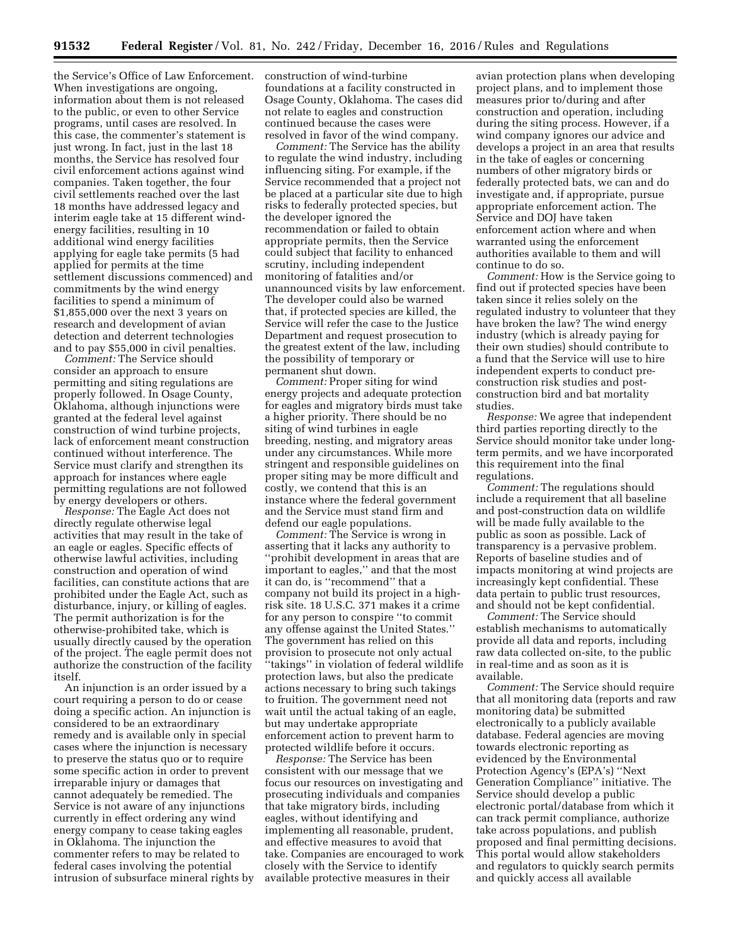the Service's Office of Law Enforcement. When investigations are ongoing, information about them is not released to the public, or even to other Service programs, until cases are resolved. In this case, the commenter's statement is just wrong. In fact, just in the last 18 months, the Service has resolved four civil enforcement actions against wind companies. Taken together, the four civil settlements reached over the last 18 months have addressed legacy and interim eagle take at 15 different windenergy facilities, resulting in 10 additional wind energy facilities applying for eagle take permits (5 had applied for permits at the time settlement discussions commenced) and commitments by the wind energy facilities to spend a minimum of \$1,855,000 over the next 3 years on research and development of avian detection and deterrent technologies and to pay \$55,000 in civil penalties.

*Comment:* The Service should consider an approach to ensure permitting and siting regulations are properly followed. In Osage County, Oklahoma, although injunctions were granted at the federal level against construction of wind turbine projects, lack of enforcement meant construction continued without interference. The Service must clarify and strengthen its approach for instances where eagle permitting regulations are not followed by energy developers or others.

*Response:* The Eagle Act does not directly regulate otherwise legal activities that may result in the take of an eagle or eagles. Specific effects of otherwise lawful activities, including construction and operation of wind facilities, can constitute actions that are prohibited under the Eagle Act, such as disturbance, injury, or killing of eagles. The permit authorization is for the otherwise-prohibited take, which is usually directly caused by the operation of the project. The eagle permit does not authorize the construction of the facility itself.

An injunction is an order issued by a court requiring a person to do or cease doing a specific action. An injunction is considered to be an extraordinary remedy and is available only in special cases where the injunction is necessary to preserve the status quo or to require some specific action in order to prevent irreparable injury or damages that cannot adequately be remedied. The Service is not aware of any injunctions currently in effect ordering any wind energy company to cease taking eagles in Oklahoma. The injunction the commenter refers to may be related to federal cases involving the potential intrusion of subsurface mineral rights by construction of wind-turbine foundations at a facility constructed in Osage County, Oklahoma. The cases did not relate to eagles and construction continued because the cases were resolved in favor of the wind company.

*Comment:* The Service has the ability to regulate the wind industry, including influencing siting. For example, if the Service recommended that a project not be placed at a particular site due to high risks to federally protected species, but the developer ignored the recommendation or failed to obtain appropriate permits, then the Service could subject that facility to enhanced scrutiny, including independent monitoring of fatalities and/or unannounced visits by law enforcement. The developer could also be warned that, if protected species are killed, the Service will refer the case to the Justice Department and request prosecution to the greatest extent of the law, including the possibility of temporary or permanent shut down.

*Comment:* Proper siting for wind energy projects and adequate protection for eagles and migratory birds must take a higher priority. There should be no siting of wind turbines in eagle breeding, nesting, and migratory areas under any circumstances. While more stringent and responsible guidelines on proper siting may be more difficult and costly, we contend that this is an instance where the federal government and the Service must stand firm and defend our eagle populations.

*Comment:* The Service is wrong in asserting that it lacks any authority to ''prohibit development in areas that are important to eagles,'' and that the most it can do, is ''recommend'' that a company not build its project in a highrisk site. 18 U.S.C. 371 makes it a crime for any person to conspire ''to commit any offense against the United States.'' The government has relied on this provision to prosecute not only actual ''takings'' in violation of federal wildlife protection laws, but also the predicate actions necessary to bring such takings to fruition. The government need not wait until the actual taking of an eagle, but may undertake appropriate enforcement action to prevent harm to protected wildlife before it occurs.

*Response:* The Service has been consistent with our message that we focus our resources on investigating and prosecuting individuals and companies that take migratory birds, including eagles, without identifying and implementing all reasonable, prudent, and effective measures to avoid that take. Companies are encouraged to work closely with the Service to identify available protective measures in their

avian protection plans when developing project plans, and to implement those measures prior to/during and after construction and operation, including during the siting process. However, if a wind company ignores our advice and develops a project in an area that results in the take of eagles or concerning numbers of other migratory birds or federally protected bats, we can and do investigate and, if appropriate, pursue appropriate enforcement action. The Service and DOJ have taken enforcement action where and when warranted using the enforcement authorities available to them and will continue to do so.

*Comment:* How is the Service going to find out if protected species have been taken since it relies solely on the regulated industry to volunteer that they have broken the law? The wind energy industry (which is already paying for their own studies) should contribute to a fund that the Service will use to hire independent experts to conduct preconstruction risk studies and postconstruction bird and bat mortality studies.

*Response:* We agree that independent third parties reporting directly to the Service should monitor take under longterm permits, and we have incorporated this requirement into the final regulations.

*Comment:* The regulations should include a requirement that all baseline and post-construction data on wildlife will be made fully available to the public as soon as possible. Lack of transparency is a pervasive problem. Reports of baseline studies and of impacts monitoring at wind projects are increasingly kept confidential. These data pertain to public trust resources, and should not be kept confidential.

*Comment:* The Service should establish mechanisms to automatically provide all data and reports, including raw data collected on-site, to the public in real-time and as soon as it is available.

*Comment:* The Service should require that all monitoring data (reports and raw monitoring data) be submitted electronically to a publicly available database. Federal agencies are moving towards electronic reporting as evidenced by the Environmental Protection Agency's (EPA's) ''Next Generation Compliance'' initiative. The Service should develop a public electronic portal/database from which it can track permit compliance, authorize take across populations, and publish proposed and final permitting decisions. This portal would allow stakeholders and regulators to quickly search permits and quickly access all available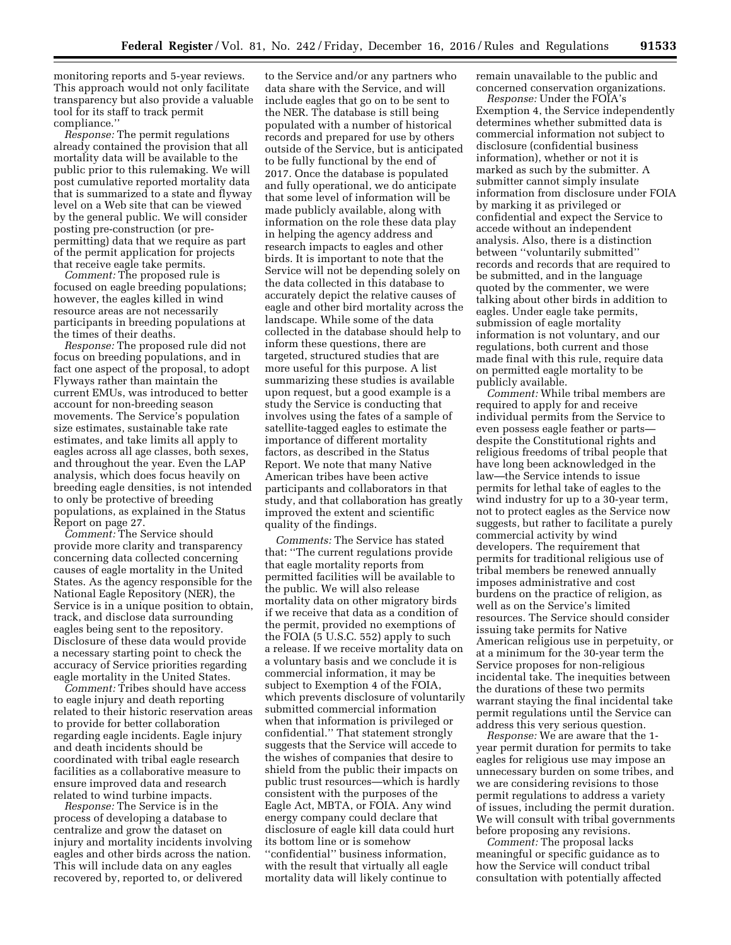monitoring reports and 5-year reviews. This approach would not only facilitate transparency but also provide a valuable tool for its staff to track permit compliance.''

*Response:* The permit regulations already contained the provision that all mortality data will be available to the public prior to this rulemaking. We will post cumulative reported mortality data that is summarized to a state and flyway level on a Web site that can be viewed by the general public. We will consider posting pre-construction (or prepermitting) data that we require as part of the permit application for projects that receive eagle take permits.

*Comment:* The proposed rule is focused on eagle breeding populations; however, the eagles killed in wind resource areas are not necessarily participants in breeding populations at the times of their deaths.

*Response:* The proposed rule did not focus on breeding populations, and in fact one aspect of the proposal, to adopt Flyways rather than maintain the current EMUs, was introduced to better account for non-breeding season movements. The Service's population size estimates, sustainable take rate estimates, and take limits all apply to eagles across all age classes, both sexes, and throughout the year. Even the LAP analysis, which does focus heavily on breeding eagle densities, is not intended to only be protective of breeding populations, as explained in the Status Report on page 27.

*Comment:* The Service should provide more clarity and transparency concerning data collected concerning causes of eagle mortality in the United States. As the agency responsible for the National Eagle Repository (NER), the Service is in a unique position to obtain, track, and disclose data surrounding eagles being sent to the repository. Disclosure of these data would provide a necessary starting point to check the accuracy of Service priorities regarding eagle mortality in the United States.

*Comment:* Tribes should have access to eagle injury and death reporting related to their historic reservation areas to provide for better collaboration regarding eagle incidents. Eagle injury and death incidents should be coordinated with tribal eagle research facilities as a collaborative measure to ensure improved data and research related to wind turbine impacts.

*Response:* The Service is in the process of developing a database to centralize and grow the dataset on injury and mortality incidents involving eagles and other birds across the nation. This will include data on any eagles recovered by, reported to, or delivered

to the Service and/or any partners who data share with the Service, and will include eagles that go on to be sent to the NER. The database is still being populated with a number of historical records and prepared for use by others outside of the Service, but is anticipated to be fully functional by the end of 2017. Once the database is populated and fully operational, we do anticipate that some level of information will be made publicly available, along with information on the role these data play in helping the agency address and research impacts to eagles and other birds. It is important to note that the Service will not be depending solely on the data collected in this database to accurately depict the relative causes of eagle and other bird mortality across the landscape. While some of the data collected in the database should help to inform these questions, there are targeted, structured studies that are more useful for this purpose. A list summarizing these studies is available upon request, but a good example is a study the Service is conducting that involves using the fates of a sample of satellite-tagged eagles to estimate the importance of different mortality factors, as described in the Status Report. We note that many Native American tribes have been active participants and collaborators in that study, and that collaboration has greatly improved the extent and scientific quality of the findings.

*Comments:* The Service has stated that: ''The current regulations provide that eagle mortality reports from permitted facilities will be available to the public. We will also release mortality data on other migratory birds if we receive that data as a condition of the permit, provided no exemptions of the FOIA (5 U.S.C. 552) apply to such a release. If we receive mortality data on a voluntary basis and we conclude it is commercial information, it may be subject to Exemption 4 of the FOIA, which prevents disclosure of voluntarily submitted commercial information when that information is privileged or confidential.'' That statement strongly suggests that the Service will accede to the wishes of companies that desire to shield from the public their impacts on public trust resources—which is hardly consistent with the purposes of the Eagle Act, MBTA, or FOIA. Any wind energy company could declare that disclosure of eagle kill data could hurt its bottom line or is somehow ''confidential'' business information, with the result that virtually all eagle mortality data will likely continue to

remain unavailable to the public and concerned conservation organizations.

*Response:* Under the FOIA's Exemption 4, the Service independently determines whether submitted data is commercial information not subject to disclosure (confidential business information), whether or not it is marked as such by the submitter. A submitter cannot simply insulate information from disclosure under FOIA by marking it as privileged or confidential and expect the Service to accede without an independent analysis. Also, there is a distinction between ''voluntarily submitted'' records and records that are required to be submitted, and in the language quoted by the commenter, we were talking about other birds in addition to eagles. Under eagle take permits, submission of eagle mortality information is not voluntary, and our regulations, both current and those made final with this rule, require data on permitted eagle mortality to be publicly available.

*Comment:* While tribal members are required to apply for and receive individual permits from the Service to even possess eagle feather or parts despite the Constitutional rights and religious freedoms of tribal people that have long been acknowledged in the law—the Service intends to issue permits for lethal take of eagles to the wind industry for up to a 30-year term, not to protect eagles as the Service now suggests, but rather to facilitate a purely commercial activity by wind developers. The requirement that permits for traditional religious use of tribal members be renewed annually imposes administrative and cost burdens on the practice of religion, as well as on the Service's limited resources. The Service should consider issuing take permits for Native American religious use in perpetuity, or at a minimum for the 30-year term the Service proposes for non-religious incidental take. The inequities between the durations of these two permits warrant staying the final incidental take permit regulations until the Service can address this very serious question.

*Response:* We are aware that the 1 year permit duration for permits to take eagles for religious use may impose an unnecessary burden on some tribes, and we are considering revisions to those permit regulations to address a variety of issues, including the permit duration. We will consult with tribal governments before proposing any revisions.

*Comment:* The proposal lacks meaningful or specific guidance as to how the Service will conduct tribal consultation with potentially affected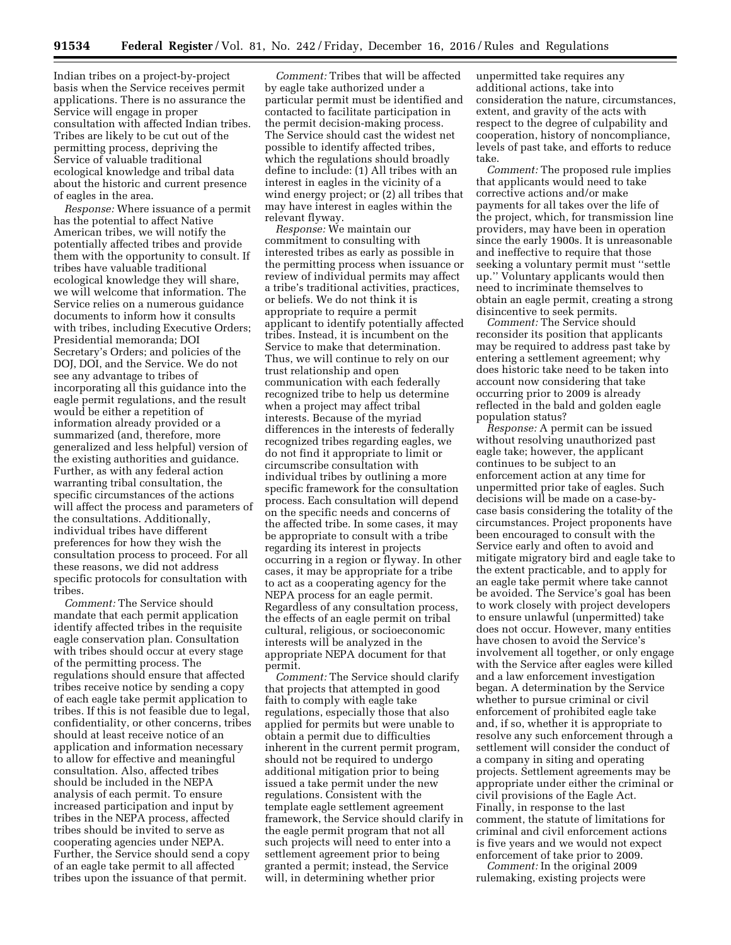Indian tribes on a project-by-project basis when the Service receives permit applications. There is no assurance the Service will engage in proper consultation with affected Indian tribes. Tribes are likely to be cut out of the permitting process, depriving the Service of valuable traditional ecological knowledge and tribal data about the historic and current presence of eagles in the area.

*Response:* Where issuance of a permit has the potential to affect Native American tribes, we will notify the potentially affected tribes and provide them with the opportunity to consult. If tribes have valuable traditional ecological knowledge they will share, we will welcome that information. The Service relies on a numerous guidance documents to inform how it consults with tribes, including Executive Orders; Presidential memoranda; DOI Secretary's Orders; and policies of the DOJ, DOI, and the Service. We do not see any advantage to tribes of incorporating all this guidance into the eagle permit regulations, and the result would be either a repetition of information already provided or a summarized (and, therefore, more generalized and less helpful) version of the existing authorities and guidance. Further, as with any federal action warranting tribal consultation, the specific circumstances of the actions will affect the process and parameters of the consultations. Additionally, individual tribes have different preferences for how they wish the consultation process to proceed. For all these reasons, we did not address specific protocols for consultation with tribes.

*Comment:* The Service should mandate that each permit application identify affected tribes in the requisite eagle conservation plan. Consultation with tribes should occur at every stage of the permitting process. The regulations should ensure that affected tribes receive notice by sending a copy of each eagle take permit application to tribes. If this is not feasible due to legal, confidentiality, or other concerns, tribes should at least receive notice of an application and information necessary to allow for effective and meaningful consultation. Also, affected tribes should be included in the NEPA analysis of each permit. To ensure increased participation and input by tribes in the NEPA process, affected tribes should be invited to serve as cooperating agencies under NEPA. Further, the Service should send a copy of an eagle take permit to all affected tribes upon the issuance of that permit.

*Comment:* Tribes that will be affected by eagle take authorized under a particular permit must be identified and contacted to facilitate participation in the permit decision-making process. The Service should cast the widest net possible to identify affected tribes, which the regulations should broadly define to include: (1) All tribes with an interest in eagles in the vicinity of a wind energy project; or (2) all tribes that may have interest in eagles within the relevant flyway.

*Response:* We maintain our commitment to consulting with interested tribes as early as possible in the permitting process when issuance or review of individual permits may affect a tribe's traditional activities, practices, or beliefs. We do not think it is appropriate to require a permit applicant to identify potentially affected tribes. Instead, it is incumbent on the Service to make that determination. Thus, we will continue to rely on our trust relationship and open communication with each federally recognized tribe to help us determine when a project may affect tribal interests. Because of the myriad differences in the interests of federally recognized tribes regarding eagles, we do not find it appropriate to limit or circumscribe consultation with individual tribes by outlining a more specific framework for the consultation process. Each consultation will depend on the specific needs and concerns of the affected tribe. In some cases, it may be appropriate to consult with a tribe regarding its interest in projects occurring in a region or flyway. In other cases, it may be appropriate for a tribe to act as a cooperating agency for the NEPA process for an eagle permit. Regardless of any consultation process, the effects of an eagle permit on tribal cultural, religious, or socioeconomic interests will be analyzed in the appropriate NEPA document for that permit.

*Comment:* The Service should clarify that projects that attempted in good faith to comply with eagle take regulations, especially those that also applied for permits but were unable to obtain a permit due to difficulties inherent in the current permit program, should not be required to undergo additional mitigation prior to being issued a take permit under the new regulations. Consistent with the template eagle settlement agreement framework, the Service should clarify in the eagle permit program that not all such projects will need to enter into a settlement agreement prior to being granted a permit; instead, the Service will, in determining whether prior

unpermitted take requires any additional actions, take into consideration the nature, circumstances, extent, and gravity of the acts with respect to the degree of culpability and cooperation, history of noncompliance, levels of past take, and efforts to reduce take.

*Comment:* The proposed rule implies that applicants would need to take corrective actions and/or make payments for all takes over the life of the project, which, for transmission line providers, may have been in operation since the early 1900s. It is unreasonable and ineffective to require that those seeking a voluntary permit must ''settle up.'' Voluntary applicants would then need to incriminate themselves to obtain an eagle permit, creating a strong disincentive to seek permits.

*Comment:* The Service should reconsider its position that applicants may be required to address past take by entering a settlement agreement; why does historic take need to be taken into account now considering that take occurring prior to 2009 is already reflected in the bald and golden eagle population status?

*Response:* A permit can be issued without resolving unauthorized past eagle take; however, the applicant continues to be subject to an enforcement action at any time for unpermitted prior take of eagles. Such decisions will be made on a case-bycase basis considering the totality of the circumstances. Project proponents have been encouraged to consult with the Service early and often to avoid and mitigate migratory bird and eagle take to the extent practicable, and to apply for an eagle take permit where take cannot be avoided. The Service's goal has been to work closely with project developers to ensure unlawful (unpermitted) take does not occur. However, many entities have chosen to avoid the Service's involvement all together, or only engage with the Service after eagles were killed and a law enforcement investigation began. A determination by the Service whether to pursue criminal or civil enforcement of prohibited eagle take and, if so, whether it is appropriate to resolve any such enforcement through a settlement will consider the conduct of a company in siting and operating projects. Settlement agreements may be appropriate under either the criminal or civil provisions of the Eagle Act. Finally, in response to the last comment, the statute of limitations for criminal and civil enforcement actions is five years and we would not expect enforcement of take prior to 2009.

*Comment:* In the original 2009 rulemaking, existing projects were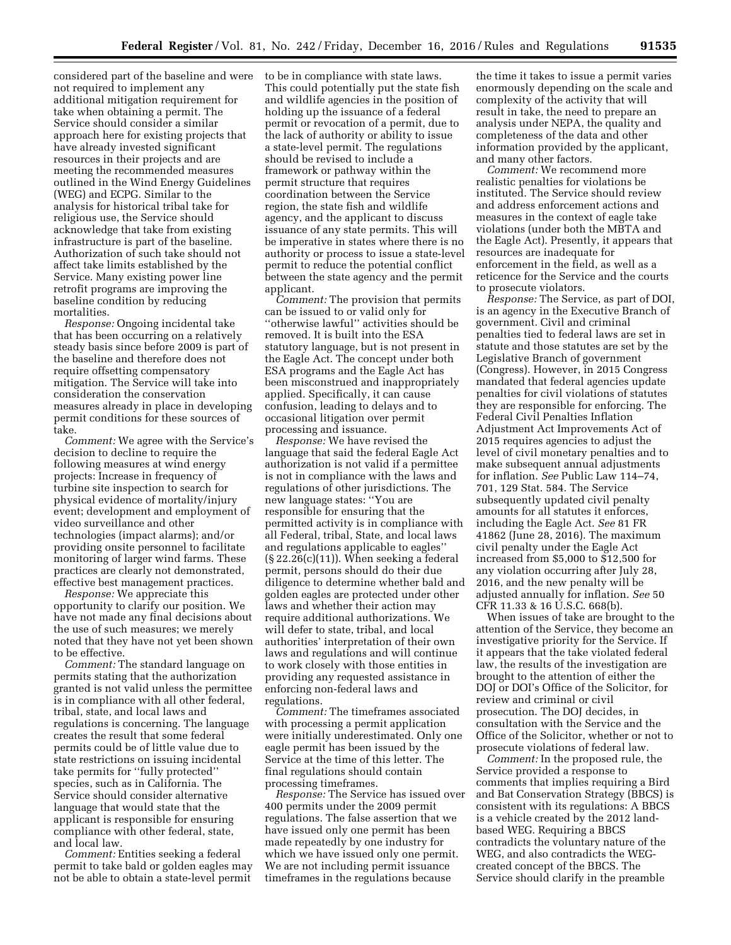considered part of the baseline and were not required to implement any additional mitigation requirement for take when obtaining a permit. The Service should consider a similar approach here for existing projects that have already invested significant resources in their projects and are meeting the recommended measures outlined in the Wind Energy Guidelines (WEG) and ECPG. Similar to the analysis for historical tribal take for religious use, the Service should acknowledge that take from existing infrastructure is part of the baseline. Authorization of such take should not affect take limits established by the Service. Many existing power line retrofit programs are improving the baseline condition by reducing mortalities.

*Response:* Ongoing incidental take that has been occurring on a relatively steady basis since before 2009 is part of the baseline and therefore does not require offsetting compensatory mitigation. The Service will take into consideration the conservation measures already in place in developing permit conditions for these sources of take.

*Comment:* We agree with the Service's decision to decline to require the following measures at wind energy projects: Increase in frequency of turbine site inspection to search for physical evidence of mortality/injury event; development and employment of video surveillance and other technologies (impact alarms); and/or providing onsite personnel to facilitate monitoring of larger wind farms. These practices are clearly not demonstrated, effective best management practices.

*Response:* We appreciate this opportunity to clarify our position. We have not made any final decisions about the use of such measures; we merely noted that they have not yet been shown to be effective.

*Comment:* The standard language on permits stating that the authorization granted is not valid unless the permittee is in compliance with all other federal, tribal, state, and local laws and regulations is concerning. The language creates the result that some federal permits could be of little value due to state restrictions on issuing incidental take permits for ''fully protected'' species, such as in California. The Service should consider alternative language that would state that the applicant is responsible for ensuring compliance with other federal, state, and local law.

*Comment:* Entities seeking a federal permit to take bald or golden eagles may not be able to obtain a state-level permit

to be in compliance with state laws. This could potentially put the state fish and wildlife agencies in the position of holding up the issuance of a federal permit or revocation of a permit, due to the lack of authority or ability to issue a state-level permit. The regulations should be revised to include a framework or pathway within the permit structure that requires coordination between the Service region, the state fish and wildlife agency, and the applicant to discuss issuance of any state permits. This will be imperative in states where there is no authority or process to issue a state-level permit to reduce the potential conflict between the state agency and the permit applicant.

*Comment:* The provision that permits can be issued to or valid only for ''otherwise lawful'' activities should be removed. It is built into the ESA statutory language, but is not present in the Eagle Act. The concept under both ESA programs and the Eagle Act has been misconstrued and inappropriately applied. Specifically, it can cause confusion, leading to delays and to occasional litigation over permit processing and issuance.

*Response:* We have revised the language that said the federal Eagle Act authorization is not valid if a permittee is not in compliance with the laws and regulations of other jurisdictions. The new language states: ''You are responsible for ensuring that the permitted activity is in compliance with all Federal, tribal, State, and local laws and regulations applicable to eagles''  $(S<sub>22.26(c)(11))</sub>$ . When seeking a federal permit, persons should do their due diligence to determine whether bald and golden eagles are protected under other laws and whether their action may require additional authorizations. We will defer to state, tribal, and local authorities' interpretation of their own laws and regulations and will continue to work closely with those entities in providing any requested assistance in enforcing non-federal laws and regulations.

*Comment:* The timeframes associated with processing a permit application were initially underestimated. Only one eagle permit has been issued by the Service at the time of this letter. The final regulations should contain processing timeframes.

*Response:* The Service has issued over 400 permits under the 2009 permit regulations. The false assertion that we have issued only one permit has been made repeatedly by one industry for which we have issued only one permit. We are not including permit issuance timeframes in the regulations because

the time it takes to issue a permit varies enormously depending on the scale and complexity of the activity that will result in take, the need to prepare an analysis under NEPA, the quality and completeness of the data and other information provided by the applicant, and many other factors.

*Comment:* We recommend more realistic penalties for violations be instituted. The Service should review and address enforcement actions and measures in the context of eagle take violations (under both the MBTA and the Eagle Act). Presently, it appears that resources are inadequate for enforcement in the field, as well as a reticence for the Service and the courts to prosecute violators.

*Response:* The Service, as part of DOI, is an agency in the Executive Branch of government. Civil and criminal penalties tied to federal laws are set in statute and those statutes are set by the Legislative Branch of government (Congress). However, in 2015 Congress mandated that federal agencies update penalties for civil violations of statutes they are responsible for enforcing. The Federal Civil Penalties Inflation Adjustment Act Improvements Act of 2015 requires agencies to adjust the level of civil monetary penalties and to make subsequent annual adjustments for inflation. *See* Public Law 114–74, 701, 129 Stat. 584. The Service subsequently updated civil penalty amounts for all statutes it enforces, including the Eagle Act. *See* 81 FR 41862 (June 28, 2016). The maximum civil penalty under the Eagle Act increased from \$5,000 to \$12,500 for any violation occurring after July 28, 2016, and the new penalty will be adjusted annually for inflation. *See* 50 CFR 11.33 & 16 U.S.C. 668(b).

When issues of take are brought to the attention of the Service, they become an investigative priority for the Service. If it appears that the take violated federal law, the results of the investigation are brought to the attention of either the DOJ or DOI's Office of the Solicitor, for review and criminal or civil prosecution. The DOJ decides, in consultation with the Service and the Office of the Solicitor, whether or not to prosecute violations of federal law.

*Comment:* In the proposed rule, the Service provided a response to comments that implies requiring a Bird and Bat Conservation Strategy (BBCS) is consistent with its regulations: A BBCS is a vehicle created by the 2012 landbased WEG. Requiring a BBCS contradicts the voluntary nature of the WEG, and also contradicts the WEGcreated concept of the BBCS. The Service should clarify in the preamble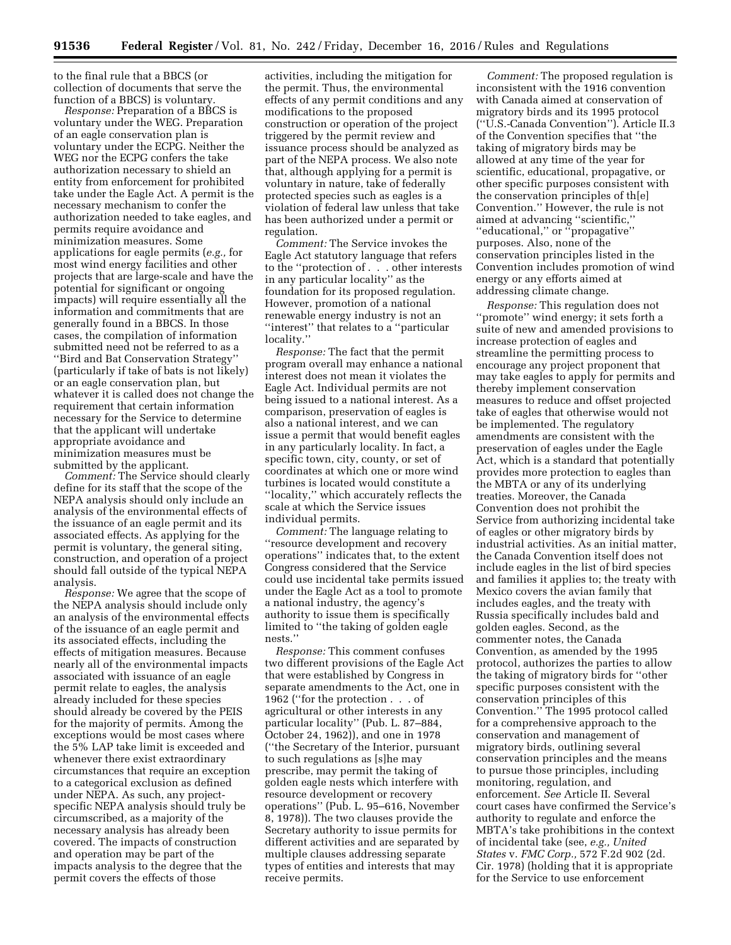to the final rule that a BBCS (or collection of documents that serve the function of a BBCS) is voluntary.

*Response:* Preparation of a BBCS is voluntary under the WEG. Preparation of an eagle conservation plan is voluntary under the ECPG. Neither the WEG nor the ECPG confers the take authorization necessary to shield an entity from enforcement for prohibited take under the Eagle Act. A permit is the necessary mechanism to confer the authorization needed to take eagles, and permits require avoidance and minimization measures. Some applications for eagle permits (*e.g.,* for most wind energy facilities and other projects that are large-scale and have the potential for significant or ongoing impacts) will require essentially all the information and commitments that are generally found in a BBCS. In those cases, the compilation of information submitted need not be referred to as a ''Bird and Bat Conservation Strategy'' (particularly if take of bats is not likely) or an eagle conservation plan, but whatever it is called does not change the requirement that certain information necessary for the Service to determine that the applicant will undertake appropriate avoidance and minimization measures must be submitted by the applicant.

*Comment:* The Service should clearly define for its staff that the scope of the NEPA analysis should only include an analysis of the environmental effects of the issuance of an eagle permit and its associated effects. As applying for the permit is voluntary, the general siting, construction, and operation of a project should fall outside of the typical NEPA analysis.

*Response:* We agree that the scope of the NEPA analysis should include only an analysis of the environmental effects of the issuance of an eagle permit and its associated effects, including the effects of mitigation measures. Because nearly all of the environmental impacts associated with issuance of an eagle permit relate to eagles, the analysis already included for these species should already be covered by the PEIS for the majority of permits. Among the exceptions would be most cases where the 5% LAP take limit is exceeded and whenever there exist extraordinary circumstances that require an exception to a categorical exclusion as defined under NEPA. As such, any projectspecific NEPA analysis should truly be circumscribed, as a majority of the necessary analysis has already been covered. The impacts of construction and operation may be part of the impacts analysis to the degree that the permit covers the effects of those

activities, including the mitigation for the permit. Thus, the environmental effects of any permit conditions and any modifications to the proposed construction or operation of the project triggered by the permit review and issuance process should be analyzed as part of the NEPA process. We also note that, although applying for a permit is voluntary in nature, take of federally protected species such as eagles is a violation of federal law unless that take has been authorized under a permit or regulation.

*Comment:* The Service invokes the Eagle Act statutory language that refers to the ''protection of . . . other interests in any particular locality'' as the foundation for its proposed regulation. However, promotion of a national renewable energy industry is not an ''interest'' that relates to a ''particular locality.''

*Response:* The fact that the permit program overall may enhance a national interest does not mean it violates the Eagle Act. Individual permits are not being issued to a national interest. As a comparison, preservation of eagles is also a national interest, and we can issue a permit that would benefit eagles in any particularly locality. In fact, a specific town, city, county, or set of coordinates at which one or more wind turbines is located would constitute a ''locality,'' which accurately reflects the scale at which the Service issues individual permits.

*Comment:* The language relating to ''resource development and recovery operations'' indicates that, to the extent Congress considered that the Service could use incidental take permits issued under the Eagle Act as a tool to promote a national industry, the agency's authority to issue them is specifically limited to ''the taking of golden eagle nests.''

*Response:* This comment confuses two different provisions of the Eagle Act that were established by Congress in separate amendments to the Act, one in 1962 (''for the protection . . . of agricultural or other interests in any particular locality'' (Pub. L. 87–884, October 24, 1962)), and one in 1978 (''the Secretary of the Interior, pursuant to such regulations as [s]he may prescribe, may permit the taking of golden eagle nests which interfere with resource development or recovery operations'' (Pub. L. 95–616, November 8, 1978)). The two clauses provide the Secretary authority to issue permits for different activities and are separated by multiple clauses addressing separate types of entities and interests that may receive permits.

*Comment:* The proposed regulation is inconsistent with the 1916 convention with Canada aimed at conservation of migratory birds and its 1995 protocol (''U.S.-Canada Convention''). Article II.3 of the Convention specifies that ''the taking of migratory birds may be allowed at any time of the year for scientific, educational, propagative, or other specific purposes consistent with the conservation principles of th[e] Convention.'' However, the rule is not aimed at advancing ''scientific,'' ''educational,'' or ''propagative'' purposes. Also, none of the conservation principles listed in the Convention includes promotion of wind energy or any efforts aimed at addressing climate change.

*Response:* This regulation does not ''promote'' wind energy; it sets forth a suite of new and amended provisions to increase protection of eagles and streamline the permitting process to encourage any project proponent that may take eagles to apply for permits and thereby implement conservation measures to reduce and offset projected take of eagles that otherwise would not be implemented. The regulatory amendments are consistent with the preservation of eagles under the Eagle Act, which is a standard that potentially provides more protection to eagles than the MBTA or any of its underlying treaties. Moreover, the Canada Convention does not prohibit the Service from authorizing incidental take of eagles or other migratory birds by industrial activities. As an initial matter, the Canada Convention itself does not include eagles in the list of bird species and families it applies to; the treaty with Mexico covers the avian family that includes eagles, and the treaty with Russia specifically includes bald and golden eagles. Second, as the commenter notes, the Canada Convention, as amended by the 1995 protocol, authorizes the parties to allow the taking of migratory birds for ''other specific purposes consistent with the conservation principles of this Convention.'' The 1995 protocol called for a comprehensive approach to the conservation and management of migratory birds, outlining several conservation principles and the means to pursue those principles, including monitoring, regulation, and enforcement. *See* Article II. Several court cases have confirmed the Service's authority to regulate and enforce the MBTA's take prohibitions in the context of incidental take (see, *e.g., United States* v. *FMC Corp.,* 572 F.2d 902 (2d. Cir. 1978) (holding that it is appropriate for the Service to use enforcement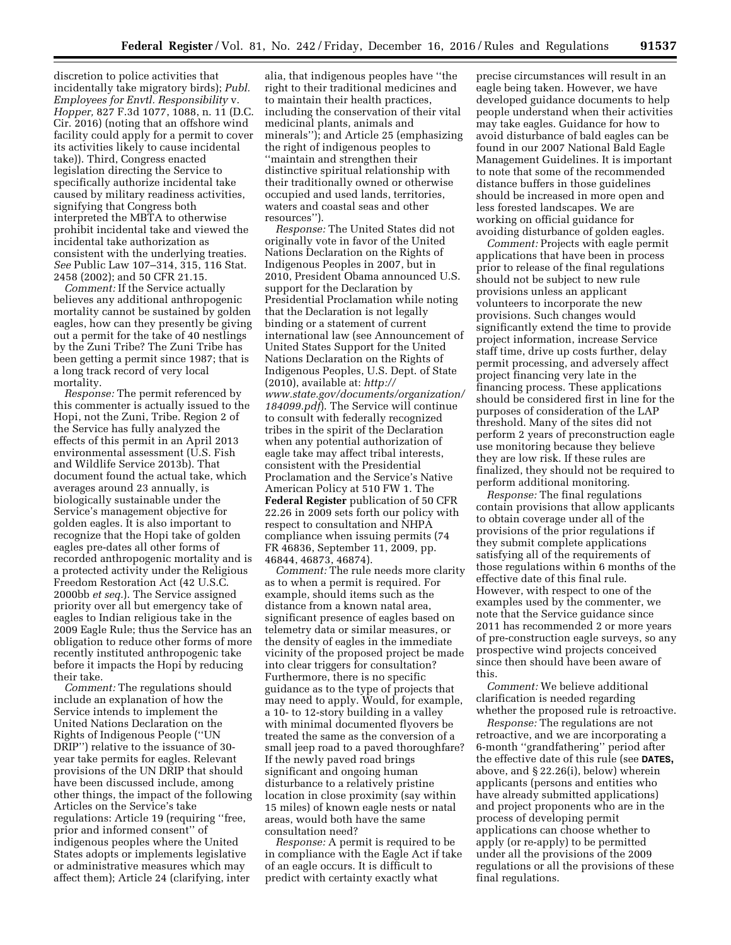discretion to police activities that incidentally take migratory birds); *Publ. Employees for Envtl. Responsibility* v. *Hopper,* 827 F.3d 1077, 1088, n. 11 (D.C. Cir. 2016) (noting that an offshore wind facility could apply for a permit to cover its activities likely to cause incidental take)). Third, Congress enacted legislation directing the Service to specifically authorize incidental take caused by military readiness activities, signifying that Congress both interpreted the MBTA to otherwise prohibit incidental take and viewed the incidental take authorization as consistent with the underlying treaties. *See* Public Law 107–314, 315, 116 Stat. 2458 (2002); and 50 CFR 21.15.

*Comment:* If the Service actually believes any additional anthropogenic mortality cannot be sustained by golden eagles, how can they presently be giving out a permit for the take of 40 nestlings by the Zuni Tribe? The Zuni Tribe has been getting a permit since 1987; that is a long track record of very local mortality.

*Response:* The permit referenced by this commenter is actually issued to the Hopi, not the Zuni, Tribe. Region 2 of the Service has fully analyzed the effects of this permit in an April 2013 environmental assessment (U.S. Fish and Wildlife Service 2013b). That document found the actual take, which averages around 23 annually, is biologically sustainable under the Service's management objective for golden eagles. It is also important to recognize that the Hopi take of golden eagles pre-dates all other forms of recorded anthropogenic mortality and is a protected activity under the Religious Freedom Restoration Act (42 U.S.C. 2000bb *et seq.*). The Service assigned priority over all but emergency take of eagles to Indian religious take in the 2009 Eagle Rule; thus the Service has an obligation to reduce other forms of more recently instituted anthropogenic take before it impacts the Hopi by reducing their take.

*Comment:* The regulations should include an explanation of how the Service intends to implement the United Nations Declaration on the Rights of Indigenous People (''UN DRIP'') relative to the issuance of 30 year take permits for eagles. Relevant provisions of the UN DRIP that should have been discussed include, among other things, the impact of the following Articles on the Service's take regulations: Article 19 (requiring ''free, prior and informed consent'' of indigenous peoples where the United States adopts or implements legislative or administrative measures which may affect them); Article 24 (clarifying, inter

alia, that indigenous peoples have ''the right to their traditional medicines and to maintain their health practices, including the conservation of their vital medicinal plants, animals and minerals''); and Article 25 (emphasizing the right of indigenous peoples to ''maintain and strengthen their distinctive spiritual relationship with their traditionally owned or otherwise occupied and used lands, territories, waters and coastal seas and other resources'').

*Response:* The United States did not originally vote in favor of the United Nations Declaration on the Rights of Indigenous Peoples in 2007, but in 2010, President Obama announced U.S. support for the Declaration by Presidential Proclamation while noting that the Declaration is not legally binding or a statement of current international law (see Announcement of United States Support for the United Nations Declaration on the Rights of Indigenous Peoples, U.S. Dept. of State (2010), available at: *[http://](http://www.state.gov/documents/organization/184099.pdf) [www.state.gov/documents/organization/](http://www.state.gov/documents/organization/184099.pdf) [184099.pdf](http://www.state.gov/documents/organization/184099.pdf)*). The Service will continue to consult with federally recognized tribes in the spirit of the Declaration when any potential authorization of eagle take may affect tribal interests, consistent with the Presidential Proclamation and the Service's Native American Policy at 510 FW 1. The **Federal Register** publication of 50 CFR 22.26 in 2009 sets forth our policy with respect to consultation and NHPA compliance when issuing permits (74 FR 46836, September 11, 2009, pp. 46844, 46873, 46874).

*Comment:* The rule needs more clarity as to when a permit is required. For example, should items such as the distance from a known natal area, significant presence of eagles based on telemetry data or similar measures, or the density of eagles in the immediate vicinity of the proposed project be made into clear triggers for consultation? Furthermore, there is no specific guidance as to the type of projects that may need to apply. Would, for example, a 10- to 12-story building in a valley with minimal documented flyovers be treated the same as the conversion of a small jeep road to a paved thoroughfare? If the newly paved road brings significant and ongoing human disturbance to a relatively pristine location in close proximity (say within 15 miles) of known eagle nests or natal areas, would both have the same consultation need?

*Response:* A permit is required to be in compliance with the Eagle Act if take of an eagle occurs. It is difficult to predict with certainty exactly what

precise circumstances will result in an eagle being taken. However, we have developed guidance documents to help people understand when their activities may take eagles. Guidance for how to avoid disturbance of bald eagles can be found in our 2007 National Bald Eagle Management Guidelines. It is important to note that some of the recommended distance buffers in those guidelines should be increased in more open and less forested landscapes. We are working on official guidance for avoiding disturbance of golden eagles.

*Comment:* Projects with eagle permit applications that have been in process prior to release of the final regulations should not be subject to new rule provisions unless an applicant volunteers to incorporate the new provisions. Such changes would significantly extend the time to provide project information, increase Service staff time, drive up costs further, delay permit processing, and adversely affect project financing very late in the financing process. These applications should be considered first in line for the purposes of consideration of the LAP threshold. Many of the sites did not perform 2 years of preconstruction eagle use monitoring because they believe they are low risk. If these rules are finalized, they should not be required to perform additional monitoring.

*Response:* The final regulations contain provisions that allow applicants to obtain coverage under all of the provisions of the prior regulations if they submit complete applications satisfying all of the requirements of those regulations within 6 months of the effective date of this final rule. However, with respect to one of the examples used by the commenter, we note that the Service guidance since 2011 has recommended 2 or more years of pre-construction eagle surveys, so any prospective wind projects conceived since then should have been aware of this.

*Comment:* We believe additional clarification is needed regarding whether the proposed rule is retroactive.

*Response:* The regulations are not retroactive, and we are incorporating a 6-month ''grandfathering'' period after the effective date of this rule (see **DATES,**  above, and § 22.26(i), below) wherein applicants (persons and entities who have already submitted applications) and project proponents who are in the process of developing permit applications can choose whether to apply (or re-apply) to be permitted under all the provisions of the 2009 regulations or all the provisions of these final regulations.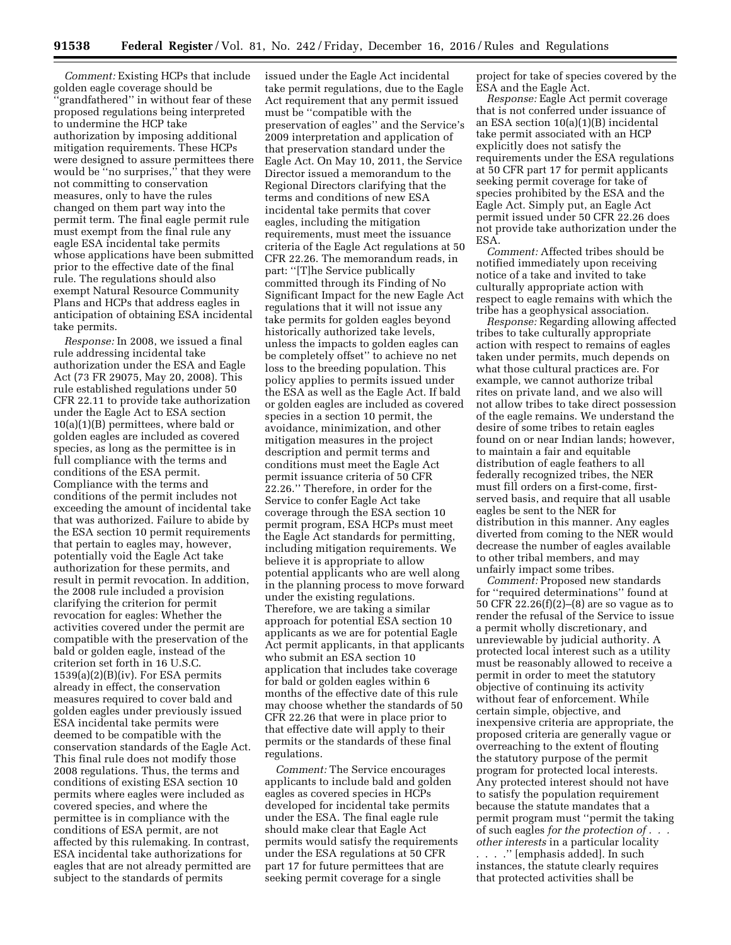*Comment:* Existing HCPs that include golden eagle coverage should be 'grandfathered'' in without fear of these proposed regulations being interpreted to undermine the HCP take authorization by imposing additional mitigation requirements. These HCPs were designed to assure permittees there would be ''no surprises,'' that they were not committing to conservation measures, only to have the rules changed on them part way into the permit term. The final eagle permit rule must exempt from the final rule any eagle ESA incidental take permits whose applications have been submitted prior to the effective date of the final rule. The regulations should also exempt Natural Resource Community Plans and HCPs that address eagles in anticipation of obtaining ESA incidental take permits.

*Response:* In 2008, we issued a final rule addressing incidental take authorization under the ESA and Eagle Act (73 FR 29075, May 20, 2008). This rule established regulations under 50 CFR 22.11 to provide take authorization under the Eagle Act to ESA section 10(a)(1)(B) permittees, where bald or golden eagles are included as covered species, as long as the permittee is in full compliance with the terms and conditions of the ESA permit. Compliance with the terms and conditions of the permit includes not exceeding the amount of incidental take that was authorized. Failure to abide by the ESA section 10 permit requirements that pertain to eagles may, however, potentially void the Eagle Act take authorization for these permits, and result in permit revocation. In addition, the 2008 rule included a provision clarifying the criterion for permit revocation for eagles: Whether the activities covered under the permit are compatible with the preservation of the bald or golden eagle, instead of the criterion set forth in 16 U.S.C. 1539(a)(2)(B)(iv). For ESA permits already in effect, the conservation measures required to cover bald and golden eagles under previously issued ESA incidental take permits were deemed to be compatible with the conservation standards of the Eagle Act. This final rule does not modify those 2008 regulations. Thus, the terms and conditions of existing ESA section 10 permits where eagles were included as covered species, and where the permittee is in compliance with the conditions of ESA permit, are not affected by this rulemaking. In contrast, ESA incidental take authorizations for eagles that are not already permitted are subject to the standards of permits

issued under the Eagle Act incidental take permit regulations, due to the Eagle Act requirement that any permit issued must be ''compatible with the preservation of eagles'' and the Service's 2009 interpretation and application of that preservation standard under the Eagle Act. On May 10, 2011, the Service Director issued a memorandum to the Regional Directors clarifying that the terms and conditions of new ESA incidental take permits that cover eagles, including the mitigation requirements, must meet the issuance criteria of the Eagle Act regulations at 50 CFR 22.26. The memorandum reads, in part: ''[T]he Service publically committed through its Finding of No Significant Impact for the new Eagle Act regulations that it will not issue any take permits for golden eagles beyond historically authorized take levels, unless the impacts to golden eagles can be completely offset'' to achieve no net loss to the breeding population. This policy applies to permits issued under the ESA as well as the Eagle Act. If bald or golden eagles are included as covered species in a section 10 permit, the avoidance, minimization, and other mitigation measures in the project description and permit terms and conditions must meet the Eagle Act permit issuance criteria of 50 CFR 22.26.'' Therefore, in order for the Service to confer Eagle Act take coverage through the ESA section 10 permit program, ESA HCPs must meet the Eagle Act standards for permitting, including mitigation requirements. We believe it is appropriate to allow potential applicants who are well along in the planning process to move forward under the existing regulations. Therefore, we are taking a similar approach for potential ESA section 10 applicants as we are for potential Eagle Act permit applicants, in that applicants who submit an ESA section 10 application that includes take coverage for bald or golden eagles within 6 months of the effective date of this rule may choose whether the standards of 50 CFR 22.26 that were in place prior to that effective date will apply to their permits or the standards of these final regulations.

*Comment:* The Service encourages applicants to include bald and golden eagles as covered species in HCPs developed for incidental take permits under the ESA. The final eagle rule should make clear that Eagle Act permits would satisfy the requirements under the ESA regulations at 50 CFR part 17 for future permittees that are seeking permit coverage for a single

project for take of species covered by the ESA and the Eagle Act.

*Response:* Eagle Act permit coverage that is not conferred under issuance of an ESA section 10(a)(1)(B) incidental take permit associated with an HCP explicitly does not satisfy the requirements under the ESA regulations at 50 CFR part 17 for permit applicants seeking permit coverage for take of species prohibited by the ESA and the Eagle Act. Simply put, an Eagle Act permit issued under 50 CFR 22.26 does not provide take authorization under the ESA.

*Comment:* Affected tribes should be notified immediately upon receiving notice of a take and invited to take culturally appropriate action with respect to eagle remains with which the tribe has a geophysical association.

*Response:* Regarding allowing affected tribes to take culturally appropriate action with respect to remains of eagles taken under permits, much depends on what those cultural practices are. For example, we cannot authorize tribal rites on private land, and we also will not allow tribes to take direct possession of the eagle remains. We understand the desire of some tribes to retain eagles found on or near Indian lands; however, to maintain a fair and equitable distribution of eagle feathers to all federally recognized tribes, the NER must fill orders on a first-come, firstserved basis, and require that all usable eagles be sent to the NER for distribution in this manner. Any eagles diverted from coming to the NER would decrease the number of eagles available to other tribal members, and may unfairly impact some tribes.

*Comment:* Proposed new standards for ''required determinations'' found at 50 CFR 22.26(f)(2)–(8) are so vague as to render the refusal of the Service to issue a permit wholly discretionary, and unreviewable by judicial authority. A protected local interest such as a utility must be reasonably allowed to receive a permit in order to meet the statutory objective of continuing its activity without fear of enforcement. While certain simple, objective, and inexpensive criteria are appropriate, the proposed criteria are generally vague or overreaching to the extent of flouting the statutory purpose of the permit program for protected local interests. Any protected interest should not have to satisfy the population requirement because the statute mandates that a permit program must ''permit the taking of such eagles *for the protection of . . . other interests* in a particular locality . . . .'' [emphasis added]. In such instances, the statute clearly requires that protected activities shall be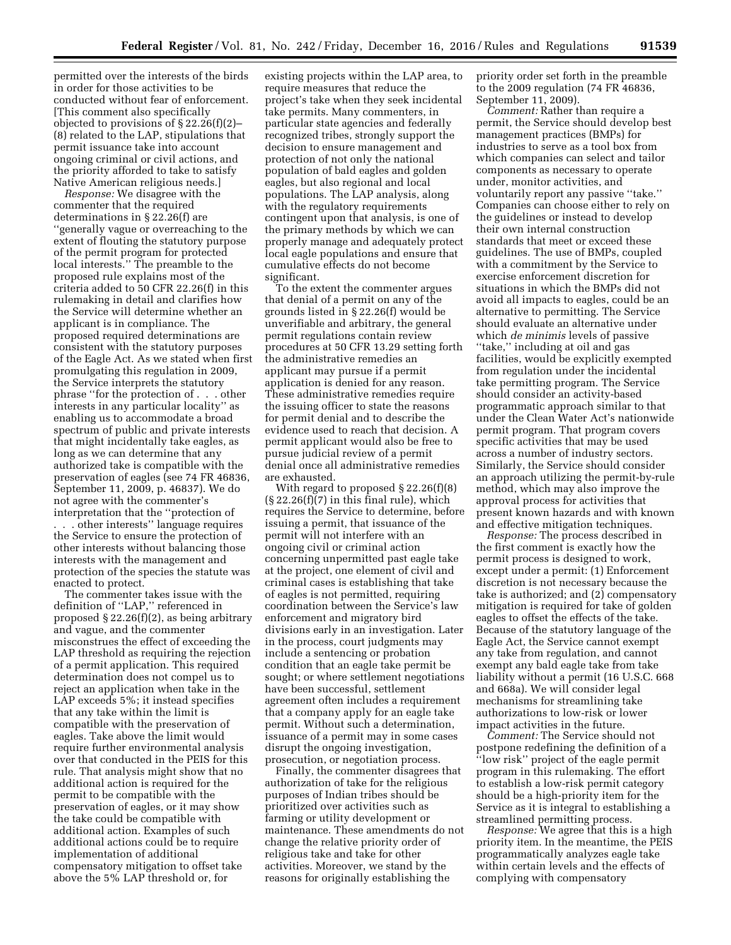permitted over the interests of the birds in order for those activities to be conducted without fear of enforcement. [This comment also specifically objected to provisions of § 22.26(f)(2)– (8) related to the LAP, stipulations that permit issuance take into account ongoing criminal or civil actions, and the priority afforded to take to satisfy Native American religious needs.]

*Response:* We disagree with the commenter that the required determinations in § 22.26(f) are ''generally vague or overreaching to the extent of flouting the statutory purpose of the permit program for protected local interests.'' The preamble to the proposed rule explains most of the criteria added to 50 CFR 22.26(f) in this rulemaking in detail and clarifies how the Service will determine whether an applicant is in compliance. The proposed required determinations are consistent with the statutory purposes of the Eagle Act. As we stated when first promulgating this regulation in 2009, the Service interprets the statutory phrase ''for the protection of . . . other interests in any particular locality'' as enabling us to accommodate a broad spectrum of public and private interests that might incidentally take eagles, as long as we can determine that any authorized take is compatible with the preservation of eagles (see 74 FR 46836, September 11, 2009, p. 46837). We do not agree with the commenter's interpretation that the ''protection of . . . other interests'' language requires the Service to ensure the protection of other interests without balancing those interests with the management and protection of the species the statute was enacted to protect.

The commenter takes issue with the definition of ''LAP,'' referenced in proposed § 22.26(f)(2), as being arbitrary and vague, and the commenter misconstrues the effect of exceeding the LAP threshold as requiring the rejection of a permit application. This required determination does not compel us to reject an application when take in the LAP exceeds 5%; it instead specifies that any take within the limit is compatible with the preservation of eagles. Take above the limit would require further environmental analysis over that conducted in the PEIS for this rule. That analysis might show that no additional action is required for the permit to be compatible with the preservation of eagles, or it may show the take could be compatible with additional action. Examples of such additional actions could be to require implementation of additional compensatory mitigation to offset take above the 5% LAP threshold or, for

existing projects within the LAP area, to require measures that reduce the project's take when they seek incidental take permits. Many commenters, in particular state agencies and federally recognized tribes, strongly support the decision to ensure management and protection of not only the national population of bald eagles and golden eagles, but also regional and local populations. The LAP analysis, along with the regulatory requirements contingent upon that analysis, is one of the primary methods by which we can properly manage and adequately protect local eagle populations and ensure that cumulative effects do not become significant.

To the extent the commenter argues that denial of a permit on any of the grounds listed in § 22.26(f) would be unverifiable and arbitrary, the general permit regulations contain review procedures at 50 CFR 13.29 setting forth the administrative remedies an applicant may pursue if a permit application is denied for any reason. These administrative remedies require the issuing officer to state the reasons for permit denial and to describe the evidence used to reach that decision. A permit applicant would also be free to pursue judicial review of a permit denial once all administrative remedies are exhausted.

With regard to proposed § 22.26(f)(8)  $(S 22.26(f)(7)$  in this final rule), which requires the Service to determine, before issuing a permit, that issuance of the permit will not interfere with an ongoing civil or criminal action concerning unpermitted past eagle take at the project, one element of civil and criminal cases is establishing that take of eagles is not permitted, requiring coordination between the Service's law enforcement and migratory bird divisions early in an investigation. Later in the process, court judgments may include a sentencing or probation condition that an eagle take permit be sought; or where settlement negotiations have been successful, settlement agreement often includes a requirement that a company apply for an eagle take permit. Without such a determination, issuance of a permit may in some cases disrupt the ongoing investigation, prosecution, or negotiation process.

Finally, the commenter disagrees that authorization of take for the religious purposes of Indian tribes should be prioritized over activities such as farming or utility development or maintenance. These amendments do not change the relative priority order of religious take and take for other activities. Moreover, we stand by the reasons for originally establishing the

priority order set forth in the preamble to the 2009 regulation (74 FR 46836, September 11, 2009).

*Comment:* Rather than require a permit, the Service should develop best management practices (BMPs) for industries to serve as a tool box from which companies can select and tailor components as necessary to operate under, monitor activities, and voluntarily report any passive ''take.'' Companies can choose either to rely on the guidelines or instead to develop their own internal construction standards that meet or exceed these guidelines. The use of BMPs, coupled with a commitment by the Service to exercise enforcement discretion for situations in which the BMPs did not avoid all impacts to eagles, could be an alternative to permitting. The Service should evaluate an alternative under which *de minimis* levels of passive ''take,'' including at oil and gas facilities, would be explicitly exempted from regulation under the incidental take permitting program. The Service should consider an activity-based programmatic approach similar to that under the Clean Water Act's nationwide permit program. That program covers specific activities that may be used across a number of industry sectors. Similarly, the Service should consider an approach utilizing the permit-by-rule method, which may also improve the approval process for activities that present known hazards and with known and effective mitigation techniques.

*Response:* The process described in the first comment is exactly how the permit process is designed to work, except under a permit: (1) Enforcement discretion is not necessary because the take is authorized; and (2) compensatory mitigation is required for take of golden eagles to offset the effects of the take. Because of the statutory language of the Eagle Act, the Service cannot exempt any take from regulation, and cannot exempt any bald eagle take from take liability without a permit (16 U.S.C. 668 and 668a). We will consider legal mechanisms for streamlining take authorizations to low-risk or lower impact activities in the future.

*Comment:* The Service should not postpone redefining the definition of a ''low risk'' project of the eagle permit program in this rulemaking. The effort to establish a low-risk permit category should be a high-priority item for the Service as it is integral to establishing a streamlined permitting process.

*Response:* We agree that this is a high priority item. In the meantime, the PEIS programmatically analyzes eagle take within certain levels and the effects of complying with compensatory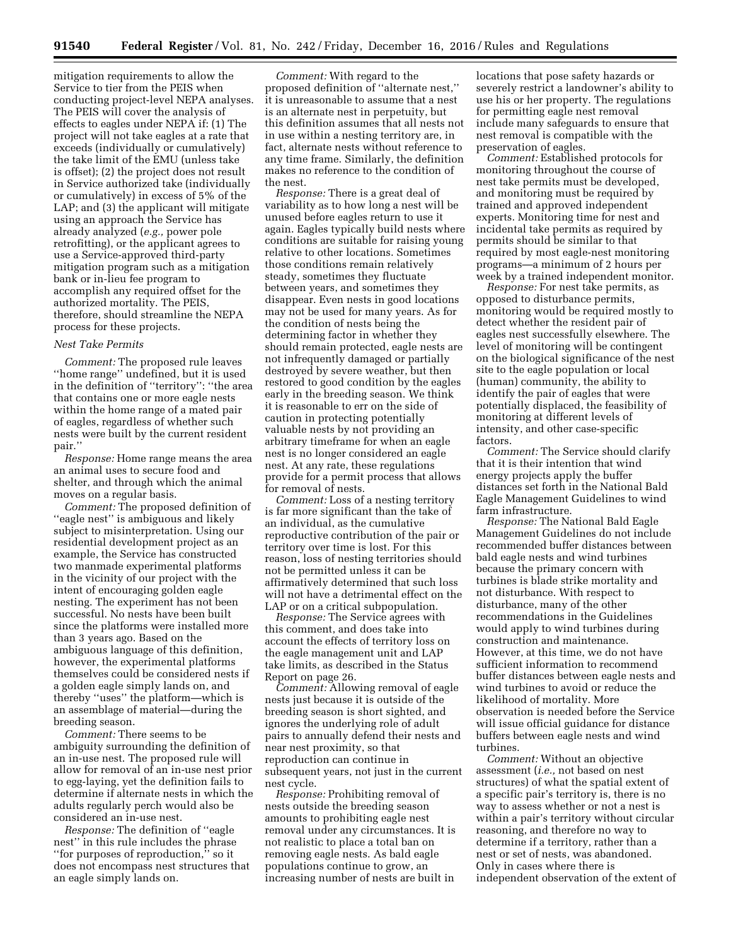mitigation requirements to allow the Service to tier from the PEIS when conducting project-level NEPA analyses. The PEIS will cover the analysis of effects to eagles under NEPA if: (1) The project will not take eagles at a rate that exceeds (individually or cumulatively) the take limit of the EMU (unless take is offset); (2) the project does not result in Service authorized take (individually or cumulatively) in excess of 5% of the LAP; and (3) the applicant will mitigate using an approach the Service has already analyzed (*e.g.,* power pole retrofitting), or the applicant agrees to use a Service-approved third-party mitigation program such as a mitigation bank or in-lieu fee program to accomplish any required offset for the authorized mortality. The PEIS, therefore, should streamline the NEPA process for these projects.

## *Nest Take Permits*

*Comment:* The proposed rule leaves ''home range'' undefined, but it is used in the definition of ''territory'': ''the area that contains one or more eagle nests within the home range of a mated pair of eagles, regardless of whether such nests were built by the current resident pair.''

*Response:* Home range means the area an animal uses to secure food and shelter, and through which the animal moves on a regular basis.

*Comment:* The proposed definition of ''eagle nest'' is ambiguous and likely subject to misinterpretation. Using our residential development project as an example, the Service has constructed two manmade experimental platforms in the vicinity of our project with the intent of encouraging golden eagle nesting. The experiment has not been successful. No nests have been built since the platforms were installed more than 3 years ago. Based on the ambiguous language of this definition, however, the experimental platforms themselves could be considered nests if a golden eagle simply lands on, and thereby ''uses'' the platform—which is an assemblage of material—during the breeding season.

*Comment:* There seems to be ambiguity surrounding the definition of an in-use nest. The proposed rule will allow for removal of an in-use nest prior to egg-laying, yet the definition fails to determine if alternate nests in which the adults regularly perch would also be considered an in-use nest.

*Response:* The definition of ''eagle nest'' in this rule includes the phrase ''for purposes of reproduction,'' so it does not encompass nest structures that an eagle simply lands on.

*Comment:* With regard to the proposed definition of ''alternate nest,'' it is unreasonable to assume that a nest is an alternate nest in perpetuity, but this definition assumes that all nests not in use within a nesting territory are, in fact, alternate nests without reference to any time frame. Similarly, the definition makes no reference to the condition of the nest.

*Response:* There is a great deal of variability as to how long a nest will be unused before eagles return to use it again. Eagles typically build nests where conditions are suitable for raising young relative to other locations. Sometimes those conditions remain relatively steady, sometimes they fluctuate between years, and sometimes they disappear. Even nests in good locations may not be used for many years. As for the condition of nests being the determining factor in whether they should remain protected, eagle nests are not infrequently damaged or partially destroyed by severe weather, but then restored to good condition by the eagles early in the breeding season. We think it is reasonable to err on the side of caution in protecting potentially valuable nests by not providing an arbitrary timeframe for when an eagle nest is no longer considered an eagle nest. At any rate, these regulations provide for a permit process that allows for removal of nests.

*Comment:* Loss of a nesting territory is far more significant than the take of an individual, as the cumulative reproductive contribution of the pair or territory over time is lost. For this reason, loss of nesting territories should not be permitted unless it can be affirmatively determined that such loss will not have a detrimental effect on the LAP or on a critical subpopulation.

*Response:* The Service agrees with this comment, and does take into account the effects of territory loss on the eagle management unit and LAP take limits, as described in the Status Report on page 26.

*Comment:* Allowing removal of eagle nests just because it is outside of the breeding season is short sighted, and ignores the underlying role of adult pairs to annually defend their nests and near nest proximity, so that reproduction can continue in subsequent years, not just in the current nest cycle.

*Response:* Prohibiting removal of nests outside the breeding season amounts to prohibiting eagle nest removal under any circumstances. It is not realistic to place a total ban on removing eagle nests. As bald eagle populations continue to grow, an increasing number of nests are built in

locations that pose safety hazards or severely restrict a landowner's ability to use his or her property. The regulations for permitting eagle nest removal include many safeguards to ensure that nest removal is compatible with the preservation of eagles.

*Comment:* Established protocols for monitoring throughout the course of nest take permits must be developed, and monitoring must be required by trained and approved independent experts. Monitoring time for nest and incidental take permits as required by permits should be similar to that required by most eagle-nest monitoring programs—a minimum of 2 hours per week by a trained independent monitor.

*Response:* For nest take permits, as opposed to disturbance permits, monitoring would be required mostly to detect whether the resident pair of eagles nest successfully elsewhere. The level of monitoring will be contingent on the biological significance of the nest site to the eagle population or local (human) community, the ability to identify the pair of eagles that were potentially displaced, the feasibility of monitoring at different levels of intensity, and other case-specific factors.

*Comment:* The Service should clarify that it is their intention that wind energy projects apply the buffer distances set forth in the National Bald Eagle Management Guidelines to wind farm infrastructure.

*Response:* The National Bald Eagle Management Guidelines do not include recommended buffer distances between bald eagle nests and wind turbines because the primary concern with turbines is blade strike mortality and not disturbance. With respect to disturbance, many of the other recommendations in the Guidelines would apply to wind turbines during construction and maintenance. However, at this time, we do not have sufficient information to recommend buffer distances between eagle nests and wind turbines to avoid or reduce the likelihood of mortality. More observation is needed before the Service will issue official guidance for distance buffers between eagle nests and wind turbines.

*Comment:* Without an objective assessment (*i.e.,* not based on nest structures) of what the spatial extent of a specific pair's territory is, there is no way to assess whether or not a nest is within a pair's territory without circular reasoning, and therefore no way to determine if a territory, rather than a nest or set of nests, was abandoned. Only in cases where there is independent observation of the extent of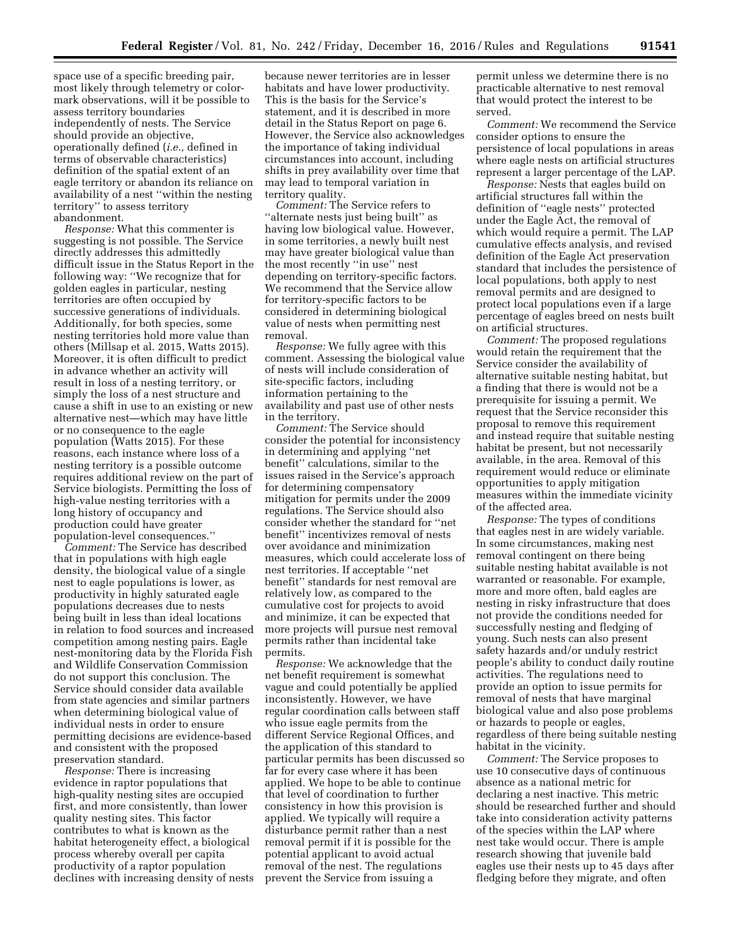space use of a specific breeding pair, most likely through telemetry or colormark observations, will it be possible to assess territory boundaries independently of nests. The Service should provide an objective, operationally defined (*i.e.,* defined in terms of observable characteristics) definition of the spatial extent of an eagle territory or abandon its reliance on availability of a nest ''within the nesting territory'' to assess territory abandonment.

*Response:* What this commenter is suggesting is not possible. The Service directly addresses this admittedly difficult issue in the Status Report in the following way: ''We recognize that for golden eagles in particular, nesting territories are often occupied by successive generations of individuals. Additionally, for both species, some nesting territories hold more value than others (Millsap et al. 2015, Watts 2015). Moreover, it is often difficult to predict in advance whether an activity will result in loss of a nesting territory, or simply the loss of a nest structure and cause a shift in use to an existing or new alternative nest—which may have little or no consequence to the eagle population (Watts 2015). For these reasons, each instance where loss of a nesting territory is a possible outcome requires additional review on the part of Service biologists. Permitting the loss of high-value nesting territories with a long history of occupancy and production could have greater population-level consequences.''

*Comment:* The Service has described that in populations with high eagle density, the biological value of a single nest to eagle populations is lower, as productivity in highly saturated eagle populations decreases due to nests being built in less than ideal locations in relation to food sources and increased competition among nesting pairs. Eagle nest-monitoring data by the Florida Fish and Wildlife Conservation Commission do not support this conclusion. The Service should consider data available from state agencies and similar partners when determining biological value of individual nests in order to ensure permitting decisions are evidence-based and consistent with the proposed preservation standard.

*Response:* There is increasing evidence in raptor populations that high-quality nesting sites are occupied first, and more consistently, than lower quality nesting sites. This factor contributes to what is known as the habitat heterogeneity effect, a biological process whereby overall per capita productivity of a raptor population declines with increasing density of nests

because newer territories are in lesser habitats and have lower productivity. This is the basis for the Service's statement, and it is described in more detail in the Status Report on page 6. However, the Service also acknowledges the importance of taking individual circumstances into account, including shifts in prey availability over time that may lead to temporal variation in territory quality.

*Comment:* The Service refers to ''alternate nests just being built'' as having low biological value. However, in some territories, a newly built nest may have greater biological value than the most recently ''in use'' nest depending on territory-specific factors. We recommend that the Service allow for territory-specific factors to be considered in determining biological value of nests when permitting nest removal.

*Response:* We fully agree with this comment. Assessing the biological value of nests will include consideration of site-specific factors, including information pertaining to the availability and past use of other nests in the territory.

*Comment:* The Service should consider the potential for inconsistency in determining and applying ''net benefit'' calculations, similar to the issues raised in the Service's approach for determining compensatory mitigation for permits under the 2009 regulations. The Service should also consider whether the standard for ''net benefit'' incentivizes removal of nests over avoidance and minimization measures, which could accelerate loss of nest territories. If acceptable ''net benefit'' standards for nest removal are relatively low, as compared to the cumulative cost for projects to avoid and minimize, it can be expected that more projects will pursue nest removal permits rather than incidental take permits.

*Response:* We acknowledge that the net benefit requirement is somewhat vague and could potentially be applied inconsistently. However, we have regular coordination calls between staff who issue eagle permits from the different Service Regional Offices, and the application of this standard to particular permits has been discussed so far for every case where it has been applied. We hope to be able to continue that level of coordination to further consistency in how this provision is applied. We typically will require a disturbance permit rather than a nest removal permit if it is possible for the potential applicant to avoid actual removal of the nest. The regulations prevent the Service from issuing a

permit unless we determine there is no practicable alternative to nest removal that would protect the interest to be served.

*Comment:* We recommend the Service consider options to ensure the persistence of local populations in areas where eagle nests on artificial structures represent a larger percentage of the LAP.

*Response:* Nests that eagles build on artificial structures fall within the definition of ''eagle nests'' protected under the Eagle Act, the removal of which would require a permit. The LAP cumulative effects analysis, and revised definition of the Eagle Act preservation standard that includes the persistence of local populations, both apply to nest removal permits and are designed to protect local populations even if a large percentage of eagles breed on nests built on artificial structures.

*Comment:* The proposed regulations would retain the requirement that the Service consider the availability of alternative suitable nesting habitat, but a finding that there is would not be a prerequisite for issuing a permit. We request that the Service reconsider this proposal to remove this requirement and instead require that suitable nesting habitat be present, but not necessarily available, in the area. Removal of this requirement would reduce or eliminate opportunities to apply mitigation measures within the immediate vicinity of the affected area.

*Response:* The types of conditions that eagles nest in are widely variable. In some circumstances, making nest removal contingent on there being suitable nesting habitat available is not warranted or reasonable. For example, more and more often, bald eagles are nesting in risky infrastructure that does not provide the conditions needed for successfully nesting and fledging of young. Such nests can also present safety hazards and/or unduly restrict people's ability to conduct daily routine activities. The regulations need to provide an option to issue permits for removal of nests that have marginal biological value and also pose problems or hazards to people or eagles, regardless of there being suitable nesting habitat in the vicinity.

*Comment:* The Service proposes to use 10 consecutive days of continuous absence as a national metric for declaring a nest inactive. This metric should be researched further and should take into consideration activity patterns of the species within the LAP where nest take would occur. There is ample research showing that juvenile bald eagles use their nests up to 45 days after fledging before they migrate, and often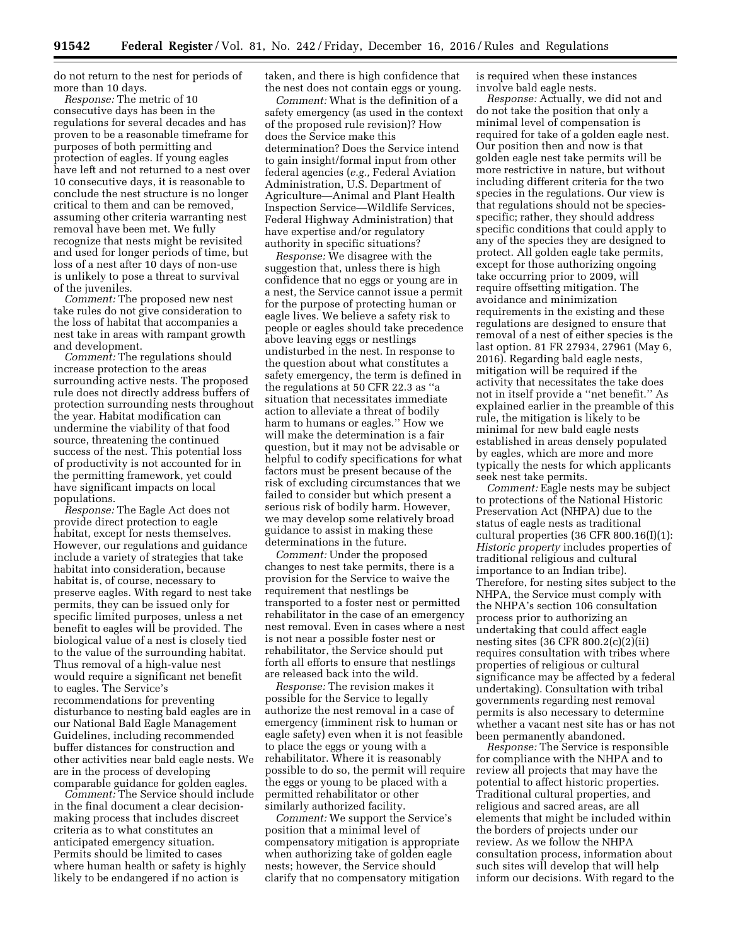do not return to the nest for periods of more than 10 days.

*Response:* The metric of 10 consecutive days has been in the regulations for several decades and has proven to be a reasonable timeframe for purposes of both permitting and protection of eagles. If young eagles have left and not returned to a nest over 10 consecutive days, it is reasonable to conclude the nest structure is no longer critical to them and can be removed, assuming other criteria warranting nest removal have been met. We fully recognize that nests might be revisited and used for longer periods of time, but loss of a nest after 10 days of non-use is unlikely to pose a threat to survival of the juveniles.

*Comment:* The proposed new nest take rules do not give consideration to the loss of habitat that accompanies a nest take in areas with rampant growth and development.

*Comment:* The regulations should increase protection to the areas surrounding active nests. The proposed rule does not directly address buffers of protection surrounding nests throughout the year. Habitat modification can undermine the viability of that food source, threatening the continued success of the nest. This potential loss of productivity is not accounted for in the permitting framework, yet could have significant impacts on local populations.

*Response:* The Eagle Act does not provide direct protection to eagle habitat, except for nests themselves. However, our regulations and guidance include a variety of strategies that take habitat into consideration, because habitat is, of course, necessary to preserve eagles. With regard to nest take permits, they can be issued only for specific limited purposes, unless a net benefit to eagles will be provided. The biological value of a nest is closely tied to the value of the surrounding habitat. Thus removal of a high-value nest would require a significant net benefit to eagles. The Service's recommendations for preventing disturbance to nesting bald eagles are in our National Bald Eagle Management Guidelines, including recommended buffer distances for construction and other activities near bald eagle nests. We are in the process of developing comparable guidance for golden eagles.

*Comment:* The Service should include in the final document a clear decisionmaking process that includes discreet criteria as to what constitutes an anticipated emergency situation. Permits should be limited to cases where human health or safety is highly likely to be endangered if no action is

taken, and there is high confidence that the nest does not contain eggs or young.

*Comment:* What is the definition of a safety emergency (as used in the context of the proposed rule revision)? How does the Service make this determination? Does the Service intend to gain insight/formal input from other federal agencies (*e.g.,* Federal Aviation Administration, U.S. Department of Agriculture—Animal and Plant Health Inspection Service—Wildlife Services, Federal Highway Administration) that have expertise and/or regulatory authority in specific situations?

*Response:* We disagree with the suggestion that, unless there is high confidence that no eggs or young are in a nest, the Service cannot issue a permit for the purpose of protecting human or eagle lives. We believe a safety risk to people or eagles should take precedence above leaving eggs or nestlings undisturbed in the nest. In response to the question about what constitutes a safety emergency, the term is defined in the regulations at 50 CFR 22.3 as ''a situation that necessitates immediate action to alleviate a threat of bodily harm to humans or eagles.'' How we will make the determination is a fair question, but it may not be advisable or helpful to codify specifications for what factors must be present because of the risk of excluding circumstances that we failed to consider but which present a serious risk of bodily harm. However, we may develop some relatively broad guidance to assist in making these determinations in the future.

*Comment:* Under the proposed changes to nest take permits, there is a provision for the Service to waive the requirement that nestlings be transported to a foster nest or permitted rehabilitator in the case of an emergency nest removal. Even in cases where a nest is not near a possible foster nest or rehabilitator, the Service should put forth all efforts to ensure that nestlings are released back into the wild.

*Response:* The revision makes it possible for the Service to legally authorize the nest removal in a case of emergency (imminent risk to human or eagle safety) even when it is not feasible to place the eggs or young with a rehabilitator. Where it is reasonably possible to do so, the permit will require the eggs or young to be placed with a permitted rehabilitator or other similarly authorized facility.

*Comment:* We support the Service's position that a minimal level of compensatory mitigation is appropriate when authorizing take of golden eagle nests; however, the Service should clarify that no compensatory mitigation is required when these instances involve bald eagle nests.

*Response:* Actually, we did not and do not take the position that only a minimal level of compensation is required for take of a golden eagle nest. Our position then and now is that golden eagle nest take permits will be more restrictive in nature, but without including different criteria for the two species in the regulations. Our view is that regulations should not be speciesspecific; rather, they should address specific conditions that could apply to any of the species they are designed to protect. All golden eagle take permits, except for those authorizing ongoing take occurring prior to 2009, will require offsetting mitigation. The avoidance and minimization requirements in the existing and these regulations are designed to ensure that removal of a nest of either species is the last option. 81 FR 27934, 27961 (May 6, 2016). Regarding bald eagle nests, mitigation will be required if the activity that necessitates the take does not in itself provide a ''net benefit.'' As explained earlier in the preamble of this rule, the mitigation is likely to be minimal for new bald eagle nests established in areas densely populated by eagles, which are more and more typically the nests for which applicants seek nest take permits.

*Comment:* Eagle nests may be subject to protections of the National Historic Preservation Act (NHPA) due to the status of eagle nests as traditional cultural properties (36 CFR 800.16(I)(1): *Historic property* includes properties of traditional religious and cultural importance to an Indian tribe). Therefore, for nesting sites subject to the NHPA, the Service must comply with the NHPA's section 106 consultation process prior to authorizing an undertaking that could affect eagle nesting sites (36 CFR 800.2(c)(2)(ii) requires consultation with tribes where properties of religious or cultural significance may be affected by a federal undertaking). Consultation with tribal governments regarding nest removal permits is also necessary to determine whether a vacant nest site has or has not been permanently abandoned.

*Response:* The Service is responsible for compliance with the NHPA and to review all projects that may have the potential to affect historic properties. Traditional cultural properties, and religious and sacred areas, are all elements that might be included within the borders of projects under our review. As we follow the NHPA consultation process, information about such sites will develop that will help inform our decisions. With regard to the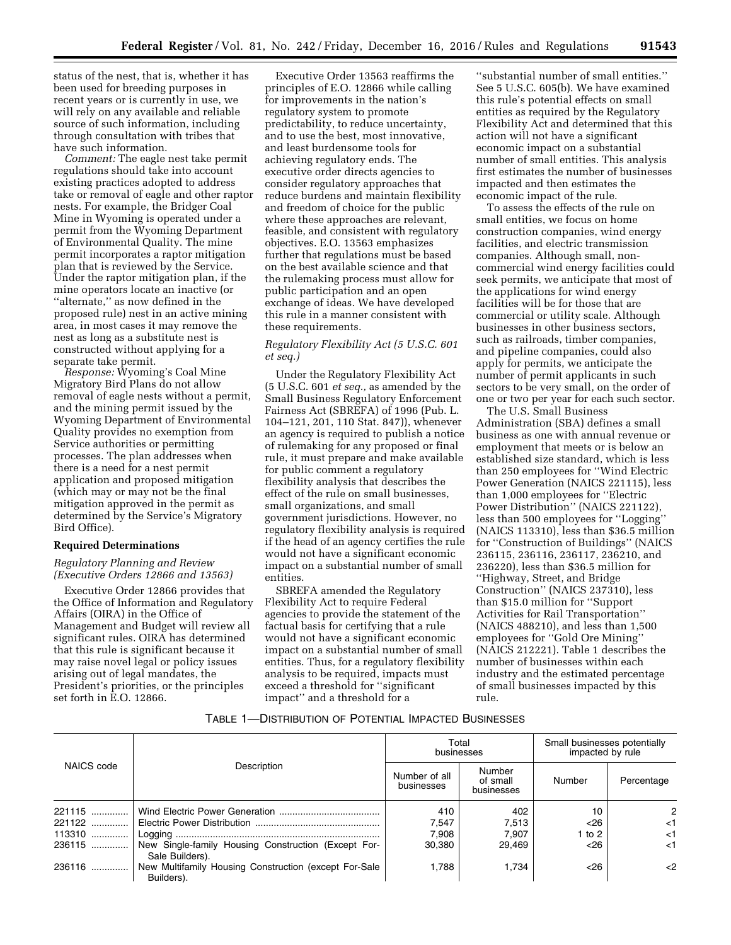status of the nest, that is, whether it has been used for breeding purposes in recent years or is currently in use, we will rely on any available and reliable source of such information, including through consultation with tribes that have such information.

*Comment:* The eagle nest take permit regulations should take into account existing practices adopted to address take or removal of eagle and other raptor nests. For example, the Bridger Coal Mine in Wyoming is operated under a permit from the Wyoming Department of Environmental Quality. The mine permit incorporates a raptor mitigation plan that is reviewed by the Service. Under the raptor mitigation plan, if the mine operators locate an inactive (or "alternate," as now defined in the proposed rule) nest in an active mining area, in most cases it may remove the nest as long as a substitute nest is constructed without applying for a separate take permit.

*Response:* Wyoming's Coal Mine Migratory Bird Plans do not allow removal of eagle nests without a permit, and the mining permit issued by the Wyoming Department of Environmental Quality provides no exemption from Service authorities or permitting processes. The plan addresses when there is a need for a nest permit application and proposed mitigation (which may or may not be the final mitigation approved in the permit as determined by the Service's Migratory Bird Office).

# **Required Determinations**

# *Regulatory Planning and Review (Executive Orders 12866 and 13563)*

Executive Order 12866 provides that the Office of Information and Regulatory Affairs (OIRA) in the Office of Management and Budget will review all significant rules. OIRA has determined that this rule is significant because it may raise novel legal or policy issues arising out of legal mandates, the President's priorities, or the principles set forth in E.O. 12866.

Executive Order 13563 reaffirms the principles of E.O. 12866 while calling for improvements in the nation's regulatory system to promote predictability, to reduce uncertainty, and to use the best, most innovative, and least burdensome tools for achieving regulatory ends. The executive order directs agencies to consider regulatory approaches that reduce burdens and maintain flexibility and freedom of choice for the public where these approaches are relevant, feasible, and consistent with regulatory objectives. E.O. 13563 emphasizes further that regulations must be based on the best available science and that the rulemaking process must allow for public participation and an open exchange of ideas. We have developed this rule in a manner consistent with these requirements.

# *Regulatory Flexibility Act (5 U.S.C. 601 et seq.)*

Under the Regulatory Flexibility Act (5 U.S.C. 601 *et seq.,* as amended by the Small Business Regulatory Enforcement Fairness Act (SBREFA) of 1996 (Pub. L. 104–121, 201, 110 Stat. 847)), whenever an agency is required to publish a notice of rulemaking for any proposed or final rule, it must prepare and make available for public comment a regulatory flexibility analysis that describes the effect of the rule on small businesses, small organizations, and small government jurisdictions. However, no regulatory flexibility analysis is required if the head of an agency certifies the rule would not have a significant economic impact on a substantial number of small entities.

SBREFA amended the Regulatory Flexibility Act to require Federal agencies to provide the statement of the factual basis for certifying that a rule would not have a significant economic impact on a substantial number of small entities. Thus, for a regulatory flexibility analysis to be required, impacts must exceed a threshold for ''significant impact'' and a threshold for a

''substantial number of small entities.'' See 5 U.S.C. 605(b). We have examined this rule's potential effects on small entities as required by the Regulatory Flexibility Act and determined that this action will not have a significant economic impact on a substantial number of small entities. This analysis first estimates the number of businesses impacted and then estimates the economic impact of the rule.

To assess the effects of the rule on small entities, we focus on home construction companies, wind energy facilities, and electric transmission companies. Although small, noncommercial wind energy facilities could seek permits, we anticipate that most of the applications for wind energy facilities will be for those that are commercial or utility scale. Although businesses in other business sectors, such as railroads, timber companies, and pipeline companies, could also apply for permits, we anticipate the number of permit applicants in such sectors to be very small, on the order of one or two per year for each such sector.

The U.S. Small Business Administration (SBA) defines a small business as one with annual revenue or employment that meets or is below an established size standard, which is less than 250 employees for ''Wind Electric Power Generation (NAICS 221115), less than 1,000 employees for ''Electric Power Distribution'' (NAICS 221122), less than 500 employees for ''Logging'' (NAICS 113310), less than \$36.5 million for ''Construction of Buildings'' (NAICS 236115, 236116, 236117, 236210, and 236220), less than \$36.5 million for ''Highway, Street, and Bridge Construction'' (NAICS 237310), less than \$15.0 million for ''Support Activities for Rail Transportation'' (NAICS 488210), and less than 1,500 employees for ''Gold Ore Mining'' (NAICS 212221). Table 1 describes the number of businesses within each industry and the estimated percentage of small businesses impacted by this rule.

#### TABLE 1—DISTRIBUTION OF POTENTIAL IMPACTED BUSINESSES

| NAICS code |                                                                        | Total<br>businesses         |                                  | Small businesses potentially<br>impacted by rule |            |
|------------|------------------------------------------------------------------------|-----------------------------|----------------------------------|--------------------------------------------------|------------|
|            | Description                                                            | Number of all<br>businesses | Number<br>of small<br>businesses | Number                                           | Percentage |
| 221115     |                                                                        | 410                         | 402                              | 10                                               | 2          |
| 221122     |                                                                        | 7,547                       | 7,513                            | $<$ 26                                           | <1         |
| 113310     |                                                                        | 7.908                       | 7.907                            | 1 to 2                                           | <1         |
| 236115     | New Single-family Housing Construction (Except For-<br>Sale Builders). | 30.380                      | 29.469                           | $<$ 26                                           | $<$ 1      |
| 236116     | New Multifamily Housing Construction (except For-Sale<br>Builders).    | 1.788                       | 1.734                            | < 26                                             | $\leq$     |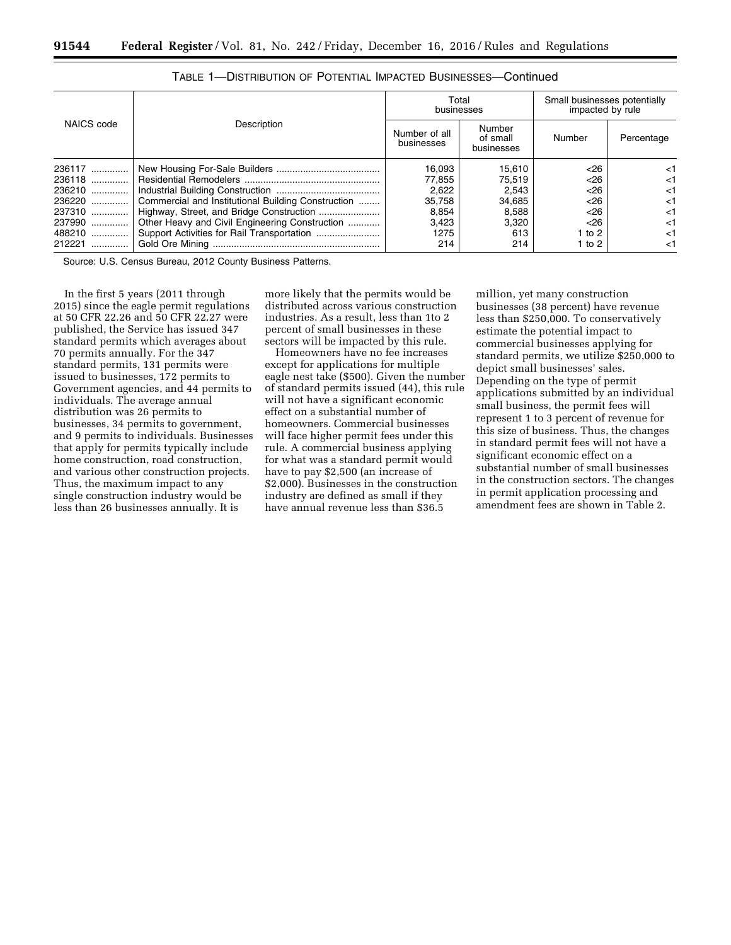|             |                                                    | Total<br>businesses         |                                  | Small businesses potentially<br>impacted by rule |            |
|-------------|----------------------------------------------------|-----------------------------|----------------------------------|--------------------------------------------------|------------|
| NAICS code  | Description                                        | Number of all<br>businesses | Number<br>of small<br>businesses | Number                                           | Percentage |
| 236117      |                                                    | 16.093                      | 15.610                           | $<$ 26                                           | $<$ 1      |
| 236118      |                                                    | 77.855                      | 75.519                           | <26                                              | <1         |
| 236210      |                                                    | 2,622                       | 2,543                            | <26                                              | <1         |
| 236220      | Commercial and Institutional Building Construction | 35.758                      | 34,685                           | $<$ 26                                           | <1         |
| 237310      |                                                    | 8,854                       | 8.588                            | <26                                              | <1         |
| 237990      | Other Heavy and Civil Engineering Construction     | 3.423                       | 3.320                            | $<$ 26                                           | <1         |
| 488210      |                                                    | 1275                        | 613                              | 1 to 2                                           | <1         |
| 212221<br>. |                                                    | 214                         | 214                              | 1 to $2$                                         | <1         |

| <b>TABLE 1—DISTRIBUTION OF POTENTIAL IMPACTED BUSINESSES—Continued</b> |
|------------------------------------------------------------------------|
|------------------------------------------------------------------------|

Source: U.S. Census Bureau, 2012 County Business Patterns.

In the first 5 years (2011 through 2015) since the eagle permit regulations at 50 CFR 22.26 and 50 CFR 22.27 were published, the Service has issued 347 standard permits which averages about 70 permits annually. For the 347 standard permits, 131 permits were issued to businesses, 172 permits to Government agencies, and 44 permits to individuals. The average annual distribution was 26 permits to businesses, 34 permits to government, and 9 permits to individuals. Businesses that apply for permits typically include home construction, road construction, and various other construction projects. Thus, the maximum impact to any single construction industry would be less than 26 businesses annually. It is

more likely that the permits would be distributed across various construction industries. As a result, less than 1to 2 percent of small businesses in these sectors will be impacted by this rule.

Homeowners have no fee increases except for applications for multiple eagle nest take (\$500). Given the number of standard permits issued (44), this rule will not have a significant economic effect on a substantial number of homeowners. Commercial businesses will face higher permit fees under this rule. A commercial business applying for what was a standard permit would have to pay \$2,500 (an increase of \$2,000). Businesses in the construction industry are defined as small if they have annual revenue less than \$36.5

million, yet many construction businesses (38 percent) have revenue less than \$250,000. To conservatively estimate the potential impact to commercial businesses applying for standard permits, we utilize \$250,000 to depict small businesses' sales. Depending on the type of permit applications submitted by an individual small business, the permit fees will represent 1 to 3 percent of revenue for this size of business. Thus, the changes in standard permit fees will not have a significant economic effect on a substantial number of small businesses in the construction sectors. The changes in permit application processing and amendment fees are shown in Table 2.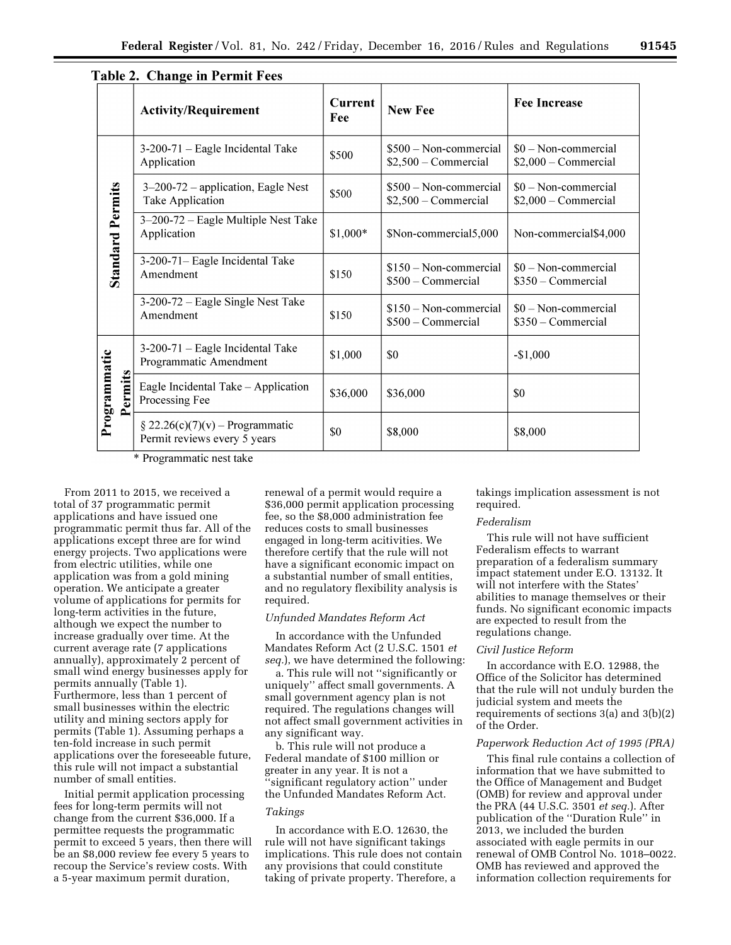|                         |                                                                                            | raoic 2. Change in Fermit Fees<br><b>Activity/Requirement</b>      | <b>Current</b><br><b>New Fee</b>                |                                                | <b>Fee Increase</b>                         |
|-------------------------|--------------------------------------------------------------------------------------------|--------------------------------------------------------------------|-------------------------------------------------|------------------------------------------------|---------------------------------------------|
|                         |                                                                                            |                                                                    | Fee                                             |                                                |                                             |
| <b>Standard Permits</b> | 3-200-71 - Eagle Incidental Take<br>Application                                            | \$500                                                              | \$500 - Non-commercial<br>$$2,500$ – Commercial | $$0 - Non-commential$<br>$$2,000 - Commercial$ |                                             |
|                         | $3-200-72$ – application, Eagle Nest<br>\$500<br>Take Application<br>$$2,500$ – Commercial |                                                                    | \$500 – Non-commercial                          | $$0 - Non-commential$<br>$$2,000 - Commercial$ |                                             |
|                         | 3-200-72 - Eagle Multiple Nest Take<br>Application                                         | $$1,000*$<br>\$Non-commercial5,000                                 |                                                 | Non-commercial \$4,000                         |                                             |
|                         | 3-200-71- Eagle Incidental Take<br>Amendment                                               | $$150 - Non-commetricial$<br>\$150<br>\$500 - Commercial           |                                                 | $$0 - Non-commential$<br>\$350 - Commercial    |                                             |
|                         |                                                                                            | 3-200-72 – Eagle Single Nest Take<br>Amendment                     | \$150                                           | \$150 - Non-commercial<br>\$500 - Commercial   | $$0 - Non-commential$<br>\$350 - Commercial |
|                         |                                                                                            | 3-200-71 - Eagle Incidental Take<br>Programmatic Amendment         | \$1,000                                         | \$0                                            | $-$1,000$                                   |
| Programmatic<br>Permits | Eagle Incidental Take - Application<br>Processing Fee                                      | \$36,000                                                           | \$36,000                                        | \$0                                            |                                             |
|                         |                                                                                            | $\S 22.26(c)(7)(v)$ – Programmatic<br>Permit reviews every 5 years | \$0                                             | \$8,000                                        | \$8,000                                     |

# Table ? Change in Permit Fees

\* Programmatic nest take

From 2011 to 2015, we received a total of 37 programmatic permit applications and have issued one programmatic permit thus far. All of the applications except three are for wind energy projects. Two applications were from electric utilities, while one application was from a gold mining operation. We anticipate a greater volume of applications for permits for long-term activities in the future, although we expect the number to increase gradually over time. At the current average rate (7 applications annually), approximately 2 percent of small wind energy businesses apply for permits annually (Table 1). Furthermore, less than 1 percent of small businesses within the electric utility and mining sectors apply for permits (Table 1). Assuming perhaps a ten-fold increase in such permit applications over the foreseeable future, this rule will not impact a substantial number of small entities.

Initial permit application processing fees for long-term permits will not change from the current \$36,000. If a permittee requests the programmatic permit to exceed 5 years, then there will be an \$8,000 review fee every 5 years to recoup the Service's review costs. With a 5-year maximum permit duration,

renewal of a permit would require a \$36,000 permit application processing fee, so the \$8,000 administration fee reduces costs to small businesses engaged in long-term acitivities. We therefore certify that the rule will not have a significant economic impact on a substantial number of small entities, and no regulatory flexibility analysis is required.

## *Unfunded Mandates Reform Act*

In accordance with the Unfunded Mandates Reform Act (2 U.S.C. 1501 *et seq.*), we have determined the following:

a. This rule will not ''significantly or uniquely'' affect small governments. A small government agency plan is not required. The regulations changes will not affect small government activities in any significant way.

b. This rule will not produce a Federal mandate of \$100 million or greater in any year. It is not a ''significant regulatory action'' under the Unfunded Mandates Reform Act.

# *Takings*

In accordance with E.O. 12630, the rule will not have significant takings implications. This rule does not contain any provisions that could constitute taking of private property. Therefore, a

takings implication assessment is not required.

## *Federalism*

This rule will not have sufficient Federalism effects to warrant preparation of a federalism summary impact statement under E.O. 13132. It will not interfere with the States' abilities to manage themselves or their funds. No significant economic impacts are expected to result from the regulations change.

# *Civil Justice Reform*

In accordance with E.O. 12988, the Office of the Solicitor has determined that the rule will not unduly burden the judicial system and meets the requirements of sections 3(a) and 3(b)(2) of the Order.

# *Paperwork Reduction Act of 1995 (PRA)*

This final rule contains a collection of information that we have submitted to the Office of Management and Budget (OMB) for review and approval under the PRA (44 U.S.C. 3501 *et seq.*). After publication of the ''Duration Rule'' in 2013, we included the burden associated with eagle permits in our renewal of OMB Control No. 1018–0022. OMB has reviewed and approved the information collection requirements for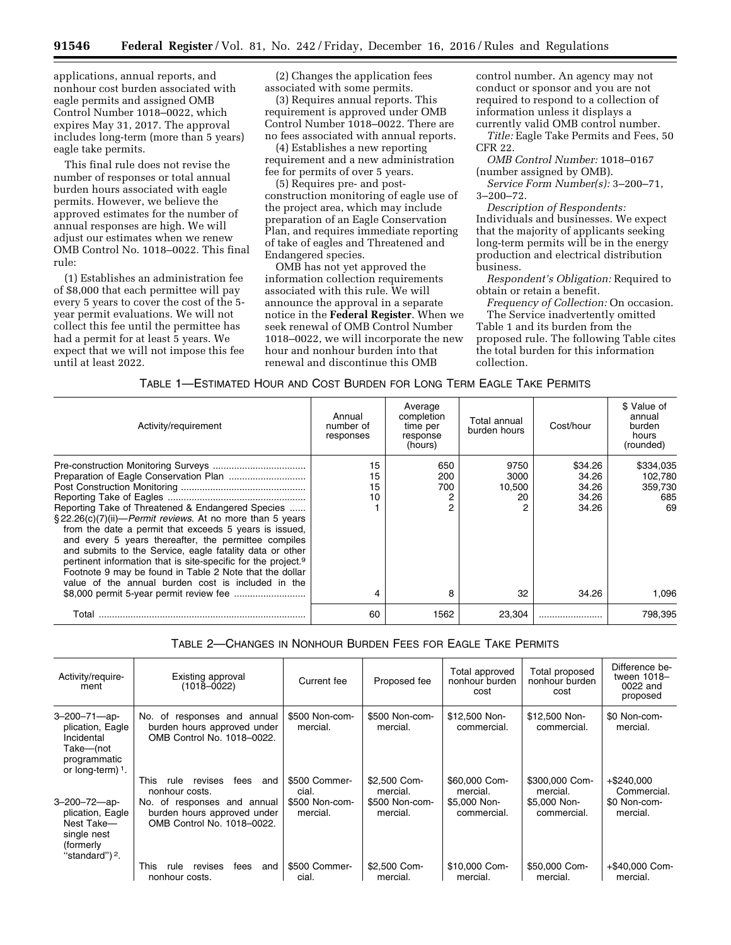applications, annual reports, and nonhour cost burden associated with eagle permits and assigned OMB Control Number 1018–0022, which expires May 31, 2017. The approval includes long-term (more than 5 years) eagle take permits.

This final rule does not revise the number of responses or total annual burden hours associated with eagle permits. However, we believe the approved estimates for the number of annual responses are high. We will adjust our estimates when we renew OMB Control No. 1018–0022. This final rule:

(1) Establishes an administration fee of \$8,000 that each permittee will pay every 5 years to cover the cost of the 5 year permit evaluations. We will not collect this fee until the permittee has had a permit for at least 5 years. We expect that we will not impose this fee until at least 2022.

(2) Changes the application fees associated with some permits.

(3) Requires annual reports. This requirement is approved under OMB Control Number 1018–0022. There are no fees associated with annual reports.

(4) Establishes a new reporting requirement and a new administration fee for permits of over 5 years.

(5) Requires pre- and postconstruction monitoring of eagle use of the project area, which may include preparation of an Eagle Conservation Plan, and requires immediate reporting of take of eagles and Threatened and Endangered species.

OMB has not yet approved the information collection requirements associated with this rule. We will announce the approval in a separate notice in the **Federal Register**. When we seek renewal of OMB Control Number 1018–0022, we will incorporate the new hour and nonhour burden into that renewal and discontinue this OMB

control number. An agency may not conduct or sponsor and you are not required to respond to a collection of information unless it displays a currently valid OMB control number.

*Title:* Eagle Take Permits and Fees, 50 CFR 22.

*OMB Control Number:* 1018–0167 (number assigned by OMB).

*Service Form Number(s):* 3–200–71, 3–200–72.

*Description of Respondents:*  Individuals and businesses. We expect that the majority of applicants seeking long-term permits will be in the energy production and electrical distribution business.

*Respondent's Obligation:* Required to obtain or retain a benefit.

*Frequency of Collection:* On occasion. The Service inadvertently omitted Table 1 and its burden from the proposed rule. The following Table cites the total burden for this information

collection.

TABLE 1—ESTIMATED HOUR AND COST BURDEN FOR LONG TERM EAGLE TAKE PERMITS

| Activity/requirement                                                                                                                                                                                                                                                                                                                                                                                                                                                                               | Annual<br>number of<br>responses | Average<br>completion<br>time per<br>response<br>(hours) | Total annual<br>burden hours      | Cost/hour                                   | \$ Value of<br>annual<br>burden<br>hours<br>(rounded) |
|----------------------------------------------------------------------------------------------------------------------------------------------------------------------------------------------------------------------------------------------------------------------------------------------------------------------------------------------------------------------------------------------------------------------------------------------------------------------------------------------------|----------------------------------|----------------------------------------------------------|-----------------------------------|---------------------------------------------|-------------------------------------------------------|
| Reporting Take of Threatened & Endangered Species<br>§22.26(c)(7)(ii)— <i>Permit reviews</i> . At no more than 5 years<br>from the date a permit that exceeds 5 years is issued.<br>and every 5 years thereafter, the permittee compiles<br>and submits to the Service, eagle fatality data or other<br>pertinent information that is site-specific for the project. <sup>9</sup><br>Footnote 9 may be found in Table 2 Note that the dollar<br>value of the annual burden cost is included in the | 15<br>15<br>15<br>10             | 650<br>200<br>700                                        | 9750<br>3000<br>10,500<br>20<br>2 | \$34.26<br>34.26<br>34.26<br>34.26<br>34.26 | \$334,035<br>102.780<br>359,730<br>685<br>69          |
|                                                                                                                                                                                                                                                                                                                                                                                                                                                                                                    | 4                                | 8                                                        | 32                                | 34.26                                       | 1,096                                                 |
| Total                                                                                                                                                                                                                                                                                                                                                                                                                                                                                              | 60                               | 1562                                                     | 23.304                            |                                             | 798.395                                               |

TABLE 2—CHANGES IN NONHOUR BURDEN FEES FOR EAGLE TAKE PERMITS

| Activity/require-<br>ment                                                                                 | Existing approval<br>(1018–0022)                                                                                                                        | Current fee                                          | Proposed fee                                           | Total approved<br>nonhour burden<br>cost                 | Total proposed<br>nonhour burden<br>cost                  | Difference be-<br>tween 1018-<br>0022 and<br>proposed    |
|-----------------------------------------------------------------------------------------------------------|---------------------------------------------------------------------------------------------------------------------------------------------------------|------------------------------------------------------|--------------------------------------------------------|----------------------------------------------------------|-----------------------------------------------------------|----------------------------------------------------------|
| $3 - 200 - 71 - ap$<br>plication, Eagle<br>Incidental<br>Take-(not<br>programmatic<br>or long-term) $1$ . | No. of responses and annual<br>burden hours approved under<br>OMB Control No. 1018-0022.                                                                | \$500 Non-com-<br>mercial.                           | \$500 Non-com-<br>mercial.                             | \$12,500 Non-<br>commercial.                             | \$12,500 Non-<br>commercial.                              | \$0 Non-com-<br>mercial.                                 |
| $3 - 200 - 72 - ap$<br>plication, Eagle<br>Nest Take-<br>single nest<br>(formerly<br>"standard") $2$ .    | This<br>revises<br>fees<br>rule<br>and<br>nonhour costs.<br>No. of<br>responses and annual<br>burden hours approved under<br>OMB Control No. 1018-0022. | \$500 Commer-<br>cial.<br>\$500 Non-com-<br>mercial. | \$2,500 Com-<br>mercial.<br>\$500 Non-com-<br>mercial. | \$60,000 Com-<br>mercial.<br>\$5,000 Non-<br>commercial. | \$300,000 Com-<br>mercial.<br>\$5,000 Non-<br>commercial. | $+$ \$240.000<br>Commercial.<br>\$0 Non-com-<br>mercial. |
|                                                                                                           | This<br>fees<br>and<br>revises<br>rule<br>nonhour costs.                                                                                                | \$500 Commer-<br>cial.                               | \$2,500 Com-<br>mercial.                               | \$10,000 Com-<br>mercial.                                | \$50,000 Com-<br>mercial.                                 | +\$40,000 Com-<br>mercial.                               |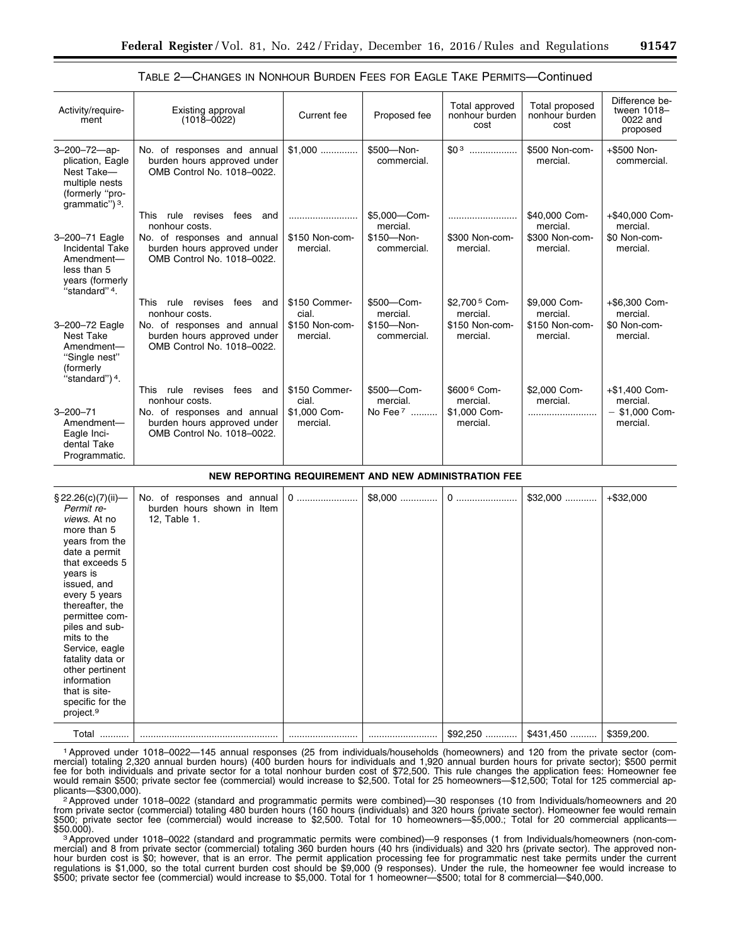| Activity/require-<br>ment                                                                                             | Existing approval<br>$(1018 - 0022)$                                                     | Current fee                | Proposed fee                 | Total approved<br>nonhour burden<br>cost | Total proposed<br>nonhour burden<br>cost | Difference be-<br>tween 1018-<br>0022 and<br>proposed |
|-----------------------------------------------------------------------------------------------------------------------|------------------------------------------------------------------------------------------|----------------------------|------------------------------|------------------------------------------|------------------------------------------|-------------------------------------------------------|
| $3 - 200 - 72 - ap$<br>plication, Eagle<br>Nest Take-<br>multiple nests<br>(formerly "pro-<br>grammatic") $3$ .       | No. of responses and annual<br>burden hours approved under<br>OMB Control No. 1018-0022. | $$1,000$                   | \$500-Non-<br>commercial.    | \$0 <sub>3</sub><br>.                    | \$500 Non-com-<br>mercial.               | +\$500 Non-<br>commercial.                            |
|                                                                                                                       | rule revises<br>This<br>fees<br>and<br>nonhour costs.                                    |                            | \$5.000-Com-<br>mercial.     |                                          | \$40,000 Com-<br>mercial.                | +\$40,000 Com-<br>mercial.                            |
| 3-200-71 Eagle<br><b>Incidental Take</b><br>Amendment-<br>less than 5<br>years (formerly<br>"standard" <sup>4</sup> . | No. of responses and annual<br>burden hours approved under<br>OMB Control No. 1018-0022. | \$150 Non-com-<br>mercial. | \$150-Non-<br>commercial.    | \$300 Non-com-<br>mercial.               | \$300 Non-com-<br>mercial.               | \$0 Non-com-<br>mercial.                              |
|                                                                                                                       | This<br>rule<br>revises<br>fees<br>and<br>nonhour costs.                                 | \$150 Commer-<br>cial.     | \$500-Com-<br>mercial.       | \$2.700 <sup>5</sup> Com-<br>mercial.    | \$9,000 Com-<br>mercial.                 | +\$6,300 Com-<br>mercial.                             |
| 3-200-72 Eagle<br>Nest Take<br>Amendment-<br>"Single nest"<br>(formerly<br>"standard") <sup>4</sup> .                 | No. of responses and annual<br>burden hours approved under<br>OMB Control No. 1018-0022. | \$150 Non-com-<br>mercial. | $$150 - Non-$<br>commercial. | \$150 Non-com-<br>mercial.               | \$150 Non-com-<br>mercial.               | \$0 Non-com-<br>mercial.                              |
|                                                                                                                       | <b>This</b><br>revises<br>fees<br>rule<br>and<br>nonhour costs.                          | \$150 Commer-<br>cial.     | \$500-Com-<br>mercial.       | \$600 6 Com-<br>mercial.                 | \$2,000 Com-<br>mercial.                 | +\$1,400 Com-<br>mercial.                             |
| $3 - 200 - 71$<br>Amendment-<br>Eagle Inci-<br>dental Take<br>Programmatic.                                           | No. of responses and annual<br>burden hours approved under<br>OMB Control No. 1018-0022. | \$1.000 Com-<br>mercial.   | No Fee 7                     | \$1,000 Com-<br>mercial.                 |                                          | $-$ \$1,000 Com-<br>mercial.                          |

# TABLE 2—CHANGES IN NONHOUR BURDEN FEES FOR EAGLE TAKE PERMITS—Continued

#### **NEW REPORTING REQUIREMENT AND NEW ADMINISTRATION FEE**

| \$22.26(c)(7)(ii)<br>Permit re-<br>views. At no<br>more than 5<br>years from the<br>date a permit<br>that exceeds 5<br>years is<br>issued, and<br>every 5 years<br>thereafter, the<br>permittee com-<br>piles and sub-<br>mits to the<br>Service, eagle<br>fatality data or<br>other pertinent<br>information<br>that is site-<br>specific for the<br>project. <sup>9</sup> | No. of responses and annual<br>burden hours shown in Item<br>12, Table 1. | 0 | $$8,000$ |           | $$32,000$  | $+ $32,000$ |
|-----------------------------------------------------------------------------------------------------------------------------------------------------------------------------------------------------------------------------------------------------------------------------------------------------------------------------------------------------------------------------|---------------------------------------------------------------------------|---|----------|-----------|------------|-------------|
| Total<br>.                                                                                                                                                                                                                                                                                                                                                                  |                                                                           |   |          | $$92,250$ | $$431,450$ | \$359,200.  |

1Approved under 1018–0022—145 annual responses (25 from individuals/households (homeowners) and 120 from the private sector (commercial) totaling 2,320 annual burden hours) (400 burden hours for individuals and 1,920 annual burden hours for private sector); \$500 permit fee for both individuals and private sector for a total nonhour burden cost of \$72,500. This rule changes the application fees: Homeowner fee would remain \$500; private sector fee (commercial) would increase to \$2,500. Total for 25 homeowners—\$12,500; Total for 125 commercial ap-

plicants—\$300,000).<br><sup>2</sup> Approved under 1018–0022 (standard and programmatic permits were combined)—30 responses (10 from Individuals/homeowners and 20 from private sector (commercial) totaling 480 burden hours (160 hours (individuals) and 320 hours (private sector). Homeowner fee would remain \$500; private sector fee (commercial) would increase to \$2,500. Total for 10 homeowners—\$5,000.; Total for 20 commercial applicants—<br>\$500; private sector fee (commercial) would increase to \$2,500. Total for 10 homeowners—\$

\$50.000). 3Approved under 1018–0022 (standard and programmatic permits were combined)—9 responses (1 from Individuals/homeowners (non-commercial) and 8 from private sector (commercial) totaling 360 burden hours (40 hrs (individuals) and 320 hrs (private sector). The approved nonhour burden cost is \$0; however, that is an error. The permit application processing fee for programmatic nest take permits under the current regulations is \$1,000, so the total current burden cost should be \$9,000 (9 responses). Under the rule, the homeowner fee would increase to \$500; private sector fee (commercial) would increase to \$5,000. Total for 1 homeowner—\$500; total for 8 commercial—\$40,000.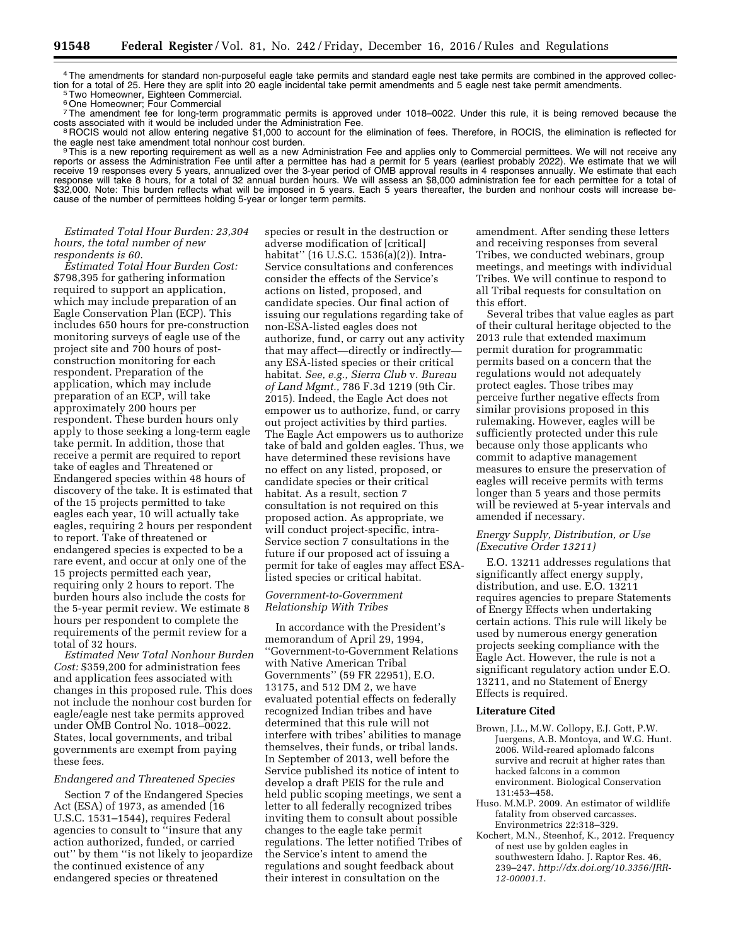4The amendments for standard non-purposeful eagle take permits and standard eagle nest take permits are combined in the approved collection for a total of 25. Here they are split into 20 eagle incidental take permit amendments and 5 eagle nest take permit amendments.<br><sup>5</sup>Two Homeowner, Eighteen Commercial.

6One Homeowner; Four Commercial

7The amendment fee for long-term programmatic permits is approved under 1018–0022. Under this rule, it is being removed because the costs associated with it would be included under the Administration Fee.

costs associated not allow entering negative \$1,000 to account for the elimination of fees. Therefore, in ROCIS, the elimination is reflected for the eagle nest take amendment total nonhour cost burden.

<sup>9</sup>This is a new reporting requirement as well as a new Administration Fee and applies only to Commercial permittees. We will not receive any reports or assess the Administration Fee until after a permittee has had a permit for 5 years (earliest probably 2022). We estimate that we will receive 19 responses every 5 years, annualized over the 3-year period of OMB approval results in 4 responses annually. We estimate that each response will take 8 hours, for a total of 32 annual burden hours. We will assess an \$8,000 administration fee for each permittee for a total of \$32,000. Note: This burden reflects what will be imposed in 5 years. Each 5 years thereafter, the burden and nonhour costs will increase because of the number of permittees holding 5-year or longer term permits.

## *Estimated Total Hour Burden: 23,304 hours, the total number of new respondents is 60.*

*Estimated Total Hour Burden Cost:*  \$798,395 for gathering information required to support an application, which may include preparation of an Eagle Conservation Plan (ECP). This includes 650 hours for pre-construction monitoring surveys of eagle use of the project site and 700 hours of postconstruction monitoring for each respondent. Preparation of the application, which may include preparation of an ECP, will take approximately 200 hours per respondent. These burden hours only apply to those seeking a long-term eagle take permit. In addition, those that receive a permit are required to report take of eagles and Threatened or Endangered species within 48 hours of discovery of the take. It is estimated that of the 15 projects permitted to take eagles each year, 10 will actually take eagles, requiring 2 hours per respondent to report. Take of threatened or endangered species is expected to be a rare event, and occur at only one of the 15 projects permitted each year, requiring only 2 hours to report. The burden hours also include the costs for the 5-year permit review. We estimate 8 hours per respondent to complete the requirements of the permit review for a total of 32 hours.

*Estimated New Total Nonhour Burden Cost:* \$359,200 for administration fees and application fees associated with changes in this proposed rule. This does not include the nonhour cost burden for eagle/eagle nest take permits approved under OMB Control No. 1018–0022. States, local governments, and tribal governments are exempt from paying these fees.

# *Endangered and Threatened Species*

Section 7 of the Endangered Species Act (ESA) of 1973, as amended (16 U.S.C. 1531–1544), requires Federal agencies to consult to ''insure that any action authorized, funded, or carried out'' by them ''is not likely to jeopardize the continued existence of any endangered species or threatened

species or result in the destruction or adverse modification of [critical] habitat'' (16 U.S.C. 1536(a)(2)). Intra-Service consultations and conferences consider the effects of the Service's actions on listed, proposed, and candidate species. Our final action of issuing our regulations regarding take of non-ESA-listed eagles does not authorize, fund, or carry out any activity that may affect—directly or indirectly any ESA-listed species or their critical habitat. *See, e.g., Sierra Club* v. *Bureau of Land Mgmt.,* 786 F.3d 1219 (9th Cir. 2015). Indeed, the Eagle Act does not empower us to authorize, fund, or carry out project activities by third parties. The Eagle Act empowers us to authorize take of bald and golden eagles. Thus, we have determined these revisions have no effect on any listed, proposed, or candidate species or their critical habitat. As a result, section 7 consultation is not required on this proposed action. As appropriate, we will conduct project-specific, intra-Service section 7 consultations in the future if our proposed act of issuing a permit for take of eagles may affect ESAlisted species or critical habitat.

# *Government-to-Government Relationship With Tribes*

In accordance with the President's memorandum of April 29, 1994, ''Government-to-Government Relations with Native American Tribal Governments'' (59 FR 22951), E.O. 13175, and 512 DM 2, we have evaluated potential effects on federally recognized Indian tribes and have determined that this rule will not interfere with tribes' abilities to manage themselves, their funds, or tribal lands. In September of 2013, well before the Service published its notice of intent to develop a draft PEIS for the rule and held public scoping meetings, we sent a letter to all federally recognized tribes inviting them to consult about possible changes to the eagle take permit regulations. The letter notified Tribes of the Service's intent to amend the regulations and sought feedback about their interest in consultation on the

amendment. After sending these letters and receiving responses from several Tribes, we conducted webinars, group meetings, and meetings with individual Tribes. We will continue to respond to all Tribal requests for consultation on this effort.

Several tribes that value eagles as part of their cultural heritage objected to the 2013 rule that extended maximum permit duration for programmatic permits based on a concern that the regulations would not adequately protect eagles. Those tribes may perceive further negative effects from similar provisions proposed in this rulemaking. However, eagles will be sufficiently protected under this rule because only those applicants who commit to adaptive management measures to ensure the preservation of eagles will receive permits with terms longer than 5 years and those permits will be reviewed at 5-year intervals and amended if necessary.

## *Energy Supply, Distribution, or Use (Executive Order 13211)*

E.O. 13211 addresses regulations that significantly affect energy supply, distribution, and use. E.O. 13211 requires agencies to prepare Statements of Energy Effects when undertaking certain actions. This rule will likely be used by numerous energy generation projects seeking compliance with the Eagle Act. However, the rule is not a significant regulatory action under E.O. 13211, and no Statement of Energy Effects is required.

## **Literature Cited**

- Brown, J.L., M.W. Collopy, E.J. Gott, P.W. Juergens, A.B. Montoya, and W.G. Hunt. 2006. Wild-reared aplomado falcons survive and recruit at higher rates than hacked falcons in a common environment. Biological Conservation 131:453–458.
- Huso. M.M.P. 2009. An estimator of wildlife fatality from observed carcasses. Environmetrics 22:318–329.
- Kochert, M.N., Steenhof, K., 2012. Frequency of nest use by golden eagles in southwestern Idaho. J. Raptor Res. 46, 239–247. *[http://dx.doi.org/10.3356/JRR-](http://dx.doi.org/10.3356/JRR-12-00001.1)[12-00001.1](http://dx.doi.org/10.3356/JRR-12-00001.1)*.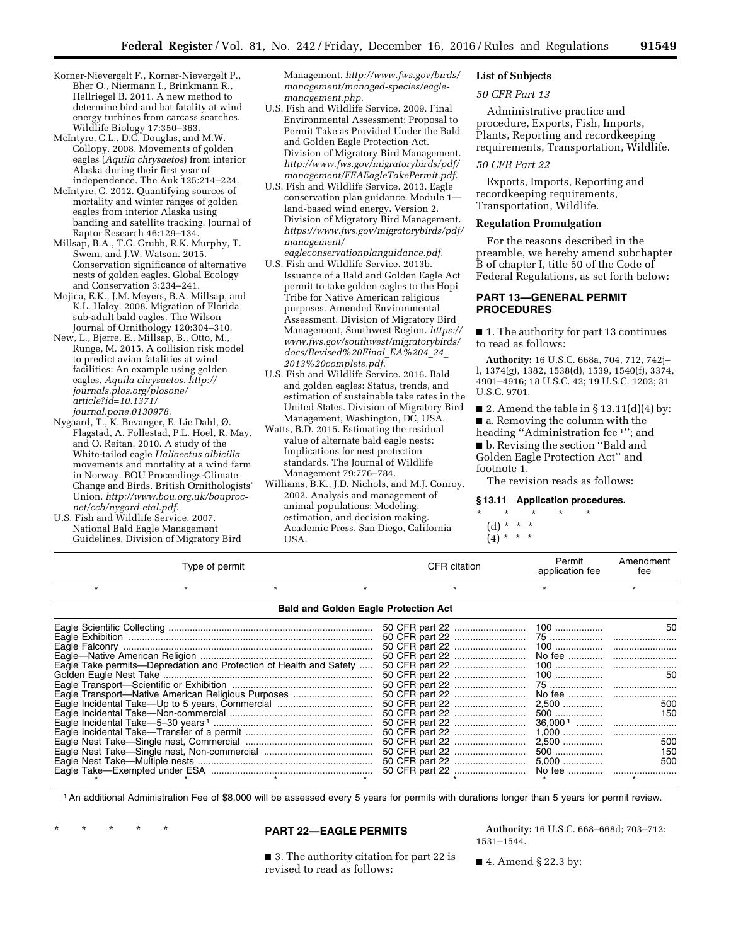- Korner-Nievergelt F., Korner-Nievergelt P., Bher O., Niermann I., Brinkmann R., Hellriegel B. 2011. A new method to determine bird and bat fatality at wind energy turbines from carcass searches. Wildlife Biology 17:350–363.
- McIntyre, C.L., D.C. Douglas, and M.W. Collopy. 2008. Movements of golden eagles (*Aquila chrysaetos*) from interior Alaska during their first year of independence. The Auk 125:214–224.
- McIntyre, C. 2012. Quantifying sources of mortality and winter ranges of golden eagles from interior Alaska using banding and satellite tracking. Journal of Raptor Research 46:129–134.
- Millsap, B.A., T.G. Grubb, R.K. Murphy, T. Swem, and J.W. Watson. 2015. Conservation significance of alternative nests of golden eagles. Global Ecology and Conservation 3:234–241.
- Mojica, E.K., J.M. Meyers, B.A. Millsap, and K.L. Haley. 2008. Migration of Florida sub-adult bald eagles. The Wilson Journal of Ornithology 120:304–310.
- New, L., Bjerre, E., Millsap, B., Otto, M., Runge, M. 2015. A collision risk model to predict avian fatalities at wind facilities: An example using golden eagles, *Aquila chrysaetos. [http://](http://journals.plos.org/plosone/article?id=10.1371/journal.pone.0130978) [journals.plos.org/plosone/](http://journals.plos.org/plosone/article?id=10.1371/journal.pone.0130978) [article?id=10.1371/](http://journals.plos.org/plosone/article?id=10.1371/journal.pone.0130978) [journal.pone.0130978.](http://journals.plos.org/plosone/article?id=10.1371/journal.pone.0130978)*
- Nygaard, T., K. Bevanger, E. Lie Dahl, Ø. Flagstad, A. Follestad, P.L. Hoel, R. May, and O. Reitan. 2010. A study of the White-tailed eagle *Haliaeetus albicilla*  movements and mortality at a wind farm in Norway. BOU Proceedings-Climate Change and Birds. British Ornithologists' Union. *[http://www.bou.org.uk/bouproc](http://www.bou.org.uk/bouproc-net/ccb/nygard-etal.pdf)[net/ccb/nygard-etal.pdf.](http://www.bou.org.uk/bouproc-net/ccb/nygard-etal.pdf)*
- U.S. Fish and Wildlife Service. 2007. National Bald Eagle Management Guidelines. Division of Migratory Bird

Management. *[http://www.fws.gov/birds/](http://www.fws.gov/birds/management/managed-species/eagle-management.php) [management/managed-species/eagle](http://www.fws.gov/birds/management/managed-species/eagle-management.php)[management.php.](http://www.fws.gov/birds/management/managed-species/eagle-management.php)* 

- U.S. Fish and Wildlife Service. 2009. Final Environmental Assessment: Proposal to Permit Take as Provided Under the Bald and Golden Eagle Protection Act. Division of Migratory Bird Management. *[http://www.fws.gov/migratorybirds/pdf/](http://www.fws.gov/migratorybirds/pdf/management/FEAEagleTakePermit.pdf)  [management/FEAEagleTakePermit.pdf.](http://www.fws.gov/migratorybirds/pdf/management/FEAEagleTakePermit.pdf)*
- U.S. Fish and Wildlife Service. 2013. Eagle conservation plan guidance. Module 1 land-based wind energy. Version 2. Division of Migratory Bird Management. *[https://www.fws.gov/migratorybirds/pdf/](https://www.fws.gov/migratorybirds/pdf/management/eagleconservationplanguidance.pdf)  [management/](https://www.fws.gov/migratorybirds/pdf/management/eagleconservationplanguidance.pdf)*
- *[eagleconservationplanguidance.pdf.](https://www.fws.gov/migratorybirds/pdf/management/eagleconservationplanguidance.pdf)*  U.S. Fish and Wildlife Service. 2013b.
- Issuance of a Bald and Golden Eagle Act permit to take golden eagles to the Hopi Tribe for Native American religious purposes. Amended Environmental Assessment. Division of Migratory Bird Management, Southwest Region. *[https://](https://www.fws.gov/southwest/migratorybirds/docs/Revised%20Final_EA%204_24_2013%20complete.pdf) [www.fws.gov/southwest/migratorybirds/](https://www.fws.gov/southwest/migratorybirds/docs/Revised%20Final_EA%204_24_2013%20complete.pdf)  [docs/Revised%20Final](https://www.fws.gov/southwest/migratorybirds/docs/Revised%20Final_EA%204_24_2013%20complete.pdf)*\_*EA%204*\_*24*\_ *[2013%20complete.pdf.](https://www.fws.gov/southwest/migratorybirds/docs/Revised%20Final_EA%204_24_2013%20complete.pdf)*
- U.S. Fish and Wildlife Service. 2016. Bald and golden eagles: Status, trends, and estimation of sustainable take rates in the United States. Division of Migratory Bird Management, Washington, DC, USA.
- Watts, B.D. 2015. Estimating the residual value of alternate bald eagle nests: Implications for nest protection standards. The Journal of Wildlife Management 79:776–784.
- Williams, B.K., J.D. Nichols, and M.J. Conroy. 2002. Analysis and management of animal populations: Modeling, estimation, and decision making. Academic Press, San Diego, California USA.

# **List of Subjects**

# *50 CFR Part 13*

Administrative practice and procedure, Exports, Fish, Imports, Plants, Reporting and recordkeeping requirements, Transportation, Wildlife.

# *50 CFR Part 22*

Exports, Imports, Reporting and recordkeeping requirements, Transportation, Wildlife.

# **Regulation Promulgation**

For the reasons described in the preamble, we hereby amend subchapter B of chapter I, title 50 of the Code of Federal Regulations, as set forth below:

# **PART 13—GENERAL PERMIT PROCEDURES**

■ 1. The authority for part 13 continues to read as follows:

**Authority:** 16 U.S.C. 668a, 704, 712, 742j– l, 1374(g), 1382, 1538(d), 1539, 1540(f), 3374, 4901–4916; 18 U.S.C. 42; 19 U.S.C. 1202; 31 U.S.C. 9701.

■ 2. Amend the table in § 13.11(d)(4) by: ■ a. Removing the column with the heading "Administration fee <sup>1</sup>"; and ■ b. Revising the section "Bald and Golden Eagle Protection Act'' and footnote 1.

Amendment

The revision reads as follows:

### **§ 13.11 Application procedures.**

\* \* \* \* \*

(d) \* \* \*  $(4) * * * *$ 

| Type of permit                                                     |  |  | <b>CFR</b> citation | Permit<br>application fee                   | Amendment<br>fee |            |
|--------------------------------------------------------------------|--|--|---------------------|---------------------------------------------|------------------|------------|
| $\star$                                                            |  |  |                     |                                             |                  |            |
|                                                                    |  |  |                     | <b>Bald and Golden Eagle Protection Act</b> |                  |            |
|                                                                    |  |  |                     |                                             |                  | -50        |
| Eagle Take permits—Depredation and Protection of Health and Safety |  |  |                     |                                             |                  |            |
| Eagle Transport-Native American Religious Purposes                 |  |  |                     |                                             |                  | 500        |
|                                                                    |  |  |                     |                                             | 2,500<br>5,000   | 500<br>500 |
|                                                                    |  |  |                     |                                             |                  |            |

1An additional Administration Fee of \$8,000 will be assessed every 5 years for permits with durations longer than 5 years for permit review.

# \* \* \* \* \* **PART 22—EAGLE PERMITS**

■ 3. The authority citation for part 22 is revised to read as follows:

**Authority:** 16 U.S.C. 668–668d; 703–712; 1531–1544.

 $\blacksquare$  4. Amend § 22.3 by: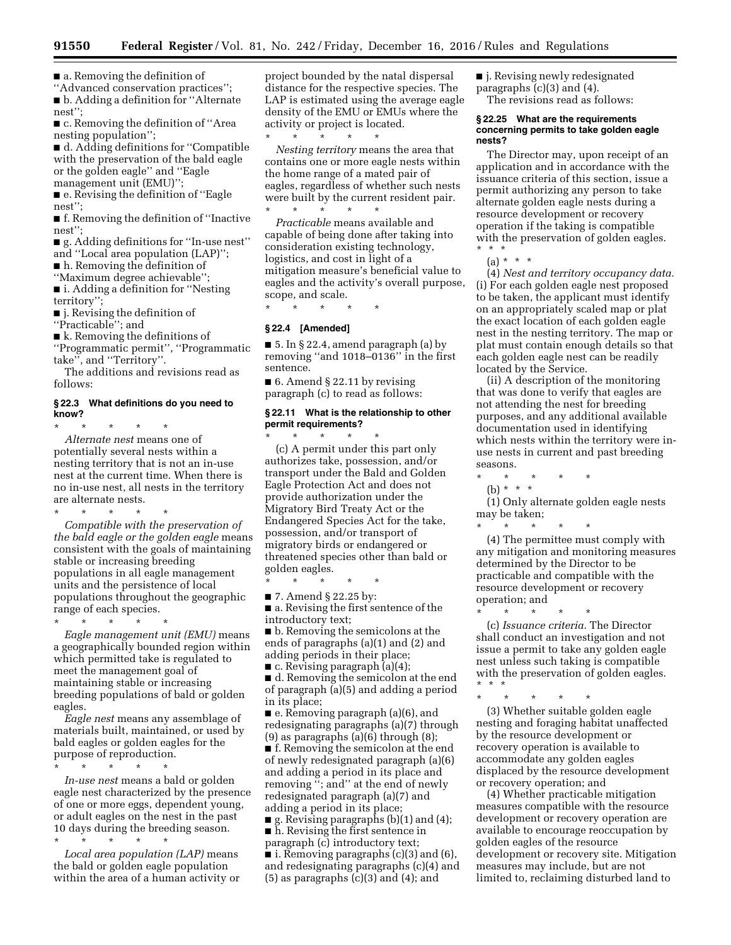■ a. Removing the definition of

''Advanced conservation practices''; ■ b. Adding a definition for "Alternate nest'';

■ c. Removing the definition of "Area nesting population'';

■ d. Adding definitions for "Compatible with the preservation of the bald eagle or the golden eagle'' and ''Eagle management unit (EMU)'';

■ e. Revising the definition of "Eagle nest'';

■ f. Removing the definition of "Inactive nest'';

■ g. Adding definitions for "In-use nest" and ''Local area population (LAP)'';

■ h. Removing the definition of

''Maximum degree achievable'';

■ i. Adding a definition for "Nesting territory'';

■ j. Revising the definition of

''Practicable''; and

■ k. Removing the definitions of ''Programmatic permit'', ''Programmatic take'', and ''Territory''.

The additions and revisions read as follows:

# **§ 22.3 What definitions do you need to know?**

\* \* \* \* \* *Alternate nest* means one of potentially several nests within a nesting territory that is not an in-use nest at the current time. When there is no in-use nest, all nests in the territory are alternate nests.

\* \* \* \* \* *Compatible with the preservation of the bald eagle or the golden eagle* means consistent with the goals of maintaining stable or increasing breeding populations in all eagle management units and the persistence of local populations throughout the geographic range of each species.

\* \* \* \* \*

*Eagle management unit (EMU)* means a geographically bounded region within which permitted take is regulated to meet the management goal of maintaining stable or increasing breeding populations of bald or golden eagles.

*Eagle nest* means any assemblage of materials built, maintained, or used by bald eagles or golden eagles for the purpose of reproduction.

\* \* \* \* \*

*In-use nest* means a bald or golden eagle nest characterized by the presence of one or more eggs, dependent young, or adult eagles on the nest in the past 10 days during the breeding season.

\* \* \* \* \* *Local area population (LAP)* means

the bald or golden eagle population within the area of a human activity or project bounded by the natal dispersal distance for the respective species. The LAP is estimated using the average eagle density of the EMU or EMUs where the activity or project is located.

\* \* \* \* \* *Nesting territory* means the area that contains one or more eagle nests within the home range of a mated pair of eagles, regardless of whether such nests were built by the current resident pair.

\* \* \* \* \* *Practicable* means available and capable of being done after taking into consideration existing technology, logistics, and cost in light of a mitigation measure's beneficial value to eagles and the activity's overall purpose, scope, and scale.

\* \* \* \* \*

## **§ 22.4 [Amended]**

■ 5. In § 22.4, amend paragraph (a) by removing ''and 1018–0136'' in the first sentence.

 $\blacksquare$  6. Amend § 22.11 by revising paragraph (c) to read as follows:

## **§ 22.11 What is the relationship to other permit requirements?**  \* \* \* \* \*

(c) A permit under this part only authorizes take, possession, and/or transport under the Bald and Golden Eagle Protection Act and does not provide authorization under the Migratory Bird Treaty Act or the Endangered Species Act for the take, possession, and/or transport of migratory birds or endangered or threatened species other than bald or golden eagles.

\* \* \* \* \*

■ 7. Amend § 22.25 by:

■ a. Revising the first sentence of the introductory text;

■ b. Removing the semicolons at the ends of paragraphs (a)(1) and (2) and adding periods in their place;

 $\blacksquare$  c. Revising paragraph (a)(4);

■ d. Removing the semicolon at the end of paragraph (a)(5) and adding a period in its place;

■ e. Removing paragraph (a)(6), and redesignating paragraphs (a)(7) through (9) as paragraphs (a)(6) through (8);

■ f. Removing the semicolon at the end of newly redesignated paragraph (a)(6) and adding a period in its place and removing  $\ddot{}}$ ; and" at the end of newly redesignated paragraph (a)(7) and adding a period in its place;

■ g. Revising paragraphs (b)(1) and (4);

■ h. Revising the first sentence in

paragraph (c) introductory text; ■ i. Removing paragraphs (c)(3) and (6), and redesignating paragraphs (c)(4) and  $(5)$  as paragraphs  $(c)(3)$  and  $(4)$ ; and

■ j. Revising newly redesignated paragraphs (c)(3) and (4).

The revisions read as follows:

## **§ 22.25 What are the requirements concerning permits to take golden eagle nests?**

The Director may, upon receipt of an application and in accordance with the issuance criteria of this section, issue a permit authorizing any person to take alternate golden eagle nests during a resource development or recovery operation if the taking is compatible with the preservation of golden eagles. \* \* \*

 $(a) * * * *$ 

(4) *Nest and territory occupancy data.*  (i) For each golden eagle nest proposed to be taken, the applicant must identify on an appropriately scaled map or plat the exact location of each golden eagle nest in the nesting territory. The map or plat must contain enough details so that each golden eagle nest can be readily located by the Service.

(ii) A description of the monitoring that was done to verify that eagles are not attending the nest for breeding purposes, and any additional available documentation used in identifying which nests within the territory were inuse nests in current and past breeding seasons.

\* \* \* \* \* (b) \* \* \*

(1) Only alternate golden eagle nests may be taken;

\* \* \* \* \* (4) The permittee must comply with any mitigation and monitoring measures determined by the Director to be practicable and compatible with the resource development or recovery operation; and

\* \* \* \* \* (c) *Issuance criteria.* The Director shall conduct an investigation and not issue a permit to take any golden eagle nest unless such taking is compatible with the preservation of golden eagles. \* \* \*

\* \* \* \* \* (3) Whether suitable golden eagle nesting and foraging habitat unaffected by the resource development or recovery operation is available to accommodate any golden eagles displaced by the resource development or recovery operation; and

(4) Whether practicable mitigation measures compatible with the resource development or recovery operation are available to encourage reoccupation by golden eagles of the resource development or recovery site. Mitigation measures may include, but are not limited to, reclaiming disturbed land to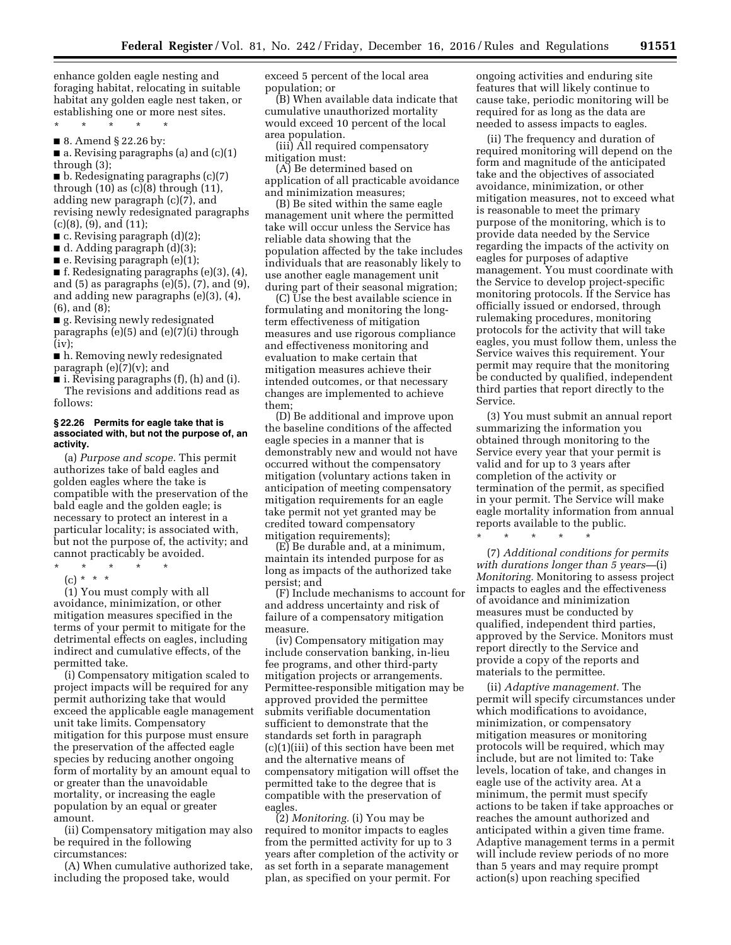enhance golden eagle nesting and foraging habitat, relocating in suitable habitat any golden eagle nest taken, or establishing one or more nest sites.

\* \* \* \* \* ■ 8. Amend § 22.26 by:

■ a. Revising paragraphs (a) and (c)(1) through (3);

 $\blacksquare$  b. Redesignating paragraphs  $(c)(7)$ through  $(10)$  as  $(c)(8)$  through  $(11)$ , adding new paragraph (c)(7), and revising newly redesignated paragraphs (c)(8), (9), and (11);

 $\blacksquare$  c. Revising paragraph  $(d)(2)$ ;

 $\blacksquare$  d. Adding paragraph (d)(3);

 $\blacksquare$  e. Revising paragraph (e)(1);

■ f. Redesignating paragraphs (e)(3), (4), and (5) as paragraphs (e)(5), (7), and (9), and adding new paragraphs (e)(3), (4), (6), and (8);

■ g. Revising newly redesignated paragraphs (e)(5) and (e)(7)(i) through  $(iv)$ :

■ h. Removing newly redesignated paragraph  $(e)(7)(v)$ ; and

■ i. Revising paragraphs (f), (h) and (i). The revisions and additions read as follows:

## **§ 22.26 Permits for eagle take that is associated with, but not the purpose of, an activity.**

(a) *Purpose and scope.* This permit authorizes take of bald eagles and golden eagles where the take is compatible with the preservation of the bald eagle and the golden eagle; is necessary to protect an interest in a particular locality; is associated with, but not the purpose of, the activity; and cannot practicably be avoided.

\* \* \* \* \*

(c) \* \* \*

(1) You must comply with all avoidance, minimization, or other mitigation measures specified in the terms of your permit to mitigate for the detrimental effects on eagles, including indirect and cumulative effects, of the permitted take.

(i) Compensatory mitigation scaled to project impacts will be required for any permit authorizing take that would exceed the applicable eagle management unit take limits. Compensatory mitigation for this purpose must ensure the preservation of the affected eagle species by reducing another ongoing form of mortality by an amount equal to or greater than the unavoidable mortality, or increasing the eagle population by an equal or greater amount.

(ii) Compensatory mitigation may also be required in the following circumstances:

(A) When cumulative authorized take, including the proposed take, would

exceed 5 percent of the local area population; or

(B) When available data indicate that cumulative unauthorized mortality would exceed 10 percent of the local area population.

(iii) All required compensatory mitigation must:

(A) Be determined based on application of all practicable avoidance and minimization measures;

(B) Be sited within the same eagle management unit where the permitted take will occur unless the Service has reliable data showing that the population affected by the take includes individuals that are reasonably likely to use another eagle management unit during part of their seasonal migration;

(C) Use the best available science in formulating and monitoring the longterm effectiveness of mitigation measures and use rigorous compliance and effectiveness monitoring and evaluation to make certain that mitigation measures achieve their intended outcomes, or that necessary changes are implemented to achieve them;

(D) Be additional and improve upon the baseline conditions of the affected eagle species in a manner that is demonstrably new and would not have occurred without the compensatory mitigation (voluntary actions taken in anticipation of meeting compensatory mitigation requirements for an eagle take permit not yet granted may be credited toward compensatory mitigation requirements);

(E) Be durable and, at a minimum, maintain its intended purpose for as long as impacts of the authorized take persist; and

(F) Include mechanisms to account for and address uncertainty and risk of failure of a compensatory mitigation measure.

(iv) Compensatory mitigation may include conservation banking, in-lieu fee programs, and other third-party mitigation projects or arrangements. Permittee-responsible mitigation may be approved provided the permittee submits verifiable documentation sufficient to demonstrate that the standards set forth in paragraph (c)(1)(iii) of this section have been met and the alternative means of compensatory mitigation will offset the permitted take to the degree that is compatible with the preservation of eagles.

(2) *Monitoring.* (i) You may be required to monitor impacts to eagles from the permitted activity for up to 3 years after completion of the activity or as set forth in a separate management plan, as specified on your permit. For

ongoing activities and enduring site features that will likely continue to cause take, periodic monitoring will be required for as long as the data are needed to assess impacts to eagles.

(ii) The frequency and duration of required monitoring will depend on the form and magnitude of the anticipated take and the objectives of associated avoidance, minimization, or other mitigation measures, not to exceed what is reasonable to meet the primary purpose of the monitoring, which is to provide data needed by the Service regarding the impacts of the activity on eagles for purposes of adaptive management. You must coordinate with the Service to develop project-specific monitoring protocols. If the Service has officially issued or endorsed, through rulemaking procedures, monitoring protocols for the activity that will take eagles, you must follow them, unless the Service waives this requirement. Your permit may require that the monitoring be conducted by qualified, independent third parties that report directly to the Service.

(3) You must submit an annual report summarizing the information you obtained through monitoring to the Service every year that your permit is valid and for up to 3 years after completion of the activity or termination of the permit, as specified in your permit. The Service will make eagle mortality information from annual reports available to the public.

\* \* \* \* \*

(7) *Additional conditions for permits with durations longer than 5 years—*(i) *Monitoring.* Monitoring to assess project impacts to eagles and the effectiveness of avoidance and minimization measures must be conducted by qualified, independent third parties, approved by the Service. Monitors must report directly to the Service and provide a copy of the reports and materials to the permittee.

(ii) *Adaptive management.* The permit will specify circumstances under which modifications to avoidance, minimization, or compensatory mitigation measures or monitoring protocols will be required, which may include, but are not limited to: Take levels, location of take, and changes in eagle use of the activity area. At a minimum, the permit must specify actions to be taken if take approaches or reaches the amount authorized and anticipated within a given time frame. Adaptive management terms in a permit will include review periods of no more than 5 years and may require prompt action(s) upon reaching specified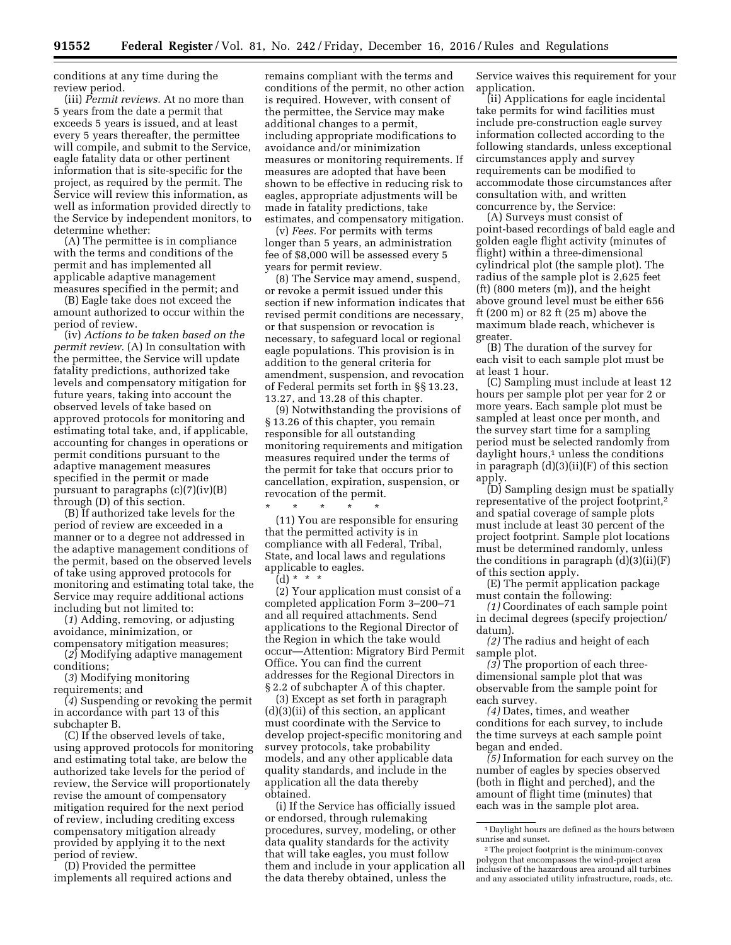conditions at any time during the review period.

(iii) *Permit reviews.* At no more than 5 years from the date a permit that exceeds 5 years is issued, and at least every 5 years thereafter, the permittee will compile, and submit to the Service, eagle fatality data or other pertinent information that is site-specific for the project, as required by the permit. The Service will review this information, as well as information provided directly to the Service by independent monitors, to determine whether:

(A) The permittee is in compliance with the terms and conditions of the permit and has implemented all applicable adaptive management measures specified in the permit; and

(B) Eagle take does not exceed the amount authorized to occur within the period of review.

(iv) *Actions to be taken based on the permit review.* (A) In consultation with the permittee, the Service will update fatality predictions, authorized take levels and compensatory mitigation for future years, taking into account the observed levels of take based on approved protocols for monitoring and estimating total take, and, if applicable, accounting for changes in operations or permit conditions pursuant to the adaptive management measures specified in the permit or made pursuant to paragraphs  $(c)(7)(iv)(B)$ through (D) of this section.

(B) If authorized take levels for the period of review are exceeded in a manner or to a degree not addressed in the adaptive management conditions of the permit, based on the observed levels of take using approved protocols for monitoring and estimating total take, the Service may require additional actions including but not limited to:

(*1*) Adding, removing, or adjusting avoidance, minimization, or compensatory mitigation measures;

(*2*) Modifying adaptive management conditions;

(*3*) Modifying monitoring requirements; and

(*4*) Suspending or revoking the permit in accordance with part 13 of this subchapter B.

(C) If the observed levels of take, using approved protocols for monitoring and estimating total take, are below the authorized take levels for the period of review, the Service will proportionately revise the amount of compensatory mitigation required for the next period of review, including crediting excess compensatory mitigation already provided by applying it to the next period of review.

(D) Provided the permittee implements all required actions and

remains compliant with the terms and conditions of the permit, no other action is required. However, with consent of the permittee, the Service may make additional changes to a permit, including appropriate modifications to avoidance and/or minimization measures or monitoring requirements. If measures are adopted that have been shown to be effective in reducing risk to eagles, appropriate adjustments will be made in fatality predictions, take estimates, and compensatory mitigation.

(v) *Fees.* For permits with terms longer than 5 years, an administration fee of \$8,000 will be assessed every 5 years for permit review.

(8) The Service may amend, suspend, or revoke a permit issued under this section if new information indicates that revised permit conditions are necessary, or that suspension or revocation is necessary, to safeguard local or regional eagle populations. This provision is in addition to the general criteria for amendment, suspension, and revocation of Federal permits set forth in §§ 13.23, 13.27, and 13.28 of this chapter.

(9) Notwithstanding the provisions of § 13.26 of this chapter, you remain responsible for all outstanding monitoring requirements and mitigation measures required under the terms of the permit for take that occurs prior to cancellation, expiration, suspension, or revocation of the permit.

\* \* \* \* \* (11) You are responsible for ensuring that the permitted activity is in compliance with all Federal, Tribal, State, and local laws and regulations applicable to eagles.

(d) \* \* \*

(2) Your application must consist of a completed application Form 3–200–71 and all required attachments. Send applications to the Regional Director of the Region in which the take would occur—Attention: Migratory Bird Permit Office. You can find the current addresses for the Regional Directors in § 2.2 of subchapter A of this chapter.

(3) Except as set forth in paragraph (d)(3)(ii) of this section, an applicant must coordinate with the Service to develop project-specific monitoring and survey protocols, take probability models, and any other applicable data quality standards, and include in the application all the data thereby obtained.

(i) If the Service has officially issued or endorsed, through rulemaking procedures, survey, modeling, or other data quality standards for the activity that will take eagles, you must follow them and include in your application all the data thereby obtained, unless the

Service waives this requirement for your application.

(ii) Applications for eagle incidental take permits for wind facilities must include pre-construction eagle survey information collected according to the following standards, unless exceptional circumstances apply and survey requirements can be modified to accommodate those circumstances after consultation with, and written concurrence by, the Service:

(A) Surveys must consist of point-based recordings of bald eagle and golden eagle flight activity (minutes of flight) within a three-dimensional cylindrical plot (the sample plot). The radius of the sample plot is 2,625 feet (ft) (800 meters (m)), and the height above ground level must be either 656 ft (200 m) or 82 ft (25 m) above the maximum blade reach, whichever is greater.

(B) The duration of the survey for each visit to each sample plot must be at least 1 hour.

(C) Sampling must include at least 12 hours per sample plot per year for 2 or more years. Each sample plot must be sampled at least once per month, and the survey start time for a sampling period must be selected randomly from daylight hours,<sup>1</sup> unless the conditions in paragraph  $(d)(3)(ii)(F)$  of this section apply.

(D) Sampling design must be spatially representative of the project footprint,2 and spatial coverage of sample plots must include at least 30 percent of the project footprint. Sample plot locations must be determined randomly, unless the conditions in paragraph  $(d)(3)(ii)(F)$ of this section apply.

(E) The permit application package must contain the following:

*(1)* Coordinates of each sample point in decimal degrees (specify projection/ datum).

*(2)* The radius and height of each sample plot.

*(3)* The proportion of each threedimensional sample plot that was observable from the sample point for each survey.

*(4)* Dates, times, and weather conditions for each survey, to include the time surveys at each sample point began and ended.

*(5)* Information for each survey on the number of eagles by species observed (both in flight and perched), and the amount of flight time (minutes) that each was in the sample plot area.

<sup>1</sup> Daylight hours are defined as the hours between sunrise and sunset.

<sup>2</sup>The project footprint is the minimum-convex polygon that encompasses the wind-project area inclusive of the hazardous area around all turbines and any associated utility infrastructure, roads, etc.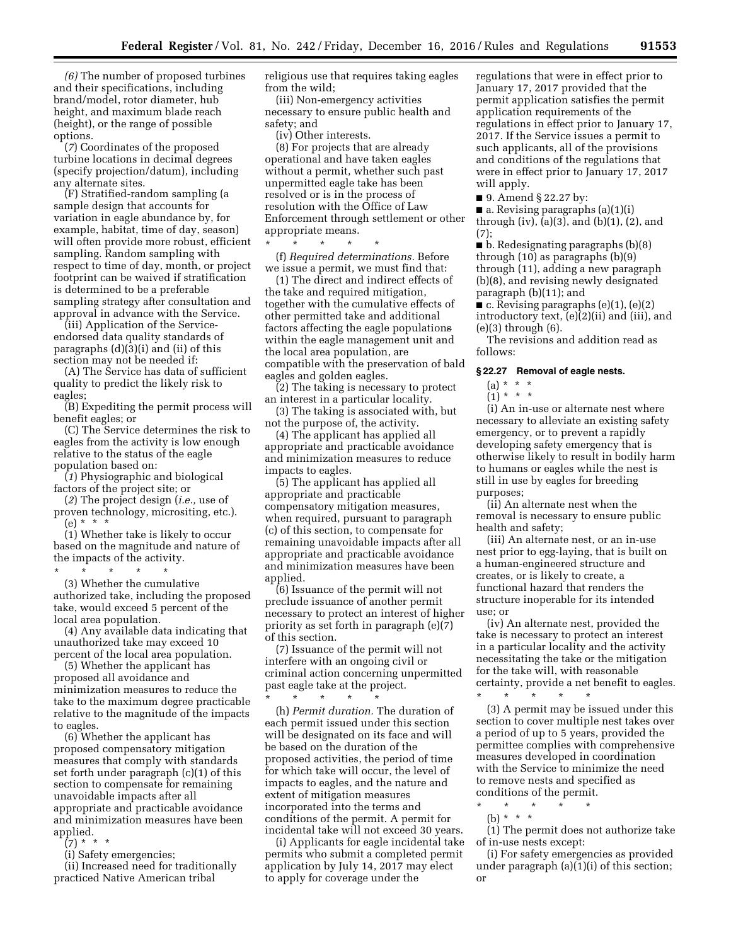*(6)* The number of proposed turbines and their specifications, including brand/model, rotor diameter, hub height, and maximum blade reach (height), or the range of possible options.

(*7*) Coordinates of the proposed turbine locations in decimal degrees (specify projection/datum), including any alternate sites.

(F) Stratified-random sampling (a sample design that accounts for variation in eagle abundance by, for example, habitat, time of day, season) will often provide more robust, efficient sampling. Random sampling with respect to time of day, month, or project footprint can be waived if stratification is determined to be a preferable sampling strategy after consultation and approval in advance with the Service.

(iii) Application of the Serviceendorsed data quality standards of paragraphs (d)(3)(i) and (ii) of this section may not be needed if:

(A) The Service has data of sufficient quality to predict the likely risk to eagles;

(B) Expediting the permit process will benefit eagles; or

(C) The Service determines the risk to eagles from the activity is low enough relative to the status of the eagle population based on:

(*1*) Physiographic and biological factors of the project site; or

(*2*) The project design (*i.e.,* use of proven technology, micrositing, etc.).  $(e) * * * *$ 

(1) Whether take is likely to occur based on the magnitude and nature of the impacts of the activity.

\* \* \* \* \* (3) Whether the cumulative authorized take, including the proposed take, would exceed 5 percent of the local area population.

(4) Any available data indicating that unauthorized take may exceed 10 percent of the local area population.

(5) Whether the applicant has proposed all avoidance and minimization measures to reduce the take to the maximum degree practicable relative to the magnitude of the impacts to eagles.

(6) Whether the applicant has proposed compensatory mitigation measures that comply with standards set forth under paragraph (c)(1) of this section to compensate for remaining unavoidable impacts after all appropriate and practicable avoidance and minimization measures have been applied.

(7) \* \* \*

(i) Safety emergencies;

(ii) Increased need for traditionally practiced Native American tribal

religious use that requires taking eagles from the wild;

(iii) Non-emergency activities necessary to ensure public health and safety; and

(iv) Other interests.

(8) For projects that are already operational and have taken eagles without a permit, whether such past unpermitted eagle take has been resolved or is in the process of resolution with the Office of Law Enforcement through settlement or other appropriate means.

\* \* \* \* \* (f) *Required determinations.* Before we issue a permit, we must find that:

(1) The direct and indirect effects of the take and required mitigation, together with the cumulative effects of other permitted take and additional factors affecting the eagle populations within the eagle management unit and the local area population, are compatible with the preservation of bald eagles and golden eagles.

(2) The taking is necessary to protect an interest in a particular locality.

(3) The taking is associated with, but not the purpose of, the activity.

(4) The applicant has applied all appropriate and practicable avoidance and minimization measures to reduce impacts to eagles.

(5) The applicant has applied all appropriate and practicable compensatory mitigation measures, when required, pursuant to paragraph (c) of this section, to compensate for remaining unavoidable impacts after all appropriate and practicable avoidance and minimization measures have been applied.

(6) Issuance of the permit will not preclude issuance of another permit necessary to protect an interest of higher priority as set forth in paragraph (e)(7) of this section.

(7) Issuance of the permit will not interfere with an ongoing civil or criminal action concerning unpermitted past eagle take at the project.

\* \* \* \* \* (h) *Permit duration.* The duration of each permit issued under this section will be designated on its face and will be based on the duration of the proposed activities, the period of time for which take will occur, the level of impacts to eagles, and the nature and extent of mitigation measures incorporated into the terms and conditions of the permit. A permit for incidental take will not exceed 30 years.

(i) Applicants for eagle incidental take permits who submit a completed permit application by July 14, 2017 may elect to apply for coverage under the

regulations that were in effect prior to January 17, 2017 provided that the permit application satisfies the permit application requirements of the regulations in effect prior to January 17, 2017. If the Service issues a permit to such applicants, all of the provisions and conditions of the regulations that were in effect prior to January 17, 2017 will apply.

■ 9. Amend § 22.27 by:

■ a. Revising paragraphs (a)(1)(i) through  $(iv)$ ,  $(a)(3)$ , and  $(b)(1)$ ,  $(2)$ , and (7);

■ b. Redesignating paragraphs (b)(8) through (10) as paragraphs (b)(9) through (11), adding a new paragraph (b)(8), and revising newly designated paragraph (b)(11); and

 $\blacksquare$  c. Revising paragraphs (e)(1), (e)(2) introductory text, (e)(2)(ii) and (iii), and (e)(3) through (6).

The revisions and addition read as follows:

## **§ 22.27 Removal of eagle nests.**

(a) \* \* \*

 $(1) * * * *$ 

(i) An in-use or alternate nest where necessary to alleviate an existing safety emergency, or to prevent a rapidly developing safety emergency that is otherwise likely to result in bodily harm to humans or eagles while the nest is still in use by eagles for breeding purposes;

(ii) An alternate nest when the removal is necessary to ensure public health and safety;

(iii) An alternate nest, or an in-use nest prior to egg-laying, that is built on a human-engineered structure and creates, or is likely to create, a functional hazard that renders the structure inoperable for its intended use; or

(iv) An alternate nest, provided the take is necessary to protect an interest in a particular locality and the activity necessitating the take or the mitigation for the take will, with reasonable certainty, provide a net benefit to eagles.

\* \* \* \* \* (3) A permit may be issued under this section to cover multiple nest takes over a period of up to 5 years, provided the permittee complies with comprehensive measures developed in coordination with the Service to minimize the need to remove nests and specified as conditions of the permit.

\* \* \* \* \*

(b) \* \* \*

(1) The permit does not authorize take of in-use nests except:

(i) For safety emergencies as provided under paragraph (a)(1)(i) of this section; or